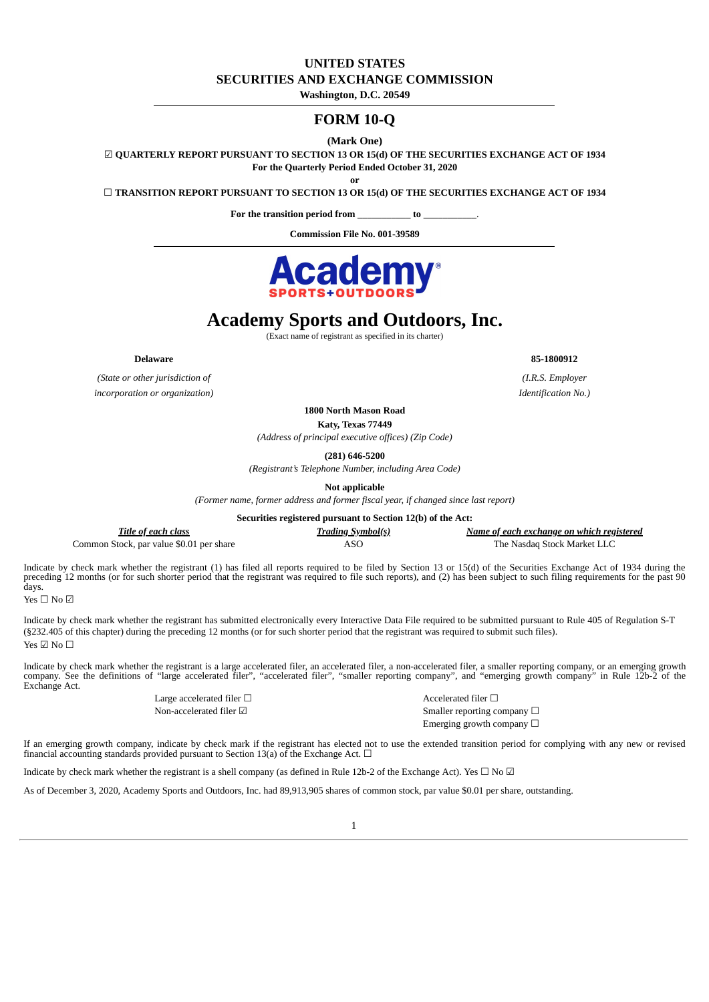# **UNITED STATES**

**SECURITIES AND EXCHANGE COMMISSION**

**Washington, D.C. 20549**

# **FORM 10-Q**

**(Mark One)**

☑ **QUARTERLY REPORT PURSUANT TO SECTION 13 OR 15(d) OF THE SECURITIES EXCHANGE ACT OF 1934 For the Quarterly Period Ended October 31, 2020**

**or**

☐ **TRANSITION REPORT PURSUANT TO SECTION 13 OR 15(d) OF THE SECURITIES EXCHANGE ACT OF 1934**

**For the transition period from \_\_\_\_\_\_\_\_\_\_\_ to \_\_\_\_\_\_\_\_\_\_\_**.

**Commission File No. 001-39589**



# **Academy Sports and Outdoors, Inc.**

 $\begin{bmatrix} -J & -I \end{bmatrix}$  =  $\begin{bmatrix} -I \end{bmatrix}$  =  $\begin{bmatrix} -I \end{bmatrix}$  =  $\begin{bmatrix} -I \end{bmatrix}$  =  $\begin{bmatrix} -I \end{bmatrix}$  =  $\begin{bmatrix} -I \end{bmatrix}$  =  $\begin{bmatrix} -I \end{bmatrix}$  =  $\begin{bmatrix} -I \end{bmatrix}$  =  $\begin{bmatrix} -I \end{bmatrix}$  =  $\begin{bmatrix} -I \end{bmatrix}$  =  $\begin{bmatrix} -I \end{bmatrix}$  =  $\begin{bmatrix} -I$ 

*(State or other jurisdiction of incorporation or organization)*

**Delaware 85-1800912**

*(I.R.S. Employer Identification No.)*

**1800 North Mason Road**

**Katy, Texas 77449**

*(Address of principal executive offices) (Zip Code)*

**(281) 646-5200**

*(Registrant's Telephone Number, including Area Code)*

**Not applicable**

*(Former name, former address and former fiscal year, if changed since last report)*

**Securities registered pursuant to Section 12(b) of the Act:**

Common Stock, par value \$0.01 per share ASO ASO The Nasdaq Stock Market LLC

*Title of each class Trading Symbol(s) Name of each exchange on which registered*

Indicate by check mark whether the registrant (1) has filed all reports required to be filed by Section 13 or 15(d) of the Securities Exchange Act of 1934 during the preceding 12 months (or for such shorter period that the registrant was required to file such reports), and (2) has been subject to such filing requirements for the past 90 days.

Yes □ No ☑

Indicate by check mark whether the registrant has submitted electronically every Interactive Data File required to be submitted pursuant to Rule 405 of Regulation S-T (§232.405 of this chapter) during the preceding 12 months (or for such shorter period that the registrant was required to submit such files). Yes ☑ No □

Indicate by check mark whether the registrant is a large accelerated filer, an accelerated filer, a non-accelerated filer, a smaller reporting company, or an emerging growth company. See the definitions of "large accelerated filer", "accelerated filer", "smaller reporting company", and "emerging growth company" in Rule 12b-2 of the Exchange Act.

Large accelerated filer □ and a set of the accelerated filer □ Non-accelerated filer ☑ Smaller reporting company □ Emerging growth company  $\Box$ 

If an emerging growth company, indicate by check mark if the registrant has elected not to use the extended transition period for complying with any new or revised financial accounting standards provided pursuant to Section 13(a) of the Exchange Act.  $\Box$ 

Indicate by check mark whether the registrant is a shell company (as defined in Rule 12b-2 of the Exchange Act). Yes  $\Box$  No  $\Box$ 

As of December 3, 2020, Academy Sports and Outdoors, Inc. had 89,913,905 shares of common stock, par value \$0.01 per share, outstanding.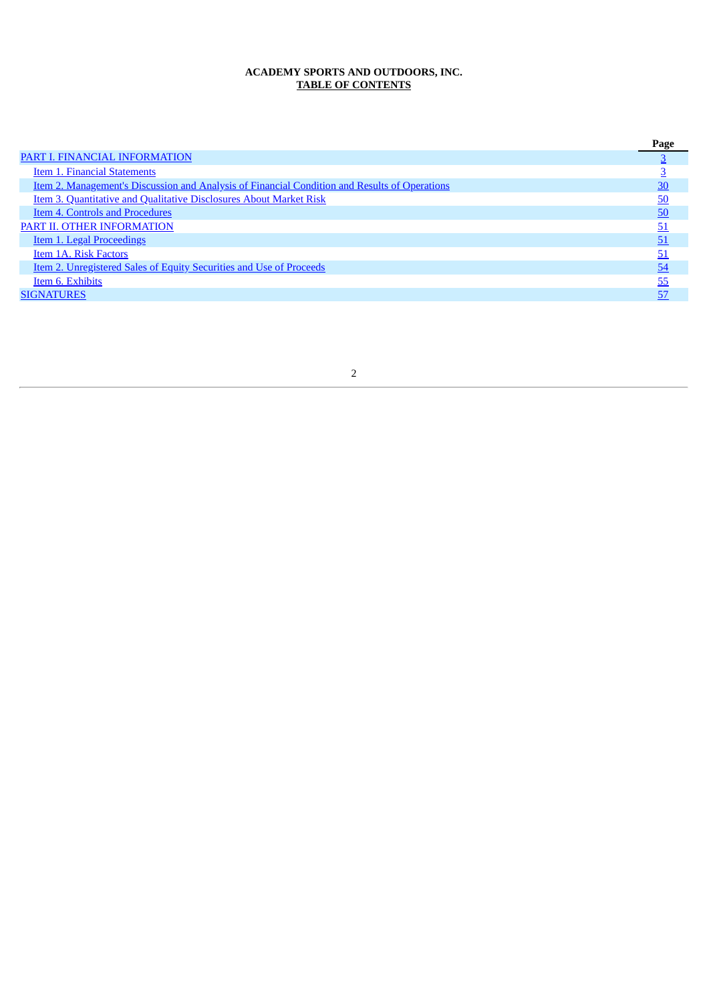# **ACADEMY SPORTS AND OUTDOORS, INC. TABLE OF CONTENTS**

<span id="page-1-0"></span>

|                                                                                               | Page      |
|-----------------------------------------------------------------------------------------------|-----------|
| PART I. FINANCIAL INFORMATION                                                                 |           |
| Item 1. Financial Statements                                                                  |           |
| Item 2. Management's Discussion and Analysis of Financial Condition and Results of Operations | 30        |
| <b>Item 3. Quantitative and Qualitative Disclosures About Market Risk</b>                     | 50        |
| Item 4. Controls and Procedures                                                               | 50        |
| PART II. OTHER INFORMATION                                                                    | 51        |
| Item 1. Legal Proceedings                                                                     | 51        |
| Item 1A. Risk Factors                                                                         | <u>51</u> |
| <u>Item 2. Unregistered Sales of Equity Securities and Use of Proceeds</u>                    | 54        |
| Item 6. Exhibits                                                                              | 55        |
| <b>SIGNATURES</b>                                                                             |           |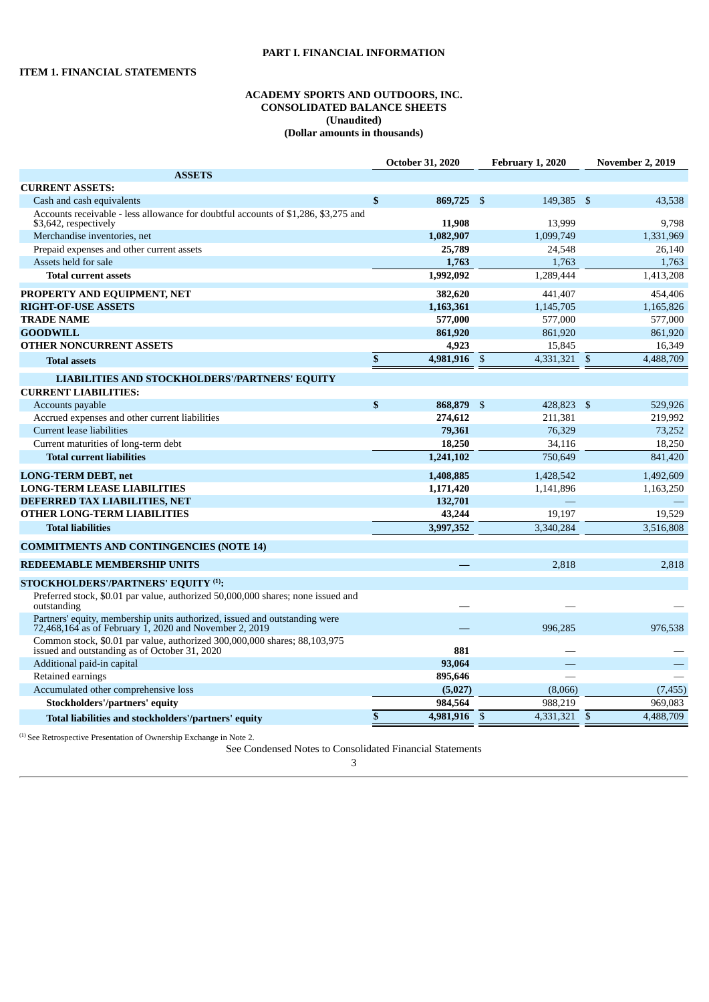# **PART I. FINANCIAL INFORMATION**

# <span id="page-2-0"></span>**ITEM 1. FINANCIAL STATEMENTS**

# **ACADEMY SPORTS AND OUTDOORS, INC. CONSOLIDATED BALANCE SHEETS (Unaudited) (Dollar amounts in thousands)**

|                                                                                                                                      | October 31, 2020   |      | <b>February 1, 2020</b> |      | <b>November 2, 2019</b> |
|--------------------------------------------------------------------------------------------------------------------------------------|--------------------|------|-------------------------|------|-------------------------|
| <b>ASSETS</b>                                                                                                                        |                    |      |                         |      |                         |
| <b>CURRENT ASSETS:</b>                                                                                                               |                    |      |                         |      |                         |
| Cash and cash equivalents                                                                                                            | \$<br>869,725 \$   |      | 149.385 \$              |      | 43.538                  |
| Accounts receivable - less allowance for doubtful accounts of \$1,286, \$3,275 and<br>\$3,642, respectively                          | 11,908             |      | 13,999                  |      | 9,798                   |
| Merchandise inventories, net                                                                                                         | 1,082,907          |      | 1,099,749               |      | 1,331,969               |
| Prepaid expenses and other current assets                                                                                            | 25,789             |      | 24,548                  |      | 26,140                  |
| Assets held for sale                                                                                                                 | 1,763              |      | 1,763                   |      | 1,763                   |
| <b>Total current assets</b>                                                                                                          | 1,992,092          |      | 1,289,444               |      | 1,413,208               |
| PROPERTY AND EQUIPMENT, NET                                                                                                          | 382,620            |      | 441,407                 |      | 454,406                 |
| <b>RIGHT-OF-USE ASSETS</b>                                                                                                           | 1,163,361          |      | 1,145,705               |      | 1,165,826               |
| <b>TRADE NAME</b>                                                                                                                    | 577,000            |      | 577,000                 |      | 577,000                 |
| <b>GOODWILL</b>                                                                                                                      | 861,920            |      | 861,920                 |      | 861,920                 |
| <b>OTHER NONCURRENT ASSETS</b>                                                                                                       | 4,923              |      | 15,845                  |      | 16,349                  |
| <b>Total assets</b>                                                                                                                  | \$<br>4,981,916    | - \$ | 4,331,321 \$            |      | 4,488,709               |
| <b>LIABILITIES AND STOCKHOLDERS'/PARTNERS' EQUITY</b>                                                                                |                    |      |                         |      |                         |
| <b>CURRENT LIABILITIES:</b>                                                                                                          |                    |      |                         |      |                         |
| Accounts payable                                                                                                                     | \$<br>868,879 \$   |      | 428,823                 | - \$ | 529,926                 |
| Accrued expenses and other current liabilities                                                                                       | 274,612            |      | 211,381                 |      | 219,992                 |
| <b>Current lease liabilities</b>                                                                                                     | 79,361             |      | 76,329                  |      | 73,252                  |
| Current maturities of long-term debt                                                                                                 | 18,250             |      | 34,116                  |      | 18,250                  |
| <b>Total current liabilities</b>                                                                                                     | 1,241,102          |      | 750,649                 |      | 841,420                 |
| <b>LONG-TERM DEBT, net</b>                                                                                                           | 1,408,885          |      | 1.428.542               |      | 1,492,609               |
| <b>LONG-TERM LEASE LIABILITIES</b>                                                                                                   | 1,171,420          |      | 1,141,896               |      | 1,163,250               |
| DEFERRED TAX LIABILITIES, NET                                                                                                        | 132,701            |      |                         |      |                         |
| <b>OTHER LONG-TERM LIABILITIES</b>                                                                                                   | 43,244             |      | 19,197                  |      | 19,529                  |
| <b>Total liabilities</b>                                                                                                             | 3,997,352          |      | 3.340.284               |      | 3.516.808               |
| <b>COMMITMENTS AND CONTINGENCIES (NOTE 14)</b>                                                                                       |                    |      |                         |      |                         |
| <b>REDEEMABLE MEMBERSHIP UNITS</b>                                                                                                   |                    |      | 2,818                   |      | 2.818                   |
| STOCKHOLDERS'/PARTNERS' EQUITY <sup>(1)</sup> :                                                                                      |                    |      |                         |      |                         |
| Preferred stock, \$0.01 par value, authorized 50,000,000 shares; none issued and<br>outstanding                                      |                    |      |                         |      |                         |
| Partners' equity, membership units authorized, issued and outstanding were<br>72,468,164 as of February 1, 2020 and November 2, 2019 |                    |      | 996.285                 |      | 976.538                 |
| Common stock, \$0.01 par value, authorized 300,000,000 shares; 88,103,975<br>issued and outstanding as of October 31, 2020           | 881                |      |                         |      |                         |
| Additional paid-in capital                                                                                                           | 93,064             |      |                         |      |                         |
| Retained earnings                                                                                                                    | 895.646            |      |                         |      |                         |
| Accumulated other comprehensive loss                                                                                                 | (5,027)            |      | (8,066)                 |      | (7, 455)                |
| <b>Stockholders'/partners' equity</b>                                                                                                | 984,564            |      | 988.219                 |      | 969.083                 |
| Total liabilities and stockholders'/partners' equity                                                                                 | \$<br>4,981,916 \$ |      | 4.331.321 \$            |      | 4.488.709               |

 $<sup>(1)</sup>$  See Retrospective Presentation of Ownership Exchange in Note 2.</sup>

See Condensed Notes to Consolidated Financial Statements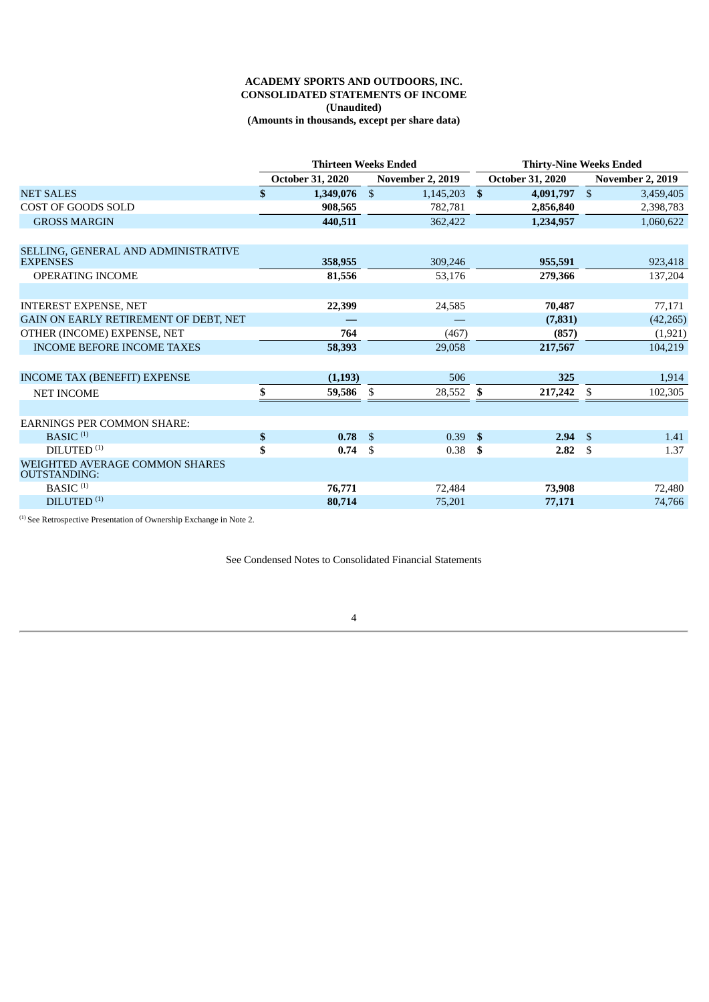# **ACADEMY SPORTS AND OUTDOORS, INC. CONSOLIDATED STATEMENTS OF INCOME (Unaudited) (Amounts in thousands, except per share data)**

|                                                              | <b>Thirteen Weeks Ended</b> |                         |              |                         |              | <b>Thirty-Nine Weeks Ended</b> |      |                         |  |  |
|--------------------------------------------------------------|-----------------------------|-------------------------|--------------|-------------------------|--------------|--------------------------------|------|-------------------------|--|--|
|                                                              |                             | <b>October 31, 2020</b> |              | <b>November 2, 2019</b> |              | <b>October 31, 2020</b>        |      | <b>November 2, 2019</b> |  |  |
| <b>NET SALES</b>                                             | \$                          | 1,349,076               | $\mathbb{S}$ | 1,145,203               | $\mathbf{s}$ | 4,091,797 \$                   |      | 3,459,405               |  |  |
| COST OF GOODS SOLD                                           |                             | 908,565                 |              | 782,781                 |              | 2,856,840                      |      | 2,398,783               |  |  |
| <b>GROSS MARGIN</b>                                          |                             | 440,511                 |              | 362,422                 |              | 1,234,957                      |      | 1,060,622               |  |  |
|                                                              |                             |                         |              |                         |              |                                |      |                         |  |  |
| SELLING, GENERAL AND ADMINISTRATIVE<br><b>EXPENSES</b>       |                             | 358,955                 |              | 309,246                 |              | 955,591                        |      | 923,418                 |  |  |
| <b>OPERATING INCOME</b>                                      |                             | 81,556                  |              | 53,176                  |              | 279,366                        |      | 137,204                 |  |  |
|                                                              |                             |                         |              |                         |              |                                |      |                         |  |  |
| <b>INTEREST EXPENSE, NET</b>                                 |                             | 22,399                  |              | 24,585                  |              | 70,487                         |      | 77,171                  |  |  |
| GAIN ON EARLY RETIREMENT OF DEBT, NET                        |                             |                         |              |                         |              | (7, 831)                       |      | (42, 265)               |  |  |
| OTHER (INCOME) EXPENSE, NET                                  |                             | 764                     |              | (467)                   |              | (857)                          |      | (1, 921)                |  |  |
| <b>INCOME BEFORE INCOME TAXES</b>                            |                             | 58,393                  |              | 29,058                  |              | 217,567                        |      | 104,219                 |  |  |
|                                                              |                             |                         |              |                         |              |                                |      |                         |  |  |
| INCOME TAX (BENEFIT) EXPENSE                                 |                             | (1, 193)                |              | 506                     |              | 325                            |      | 1,914                   |  |  |
| NET INCOME                                                   | S                           | 59,586                  | \$           | 28,552                  | -\$          | 217,242                        | - \$ | 102,305                 |  |  |
|                                                              |                             |                         |              |                         |              |                                |      |                         |  |  |
| <b>EARNINGS PER COMMON SHARE:</b>                            |                             |                         |              |                         |              |                                |      |                         |  |  |
| $BASIC^{(1)}$                                                | \$                          | $0.78$ \$               |              | 0.39 <sup>5</sup>       |              | 2.94                           | - \$ | 1.41                    |  |  |
| DILUTED <sup>(1)</sup>                                       | \$                          | 0.74                    | \$           | 0.38                    | - \$         | 2.82                           | -S   | 1.37                    |  |  |
| <b>WEIGHTED AVERAGE COMMON SHARES</b><br><b>OUTSTANDING:</b> |                             |                         |              |                         |              |                                |      |                         |  |  |
| BASIC <sup>(1)</sup>                                         |                             | 76,771                  |              | 72,484                  |              | 73,908                         |      | 72,480                  |  |  |
| DILUTED <sup>(1)</sup>                                       |                             | 80,714                  |              | 75,201                  |              | 77,171                         |      | 74,766                  |  |  |
|                                                              |                             |                         |              |                         |              |                                |      |                         |  |  |

 $<sup>(1)</sup>$  See Retrospective Presentation of Ownership Exchange in Note 2.</sup>

See Condensed Notes to Consolidated Financial Statements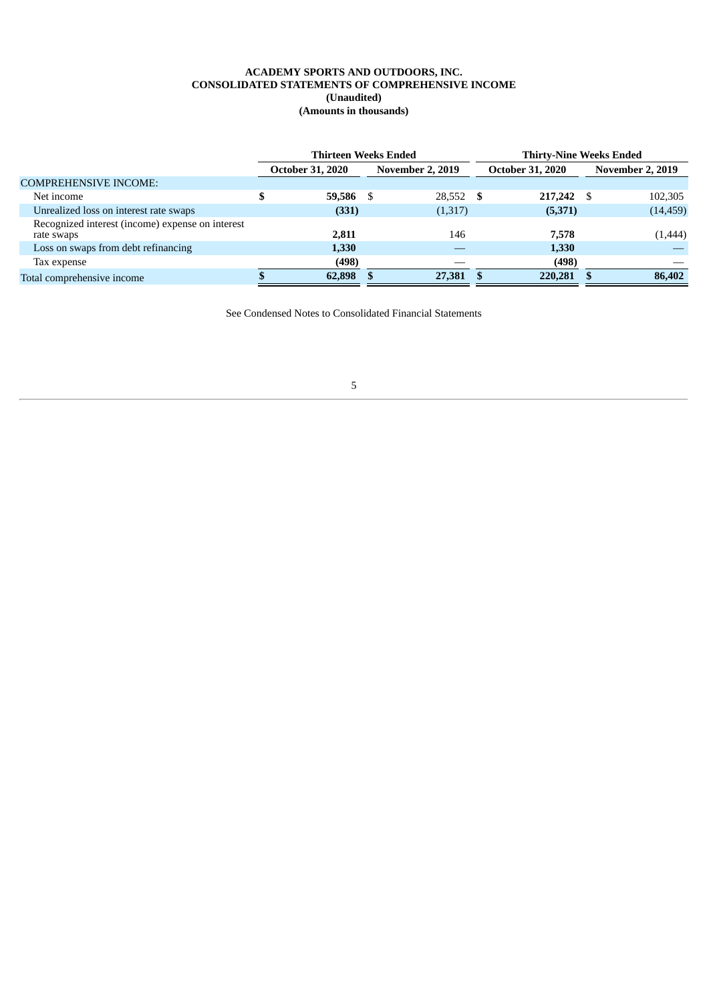# **ACADEMY SPORTS AND OUTDOORS, INC. CONSOLIDATED STATEMENTS OF COMPREHENSIVE INCOME (Unaudited) (Amounts in thousands)**

|                                                                |                         | Thirteen Weeks Ended    | <b>Thirty-Nine Weeks Ended</b> |                         |  |  |
|----------------------------------------------------------------|-------------------------|-------------------------|--------------------------------|-------------------------|--|--|
|                                                                | <b>October 31, 2020</b> | <b>November 2, 2019</b> | <b>October 31, 2020</b>        | <b>November 2, 2019</b> |  |  |
| <b>COMPREHENSIVE INCOME:</b>                                   |                         |                         |                                |                         |  |  |
| Net income                                                     | 59,586                  | 28,552<br>-S            | 217,242 \$<br>- \$             | 102,305                 |  |  |
| Unrealized loss on interest rate swaps                         | (331)                   | (1,317)                 | (5,371)                        | (14, 459)               |  |  |
| Recognized interest (income) expense on interest<br>rate swaps | 2.811                   | 146                     | 7.578                          | (1, 444)                |  |  |
| Loss on swaps from debt refinancing                            | 1,330                   |                         | 1,330                          |                         |  |  |
| Tax expense                                                    | (498)                   |                         | (498)                          |                         |  |  |
| Total comprehensive income                                     | 62,898                  | 27,381                  | 220,281                        | 86,402                  |  |  |

See Condensed Notes to Consolidated Financial Statements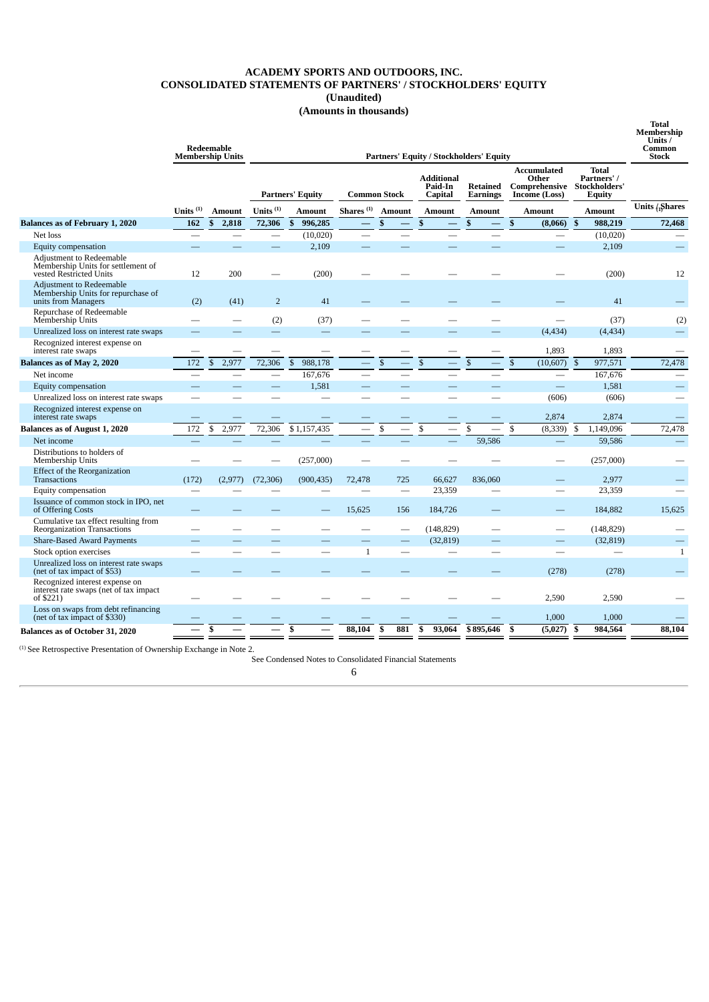# **ACADEMY SPORTS AND OUTDOORS, INC. CONSOLIDATED STATEMENTS OF PARTNERS' / STOCKHOLDERS' EQUITY (Unaudited) (Amounts in thousands)**

|                                                                                           |                          | Redeemable<br><b>Membership Units</b> |                          |                          |                          |                          | <b>Partners' Equity / Stockholders' Equity</b> |                                          |                                                                             |                                      | <b>Total</b><br>Membership<br>Units /<br>Common<br><b>Stock</b> |
|-------------------------------------------------------------------------------------------|--------------------------|---------------------------------------|--------------------------|--------------------------|--------------------------|--------------------------|------------------------------------------------|------------------------------------------|-----------------------------------------------------------------------------|--------------------------------------|-----------------------------------------------------------------|
|                                                                                           |                          |                                       |                          | <b>Partners' Equity</b>  |                          | <b>Common Stock</b>      | <b>Additional</b><br>Paid-In<br>Capital        | Retained<br><b>Earnings</b>              | <b>Accumulated</b><br>Other<br>Comprehensive Stockholders'<br>Income (Loss) | <b>Total</b><br>Partners'/<br>Equity |                                                                 |
|                                                                                           | Units $^{(1)}$           | <b>Amount</b>                         | Units <sup>(1)</sup>     | <b>Amount</b>            | Shares <sup>(1)</sup>    | <b>Amount</b>            | <b>Amount</b>                                  | <b>Amount</b>                            | <b>Amount</b>                                                               | <b>Amount</b>                        | Units $\sqrt{\frac{1}{2}}$ shares                               |
| <b>Balances as of February 1, 2020</b>                                                    | 162                      | 2,818<br>\$                           | 72,306                   | 996,285<br>$\mathbf{s}$  |                          | $\mathbf{s}$             | $\boldsymbol{\mathsf{s}}$                      | $\mathbf{s}$                             | $\mathbf{s}$<br>(8,066)                                                     | $\mathbf{s}$<br>988,219              | 72,468                                                          |
| Net loss                                                                                  |                          |                                       | $\overline{\phantom{0}}$ | (10,020)                 |                          | $\overline{\phantom{0}}$ | $\overline{\phantom{a}}$                       |                                          | $\overline{\phantom{0}}$                                                    | (10,020)                             |                                                                 |
| Equity compensation                                                                       |                          |                                       |                          | 2,109                    |                          |                          |                                                |                                          |                                                                             | 2,109                                |                                                                 |
| Adjustment to Redeemable<br>Membership Units for settlement of<br>vested Restricted Units | 12                       | 200                                   |                          | (200)                    |                          |                          |                                                |                                          |                                                                             | (200)                                | 12                                                              |
| Adjustment to Redeemable<br>Membership Units for repurchase of<br>units from Managers     | (2)                      | (41)                                  | $\overline{2}$           | 41                       |                          |                          |                                                |                                          |                                                                             | 41                                   |                                                                 |
| Repurchase of Redeemable<br>Membership Units                                              |                          |                                       | (2)                      | (37)                     |                          |                          |                                                |                                          |                                                                             | (37)                                 | (2)                                                             |
| Unrealized loss on interest rate swaps                                                    |                          |                                       |                          |                          |                          |                          |                                                |                                          | (4,434)                                                                     | (4, 434)                             | $\qquad \qquad - \qquad$                                        |
| Recognized interest expense on<br>interest rate swaps                                     |                          |                                       |                          |                          |                          |                          |                                                |                                          | 1,893                                                                       | 1,893                                |                                                                 |
| Balances as of May 2, 2020                                                                | 172                      | $\mathbb{S}$<br>2,977                 | 72,306                   | $\mathbb{S}$<br>988,178  |                          | $\mathbb{S}$             | $\mathbb{S}$                                   | $\mathfrak{s}$                           | $\mathbb{S}$<br>(10, 607)                                                   | $\mathfrak{s}$<br>977,571            | 72,478                                                          |
| Net income                                                                                |                          |                                       |                          | 167,676                  |                          |                          |                                                |                                          | $\overline{\phantom{m}}$                                                    | 167,676                              |                                                                 |
| Equity compensation                                                                       |                          |                                       |                          | 1,581                    |                          |                          |                                                |                                          | $\overline{\phantom{0}}$                                                    | 1,581                                |                                                                 |
| Unrealized loss on interest rate swaps                                                    |                          |                                       |                          |                          |                          |                          |                                                |                                          | (606)                                                                       | (606)                                |                                                                 |
| Recognized interest expense on<br>interest rate swaps                                     |                          |                                       |                          |                          |                          |                          |                                                |                                          | 2,874                                                                       | 2,874                                |                                                                 |
| <b>Balances as of August 1, 2020</b>                                                      | 172                      | 2.977<br>\$                           | 72,306                   | \$1,157,435              |                          | \$                       | \$<br>$\hspace{0.1mm}-\hspace{0.1mm}$          | $\mathbb{S}$<br>$\overline{\phantom{a}}$ | \$<br>(8,339)                                                               | \$<br>1,149,096                      | 72,478                                                          |
| Net income                                                                                |                          |                                       |                          |                          |                          |                          |                                                | 59,586                                   |                                                                             | 59.586                               | $\overline{\phantom{0}}$                                        |
| Distributions to holders of<br>Membership Units                                           |                          |                                       |                          | (257,000)                |                          |                          |                                                |                                          |                                                                             | (257,000)                            |                                                                 |
| <b>Effect of the Reorganization</b><br>Transactions                                       | (172)                    | (2,977)                               | (72, 306)                | (900, 435)               | 72,478                   | 725                      | 66,627                                         | 836,060                                  |                                                                             | 2,977                                |                                                                 |
| Equity compensation                                                                       | $\overline{\phantom{m}}$ |                                       |                          | $\overline{\phantom{0}}$ | $\overline{\phantom{0}}$ | $\overline{\phantom{0}}$ | 23,359                                         | $\overline{\phantom{0}}$                 |                                                                             | 23,359                               | $\frac{1}{2}$                                                   |
| Issuance of common stock in IPO, net<br>of Offering Costs                                 |                          |                                       |                          |                          | 15,625                   | 156                      | 184,726                                        |                                          |                                                                             | 184,882                              | 15,625                                                          |
| Cumulative tax effect resulting from<br>Reorganization Transactions                       |                          |                                       |                          |                          |                          |                          | (148, 829)                                     |                                          |                                                                             | (148, 829)                           |                                                                 |
| <b>Share-Based Award Payments</b>                                                         |                          |                                       |                          |                          |                          |                          | (32, 819)                                      |                                          |                                                                             | (32, 819)                            |                                                                 |
| Stock option exercises                                                                    |                          |                                       |                          |                          | $\mathbf{1}$             |                          | $\frac{1}{2}$                                  |                                          |                                                                             |                                      | $\mathbf{1}$                                                    |
| Unrealized loss on interest rate swaps<br>(net of tax impact of \$53)                     |                          |                                       |                          |                          |                          |                          |                                                |                                          | (278)                                                                       | (278)                                |                                                                 |
| Recognized interest expense on<br>interest rate swaps (net of tax impact<br>of \$221)     |                          |                                       |                          |                          |                          |                          |                                                |                                          | 2,590                                                                       | 2,590                                |                                                                 |
| Loss on swaps from debt refinancing<br>(net of tax impact of \$330)                       |                          |                                       |                          |                          |                          |                          |                                                |                                          | 1,000                                                                       | 1,000                                |                                                                 |
| <b>Balances as of October 31, 2020</b>                                                    |                          | \$                                    | $\overline{\phantom{0}}$ | \$                       | 88,104                   | $\mathbf{s}$<br>881      | \$<br>93,064                                   | \$895,646                                | <sup>\$</sup><br>(5,027)                                                    | 984,564<br>\$                        | 88,104                                                          |

See Retrospective Presentation of Ownership Exchange in Note 2. (1)

See Condensed Notes to Consolidated Financial Statements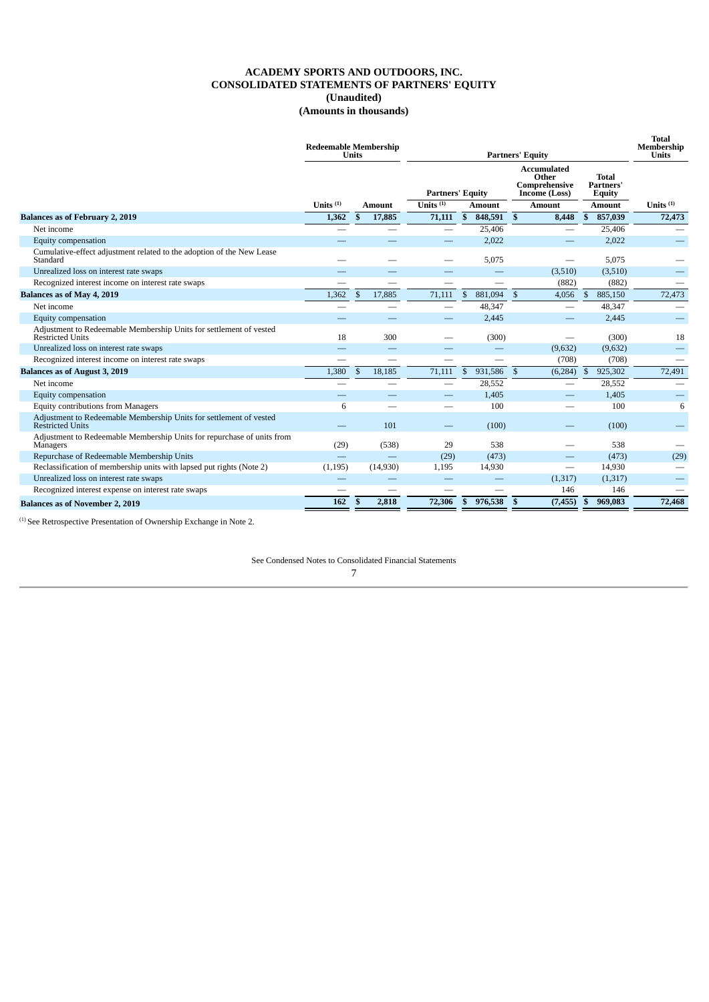# **ACADEMY SPORTS AND OUTDOORS, INC. CONSOLIDATED STATEMENTS OF PARTNERS' EQUITY (Unaudited) (Amounts in thousands)**

|                                                                                               | <b>Redeemable Membership</b><br><b>Units</b> |                |               | <b>Total</b><br>Membership<br><b>Units</b> |              |                          |              |                                                               |               |                                            |             |
|-----------------------------------------------------------------------------------------------|----------------------------------------------|----------------|---------------|--------------------------------------------|--------------|--------------------------|--------------|---------------------------------------------------------------|---------------|--------------------------------------------|-------------|
|                                                                                               |                                              |                |               | <b>Partners' Equity</b>                    |              |                          |              | <b>Accumulated</b><br>Other<br>Comprehensive<br>Income (Loss) |               | <b>Total</b><br>Partners'<br><b>Equity</b> |             |
|                                                                                               | Units $(1)$                                  |                | <b>Amount</b> | Units $(1)$                                |              | <b>Amount</b>            |              | <b>Amount</b>                                                 | <b>Amount</b> |                                            | Units $(1)$ |
| <b>Balances as of February 2, 2019</b>                                                        | 1,362                                        | <sup>\$</sup>  | 17,885        | 71,111                                     | \$           | 848,591                  | $\mathbf{s}$ | 8,448                                                         | <sup>\$</sup> | 857,039                                    | 72,473      |
| Net income                                                                                    |                                              |                |               |                                            |              | 25,406                   |              | $\overline{\phantom{0}}$                                      |               | 25,406                                     |             |
| Equity compensation                                                                           |                                              |                |               |                                            |              | 2,022                    |              |                                                               |               | 2,022                                      |             |
| Cumulative-effect adjustment related to the adoption of the New Lease<br>Standard             |                                              |                |               |                                            |              | 5,075                    |              |                                                               |               | 5,075                                      |             |
| Unrealized loss on interest rate swaps                                                        |                                              |                |               |                                            |              |                          |              | (3,510)                                                       |               | (3,510)                                    |             |
| Recognized interest income on interest rate swaps                                             |                                              |                |               |                                            |              |                          |              | (882)                                                         |               | (882)                                      |             |
| Balances as of May 4, 2019                                                                    | 1,362                                        | <sup>\$</sup>  | 17,885        | 71,111                                     | \$           | 881,094                  | $\mathbf{s}$ | 4,056                                                         | $\mathbb{S}$  | 885,150                                    | 72,473      |
| Net income                                                                                    |                                              |                |               |                                            |              | 48,347                   |              | $\overline{\phantom{0}}$                                      |               | 48,347                                     |             |
| Equity compensation                                                                           |                                              |                |               |                                            |              | 2,445                    |              |                                                               |               | 2,445                                      |             |
| Adjustment to Redeemable Membership Units for settlement of vested<br><b>Restricted Units</b> | 18                                           |                | 300           |                                            |              | (300)                    |              |                                                               |               | (300)                                      | 18          |
| Unrealized loss on interest rate swaps                                                        |                                              |                |               |                                            |              | $\overline{\phantom{0}}$ |              | (9,632)                                                       |               | (9,632)                                    |             |
| Recognized interest income on interest rate swaps                                             |                                              |                |               |                                            |              |                          |              | (708)                                                         |               | (708)                                      |             |
| <b>Balances as of August 3, 2019</b>                                                          | 1,380                                        | $\mathfrak{S}$ | 18,185        | 71,111                                     | $\mathbb{S}$ | 931,586                  | $\mathbf{s}$ | (6, 284)                                                      | $\mathbb{S}$  | 925,302                                    | 72,491      |
| Net income                                                                                    |                                              |                |               |                                            |              | 28,552                   |              |                                                               |               | 28,552                                     |             |
| Equity compensation                                                                           | $\sim$                                       |                |               |                                            |              | 1,405                    |              | —                                                             |               | 1,405                                      |             |
| <b>Equity contributions from Managers</b>                                                     | 6                                            |                |               |                                            |              | 100                      |              |                                                               |               | 100                                        | 6           |
| Adjustment to Redeemable Membership Units for settlement of vested<br><b>Restricted Units</b> |                                              |                | 101           |                                            |              | (100)                    |              |                                                               |               | (100)                                      |             |
| Adjustment to Redeemable Membership Units for repurchase of units from<br><b>Managers</b>     | (29)                                         |                | (538)         | 29                                         |              | 538                      |              |                                                               |               | 538                                        |             |
| Repurchase of Redeemable Membership Units                                                     |                                              |                |               | (29)                                       |              | (473)                    |              |                                                               |               | (473)                                      | (29)        |
| Reclassification of membership units with lapsed put rights (Note 2)                          | (1, 195)                                     |                | (14,930)      | 1,195                                      |              | 14,930                   |              |                                                               |               | 14,930                                     |             |
| Unrealized loss on interest rate swaps                                                        | $\overline{\phantom{a}}$                     |                |               |                                            |              |                          |              | (1,317)                                                       |               | (1,317)                                    |             |
| Recognized interest expense on interest rate swaps                                            |                                              |                |               |                                            |              |                          |              | 146                                                           |               | 146                                        |             |
| <b>Balances as of November 2, 2019</b>                                                        | 162                                          | \$             | 2,818         | 72,306                                     | \$           | 976,538                  | $\mathbf{s}$ | (7, 455)                                                      | \$            | 969,083                                    | 72,468      |

 $<sup>(1)</sup>$  See Retrospective Presentation of Ownership Exchange in Note 2.</sup>

See Condensed Notes to Consolidated Financial Statements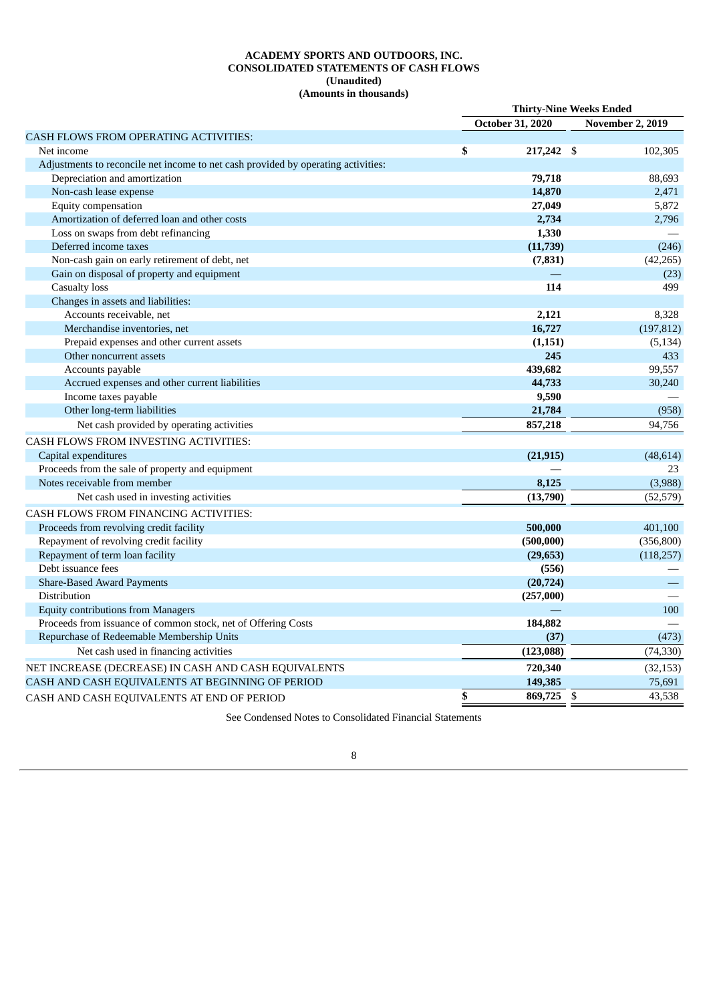# **ACADEMY SPORTS AND OUTDOORS, INC. CONSOLIDATED STATEMENTS OF CASH FLOWS (Unaudited) (Amounts in thousands)**

|                                                                                   | <b>Thirty-Nine Weeks Ended</b> |                         |  |                         |  |
|-----------------------------------------------------------------------------------|--------------------------------|-------------------------|--|-------------------------|--|
|                                                                                   |                                | <b>October 31, 2020</b> |  | <b>November 2, 2019</b> |  |
| <b>CASH FLOWS FROM OPERATING ACTIVITIES:</b>                                      |                                |                         |  |                         |  |
| Net income                                                                        | \$                             | 217,242 \$              |  | 102,305                 |  |
| Adjustments to reconcile net income to net cash provided by operating activities: |                                |                         |  |                         |  |
| Depreciation and amortization                                                     |                                | 79,718                  |  | 88,693                  |  |
| Non-cash lease expense                                                            |                                | 14,870                  |  | 2,471                   |  |
| Equity compensation                                                               |                                | 27,049                  |  | 5,872                   |  |
| Amortization of deferred loan and other costs                                     |                                | 2,734                   |  | 2,796                   |  |
| Loss on swaps from debt refinancing                                               |                                | 1,330                   |  |                         |  |
| Deferred income taxes                                                             |                                | (11, 739)               |  | (246)                   |  |
| Non-cash gain on early retirement of debt, net                                    |                                | (7, 831)                |  | (42, 265)               |  |
| Gain on disposal of property and equipment                                        |                                |                         |  | (23)                    |  |
| <b>Casualty</b> loss                                                              |                                | 114                     |  | 499                     |  |
| Changes in assets and liabilities:                                                |                                |                         |  |                         |  |
| Accounts receivable, net                                                          |                                | 2,121                   |  | 8,328                   |  |
| Merchandise inventories, net                                                      |                                | 16,727                  |  | (197, 812)              |  |
| Prepaid expenses and other current assets                                         |                                | (1, 151)                |  | (5, 134)                |  |
| Other noncurrent assets                                                           |                                | 245                     |  | 433                     |  |
| Accounts payable                                                                  |                                | 439,682                 |  | 99,557                  |  |
| Accrued expenses and other current liabilities                                    |                                | 44,733                  |  | 30,240                  |  |
| Income taxes payable                                                              |                                | 9,590                   |  |                         |  |
| Other long-term liabilities                                                       |                                | 21,784                  |  | (958)                   |  |
| Net cash provided by operating activities                                         |                                | 857,218                 |  | 94,756                  |  |
| CASH FLOWS FROM INVESTING ACTIVITIES:                                             |                                |                         |  |                         |  |
| Capital expenditures                                                              |                                | (21, 915)               |  | (48, 614)               |  |
| Proceeds from the sale of property and equipment                                  |                                |                         |  | 23                      |  |
| Notes receivable from member                                                      |                                | 8,125                   |  | (3,988)                 |  |
| Net cash used in investing activities                                             |                                | (13,790)                |  | (52, 579)               |  |
| <b>CASH FLOWS FROM FINANCING ACTIVITIES:</b>                                      |                                |                         |  |                         |  |
| Proceeds from revolving credit facility                                           |                                | 500,000                 |  | 401,100                 |  |
| Repayment of revolving credit facility                                            |                                | (500,000)               |  | (356, 800)              |  |
| Repayment of term loan facility                                                   |                                | (29, 653)               |  | (118, 257)              |  |
| Debt issuance fees                                                                |                                | (556)                   |  |                         |  |
| <b>Share-Based Award Payments</b>                                                 |                                | (20, 724)               |  |                         |  |
| Distribution                                                                      |                                | (257,000)               |  |                         |  |
| <b>Equity contributions from Managers</b>                                         |                                |                         |  | 100                     |  |
| Proceeds from issuance of common stock, net of Offering Costs                     |                                | 184,882                 |  |                         |  |
| Repurchase of Redeemable Membership Units                                         |                                | (37)                    |  | (473)                   |  |
| Net cash used in financing activities                                             |                                | (123,088)               |  | (74, 330)               |  |
| NET INCREASE (DECREASE) IN CASH AND CASH EQUIVALENTS                              |                                | 720,340                 |  | (32, 153)               |  |
| CASH AND CASH EQUIVALENTS AT BEGINNING OF PERIOD                                  |                                | 149,385                 |  | 75,691                  |  |
| CASH AND CASH EQUIVALENTS AT END OF PERIOD                                        | \$                             | 869,725 \$              |  | 43,538                  |  |

See Condensed Notes to Consolidated Financial Statements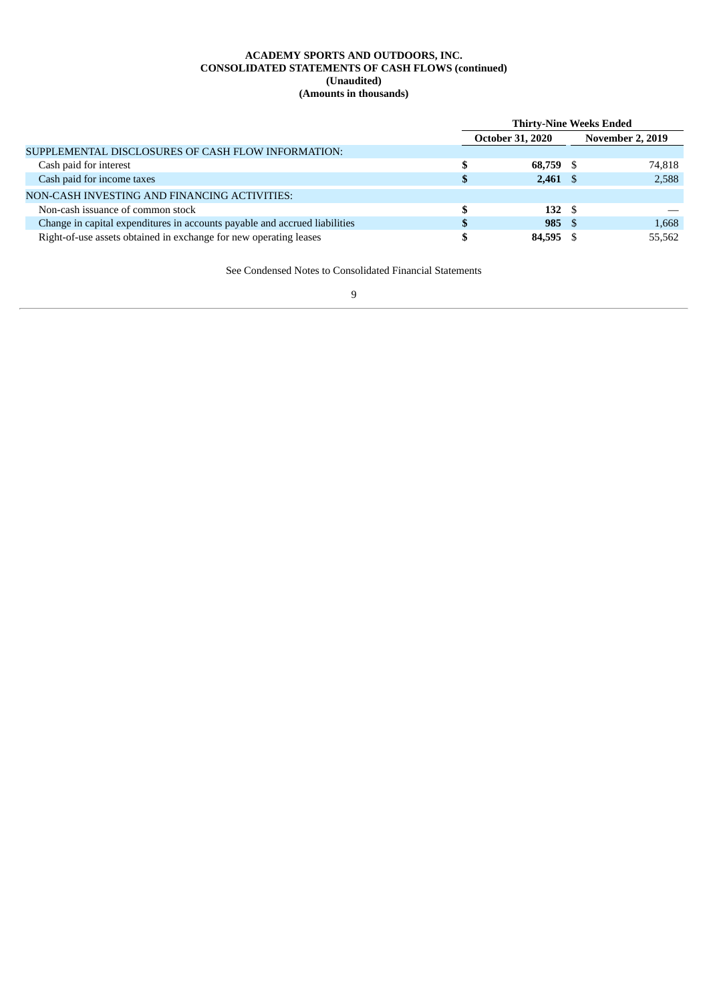# **ACADEMY SPORTS AND OUTDOORS, INC. CONSOLIDATED STATEMENTS OF CASH FLOWS (continued) (Unaudited) (Amounts in thousands)**

|                                                                            | <b>Thirty-Nine Weeks Ended</b> |            |      |                         |  |
|----------------------------------------------------------------------------|--------------------------------|------------|------|-------------------------|--|
|                                                                            | <b>October 31, 2020</b>        |            |      | <b>November 2, 2019</b> |  |
| SUPPLEMENTAL DISCLOSURES OF CASH FLOW INFORMATION:                         |                                |            |      |                         |  |
| Cash paid for interest                                                     |                                | 68,759     | - 55 | 74.818                  |  |
| Cash paid for income taxes                                                 | S.                             | $2,461$ \$ |      | 2.588                   |  |
| NON-CASH INVESTING AND FINANCING ACTIVITIES:                               |                                |            |      |                         |  |
| Non-cash issuance of common stock                                          |                                | 132        | - \$ |                         |  |
| Change in capital expenditures in accounts payable and accrued liabilities | \$                             | 985        | - S  | 1,668                   |  |
| Right-of-use assets obtained in exchange for new operating leases          |                                | 84,595     |      | 55,562                  |  |

See Condensed Notes to Consolidated Financial Statements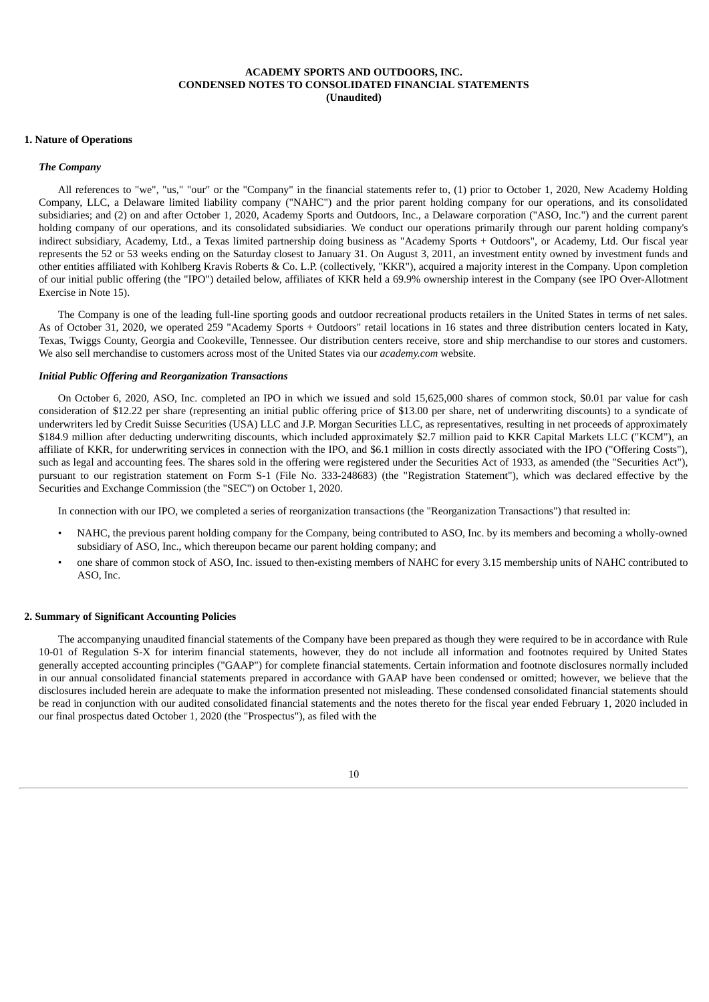# **ACADEMY SPORTS AND OUTDOORS, INC. CONDENSED NOTES TO CONSOLIDATED FINANCIAL STATEMENTS (Unaudited)**

#### **1. Nature of Operations**

## *The Company*

All references to "we", "us," "our" or the "Company" in the financial statements refer to, (1) prior to October 1, 2020, New Academy Holding Company, LLC, a Delaware limited liability company ("NAHC") and the prior parent holding company for our operations, and its consolidated subsidiaries; and (2) on and after October 1, 2020, Academy Sports and Outdoors, Inc., a Delaware corporation ("ASO, Inc.") and the current parent holding company of our operations, and its consolidated subsidiaries. We conduct our operations primarily through our parent holding company's indirect subsidiary, Academy, Ltd., a Texas limited partnership doing business as "Academy Sports + Outdoors", or Academy, Ltd. Our fiscal year represents the 52 or 53 weeks ending on the Saturday closest to January 31. On August 3, 2011, an investment entity owned by investment funds and other entities affiliated with Kohlberg Kravis Roberts & Co. L.P. (collectively, "KKR"), acquired a majority interest in the Company. Upon completion of our initial public offering (the "IPO") detailed below, affiliates of KKR held a 69.9% ownership interest in the Company (see IPO Over-Allotment Exercise in Note 15).

The Company is one of the leading full-line sporting goods and outdoor recreational products retailers in the United States in terms of net sales. As of October 31, 2020, we operated 259 "Academy Sports + Outdoors" retail locations in 16 states and three distribution centers located in Katy, Texas, Twiggs County, Georgia and Cookeville, Tennessee. Our distribution centers receive, store and ship merchandise to our stores and customers. We also sell merchandise to customers across most of the United States via our *academy.com* website.

#### *Initial Public Offering and Reorganization Transactions*

On October 6, 2020, ASO, Inc. completed an IPO in which we issued and sold 15,625,000 shares of common stock, \$0.01 par value for cash consideration of \$12.22 per share (representing an initial public offering price of \$13.00 per share, net of underwriting discounts) to a syndicate of underwriters led by Credit Suisse Securities (USA) LLC and J.P. Morgan Securities LLC, as representatives, resulting in net proceeds of approximately \$184.9 million after deducting underwriting discounts, which included approximately \$2.7 million paid to KKR Capital Markets LLC ("KCM"), an affiliate of KKR, for underwriting services in connection with the IPO, and \$6.1 million in costs directly associated with the IPO ("Offering Costs"), such as legal and accounting fees. The shares sold in the offering were registered under the Securities Act of 1933, as amended (the "Securities Act"), pursuant to our registration statement on Form S-1 (File No. 333-248683) (the "Registration Statement"), which was declared effective by the Securities and Exchange Commission (the "SEC") on October 1, 2020.

In connection with our IPO, we completed a series of reorganization transactions (the "Reorganization Transactions") that resulted in:

- NAHC, the previous parent holding company for the Company, being contributed to ASO, Inc. by its members and becoming a wholly-owned subsidiary of ASO, Inc., which thereupon became our parent holding company; and
- one share of common stock of ASO, Inc. issued to then-existing members of NAHC for every 3.15 membership units of NAHC contributed to ASO, Inc.

#### **2. Summary of Significant Accounting Policies**

The accompanying unaudited financial statements of the Company have been prepared as though they were required to be in accordance with Rule 10-01 of Regulation S-X for interim financial statements, however, they do not include all information and footnotes required by United States generally accepted accounting principles ("GAAP") for complete financial statements. Certain information and footnote disclosures normally included in our annual consolidated financial statements prepared in accordance with GAAP have been condensed or omitted; however, we believe that the disclosures included herein are adequate to make the information presented not misleading. These condensed consolidated financial statements should be read in conjunction with our audited consolidated financial statements and the notes thereto for the fiscal year ended February 1, 2020 included in our final prospectus dated October 1, 2020 (the "Prospectus"), as filed with the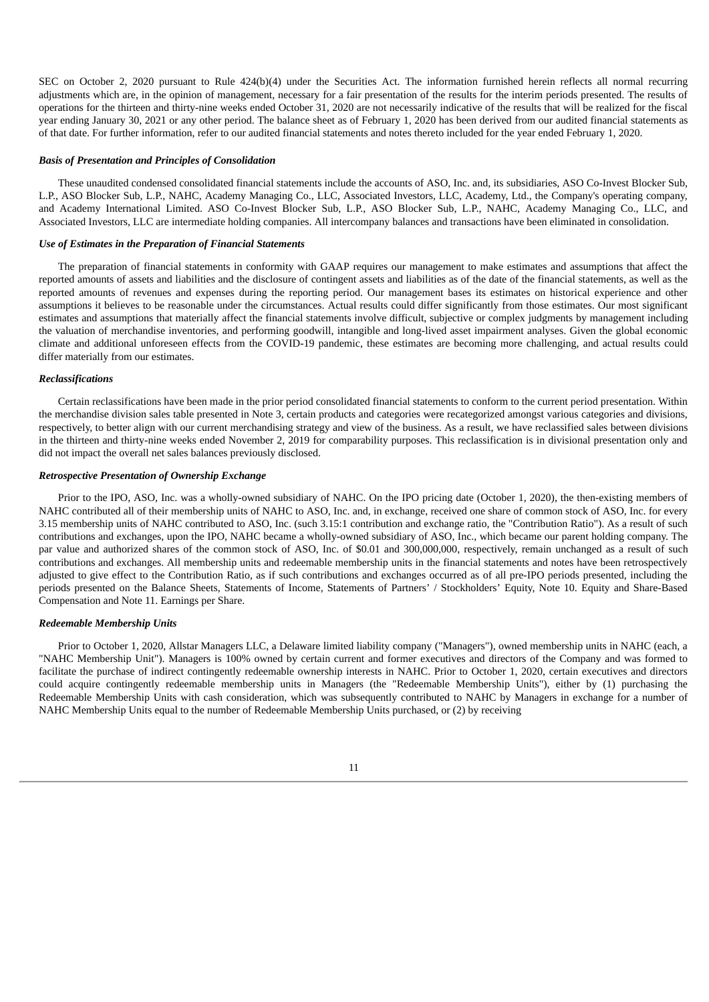SEC on October 2, 2020 pursuant to Rule 424(b)(4) under the Securities Act. The information furnished herein reflects all normal recurring adjustments which are, in the opinion of management, necessary for a fair presentation of the results for the interim periods presented. The results of operations for the thirteen and thirty-nine weeks ended October 31, 2020 are not necessarily indicative of the results that will be realized for the fiscal year ending January 30, 2021 or any other period. The balance sheet as of February 1, 2020 has been derived from our audited financial statements as of that date. For further information, refer to our audited financial statements and notes thereto included for the year ended February 1, 2020.

#### *Basis of Presentation and Principles of Consolidation*

These unaudited condensed consolidated financial statements include the accounts of ASO, Inc. and, its subsidiaries, ASO Co-Invest Blocker Sub, L.P., ASO Blocker Sub, L.P., NAHC, Academy Managing Co., LLC, Associated Investors, LLC, Academy, Ltd., the Company's operating company, and Academy International Limited. ASO Co-Invest Blocker Sub, L.P., ASO Blocker Sub, L.P., NAHC, Academy Managing Co., LLC, and Associated Investors, LLC are intermediate holding companies. All intercompany balances and transactions have been eliminated in consolidation.

### *Use of Estimates in the Preparation of Financial Statements*

The preparation of financial statements in conformity with GAAP requires our management to make estimates and assumptions that affect the reported amounts of assets and liabilities and the disclosure of contingent assets and liabilities as of the date of the financial statements, as well as the reported amounts of revenues and expenses during the reporting period. Our management bases its estimates on historical experience and other assumptions it believes to be reasonable under the circumstances. Actual results could differ significantly from those estimates. Our most significant estimates and assumptions that materially affect the financial statements involve difficult, subjective or complex judgments by management including the valuation of merchandise inventories, and performing goodwill, intangible and long-lived asset impairment analyses. Given the global economic climate and additional unforeseen effects from the COVID-19 pandemic, these estimates are becoming more challenging, and actual results could differ materially from our estimates.

#### *Reclassifications*

Certain reclassifications have been made in the prior period consolidated financial statements to conform to the current period presentation. Within the merchandise division sales table presented in Note 3, certain products and categories were recategorized amongst various categories and divisions, respectively, to better align with our current merchandising strategy and view of the business. As a result, we have reclassified sales between divisions in the thirteen and thirty-nine weeks ended November 2, 2019 for comparability purposes. This reclassification is in divisional presentation only and did not impact the overall net sales balances previously disclosed.

# *Retrospective Presentation of Ownership Exchange*

Prior to the IPO, ASO, Inc. was a wholly-owned subsidiary of NAHC. On the IPO pricing date (October 1, 2020), the then-existing members of NAHC contributed all of their membership units of NAHC to ASO, Inc. and, in exchange, received one share of common stock of ASO, Inc. for every 3.15 membership units of NAHC contributed to ASO, Inc. (such 3.15:1 contribution and exchange ratio, the "Contribution Ratio"). As a result of such contributions and exchanges, upon the IPO, NAHC became a wholly-owned subsidiary of ASO, Inc., which became our parent holding company. The par value and authorized shares of the common stock of ASO, Inc. of \$0.01 and 300,000,000, respectively, remain unchanged as a result of such contributions and exchanges. All membership units and redeemable membership units in the financial statements and notes have been retrospectively adjusted to give effect to the Contribution Ratio, as if such contributions and exchanges occurred as of all pre-IPO periods presented, including the periods presented on the Balance Sheets, Statements of Income, Statements of Partners' / Stockholders' Equity, Note 10. Equity and Share-Based Compensation and Note 11. Earnings per Share.

#### *Redeemable Membership Units*

Prior to October 1, 2020, Allstar Managers LLC, a Delaware limited liability company ("Managers"), owned membership units in NAHC (each, a "NAHC Membership Unit"). Managers is 100% owned by certain current and former executives and directors of the Company and was formed to facilitate the purchase of indirect contingently redeemable ownership interests in NAHC. Prior to October 1, 2020, certain executives and directors could acquire contingently redeemable membership units in Managers (the "Redeemable Membership Units"), either by (1) purchasing the Redeemable Membership Units with cash consideration, which was subsequently contributed to NAHC by Managers in exchange for a number of NAHC Membership Units equal to the number of Redeemable Membership Units purchased, or (2) by receiving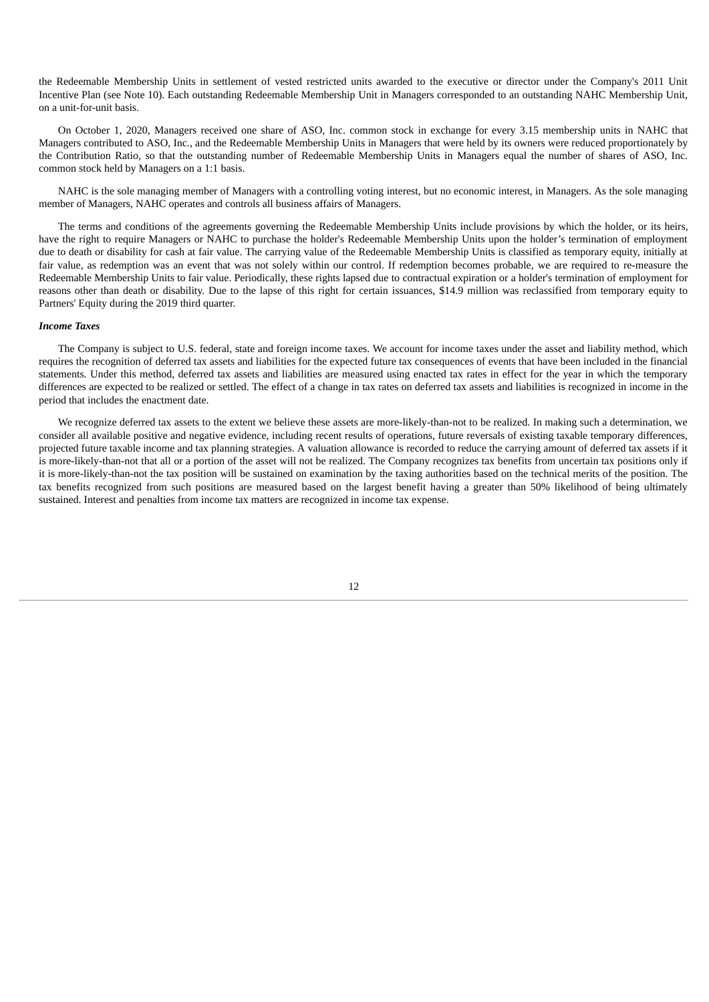the Redeemable Membership Units in settlement of vested restricted units awarded to the executive or director under the Company's 2011 Unit Incentive Plan (see Note 10). Each outstanding Redeemable Membership Unit in Managers corresponded to an outstanding NAHC Membership Unit, on a unit-for-unit basis.

On October 1, 2020, Managers received one share of ASO, Inc. common stock in exchange for every 3.15 membership units in NAHC that Managers contributed to ASO, Inc., and the Redeemable Membership Units in Managers that were held by its owners were reduced proportionately by the Contribution Ratio, so that the outstanding number of Redeemable Membership Units in Managers equal the number of shares of ASO, Inc. common stock held by Managers on a 1:1 basis.

NAHC is the sole managing member of Managers with a controlling voting interest, but no economic interest, in Managers. As the sole managing member of Managers, NAHC operates and controls all business affairs of Managers.

The terms and conditions of the agreements governing the Redeemable Membership Units include provisions by which the holder, or its heirs, have the right to require Managers or NAHC to purchase the holder's Redeemable Membership Units upon the holder's termination of employment due to death or disability for cash at fair value. The carrying value of the Redeemable Membership Units is classified as temporary equity, initially at fair value, as redemption was an event that was not solely within our control. If redemption becomes probable, we are required to re-measure the Redeemable Membership Units to fair value. Periodically, these rights lapsed due to contractual expiration or a holder's termination of employment for reasons other than death or disability. Due to the lapse of this right for certain issuances, \$14.9 million was reclassified from temporary equity to Partners' Equity during the 2019 third quarter.

#### *Income Taxes*

The Company is subject to U.S. federal, state and foreign income taxes. We account for income taxes under the asset and liability method, which requires the recognition of deferred tax assets and liabilities for the expected future tax consequences of events that have been included in the financial statements. Under this method, deferred tax assets and liabilities are measured using enacted tax rates in effect for the year in which the temporary differences are expected to be realized or settled. The effect of a change in tax rates on deferred tax assets and liabilities is recognized in income in the period that includes the enactment date.

We recognize deferred tax assets to the extent we believe these assets are more-likely-than-not to be realized. In making such a determination, we consider all available positive and negative evidence, including recent results of operations, future reversals of existing taxable temporary differences, projected future taxable income and tax planning strategies. A valuation allowance is recorded to reduce the carrying amount of deferred tax assets if it is more-likely-than-not that all or a portion of the asset will not be realized. The Company recognizes tax benefits from uncertain tax positions only if it is more-likely-than-not the tax position will be sustained on examination by the taxing authorities based on the technical merits of the position. The tax benefits recognized from such positions are measured based on the largest benefit having a greater than 50% likelihood of being ultimately sustained. Interest and penalties from income tax matters are recognized in income tax expense.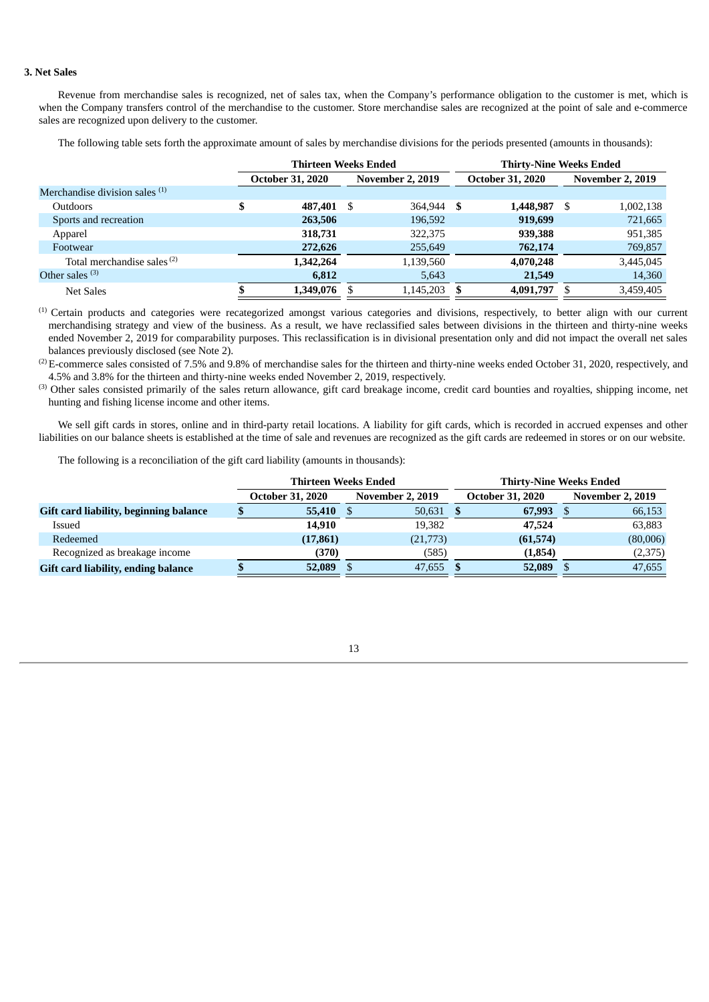#### **3. Net Sales**

Revenue from merchandise sales is recognized, net of sales tax, when the Company's performance obligation to the customer is met, which is when the Company transfers control of the merchandise to the customer. Store merchandise sales are recognized at the point of sale and e-commerce sales are recognized upon delivery to the customer.

The following table sets forth the approximate amount of sales by merchandise divisions for the periods presented (amounts in thousands):

|                                        | <b>Thirteen Weeks Ended</b> |                         |  |                         |                         | <b>Thirty-Nine Weeks Ended</b> |   |                         |  |  |
|----------------------------------------|-----------------------------|-------------------------|--|-------------------------|-------------------------|--------------------------------|---|-------------------------|--|--|
|                                        |                             | <b>October 31, 2020</b> |  | <b>November 2, 2019</b> | <b>October 31, 2020</b> |                                |   | <b>November 2, 2019</b> |  |  |
| Merchandise division sales $(1)$       |                             |                         |  |                         |                         |                                |   |                         |  |  |
| <b>Outdoors</b>                        | ¢<br>æ.                     | 487,401 \$              |  | 364,944 \$              |                         | 1,448,987                      | S | 1,002,138               |  |  |
| Sports and recreation                  |                             | 263,506                 |  | 196,592                 |                         | 919,699                        |   | 721,665                 |  |  |
| Apparel                                |                             | 318,731                 |  | 322,375                 |                         | 939,388                        |   | 951,385                 |  |  |
| Footwear                               |                             | 272,626                 |  | 255,649                 |                         | 762,174                        |   | 769,857                 |  |  |
| Total merchandise sales <sup>(2)</sup> |                             | 1,342,264               |  | 1,139,560               |                         | 4,070,248                      |   | 3,445,045               |  |  |
| Other sales $(3)$                      |                             | 6,812                   |  | 5,643                   |                         | 21,549                         |   | 14,360                  |  |  |
| <b>Net Sales</b>                       |                             | 1,349,076               |  | 1,145,203               |                         | 4,091,797                      |   | 3,459,405               |  |  |

 $<sup>(1)</sup>$  Certain products and categories were recategorized amongst various categories and divisions, respectively, to better align with our current</sup> merchandising strategy and view of the business. As a result, we have reclassified sales between divisions in the thirteen and thirty-nine weeks ended November 2, 2019 for comparability purposes. This reclassification is in divisional presentation only and did not impact the overall net sales balances previously disclosed (see Note 2).

<sup>(2)</sup> E-commerce sales consisted of 7.5% and 9.8% of merchandise sales for the thirteen and thirty-nine weeks ended October 31, 2020, respectively, and 4.5% and 3.8% for the thirteen and thirty-nine weeks ended November 2, 2019, respectively.

<sup>(3)</sup> Other sales consisted primarily of the sales return allowance, gift card breakage income, credit card bounties and royalties, shipping income, net hunting and fishing license income and other items.

We sell gift cards in stores, online and in third-party retail locations. A liability for gift cards, which is recorded in accrued expenses and other liabilities on our balance sheets is established at the time of sale and revenues are recognized as the gift cards are redeemed in stores or on our website.

The following is a reconciliation of the gift card liability (amounts in thousands):

|                                        |                         | <b>Thirteen Weeks Ended</b> |                         | <b>Thirty-Nine Weeks Ended</b> |  |  |
|----------------------------------------|-------------------------|-----------------------------|-------------------------|--------------------------------|--|--|
|                                        | <b>October 31, 2020</b> | <b>November 2, 2019</b>     | <b>October 31, 2020</b> | <b>November 2, 2019</b>        |  |  |
| Gift card liability, beginning balance | 55,410                  | 50,631                      | 67,993                  | 66,153                         |  |  |
| Issued                                 | 14,910                  | 19.382                      | 47,524                  | 63,883                         |  |  |
| Redeemed                               | (17, 861)               | (21,773)                    | (61,574)                | (80,006)                       |  |  |
| Recognized as breakage income          | (370)                   | (585)                       | (1,854)                 | (2,375)                        |  |  |
| Gift card liability, ending balance    | 52,089                  | 47,655                      | 52,089                  | 47,655                         |  |  |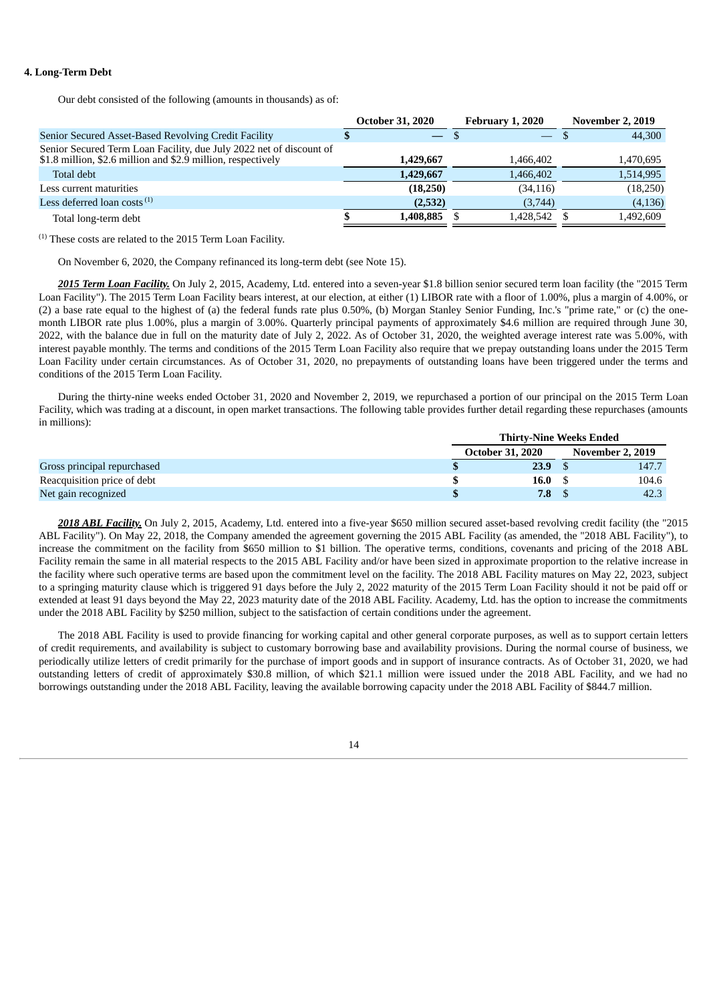# **4. Long-Term Debt**

Our debt consisted of the following (amounts in thousands) as of:

|                                                                                                                                     | <b>October 31, 2020</b> | February 1, 2020 | <b>November 2, 2019</b> |
|-------------------------------------------------------------------------------------------------------------------------------------|-------------------------|------------------|-------------------------|
| Senior Secured Asset-Based Revolving Credit Facility                                                                                | $\sim$                  |                  | 44,300                  |
| Senior Secured Term Loan Facility, due July 2022 net of discount of<br>\$1.8 million, \$2.6 million and \$2.9 million, respectively | 1,429,667               | 1,466,402        | 1,470,695               |
| Total debt                                                                                                                          | 1,429,667               | 1,466,402        | 1,514,995               |
| Less current maturities                                                                                                             | (18,250)                | (34, 116)        | (18,250)                |
| Less deferred loan costs $(1)$                                                                                                      | (2,532)                 | (3,744)          | (4,136)                 |
| Total long-term debt                                                                                                                | 1.408.885               | 1.428.542 \$     | 1.492.609               |
|                                                                                                                                     |                         |                  |                         |

 $<sup>(1)</sup>$  These costs are related to the 2015 Term Loan Facility.</sup>

On November 6, 2020, the Company refinanced its long-term debt (see Note 15).

*2015 Term Loan Facility.* On July 2, 2015, Academy, Ltd. entered into a seven-year \$1.8 billion senior secured term loan facility (the "2015 Term Loan Facility"). The 2015 Term Loan Facility bears interest, at our election, at either (1) LIBOR rate with a floor of 1.00%, plus a margin of 4.00%, or (2) a base rate equal to the highest of (a) the federal funds rate plus 0.50%, (b) Morgan Stanley Senior Funding, Inc.'s "prime rate," or (c) the onemonth LIBOR rate plus 1.00%, plus a margin of 3.00%. Quarterly principal payments of approximately \$4.6 million are required through June 30, 2022, with the balance due in full on the maturity date of July 2, 2022. As of October 31, 2020, the weighted average interest rate was 5.00%, with interest payable monthly. The terms and conditions of the 2015 Term Loan Facility also require that we prepay outstanding loans under the 2015 Term Loan Facility under certain circumstances. As of October 31, 2020, no prepayments of outstanding loans have been triggered under the terms and conditions of the 2015 Term Loan Facility.

During the thirty-nine weeks ended October 31, 2020 and November 2, 2019, we repurchased a portion of our principal on the 2015 Term Loan Facility, which was trading at a discount, in open market transactions. The following table provides further detail regarding these repurchases (amounts in millions):

|                             |                         | <b>Thirty-Nine Weeks Ended</b> |  |                         |  |  |
|-----------------------------|-------------------------|--------------------------------|--|-------------------------|--|--|
|                             | <b>October 31, 2020</b> |                                |  | <b>November 2, 2019</b> |  |  |
| Gross principal repurchased |                         | 23.9                           |  | 147.7                   |  |  |
| Reacquisition price of debt |                         | 16.0                           |  | 104.6                   |  |  |
| Net gain recognized         |                         | 7.8                            |  | 42.3                    |  |  |

*2018 ABL Facility.* On July 2, 2015, Academy, Ltd. entered into a five-year \$650 million secured asset-based revolving credit facility (the "2015 ABL Facility"). On May 22, 2018, the Company amended the agreement governing the 2015 ABL Facility (as amended, the "2018 ABL Facility"), to increase the commitment on the facility from \$650 million to \$1 billion. The operative terms, conditions, covenants and pricing of the 2018 ABL Facility remain the same in all material respects to the 2015 ABL Facility and/or have been sized in approximate proportion to the relative increase in the facility where such operative terms are based upon the commitment level on the facility. The 2018 ABL Facility matures on May 22, 2023, subject to a springing maturity clause which is triggered 91 days before the July 2, 2022 maturity of the 2015 Term Loan Facility should it not be paid off or extended at least 91 days beyond the May 22, 2023 maturity date of the 2018 ABL Facility. Academy, Ltd. has the option to increase the commitments under the 2018 ABL Facility by \$250 million, subject to the satisfaction of certain conditions under the agreement.

The 2018 ABL Facility is used to provide financing for working capital and other general corporate purposes, as well as to support certain letters of credit requirements, and availability is subject to customary borrowing base and availability provisions. During the normal course of business, we periodically utilize letters of credit primarily for the purchase of import goods and in support of insurance contracts. As of October 31, 2020, we had outstanding letters of credit of approximately \$30.8 million, of which \$21.1 million were issued under the 2018 ABL Facility, and we had no borrowings outstanding under the 2018 ABL Facility, leaving the available borrowing capacity under the 2018 ABL Facility of \$844.7 million.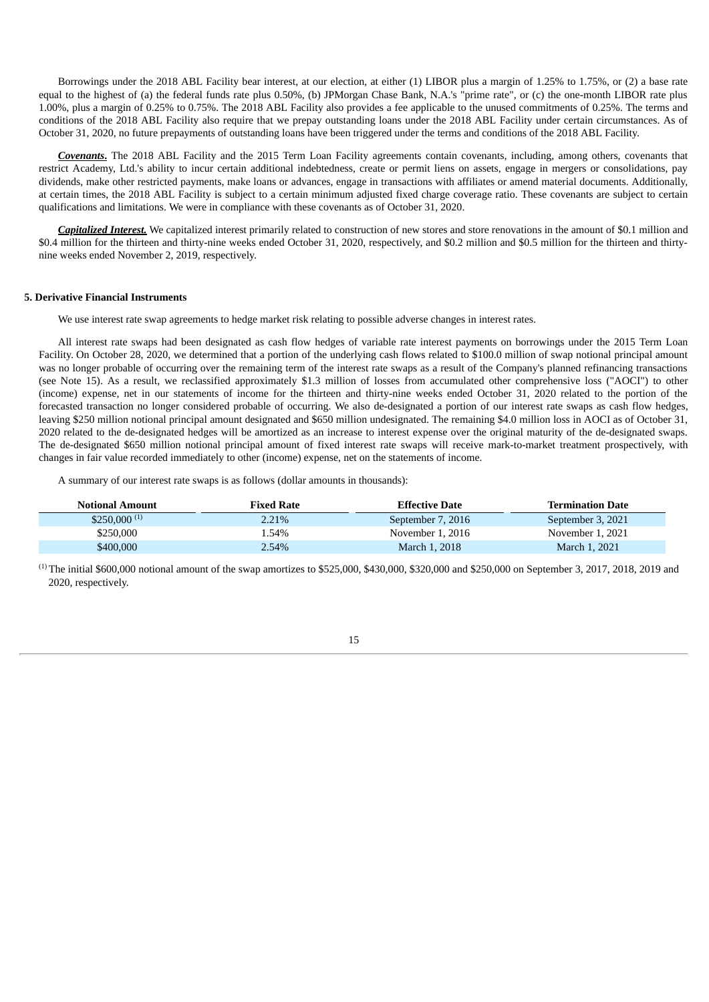Borrowings under the 2018 ABL Facility bear interest, at our election, at either (1) LIBOR plus a margin of 1.25% to 1.75%, or (2) a base rate equal to the highest of (a) the federal funds rate plus 0.50%, (b) JPMorgan Chase Bank, N.A.'s "prime rate", or (c) the one-month LIBOR rate plus 1.00%, plus a margin of 0.25% to 0.75%. The 2018 ABL Facility also provides a fee applicable to the unused commitments of 0.25%. The terms and conditions of the 2018 ABL Facility also require that we prepay outstanding loans under the 2018 ABL Facility under certain circumstances. As of October 31, 2020, no future prepayments of outstanding loans have been triggered under the terms and conditions of the 2018 ABL Facility.

*Covenants***.** The 2018 ABL Facility and the 2015 Term Loan Facility agreements contain covenants, including, among others, covenants that restrict Academy, Ltd.'s ability to incur certain additional indebtedness, create or permit liens on assets, engage in mergers or consolidations, pay dividends, make other restricted payments, make loans or advances, engage in transactions with affiliates or amend material documents. Additionally, at certain times, the 2018 ABL Facility is subject to a certain minimum adjusted fixed charge coverage ratio. These covenants are subject to certain qualifications and limitations. We were in compliance with these covenants as of October 31, 2020.

*Capitalized Interest.* We capitalized interest primarily related to construction of new stores and store renovations in the amount of \$0.1 million and \$0.4 million for the thirteen and thirty-nine weeks ended October 31, 2020, respectively, and \$0.2 million and \$0.5 million for the thirteen and thirtynine weeks ended November 2, 2019, respectively.

#### **5. Derivative Financial Instruments**

We use interest rate swap agreements to hedge market risk relating to possible adverse changes in interest rates.

All interest rate swaps had been designated as cash flow hedges of variable rate interest payments on borrowings under the 2015 Term Loan Facility. On October 28, 2020, we determined that a portion of the underlying cash flows related to \$100.0 million of swap notional principal amount was no longer probable of occurring over the remaining term of the interest rate swaps as a result of the Company's planned refinancing transactions (see Note 15). As a result, we reclassified approximately \$1.3 million of losses from accumulated other comprehensive loss ("AOCI") to other (income) expense, net in our statements of income for the thirteen and thirty-nine weeks ended October 31, 2020 related to the portion of the forecasted transaction no longer considered probable of occurring. We also de-designated a portion of our interest rate swaps as cash flow hedges, leaving \$250 million notional principal amount designated and \$650 million undesignated. The remaining \$4.0 million loss in AOCI as of October 31, 2020 related to the de-designated hedges will be amortized as an increase to interest expense over the original maturity of the de-designated swaps. The de-designated \$650 million notional principal amount of fixed interest rate swaps will receive mark-to-market treatment prospectively, with changes in fair value recorded immediately to other (income) expense, net on the statements of income.

A summary of our interest rate swaps is as follows (dollar amounts in thousands):

| <b>Notional Amount</b> | <b>Fixed Rate</b> | <b>Effective Date</b> | <b>Termination Date</b> |
|------------------------|-------------------|-----------------------|-------------------------|
| $$250,000^{(1)}$$      | 2.21%             | September 7, 2016     | September 3, 2021       |
| \$250,000              | .54%              | November 1, 2016      | November 1, 2021        |
| \$400,000              | 2.54%             | March 1, 2018         | March 1, 2021           |

 $^{(1)}$  The initial \$600,000 notional amount of the swap amortizes to \$525,000, \$430,000, \$320,000 and \$250,000 on September 3, 2017, 2018, 2019 and 2020, respectively.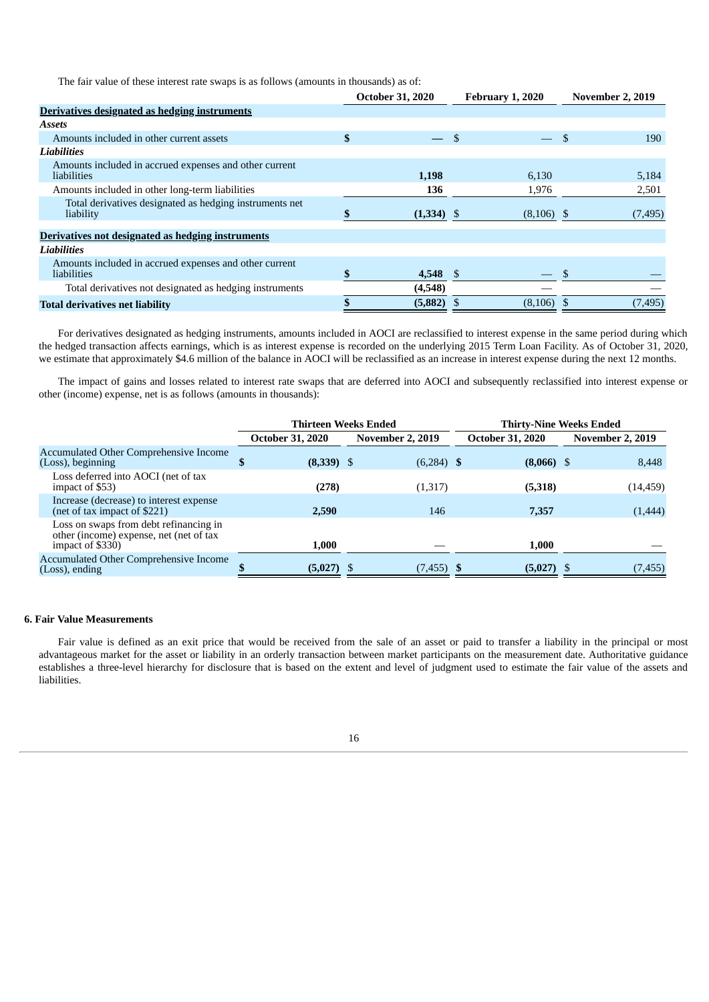The fair value of these interest rate swaps is as follows (amounts in thousands) as of:

|                                                                              | <b>October 31, 2020</b> | <b>February 1, 2020</b> |              | <b>November 2, 2019</b> |  |
|------------------------------------------------------------------------------|-------------------------|-------------------------|--------------|-------------------------|--|
| Derivatives designated as hedging instruments                                |                         |                         |              |                         |  |
| <b>Assets</b>                                                                |                         |                         |              |                         |  |
| Amounts included in other current assets                                     | \$                      | -S                      |              | 190                     |  |
| <b>Liabilities</b>                                                           |                         |                         |              |                         |  |
| Amounts included in accrued expenses and other current<br>liabilities        | 1,198                   |                         | 6,130        | 5,184                   |  |
| Amounts included in other long-term liabilities                              | 136                     |                         | 1,976        | 2,501                   |  |
| Total derivatives designated as hedging instruments net<br>liability         | $(1,334)$ \$            |                         | $(8,106)$ \$ | (7, 495)                |  |
| Derivatives not designated as hedging instruments                            |                         |                         |              |                         |  |
| <b>Liabilities</b>                                                           |                         |                         |              |                         |  |
| Amounts included in accrued expenses and other current<br><b>liabilities</b> | 4,548                   | - \$                    |              |                         |  |
| Total derivatives not designated as hedging instruments                      | (4,548)                 |                         |              |                         |  |
| <b>Total derivatives net liability</b>                                       | (5,882)                 |                         | $(8,106)$ \$ | (7, 495)                |  |

For derivatives designated as hedging instruments, amounts included in AOCI are reclassified to interest expense in the same period during which the hedged transaction affects earnings, which is as interest expense is recorded on the underlying 2015 Term Loan Facility. As of October 31, 2020, we estimate that approximately \$4.6 million of the balance in AOCI will be reclassified as an increase in interest expense during the next 12 months.

The impact of gains and losses related to interest rate swaps that are deferred into AOCI and subsequently reclassified into interest expense or other (income) expense, net is as follows (amounts in thousands):

|                                                                                                       |                         | <b>Thirteen Weeks Ended</b> | <b>Thirty-Nine Weeks Ended</b> |                         |  |  |  |
|-------------------------------------------------------------------------------------------------------|-------------------------|-----------------------------|--------------------------------|-------------------------|--|--|--|
|                                                                                                       | <b>October 31, 2020</b> | <b>November 2, 2019</b>     | <b>October 31, 2020</b>        | <b>November 2, 2019</b> |  |  |  |
| Accumulated Other Comprehensive Income<br>(Loss), beginning                                           | $(8,339)$ \$<br>\$      | $(6,284)$ \$                | $(8,066)$ \$                   | 8,448                   |  |  |  |
| Loss deferred into AOCI (net of tax<br>impact of \$53)                                                | (278)                   | (1,317)                     | (5,318)                        | (14, 459)               |  |  |  |
| Increase (decrease) to interest expense<br>(net of tax impact of \$221)                               | 2,590                   | 146                         | 7,357                          | (1, 444)                |  |  |  |
| Loss on swaps from debt refinancing in<br>other (income) expense, net (net of tax<br>impact of \$330) | 1.000                   |                             | 1.000                          |                         |  |  |  |
| Accumulated Other Comprehensive Income<br>(Loss), ending                                              | $(5,027)$ \$            | $(7,455)$ \$                | $(5,027)$ \$                   | (7, 455)                |  |  |  |

# **6. Fair Value Measurements**

Fair value is defined as an exit price that would be received from the sale of an asset or paid to transfer a liability in the principal or most advantageous market for the asset or liability in an orderly transaction between market participants on the measurement date. Authoritative guidance establishes a three-level hierarchy for disclosure that is based on the extent and level of judgment used to estimate the fair value of the assets and liabilities.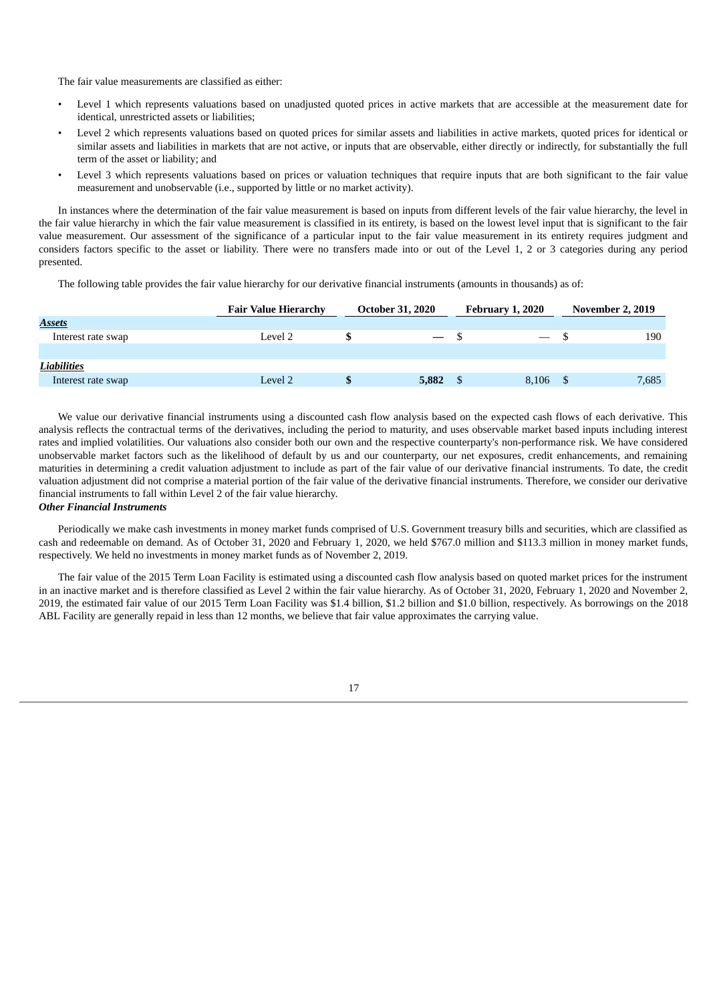The fair value measurements are classified as either:

- Level 1 which represents valuations based on unadjusted quoted prices in active markets that are accessible at the measurement date for identical, unrestricted assets or liabilities;
- Level 2 which represents valuations based on quoted prices for similar assets and liabilities in active markets, quoted prices for identical or similar assets and liabilities in markets that are not active, or inputs that are observable, either directly or indirectly, for substantially the full term of the asset or liability; and
- Level 3 which represents valuations based on prices or valuation techniques that require inputs that are both significant to the fair value measurement and unobservable (i.e., supported by little or no market activity).

In instances where the determination of the fair value measurement is based on inputs from different levels of the fair value hierarchy, the level in the fair value hierarchy in which the fair value measurement is classified in its entirety, is based on the lowest level input that is significant to the fair value measurement. Our assessment of the significance of a particular input to the fair value measurement in its entirety requires judgment and considers factors specific to the asset or liability. There were no transfers made into or out of the Level 1, 2 or 3 categories during any period presented.

The following table provides the fair value hierarchy for our derivative financial instruments (amounts in thousands) as of:

| 190   |
|-------|
|       |
|       |
| 7,685 |
|       |

We value our derivative financial instruments using a discounted cash flow analysis based on the expected cash flows of each derivative. This analysis reflects the contractual terms of the derivatives, including the period to maturity, and uses observable market based inputs including interest rates and implied volatilities. Our valuations also consider both our own and the respective counterparty's non-performance risk. We have considered unobservable market factors such as the likelihood of default by us and our counterparty, our net exposures, credit enhancements, and remaining maturities in determining a credit valuation adjustment to include as part of the fair value of our derivative financial instruments. To date, the credit valuation adjustment did not comprise a material portion of the fair value of the derivative financial instruments. Therefore, we consider our derivative financial instruments to fall within Level 2 of the fair value hierarchy. *Other Financial Instruments*

Periodically we make cash investments in money market funds comprised of U.S. Government treasury bills and securities, which are classified as cash and redeemable on demand. As of October 31, 2020 and February 1, 2020, we held \$767.0 million and \$113.3 million in money market funds, respectively. We held no investments in money market funds as of November 2, 2019.

The fair value of the 2015 Term Loan Facility is estimated using a discounted cash flow analysis based on quoted market prices for the instrument in an inactive market and is therefore classified as Level 2 within the fair value hierarchy. As of October 31, 2020, February 1, 2020 and November 2, 2019, the estimated fair value of our 2015 Term Loan Facility was \$1.4 billion, \$1.2 billion and \$1.0 billion, respectively. As borrowings on the 2018 ABL Facility are generally repaid in less than 12 months, we believe that fair value approximates the carrying value.

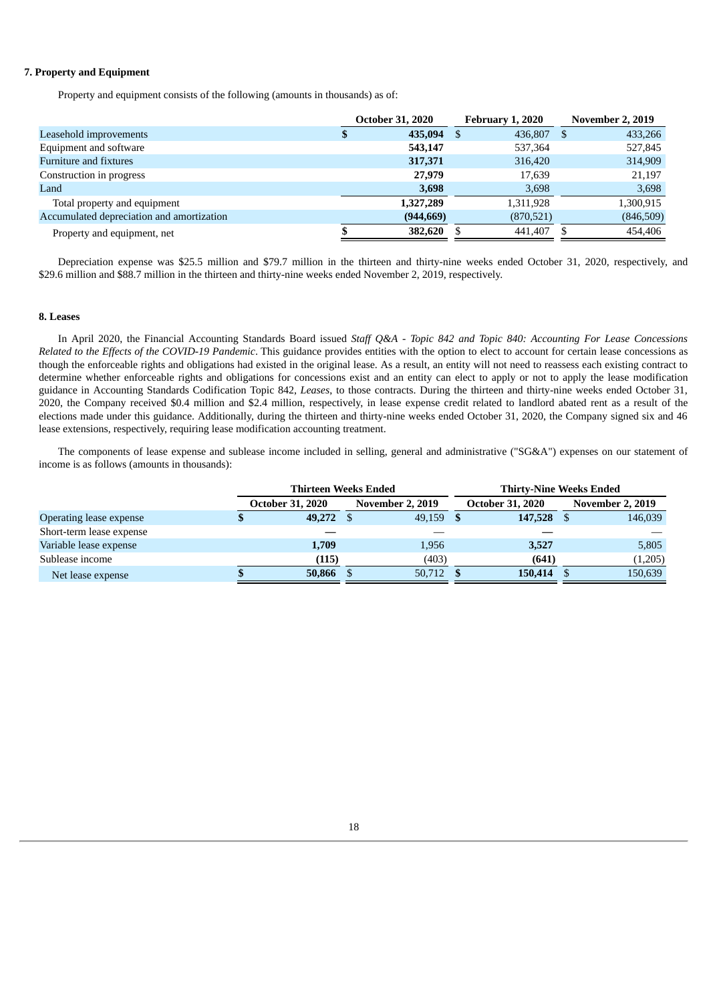### **7. Property and Equipment**

Property and equipment consists of the following (amounts in thousands) as of:

|                                           |   | <b>October 31, 2020</b> |     | <b>February 1, 2020</b> |      | <b>November 2, 2019</b> |
|-------------------------------------------|---|-------------------------|-----|-------------------------|------|-------------------------|
| Leasehold improvements                    | Ф | 435,094                 | - S | 436,807                 | - \$ | 433,266                 |
| Equipment and software                    |   | 543,147                 |     | 537,364                 |      | 527,845                 |
| Furniture and fixtures                    |   | 317,371                 |     | 316,420                 |      | 314,909                 |
| Construction in progress                  |   | 27,979                  |     | 17,639                  |      | 21,197                  |
| Land                                      |   | 3,698                   |     | 3,698                   |      | 3,698                   |
| Total property and equipment              |   | 1,327,289               |     | 1,311,928               |      | 1,300,915               |
| Accumulated depreciation and amortization |   | (944, 669)              |     | (870, 521)              |      | (846,509)               |
| Property and equipment, net               |   | 382,620                 |     | 441,407                 |      | 454,406                 |

Depreciation expense was \$25.5 million and \$79.7 million in the thirteen and thirty-nine weeks ended October 31, 2020, respectively, and \$29.6 million and \$88.7 million in the thirteen and thirty-nine weeks ended November 2, 2019, respectively.

#### **8. Leases**

In April 2020, the Financial Accounting Standards Board issued *Staff Q&A - Topic 842 and Topic 840: Accounting For Lease Concessions Related to the Effects of the COVID-19 Pandemic*. This guidance provides entities with the option to elect to account for certain lease concessions as though the enforceable rights and obligations had existed in the original lease. As a result, an entity will not need to reassess each existing contract to determine whether enforceable rights and obligations for concessions exist and an entity can elect to apply or not to apply the lease modification guidance in Accounting Standards Codification Topic 842, *Leases*, to those contracts. During the thirteen and thirty-nine weeks ended October 31, 2020, the Company received \$0.4 million and \$2.4 million, respectively, in lease expense credit related to landlord abated rent as a result of the elections made under this guidance. Additionally, during the thirteen and thirty-nine weeks ended October 31, 2020, the Company signed six and 46 lease extensions, respectively, requiring lease modification accounting treatment.

The components of lease expense and sublease income included in selling, general and administrative ("SG&A") expenses on our statement of income is as follows (amounts in thousands):

|                          | <b>Thirteen Weeks Ended</b> |  |                         |  | <b>Thirty-Nine Weeks Ended</b> |                         |         |  |  |
|--------------------------|-----------------------------|--|-------------------------|--|--------------------------------|-------------------------|---------|--|--|
|                          | <b>October 31, 2020</b>     |  | <b>November 2, 2019</b> |  | <b>October 31, 2020</b>        | <b>November 2, 2019</b> |         |  |  |
| Operating lease expense  | 49,272                      |  | 49,159 \$               |  | 147,528 \$                     |                         | 146,039 |  |  |
| Short-term lease expense |                             |  |                         |  |                                |                         |         |  |  |
| Variable lease expense   | 1,709                       |  | 1,956                   |  | 3,527                          |                         | 5,805   |  |  |
| Sublease income          | (115)                       |  | (403)                   |  | (641)                          |                         | (1,205) |  |  |
| Net lease expense        | 50,866                      |  | 50,712 \$               |  | 150,414                        |                         | 150,639 |  |  |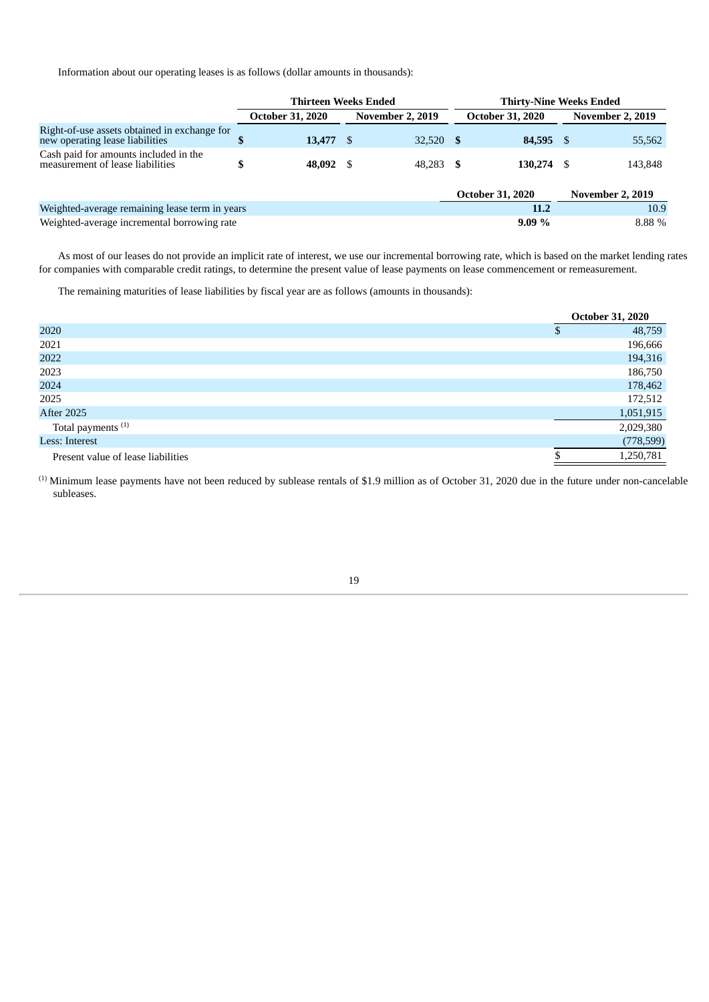Information about our operating leases is as follows (dollar amounts in thousands):

|                                                                                 | <b>Thirteen Weeks Ended</b> |                         |                         |             | <b>Thirty-Nine Weeks Ended</b> |     |                         |  |  |
|---------------------------------------------------------------------------------|-----------------------------|-------------------------|-------------------------|-------------|--------------------------------|-----|-------------------------|--|--|
|                                                                                 |                             | <b>October 31, 2020</b> | <b>November 2, 2019</b> |             | <b>October 31, 2020</b>        |     | <b>November 2, 2019</b> |  |  |
| Right-of-use assets obtained in exchange for<br>new operating lease liabilities |                             | 13.477 \$               |                         | $32,520$ \$ | 84,595                         | - S | 55,562                  |  |  |
| Cash paid for amounts included in the<br>measurement of lease liabilities       |                             | 48,092 \$               |                         | 48.283 \$   | 130,274                        | - S | 143,848                 |  |  |
|                                                                                 |                             |                         |                         |             | <b>October 31, 2020</b>        |     | <b>November 2, 2019</b> |  |  |
| Weighted-average remaining lease term in years                                  |                             |                         |                         |             | 11.2                           |     | 10.9                    |  |  |
| Weighted-average incremental borrowing rate                                     |                             |                         |                         |             | 9.09%                          |     | 8.88 %                  |  |  |

As most of our leases do not provide an implicit rate of interest, we use our incremental borrowing rate, which is based on the market lending rates for companies with comparable credit ratings, to determine the present value of lease payments on lease commencement or remeasurement.

The remaining maturities of lease liabilities by fiscal year are as follows (amounts in thousands):

|                                    | <b>October 31, 2020</b> |
|------------------------------------|-------------------------|
| 2020                               | 48,759                  |
| 2021                               | 196,666                 |
| 2022                               | 194,316                 |
| 2023                               | 186,750                 |
| 2024                               | 178,462                 |
| 2025                               | 172,512                 |
| <b>After 2025</b>                  | 1,051,915               |
| Total payments <sup>(1)</sup>      | 2,029,380               |
| Less: Interest                     | (778, 599)              |
| Present value of lease liabilities | 1,250,781               |

 $<sup>(1)</sup>$  Minimum lease payments have not been reduced by sublease rentals of \$1.9 million as of October 31, 2020 due in the future under non-cancelable</sup> subleases.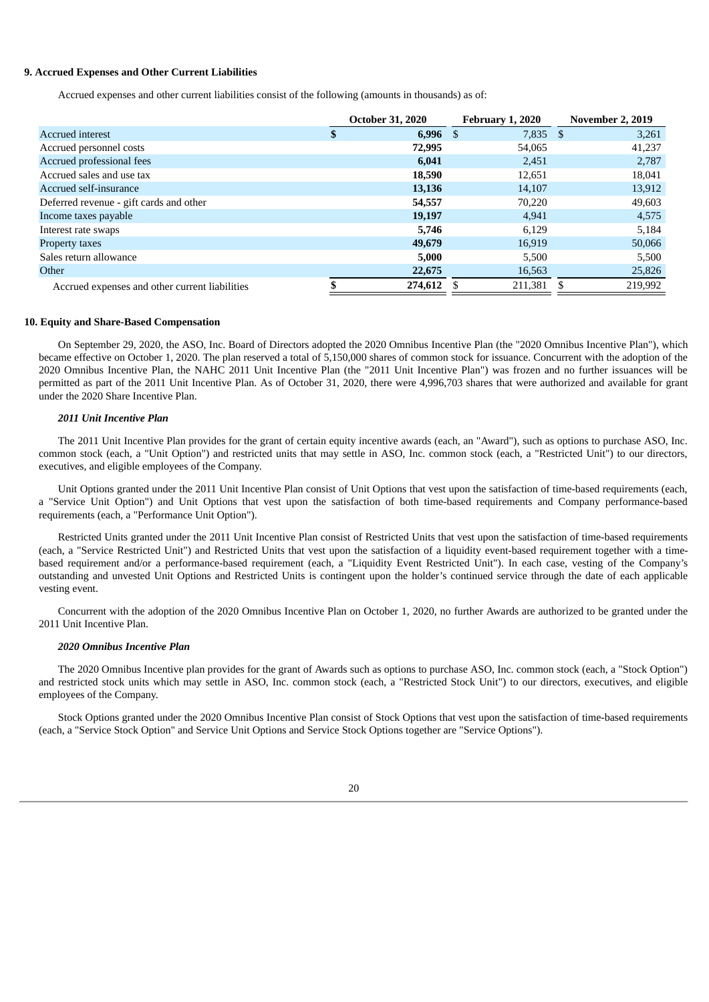#### **9. Accrued Expenses and Other Current Liabilities**

Accrued expenses and other current liabilities consist of the following (amounts in thousands) as of:

|                                                |   | <b>October 31, 2020</b> | <b>February 1, 2020</b> | <b>November 2, 2019</b> |
|------------------------------------------------|---|-------------------------|-------------------------|-------------------------|
| <b>Accrued interest</b>                        | S | $6.996$ \$              | $7,835$ \$              | 3,261                   |
| Accrued personnel costs                        |   | 72,995                  | 54,065                  | 41,237                  |
| Accrued professional fees                      |   | 6,041                   | 2,451                   | 2,787                   |
| Accrued sales and use tax                      |   | 18,590                  | 12,651                  | 18,041                  |
| Accrued self-insurance                         |   | 13,136                  | 14,107                  | 13,912                  |
| Deferred revenue - gift cards and other        |   | 54,557                  | 70,220                  | 49,603                  |
| Income taxes payable                           |   | 19,197                  | 4,941                   | 4,575                   |
| Interest rate swaps                            |   | 5,746                   | 6.129                   | 5,184                   |
| Property taxes                                 |   | 49,679                  | 16,919                  | 50,066                  |
| Sales return allowance                         |   | 5,000                   | 5,500                   | 5,500                   |
| Other                                          |   | 22,675                  | 16,563                  | 25,826                  |
| Accrued expenses and other current liabilities |   | 274,612                 | 211,381                 | 219,992                 |

# **10. Equity and Share-Based Compensation**

On September 29, 2020, the ASO, Inc. Board of Directors adopted the 2020 Omnibus Incentive Plan (the "2020 Omnibus Incentive Plan"), which became effective on October 1, 2020. The plan reserved a total of 5,150,000 shares of common stock for issuance. Concurrent with the adoption of the 2020 Omnibus Incentive Plan, the NAHC 2011 Unit Incentive Plan (the "2011 Unit Incentive Plan") was frozen and no further issuances will be permitted as part of the 2011 Unit Incentive Plan. As of October 31, 2020, there were 4,996,703 shares that were authorized and available for grant under the 2020 Share Incentive Plan.

#### *2011 Unit Incentive Plan*

The 2011 Unit Incentive Plan provides for the grant of certain equity incentive awards (each, an "Award"), such as options to purchase ASO, Inc. common stock (each, a "Unit Option") and restricted units that may settle in ASO, Inc. common stock (each, a "Restricted Unit") to our directors, executives, and eligible employees of the Company.

Unit Options granted under the 2011 Unit Incentive Plan consist of Unit Options that vest upon the satisfaction of time-based requirements (each, a "Service Unit Option") and Unit Options that vest upon the satisfaction of both time-based requirements and Company performance-based requirements (each, a "Performance Unit Option").

Restricted Units granted under the 2011 Unit Incentive Plan consist of Restricted Units that vest upon the satisfaction of time-based requirements (each, a "Service Restricted Unit") and Restricted Units that vest upon the satisfaction of a liquidity event-based requirement together with a timebased requirement and/or a performance-based requirement (each, a "Liquidity Event Restricted Unit"). In each case, vesting of the Company's outstanding and unvested Unit Options and Restricted Units is contingent upon the holder's continued service through the date of each applicable vesting event.

Concurrent with the adoption of the 2020 Omnibus Incentive Plan on October 1, 2020, no further Awards are authorized to be granted under the 2011 Unit Incentive Plan.

#### *2020 Omnibus Incentive Plan*

The 2020 Omnibus Incentive plan provides for the grant of Awards such as options to purchase ASO, Inc. common stock (each, a "Stock Option") and restricted stock units which may settle in ASO, Inc. common stock (each, a "Restricted Stock Unit") to our directors, executives, and eligible employees of the Company.

Stock Options granted under the 2020 Omnibus Incentive Plan consist of Stock Options that vest upon the satisfaction of time-based requirements (each, a "Service Stock Option" and Service Unit Options and Service Stock Options together are "Service Options").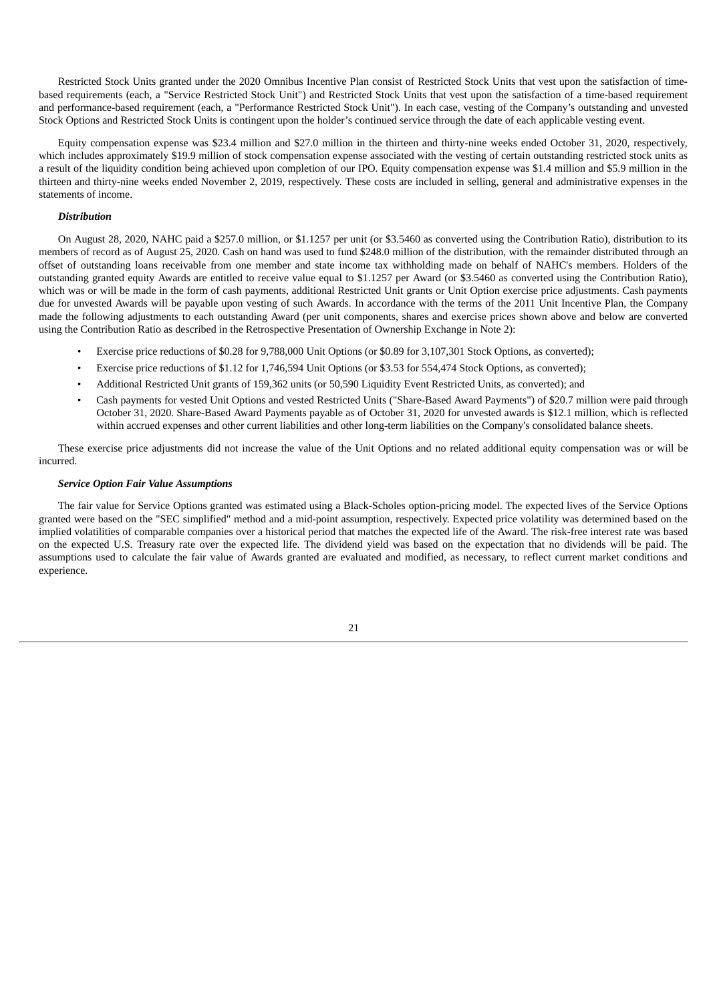Restricted Stock Units granted under the 2020 Omnibus Incentive Plan consist of Restricted Stock Units that vest upon the satisfaction of timebased requirements (each, a "Service Restricted Stock Unit") and Restricted Stock Units that vest upon the satisfaction of a time-based requirement and performance-based requirement (each, a "Performance Restricted Stock Unit"). In each case, vesting of the Company's outstanding and unvested Stock Options and Restricted Stock Units is contingent upon the holder's continued service through the date of each applicable vesting event.

Equity compensation expense was \$23.4 million and \$27.0 million in the thirteen and thirty-nine weeks ended October 31, 2020, respectively, which includes approximately \$19.9 million of stock compensation expense associated with the vesting of certain outstanding restricted stock units as a result of the liquidity condition being achieved upon completion of our IPO. Equity compensation expense was \$1.4 million and \$5.9 million in the thirteen and thirty-nine weeks ended November 2, 2019, respectively. These costs are included in selling, general and administrative expenses in the statements of income.

# *Distribution*

On August 28, 2020, NAHC paid a \$257.0 million, or \$1.1257 per unit (or \$3.5460 as converted using the Contribution Ratio), distribution to its members of record as of August 25, 2020. Cash on hand was used to fund \$248.0 million of the distribution, with the remainder distributed through an offset of outstanding loans receivable from one member and state income tax withholding made on behalf of NAHC's members. Holders of the outstanding granted equity Awards are entitled to receive value equal to \$1.1257 per Award (or \$3.5460 as converted using the Contribution Ratio), which was or will be made in the form of cash payments, additional Restricted Unit grants or Unit Option exercise price adjustments. Cash payments due for unvested Awards will be payable upon vesting of such Awards. In accordance with the terms of the 2011 Unit Incentive Plan, the Company made the following adjustments to each outstanding Award (per unit components, shares and exercise prices shown above and below are converted using the Contribution Ratio as described in the Retrospective Presentation of Ownership Exchange in Note 2):

- Exercise price reductions of \$0.28 for 9,788,000 Unit Options (or \$0.89 for 3,107,301 Stock Options, as converted);
- Exercise price reductions of \$1.12 for 1,746,594 Unit Options (or \$3.53 for 554,474 Stock Options, as converted);
- Additional Restricted Unit grants of 159,362 units (or 50,590 Liquidity Event Restricted Units, as converted); and
- Cash payments for vested Unit Options and vested Restricted Units ("Share-Based Award Payments") of \$20.7 million were paid through October 31, 2020. Share-Based Award Payments payable as of October 31, 2020 for unvested awards is \$12.1 million, which is reflected within accrued expenses and other current liabilities and other long-term liabilities on the Company's consolidated balance sheets.

These exercise price adjustments did not increase the value of the Unit Options and no related additional equity compensation was or will be incurred.

#### *Service Option Fair Value Assumptions*

The fair value for Service Options granted was estimated using a Black-Scholes option-pricing model. The expected lives of the Service Options granted were based on the "SEC simplified" method and a mid-point assumption, respectively. Expected price volatility was determined based on the implied volatilities of comparable companies over a historical period that matches the expected life of the Award. The risk-free interest rate was based on the expected U.S. Treasury rate over the expected life. The dividend yield was based on the expectation that no dividends will be paid. The assumptions used to calculate the fair value of Awards granted are evaluated and modified, as necessary, to reflect current market conditions and experience.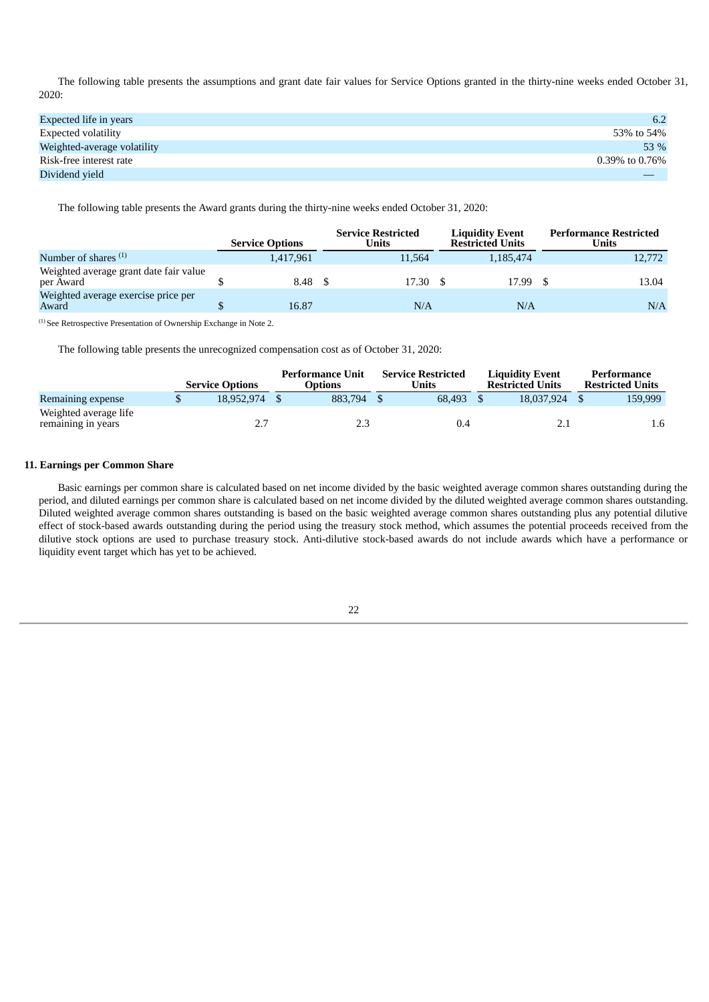The following table presents the assumptions and grant date fair values for Service Options granted in the thirty-nine weeks ended October 31, 2020:

| Expected life in years      | 6.2            |
|-----------------------------|----------------|
| Expected volatility         | 53% to 54%     |
| Weighted-average volatility | 53 %           |
| Risk-free interest rate     | 0.39% to 0.76% |
| Dividend yield              |                |

The following table presents the Award grants during the thirty-nine weeks ended October 31, 2020:

|                                                     | <b>Service Options</b> |         | <b>Service Restricted</b><br>Units | <b>Liquidity Event</b><br><b>Restricted Units</b> | <b>Performance Restricted</b><br>Units |
|-----------------------------------------------------|------------------------|---------|------------------------------------|---------------------------------------------------|----------------------------------------|
| Number of shares $(1)$                              | 1.417.961              |         | 11.564                             | 1.185.474                                         | 12,772                                 |
| Weighted average grant date fair value<br>per Award |                        | 8.48 \$ | $17.30 \quad$ \$                   | 17.99                                             | 13.04                                  |
| Weighted average exercise price per<br>Award        | 16.87                  |         | N/A                                | N/A                                               | N/A                                    |

 $<sup>(1)</sup>$  See Retrospective Presentation of Ownership Exchange in Note 2.</sup>

The following table presents the unrecognized compensation cost as of October 31, 2020:

|                                             | <b>Service Options</b> | Performance Unit<br>Options | <b>Service Restricted</b><br>Units | <b>Liquidity Event</b><br><b>Restricted Units</b> | Performance<br><b>Restricted Units</b> |
|---------------------------------------------|------------------------|-----------------------------|------------------------------------|---------------------------------------------------|----------------------------------------|
| Remaining expense                           | 18.952.974             | 883.794                     | 68.493                             | 18.037.924                                        | 159,999                                |
| Weighted average life<br>remaining in years | 2.7                    | כי כ<br>ے ،                 | 0.4                                | ـ .                                               | 1.6                                    |

# **11. Earnings per Common Share**

Basic earnings per common share is calculated based on net income divided by the basic weighted average common shares outstanding during the period, and diluted earnings per common share is calculated based on net income divided by the diluted weighted average common shares outstanding. Diluted weighted average common shares outstanding is based on the basic weighted average common shares outstanding plus any potential dilutive effect of stock-based awards outstanding during the period using the treasury stock method, which assumes the potential proceeds received from the dilutive stock options are used to purchase treasury stock. Anti-dilutive stock-based awards do not include awards which have a performance or liquidity event target which has yet to be achieved.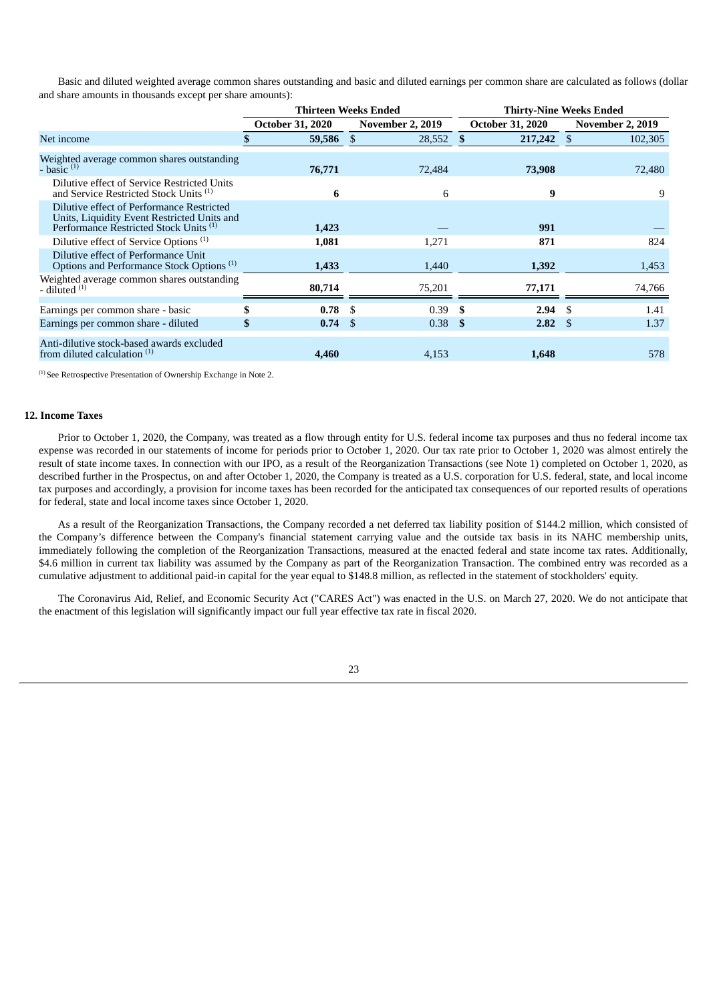Basic and diluted weighted average common shares outstanding and basic and diluted earnings per common share are calculated as follows (dollar and share amounts in thousands except per share amounts):

|                                                                                                                                               | <b>Thirteen Weeks Ended</b> |                         |              | <b>Thirty-Nine Weeks Ended</b> |               |                         |  |                         |
|-----------------------------------------------------------------------------------------------------------------------------------------------|-----------------------------|-------------------------|--------------|--------------------------------|---------------|-------------------------|--|-------------------------|
|                                                                                                                                               |                             | <b>October 31, 2020</b> |              | <b>November 2, 2019</b>        |               | <b>October 31, 2020</b> |  | <b>November 2, 2019</b> |
| Net income                                                                                                                                    |                             | 59,586                  | <sup>S</sup> | 28,552                         | <sup>\$</sup> | 217,242 \$              |  | 102,305                 |
| Weighted average common shares outstanding<br>- basic $(1)$                                                                                   |                             | 76,771                  |              | 72,484                         |               | 73,908                  |  | 72,480                  |
| Dilutive effect of Service Restricted Units<br>and Service Restricted Stock Units (1)                                                         |                             | 6                       |              | 6                              |               | 9                       |  | 9                       |
| Dilutive effect of Performance Restricted<br>Units, Liquidity Event Restricted Units and<br>Performance Restricted Stock Units <sup>(1)</sup> |                             | 1,423                   |              |                                |               | 991                     |  |                         |
| Dilutive effect of Service Options <sup>(1)</sup>                                                                                             |                             | 1,081                   |              | 1,271                          |               | 871                     |  | 824                     |
| Dilutive effect of Performance Unit<br>Options and Performance Stock Options <sup>(1)</sup>                                                   |                             | 1,433                   |              | 1,440                          |               | 1,392                   |  | 1,453                   |
| Weighted average common shares outstanding<br>- diluted $(1)$                                                                                 |                             | 80,714                  |              | 75,201                         |               | 77,171                  |  | 74,766                  |
| Earnings per common share - basic                                                                                                             | \$                          | $0.78$ \$               |              | 0.39 <sup>5</sup>              |               | $2.94 \quad $$          |  | 1.41                    |
| Earnings per common share - diluted                                                                                                           | \$                          | $0.74 \quad $$          |              | 0.38 <sup>5</sup>              |               | $2.82\quad$             |  | 1.37                    |
| Anti-dilutive stock-based awards excluded<br>from diluted calculation $(1)$                                                                   |                             | 4,460                   |              | 4,153                          |               | 1,648                   |  | 578                     |

 $<sup>(1)</sup>$  See Retrospective Presentation of Ownership Exchange in Note 2.</sup>

# **12. Income Taxes**

Prior to October 1, 2020, the Company, was treated as a flow through entity for U.S. federal income tax purposes and thus no federal income tax expense was recorded in our statements of income for periods prior to October 1, 2020. Our tax rate prior to October 1, 2020 was almost entirely the result of state income taxes. In connection with our IPO, as a result of the Reorganization Transactions (see Note 1) completed on October 1, 2020, as described further in the Prospectus, on and after October 1, 2020, the Company is treated as a U.S. corporation for U.S. federal, state, and local income tax purposes and accordingly, a provision for income taxes has been recorded for the anticipated tax consequences of our reported results of operations for federal, state and local income taxes since October 1, 2020.

As a result of the Reorganization Transactions, the Company recorded a net deferred tax liability position of \$144.2 million, which consisted of the Company's difference between the Company's financial statement carrying value and the outside tax basis in its NAHC membership units, immediately following the completion of the Reorganization Transactions, measured at the enacted federal and state income tax rates. Additionally, \$4.6 million in current tax liability was assumed by the Company as part of the Reorganization Transaction. The combined entry was recorded as a cumulative adjustment to additional paid-in capital for the year equal to \$148.8 million, as reflected in the statement of stockholders' equity.

The Coronavirus Aid, Relief, and Economic Security Act ("CARES Act") was enacted in the U.S. on March 27, 2020. We do not anticipate that the enactment of this legislation will significantly impact our full year effective tax rate in fiscal 2020.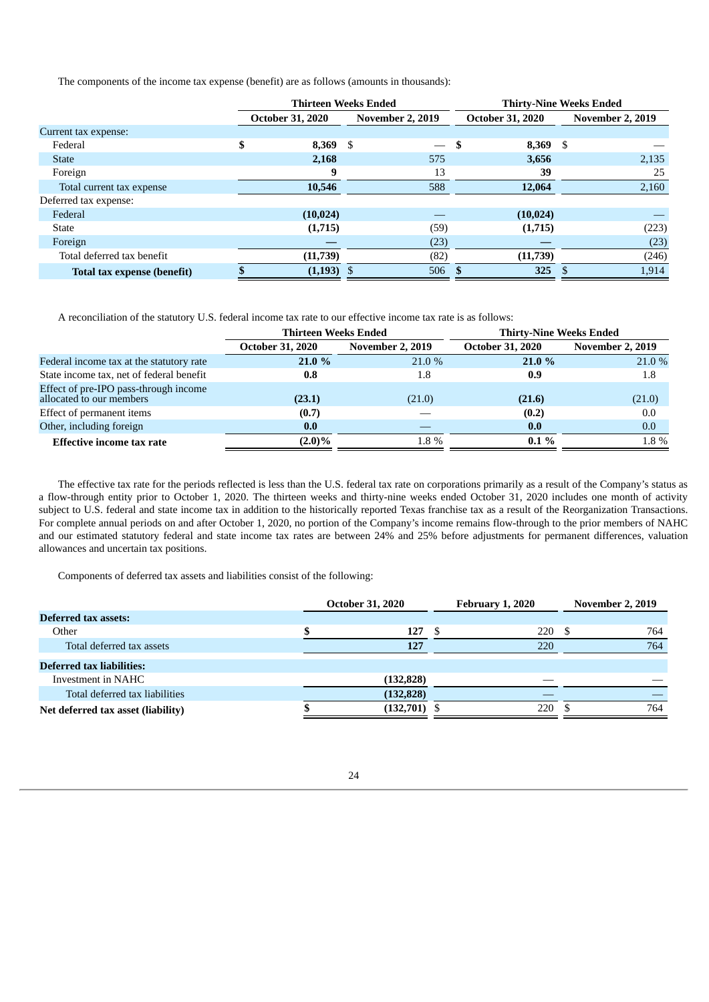The components of the income tax expense (benefit) are as follows (amounts in thousands):

|                                    |                         | <b>Thirteen Weeks Ended</b> | <b>Thirty-Nine Weeks Ended</b> |                         |  |
|------------------------------------|-------------------------|-----------------------------|--------------------------------|-------------------------|--|
|                                    | <b>October 31, 2020</b> | <b>November 2, 2019</b>     | <b>October 31, 2020</b>        | <b>November 2, 2019</b> |  |
| Current tax expense:               |                         |                             |                                |                         |  |
| Federal                            | 8,369 \$                |                             | - \$<br>8,369                  | - \$                    |  |
| <b>State</b>                       | 2,168                   | 575                         | 3,656                          | 2,135                   |  |
| Foreign                            | 9                       | 13                          | 39                             | 25                      |  |
| Total current tax expense          | 10,546                  | 588                         | 12,064                         | 2,160                   |  |
| Deferred tax expense:              |                         |                             |                                |                         |  |
| Federal                            | (10, 024)               |                             | (10, 024)                      |                         |  |
| <b>State</b>                       | (1,715)                 | (59)                        | (1,715)                        | (223)                   |  |
| Foreign                            |                         | (23)                        |                                | (23)                    |  |
| Total deferred tax benefit         | (11,739)                | (82)                        | (11,739)                       | (246)                   |  |
| <b>Total tax expense (benefit)</b> | (1,193)                 | 506                         | 325                            | 1,914                   |  |

A reconciliation of the statutory U.S. federal income tax rate to our effective income tax rate is as follows:

|                                                                   | <b>Thirteen Weeks Ended</b> |                         | <b>Thirty-Nine Weeks Ended</b> |                         |  |
|-------------------------------------------------------------------|-----------------------------|-------------------------|--------------------------------|-------------------------|--|
|                                                                   | <b>October 31, 2020</b>     | <b>November 2, 2019</b> | <b>October 31, 2020</b>        | <b>November 2, 2019</b> |  |
| Federal income tax at the statutory rate                          | 21.0%                       | 21.0 %                  | 21.0%                          | 21.0 %                  |  |
| State income tax, net of federal benefit                          | 0.8                         | 1.8                     | 0.9                            | 1.8                     |  |
| Effect of pre-IPO pass-through income<br>allocated to our members | (23.1)                      | (21.0)                  | (21.6)                         | (21.0)                  |  |
| Effect of permanent items                                         | (0.7)                       |                         | (0.2)                          | 0.0                     |  |
| Other, including foreign                                          | 0.0                         |                         | 0.0                            | 0.0                     |  |
| <b>Effective income tax rate</b>                                  | $(2.0)\%$                   | 1.8%                    | $0.1 \%$                       | 1.8%                    |  |

The effective tax rate for the periods reflected is less than the U.S. federal tax rate on corporations primarily as a result of the Company's status as a flow-through entity prior to October 1, 2020. The thirteen weeks and thirty-nine weeks ended October 31, 2020 includes one month of activity subject to U.S. federal and state income tax in addition to the historically reported Texas franchise tax as a result of the Reorganization Transactions. For complete annual periods on and after October 1, 2020, no portion of the Company's income remains flow-through to the prior members of NAHC and our estimated statutory federal and state income tax rates are between 24% and 25% before adjustments for permanent differences, valuation allowances and uncertain tax positions.

Components of deferred tax assets and liabilities consist of the following:

|                                    | <b>October 31, 2020</b> | <b>February 1, 2020</b> | <b>November 2, 2019</b> |  |
|------------------------------------|-------------------------|-------------------------|-------------------------|--|
| Deferred tax assets:               |                         |                         |                         |  |
| Other                              | 127                     | 220S<br>-S              | 764                     |  |
| Total deferred tax assets          | 127                     | 220                     | 764                     |  |
| <b>Deferred tax liabilities:</b>   |                         |                         |                         |  |
| Investment in NAHC                 | (132, 828)              |                         |                         |  |
| Total deferred tax liabilities     | (132, 828)              |                         |                         |  |
| Net deferred tax asset (liability) | (132,701)               | 220                     | 764                     |  |

24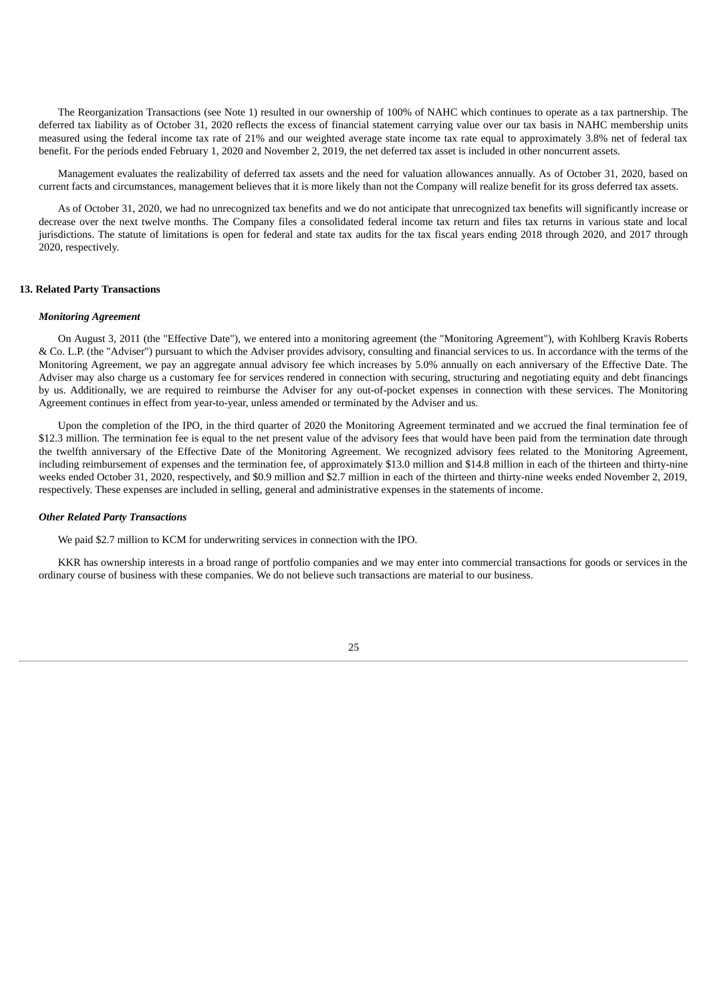The Reorganization Transactions (see Note 1) resulted in our ownership of 100% of NAHC which continues to operate as a tax partnership. The deferred tax liability as of October 31, 2020 reflects the excess of financial statement carrying value over our tax basis in NAHC membership units measured using the federal income tax rate of 21% and our weighted average state income tax rate equal to approximately 3.8% net of federal tax benefit. For the periods ended February 1, 2020 and November 2, 2019, the net deferred tax asset is included in other noncurrent assets.

Management evaluates the realizability of deferred tax assets and the need for valuation allowances annually. As of October 31, 2020, based on current facts and circumstances, management believes that it is more likely than not the Company will realize benefit for its gross deferred tax assets.

As of October 31, 2020, we had no unrecognized tax benefits and we do not anticipate that unrecognized tax benefits will significantly increase or decrease over the next twelve months. The Company files a consolidated federal income tax return and files tax returns in various state and local jurisdictions. The statute of limitations is open for federal and state tax audits for the tax fiscal years ending 2018 through 2020, and 2017 through 2020, respectively.

#### **13. Related Party Transactions**

#### *Monitoring Agreement*

On August 3, 2011 (the "Effective Date"), we entered into a monitoring agreement (the "Monitoring Agreement"), with Kohlberg Kravis Roberts & Co. L.P. (the "Adviser") pursuant to which the Adviser provides advisory, consulting and financial services to us. In accordance with the terms of the Monitoring Agreement, we pay an aggregate annual advisory fee which increases by 5.0% annually on each anniversary of the Effective Date. The Adviser may also charge us a customary fee for services rendered in connection with securing, structuring and negotiating equity and debt financings by us. Additionally, we are required to reimburse the Adviser for any out-of-pocket expenses in connection with these services. The Monitoring Agreement continues in effect from year-to-year, unless amended or terminated by the Adviser and us.

Upon the completion of the IPO, in the third quarter of 2020 the Monitoring Agreement terminated and we accrued the final termination fee of \$12.3 million. The termination fee is equal to the net present value of the advisory fees that would have been paid from the termination date through the twelfth anniversary of the Effective Date of the Monitoring Agreement. We recognized advisory fees related to the Monitoring Agreement, including reimbursement of expenses and the termination fee, of approximately \$13.0 million and \$14.8 million in each of the thirteen and thirty-nine weeks ended October 31, 2020, respectively, and \$0.9 million and \$2.7 million in each of the thirteen and thirty-nine weeks ended November 2, 2019, respectively. These expenses are included in selling, general and administrative expenses in the statements of income.

#### *Other Related Party Transactions*

We paid \$2.7 million to KCM for underwriting services in connection with the IPO.

KKR has ownership interests in a broad range of portfolio companies and we may enter into commercial transactions for goods or services in the ordinary course of business with these companies. We do not believe such transactions are material to our business.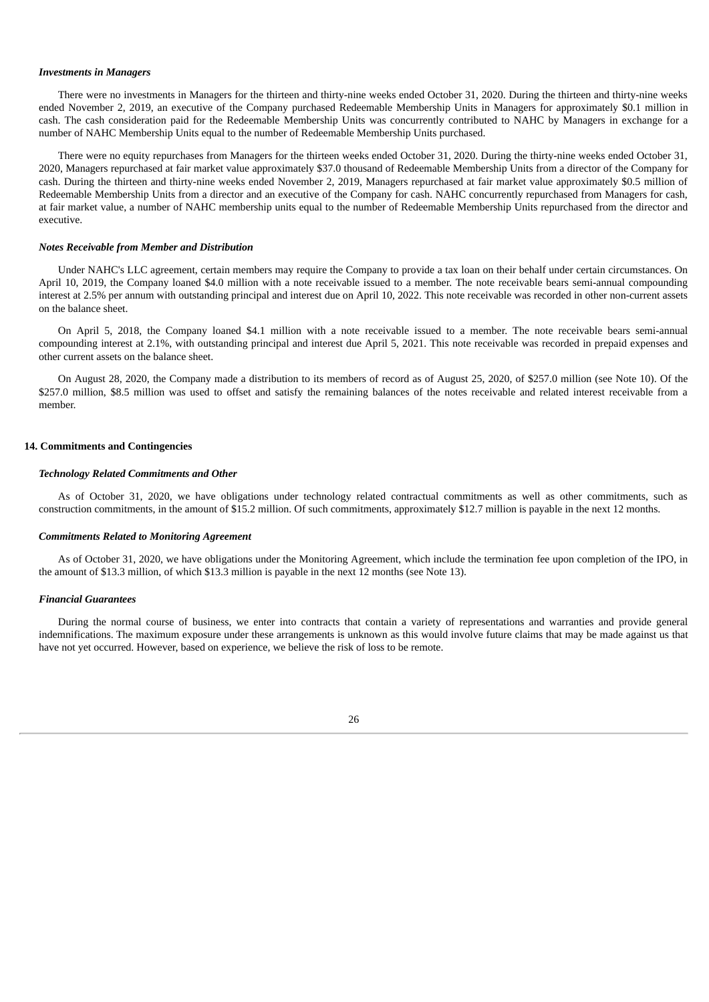#### *Investments in Managers*

There were no investments in Managers for the thirteen and thirty-nine weeks ended October 31, 2020. During the thirteen and thirty-nine weeks ended November 2, 2019, an executive of the Company purchased Redeemable Membership Units in Managers for approximately \$0.1 million in cash. The cash consideration paid for the Redeemable Membership Units was concurrently contributed to NAHC by Managers in exchange for a number of NAHC Membership Units equal to the number of Redeemable Membership Units purchased.

There were no equity repurchases from Managers for the thirteen weeks ended October 31, 2020. During the thirty-nine weeks ended October 31, 2020, Managers repurchased at fair market value approximately \$37.0 thousand of Redeemable Membership Units from a director of the Company for cash. During the thirteen and thirty-nine weeks ended November 2, 2019, Managers repurchased at fair market value approximately \$0.5 million of Redeemable Membership Units from a director and an executive of the Company for cash. NAHC concurrently repurchased from Managers for cash, at fair market value, a number of NAHC membership units equal to the number of Redeemable Membership Units repurchased from the director and executive.

#### *Notes Receivable from Member and Distribution*

Under NAHC's LLC agreement, certain members may require the Company to provide a tax loan on their behalf under certain circumstances. On April 10, 2019, the Company loaned \$4.0 million with a note receivable issued to a member. The note receivable bears semi-annual compounding interest at 2.5% per annum with outstanding principal and interest due on April 10, 2022. This note receivable was recorded in other non-current assets on the balance sheet.

On April 5, 2018, the Company loaned \$4.1 million with a note receivable issued to a member. The note receivable bears semi-annual compounding interest at 2.1%, with outstanding principal and interest due April 5, 2021. This note receivable was recorded in prepaid expenses and other current assets on the balance sheet.

On August 28, 2020, the Company made a distribution to its members of record as of August 25, 2020, of \$257.0 million (see Note 10). Of the \$257.0 million, \$8.5 million was used to offset and satisfy the remaining balances of the notes receivable and related interest receivable from a member.

#### **14. Commitments and Contingencies**

#### *Technology Related Commitments and Other*

As of October 31, 2020, we have obligations under technology related contractual commitments as well as other commitments, such as construction commitments, in the amount of \$15.2 million. Of such commitments, approximately \$12.7 million is payable in the next 12 months.

#### *Commitments Related to Monitoring Agreement*

As of October 31, 2020, we have obligations under the Monitoring Agreement, which include the termination fee upon completion of the IPO, in the amount of \$13.3 million, of which \$13.3 million is payable in the next 12 months (see Note 13).

#### *Financial Guarantees*

During the normal course of business, we enter into contracts that contain a variety of representations and warranties and provide general indemnifications. The maximum exposure under these arrangements is unknown as this would involve future claims that may be made against us that have not yet occurred. However, based on experience, we believe the risk of loss to be remote.

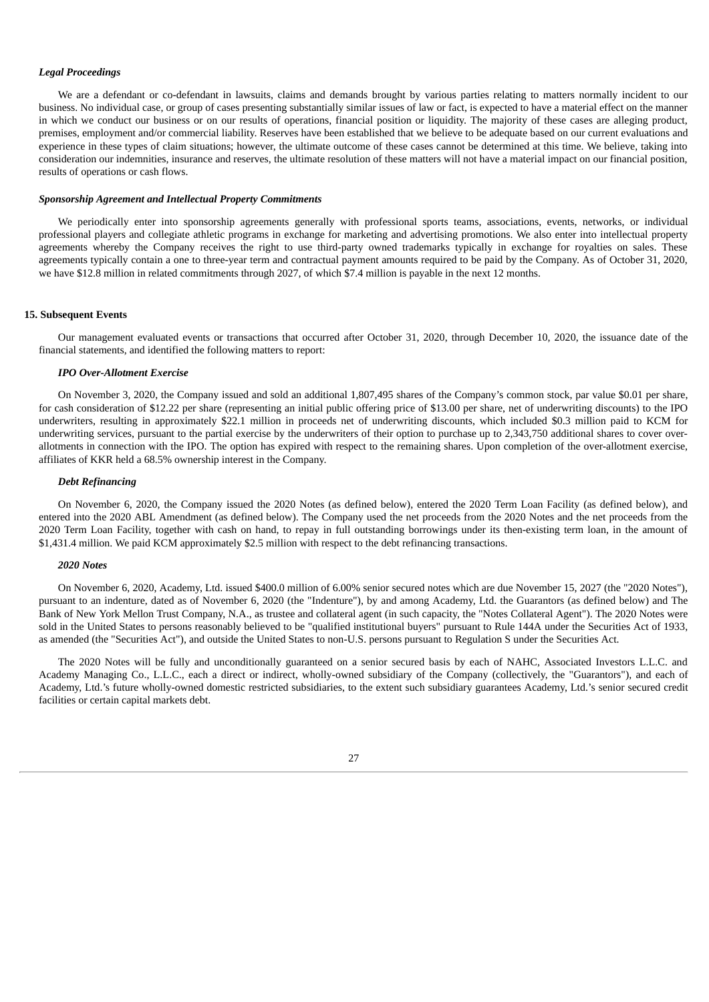#### *Legal Proceedings*

We are a defendant or co-defendant in lawsuits, claims and demands brought by various parties relating to matters normally incident to our business. No individual case, or group of cases presenting substantially similar issues of law or fact, is expected to have a material effect on the manner in which we conduct our business or on our results of operations, financial position or liquidity. The majority of these cases are alleging product, premises, employment and/or commercial liability. Reserves have been established that we believe to be adequate based on our current evaluations and experience in these types of claim situations; however, the ultimate outcome of these cases cannot be determined at this time. We believe, taking into consideration our indemnities, insurance and reserves, the ultimate resolution of these matters will not have a material impact on our financial position, results of operations or cash flows.

#### *Sponsorship Agreement and Intellectual Property Commitments*

We periodically enter into sponsorship agreements generally with professional sports teams, associations, events, networks, or individual professional players and collegiate athletic programs in exchange for marketing and advertising promotions. We also enter into intellectual property agreements whereby the Company receives the right to use third-party owned trademarks typically in exchange for royalties on sales. These agreements typically contain a one to three-year term and contractual payment amounts required to be paid by the Company. As of October 31, 2020, we have \$12.8 million in related commitments through 2027, of which \$7.4 million is payable in the next 12 months.

#### **15. Subsequent Events**

Our management evaluated events or transactions that occurred after October 31, 2020, through December 10, 2020, the issuance date of the financial statements, and identified the following matters to report:

#### *IPO Over-Allotment Exercise*

On November 3, 2020, the Company issued and sold an additional 1,807,495 shares of the Company's common stock, par value \$0.01 per share, for cash consideration of \$12.22 per share (representing an initial public offering price of \$13.00 per share, net of underwriting discounts) to the IPO underwriters, resulting in approximately \$22.1 million in proceeds net of underwriting discounts, which included \$0.3 million paid to KCM for underwriting services, pursuant to the partial exercise by the underwriters of their option to purchase up to 2,343,750 additional shares to cover overallotments in connection with the IPO. The option has expired with respect to the remaining shares. Upon completion of the over-allotment exercise, affiliates of KKR held a 68.5% ownership interest in the Company.

#### *Debt Refinancing*

On November 6, 2020, the Company issued the 2020 Notes (as defined below), entered the 2020 Term Loan Facility (as defined below), and entered into the 2020 ABL Amendment (as defined below). The Company used the net proceeds from the 2020 Notes and the net proceeds from the 2020 Term Loan Facility, together with cash on hand, to repay in full outstanding borrowings under its then-existing term loan, in the amount of \$1,431.4 million. We paid KCM approximately \$2.5 million with respect to the debt refinancing transactions.

### *2020 Notes*

On November 6, 2020, Academy, Ltd. issued \$400.0 million of 6.00% senior secured notes which are due November 15, 2027 (the "2020 Notes"), pursuant to an indenture, dated as of November 6, 2020 (the "Indenture"), by and among Academy, Ltd. the Guarantors (as defined below) and The Bank of New York Mellon Trust Company, N.A., as trustee and collateral agent (in such capacity, the "Notes Collateral Agent"). The 2020 Notes were sold in the United States to persons reasonably believed to be "qualified institutional buyers" pursuant to Rule 144A under the Securities Act of 1933, as amended (the "Securities Act"), and outside the United States to non-U.S. persons pursuant to Regulation S under the Securities Act.

The 2020 Notes will be fully and unconditionally guaranteed on a senior secured basis by each of NAHC, Associated Investors L.L.C. and Academy Managing Co., L.L.C., each a direct or indirect, wholly-owned subsidiary of the Company (collectively, the "Guarantors"), and each of Academy, Ltd.'s future wholly-owned domestic restricted subsidiaries, to the extent such subsidiary guarantees Academy, Ltd.'s senior secured credit facilities or certain capital markets debt.

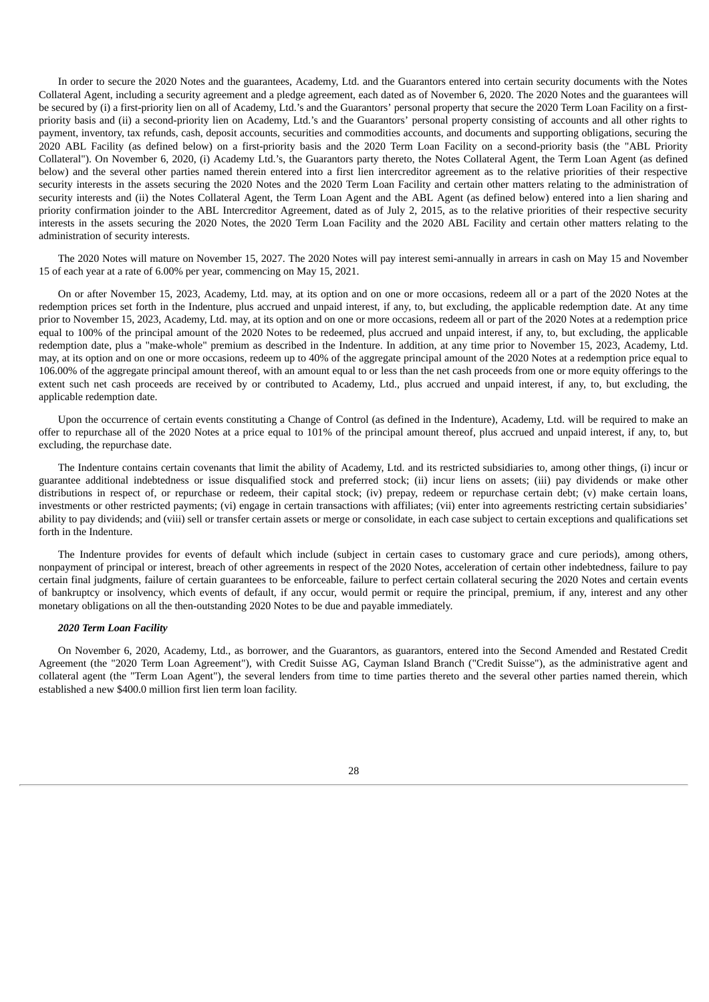In order to secure the 2020 Notes and the guarantees, Academy, Ltd. and the Guarantors entered into certain security documents with the Notes Collateral Agent, including a security agreement and a pledge agreement, each dated as of November 6, 2020. The 2020 Notes and the guarantees will be secured by (i) a first-priority lien on all of Academy, Ltd.'s and the Guarantors' personal property that secure the 2020 Term Loan Facility on a firstpriority basis and (ii) a second-priority lien on Academy, Ltd.'s and the Guarantors' personal property consisting of accounts and all other rights to payment, inventory, tax refunds, cash, deposit accounts, securities and commodities accounts, and documents and supporting obligations, securing the 2020 ABL Facility (as defined below) on a first-priority basis and the 2020 Term Loan Facility on a second-priority basis (the "ABL Priority Collateral"). On November 6, 2020, (i) Academy Ltd.'s, the Guarantors party thereto, the Notes Collateral Agent, the Term Loan Agent (as defined below) and the several other parties named therein entered into a first lien intercreditor agreement as to the relative priorities of their respective security interests in the assets securing the 2020 Notes and the 2020 Term Loan Facility and certain other matters relating to the administration of security interests and (ii) the Notes Collateral Agent, the Term Loan Agent and the ABL Agent (as defined below) entered into a lien sharing and priority confirmation joinder to the ABL Intercreditor Agreement, dated as of July 2, 2015, as to the relative priorities of their respective security interests in the assets securing the 2020 Notes, the 2020 Term Loan Facility and the 2020 ABL Facility and certain other matters relating to the administration of security interests.

The 2020 Notes will mature on November 15, 2027. The 2020 Notes will pay interest semi-annually in arrears in cash on May 15 and November 15 of each year at a rate of 6.00% per year, commencing on May 15, 2021.

On or after November 15, 2023, Academy, Ltd. may, at its option and on one or more occasions, redeem all or a part of the 2020 Notes at the redemption prices set forth in the Indenture, plus accrued and unpaid interest, if any, to, but excluding, the applicable redemption date. At any time prior to November 15, 2023, Academy, Ltd. may, at its option and on one or more occasions, redeem all or part of the 2020 Notes at a redemption price equal to 100% of the principal amount of the 2020 Notes to be redeemed, plus accrued and unpaid interest, if any, to, but excluding, the applicable redemption date, plus a "make-whole" premium as described in the Indenture. In addition, at any time prior to November 15, 2023, Academy, Ltd. may, at its option and on one or more occasions, redeem up to 40% of the aggregate principal amount of the 2020 Notes at a redemption price equal to 106.00% of the aggregate principal amount thereof, with an amount equal to or less than the net cash proceeds from one or more equity offerings to the extent such net cash proceeds are received by or contributed to Academy, Ltd., plus accrued and unpaid interest, if any, to, but excluding, the applicable redemption date.

Upon the occurrence of certain events constituting a Change of Control (as defined in the Indenture), Academy, Ltd. will be required to make an offer to repurchase all of the 2020 Notes at a price equal to 101% of the principal amount thereof, plus accrued and unpaid interest, if any, to, but excluding, the repurchase date.

The Indenture contains certain covenants that limit the ability of Academy, Ltd. and its restricted subsidiaries to, among other things, (i) incur or guarantee additional indebtedness or issue disqualified stock and preferred stock; (ii) incur liens on assets; (iii) pay dividends or make other distributions in respect of, or repurchase or redeem, their capital stock; (iv) prepay, redeem or repurchase certain debt; (v) make certain loans, investments or other restricted payments; (vi) engage in certain transactions with affiliates; (vii) enter into agreements restricting certain subsidiaries' ability to pay dividends; and (viii) sell or transfer certain assets or merge or consolidate, in each case subject to certain exceptions and qualifications set forth in the Indenture.

The Indenture provides for events of default which include (subject in certain cases to customary grace and cure periods), among others, nonpayment of principal or interest, breach of other agreements in respect of the 2020 Notes, acceleration of certain other indebtedness, failure to pay certain final judgments, failure of certain guarantees to be enforceable, failure to perfect certain collateral securing the 2020 Notes and certain events of bankruptcy or insolvency, which events of default, if any occur, would permit or require the principal, premium, if any, interest and any other monetary obligations on all the then-outstanding 2020 Notes to be due and payable immediately.

#### *2020 Term Loan Facility*

On November 6, 2020, Academy, Ltd., as borrower, and the Guarantors, as guarantors, entered into the Second Amended and Restated Credit Agreement (the "2020 Term Loan Agreement"), with Credit Suisse AG, Cayman Island Branch ("Credit Suisse"), as the administrative agent and collateral agent (the "Term Loan Agent"), the several lenders from time to time parties thereto and the several other parties named therein, which established a new \$400.0 million first lien term loan facility.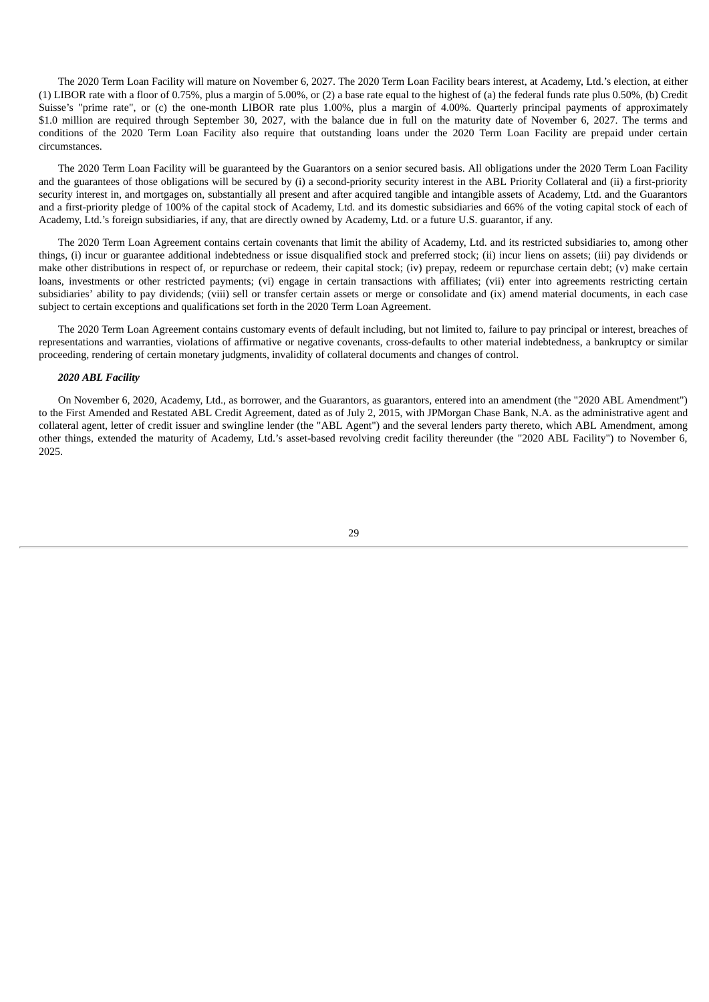The 2020 Term Loan Facility will mature on November 6, 2027. The 2020 Term Loan Facility bears interest, at Academy, Ltd.'s election, at either (1) LIBOR rate with a floor of 0.75%, plus a margin of 5.00%, or (2) a base rate equal to the highest of (a) the federal funds rate plus 0.50%, (b) Credit Suisse's "prime rate", or (c) the one-month LIBOR rate plus 1.00%, plus a margin of 4.00%. Quarterly principal payments of approximately \$1.0 million are required through September 30, 2027, with the balance due in full on the maturity date of November 6, 2027. The terms and conditions of the 2020 Term Loan Facility also require that outstanding loans under the 2020 Term Loan Facility are prepaid under certain circumstances.

The 2020 Term Loan Facility will be guaranteed by the Guarantors on a senior secured basis. All obligations under the 2020 Term Loan Facility and the guarantees of those obligations will be secured by (i) a second-priority security interest in the ABL Priority Collateral and (ii) a first-priority security interest in, and mortgages on, substantially all present and after acquired tangible and intangible assets of Academy, Ltd. and the Guarantors and a first-priority pledge of 100% of the capital stock of Academy, Ltd. and its domestic subsidiaries and 66% of the voting capital stock of each of Academy, Ltd.'s foreign subsidiaries, if any, that are directly owned by Academy, Ltd. or a future U.S. guarantor, if any.

The 2020 Term Loan Agreement contains certain covenants that limit the ability of Academy, Ltd. and its restricted subsidiaries to, among other things, (i) incur or guarantee additional indebtedness or issue disqualified stock and preferred stock; (ii) incur liens on assets; (iii) pay dividends or make other distributions in respect of, or repurchase or redeem, their capital stock; (iv) prepay, redeem or repurchase certain debt; (v) make certain loans, investments or other restricted payments; (vi) engage in certain transactions with affiliates; (vii) enter into agreements restricting certain subsidiaries' ability to pay dividends; (viii) sell or transfer certain assets or merge or consolidate and (ix) amend material documents, in each case subject to certain exceptions and qualifications set forth in the 2020 Term Loan Agreement.

The 2020 Term Loan Agreement contains customary events of default including, but not limited to, failure to pay principal or interest, breaches of representations and warranties, violations of affirmative or negative covenants, cross-defaults to other material indebtedness, a bankruptcy or similar proceeding, rendering of certain monetary judgments, invalidity of collateral documents and changes of control.

#### *2020 ABL Facility*

<span id="page-28-0"></span>On November 6, 2020, Academy, Ltd., as borrower, and the Guarantors, as guarantors, entered into an amendment (the "2020 ABL Amendment") to the First Amended and Restated ABL Credit Agreement, dated as of July 2, 2015, with JPMorgan Chase Bank, N.A. as the administrative agent and collateral agent, letter of credit issuer and swingline lender (the "ABL Agent") and the several lenders party thereto, which ABL Amendment, among other things, extended the maturity of Academy, Ltd.'s asset-based revolving credit facility thereunder (the "2020 ABL Facility") to November 6, 2025.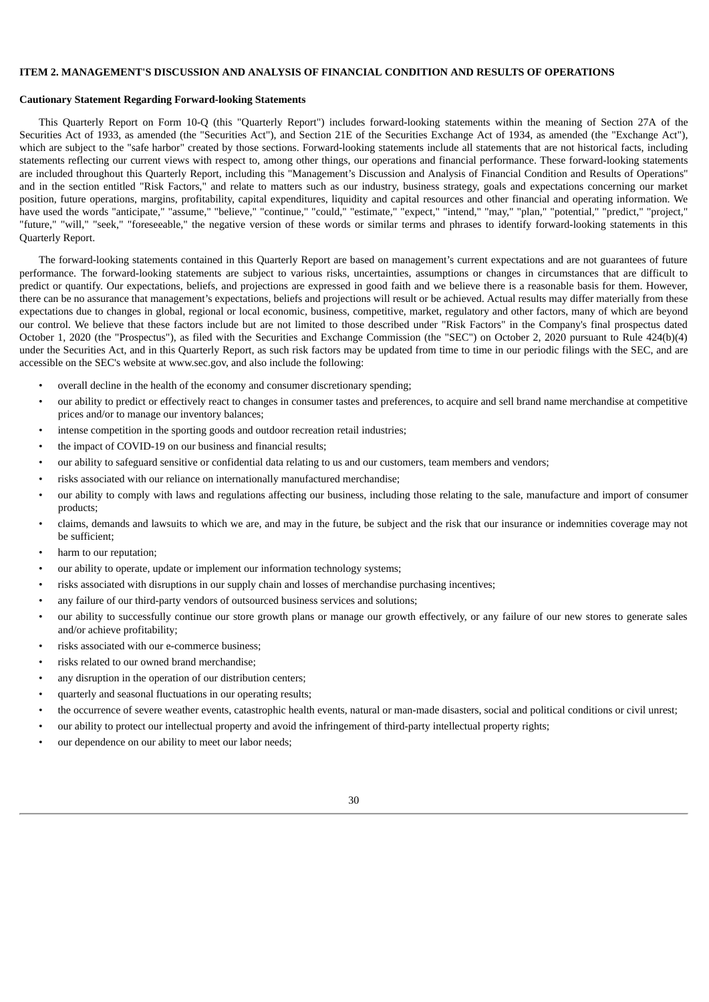## **ITEM 2. MANAGEMENT'S DISCUSSION AND ANALYSIS OF FINANCIAL CONDITION AND RESULTS OF OPERATIONS**

#### **Cautionary Statement Regarding Forward-looking Statements**

This Quarterly Report on Form 10-Q (this "Quarterly Report") includes forward-looking statements within the meaning of Section 27A of the Securities Act of 1933, as amended (the "Securities Act"), and Section 21E of the Securities Exchange Act of 1934, as amended (the "Exchange Act"), which are subject to the "safe harbor" created by those sections. Forward-looking statements include all statements that are not historical facts, including statements reflecting our current views with respect to, among other things, our operations and financial performance. These forward-looking statements are included throughout this Quarterly Report, including this "Management's Discussion and Analysis of Financial Condition and Results of Operations" and in the section entitled "Risk Factors," and relate to matters such as our industry, business strategy, goals and expectations concerning our market position, future operations, margins, profitability, capital expenditures, liquidity and capital resources and other financial and operating information. We have used the words "anticipate," "assume," "believe," "continue," "could," "estimate," "expect," "intend," "may," "plan," "potential," "predict," "project," "future," "will," "seek," "foreseeable," the negative version of these words or similar terms and phrases to identify forward-looking statements in this Quarterly Report.

The forward-looking statements contained in this Quarterly Report are based on management's current expectations and are not guarantees of future performance. The forward-looking statements are subject to various risks, uncertainties, assumptions or changes in circumstances that are difficult to predict or quantify. Our expectations, beliefs, and projections are expressed in good faith and we believe there is a reasonable basis for them. However, there can be no assurance that management's expectations, beliefs and projections will result or be achieved. Actual results may differ materially from these expectations due to changes in global, regional or local economic, business, competitive, market, regulatory and other factors, many of which are beyond our control. We believe that these factors include but are not limited to those described under "Risk Factors" in the Company's final prospectus dated October 1, 2020 (the "Prospectus"), as filed with the Securities and Exchange Commission (the "SEC") on October 2, 2020 pursuant to Rule 424(b)(4) under the Securities Act, and in this Quarterly Report, as such risk factors may be updated from time to time in our periodic filings with the SEC, and are accessible on the SEC's website at www.sec.gov, and also include the following:

- overall decline in the health of the economy and consumer discretionary spending;
- our ability to predict or effectively react to changes in consumer tastes and preferences, to acquire and sell brand name merchandise at competitive prices and/or to manage our inventory balances;
- intense competition in the sporting goods and outdoor recreation retail industries;
- the impact of COVID-19 on our business and financial results;
- our ability to safeguard sensitive or confidential data relating to us and our customers, team members and vendors;
- risks associated with our reliance on internationally manufactured merchandise;
- our ability to comply with laws and regulations affecting our business, including those relating to the sale, manufacture and import of consumer products;
- claims, demands and lawsuits to which we are, and may in the future, be subject and the risk that our insurance or indemnities coverage may not be sufficient;
- harm to our reputation;
- our ability to operate, update or implement our information technology systems;
- risks associated with disruptions in our supply chain and losses of merchandise purchasing incentives;
- any failure of our third-party vendors of outsourced business services and solutions;
- our ability to successfully continue our store growth plans or manage our growth effectively, or any failure of our new stores to generate sales and/or achieve profitability;
- risks associated with our e-commerce business;
- risks related to our owned brand merchandise;
- any disruption in the operation of our distribution centers;
- quarterly and seasonal fluctuations in our operating results;
- the occurrence of severe weather events, catastrophic health events, natural or man-made disasters, social and political conditions or civil unrest;
- our ability to protect our intellectual property and avoid the infringement of third-party intellectual property rights;
- our dependence on our ability to meet our labor needs;
- 30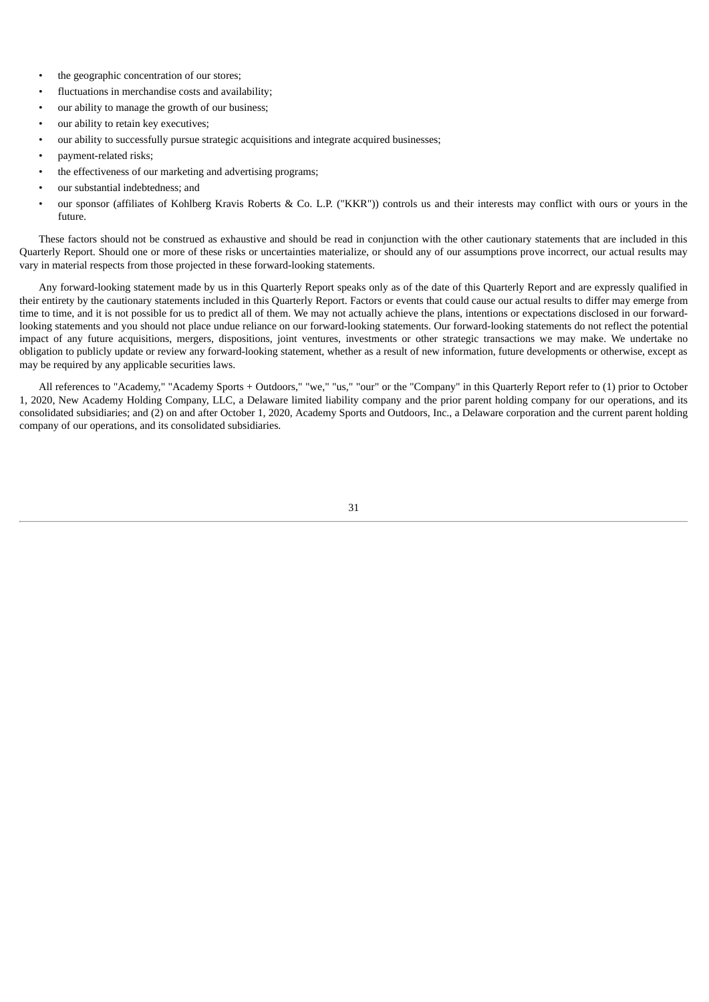- the geographic concentration of our stores;
- fluctuations in merchandise costs and availability;
- our ability to manage the growth of our business;
- our ability to retain key executives;
- our ability to successfully pursue strategic acquisitions and integrate acquired businesses;
- payment-related risks;
- the effectiveness of our marketing and advertising programs;
- our substantial indebtedness; and
- our sponsor (affiliates of Kohlberg Kravis Roberts & Co. L.P. ("KKR")) controls us and their interests may conflict with ours or yours in the future.

These factors should not be construed as exhaustive and should be read in conjunction with the other cautionary statements that are included in this Quarterly Report. Should one or more of these risks or uncertainties materialize, or should any of our assumptions prove incorrect, our actual results may vary in material respects from those projected in these forward-looking statements.

Any forward-looking statement made by us in this Quarterly Report speaks only as of the date of this Quarterly Report and are expressly qualified in their entirety by the cautionary statements included in this Quarterly Report. Factors or events that could cause our actual results to differ may emerge from time to time, and it is not possible for us to predict all of them. We may not actually achieve the plans, intentions or expectations disclosed in our forwardlooking statements and you should not place undue reliance on our forward-looking statements. Our forward-looking statements do not reflect the potential impact of any future acquisitions, mergers, dispositions, joint ventures, investments or other strategic transactions we may make. We undertake no obligation to publicly update or review any forward-looking statement, whether as a result of new information, future developments or otherwise, except as may be required by any applicable securities laws.

All references to "Academy," "Academy Sports + Outdoors," "we," "us," "our" or the "Company" in this Quarterly Report refer to (1) prior to October 1, 2020, New Academy Holding Company, LLC, a Delaware limited liability company and the prior parent holding company for our operations, and its consolidated subsidiaries; and (2) on and after October 1, 2020, Academy Sports and Outdoors, Inc., a Delaware corporation and the current parent holding company of our operations, and its consolidated subsidiaries.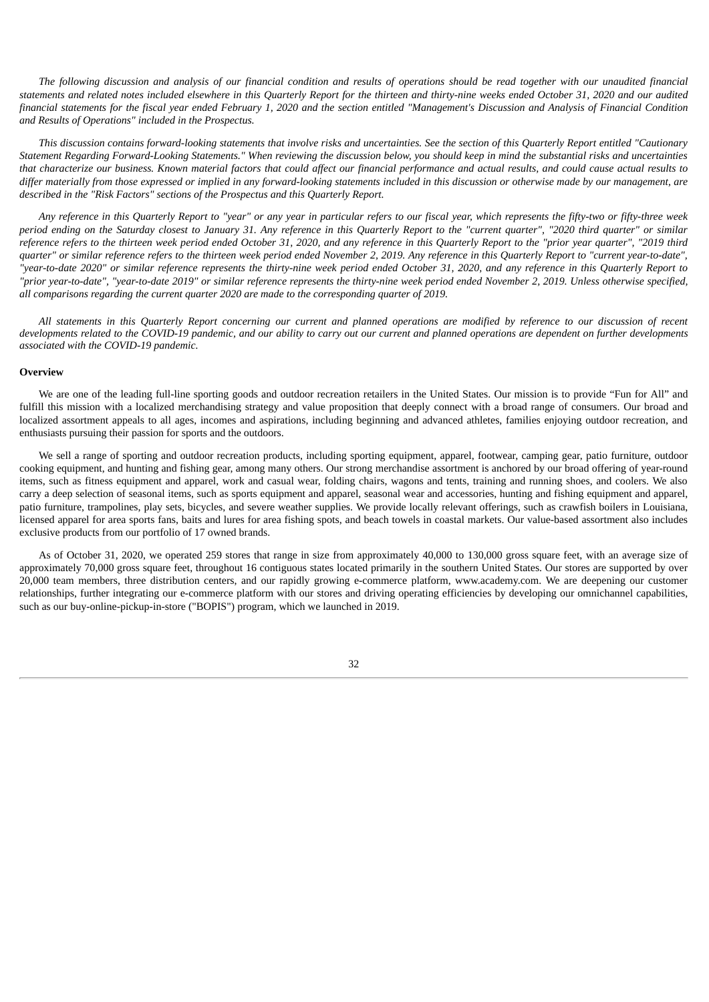The following discussion and analysis of our financial condition and results of operations should be read together with our unaudited financial statements and related notes included elsewhere in this Quarterly Report for the thirteen and thirty-nine weeks ended October 31, 2020 and our audited financial statements for the fiscal year ended February 1, 2020 and the section entitled "Management's Discussion and Analysis of Financial Condition *and Results of Operations" included in the Prospectus.*

This discussion contains forward-looking statements that involve risks and uncertainties. See the section of this Quarterly Report entitled "Cautionary Statement Regarding Forward-Looking Statements." When reviewing the discussion below, you should keep in mind the substantial risks and uncertainties that characterize our business. Known material factors that could affect our financial performance and actual results, and could cause actual results to differ materially from those expressed or implied in any forward-looking statements included in this discussion or otherwise made by our management, are *described in the "Risk Factors" sections of the Prospectus and this Quarterly Report.*

Any reference in this Quarterly Report to "year" or any year in particular refers to our fiscal year, which represents the fifty-two or fifty-three week period ending on the Saturday closest to January 31. Any reference in this Quarterly Report to the "current quarter", "2020 third quarter" or similar reference refers to the thirteen week period ended October 31, 2020, and any reference in this Quarterly Report to the "prior year quarter", "2019 third quarter" or similar reference refers to the thirteen week period ended November 2, 2019. Any reference in this Quarterly Report to "current year-to-date", "year-to-date 2020" or similar reference represents the thirty-nine week period ended October 31, 2020, and any reference in this Quarterly Report to "prior year-to-date", "year-to-date 2019" or similar reference represents the thirty-nine week period ended November 2, 2019. Unless otherwise specified, *all comparisons regarding the current quarter 2020 are made to the corresponding quarter of 2019.*

All statements in this Quarterly Report concerning our current and planned operations are modified by reference to our discussion of recent developments related to the COVID-19 pandemic, and our ability to carry out our current and planned operations are dependent on further developments *associated with the COVID-19 pandemic.*

## **Overview**

We are one of the leading full-line sporting goods and outdoor recreation retailers in the United States. Our mission is to provide "Fun for All" and fulfill this mission with a localized merchandising strategy and value proposition that deeply connect with a broad range of consumers. Our broad and localized assortment appeals to all ages, incomes and aspirations, including beginning and advanced athletes, families enjoying outdoor recreation, and enthusiasts pursuing their passion for sports and the outdoors.

We sell a range of sporting and outdoor recreation products, including sporting equipment, apparel, footwear, camping gear, patio furniture, outdoor cooking equipment, and hunting and fishing gear, among many others. Our strong merchandise assortment is anchored by our broad offering of year-round items, such as fitness equipment and apparel, work and casual wear, folding chairs, wagons and tents, training and running shoes, and coolers. We also carry a deep selection of seasonal items, such as sports equipment and apparel, seasonal wear and accessories, hunting and fishing equipment and apparel, patio furniture, trampolines, play sets, bicycles, and severe weather supplies. We provide locally relevant offerings, such as crawfish boilers in Louisiana, licensed apparel for area sports fans, baits and lures for area fishing spots, and beach towels in coastal markets. Our value-based assortment also includes exclusive products from our portfolio of 17 owned brands.

As of October 31, 2020, we operated 259 stores that range in size from approximately 40,000 to 130,000 gross square feet, with an average size of approximately 70,000 gross square feet, throughout 16 contiguous states located primarily in the southern United States. Our stores are supported by over 20,000 team members, three distribution centers, and our rapidly growing e-commerce platform, www.academy.com. We are deepening our customer relationships, further integrating our e-commerce platform with our stores and driving operating efficiencies by developing our omnichannel capabilities, such as our buy-online-pickup-in-store ("BOPIS") program, which we launched in 2019.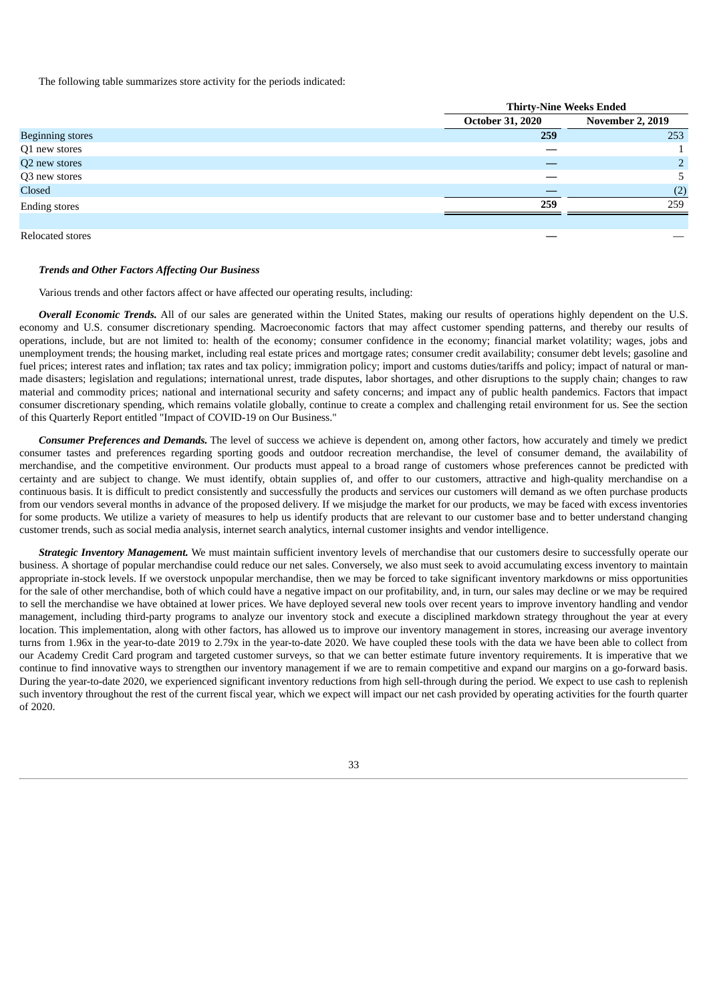The following table summarizes store activity for the periods indicated:

|                         |                         | <b>Thirty-Nine Weeks Ended</b> |  |  |
|-------------------------|-------------------------|--------------------------------|--|--|
|                         | <b>October 31, 2020</b> | <b>November 2, 2019</b>        |  |  |
| <b>Beginning stores</b> | 259                     | 253                            |  |  |
| Q1 new stores           |                         |                                |  |  |
| Q2 new stores           |                         |                                |  |  |
| Q3 new stores           |                         |                                |  |  |
| Closed                  |                         | (2)                            |  |  |
| <b>Ending stores</b>    | 259                     | 259                            |  |  |
|                         |                         |                                |  |  |
| Relocated stores        |                         |                                |  |  |

#### *Trends and Other Factors Affecting Our Business*

Various trends and other factors affect or have affected our operating results, including:

*Overall Economic Trends.* All of our sales are generated within the United States, making our results of operations highly dependent on the U.S. economy and U.S. consumer discretionary spending. Macroeconomic factors that may affect customer spending patterns, and thereby our results of operations, include, but are not limited to: health of the economy; consumer confidence in the economy; financial market volatility; wages, jobs and unemployment trends; the housing market, including real estate prices and mortgage rates; consumer credit availability; consumer debt levels; gasoline and fuel prices; interest rates and inflation; tax rates and tax policy; immigration policy; import and customs duties/tariffs and policy; impact of natural or manmade disasters; legislation and regulations; international unrest, trade disputes, labor shortages, and other disruptions to the supply chain; changes to raw material and commodity prices; national and international security and safety concerns; and impact any of public health pandemics. Factors that impact consumer discretionary spending, which remains volatile globally, continue to create a complex and challenging retail environment for us. See the section of this Quarterly Report entitled "Impact of COVID-19 on Our Business."

*Consumer Preferences and Demands.* The level of success we achieve is dependent on, among other factors, how accurately and timely we predict consumer tastes and preferences regarding sporting goods and outdoor recreation merchandise, the level of consumer demand, the availability of merchandise, and the competitive environment. Our products must appeal to a broad range of customers whose preferences cannot be predicted with certainty and are subject to change. We must identify, obtain supplies of, and offer to our customers, attractive and high-quality merchandise on a continuous basis. It is difficult to predict consistently and successfully the products and services our customers will demand as we often purchase products from our vendors several months in advance of the proposed delivery. If we misjudge the market for our products, we may be faced with excess inventories for some products. We utilize a variety of measures to help us identify products that are relevant to our customer base and to better understand changing customer trends, such as social media analysis, internet search analytics, internal customer insights and vendor intelligence.

*Strategic Inventory Management.* We must maintain sufficient inventory levels of merchandise that our customers desire to successfully operate our business. A shortage of popular merchandise could reduce our net sales. Conversely, we also must seek to avoid accumulating excess inventory to maintain appropriate in-stock levels. If we overstock unpopular merchandise, then we may be forced to take significant inventory markdowns or miss opportunities for the sale of other merchandise, both of which could have a negative impact on our profitability, and, in turn, our sales may decline or we may be required to sell the merchandise we have obtained at lower prices. We have deployed several new tools over recent years to improve inventory handling and vendor management, including third-party programs to analyze our inventory stock and execute a disciplined markdown strategy throughout the year at every location. This implementation, along with other factors, has allowed us to improve our inventory management in stores, increasing our average inventory turns from 1.96x in the year-to-date 2019 to 2.79x in the year-to-date 2020. We have coupled these tools with the data we have been able to collect from our Academy Credit Card program and targeted customer surveys, so that we can better estimate future inventory requirements. It is imperative that we continue to find innovative ways to strengthen our inventory management if we are to remain competitive and expand our margins on a go-forward basis. During the year-to-date 2020, we experienced significant inventory reductions from high sell-through during the period. We expect to use cash to replenish such inventory throughout the rest of the current fiscal year, which we expect will impact our net cash provided by operating activities for the fourth quarter of 2020.

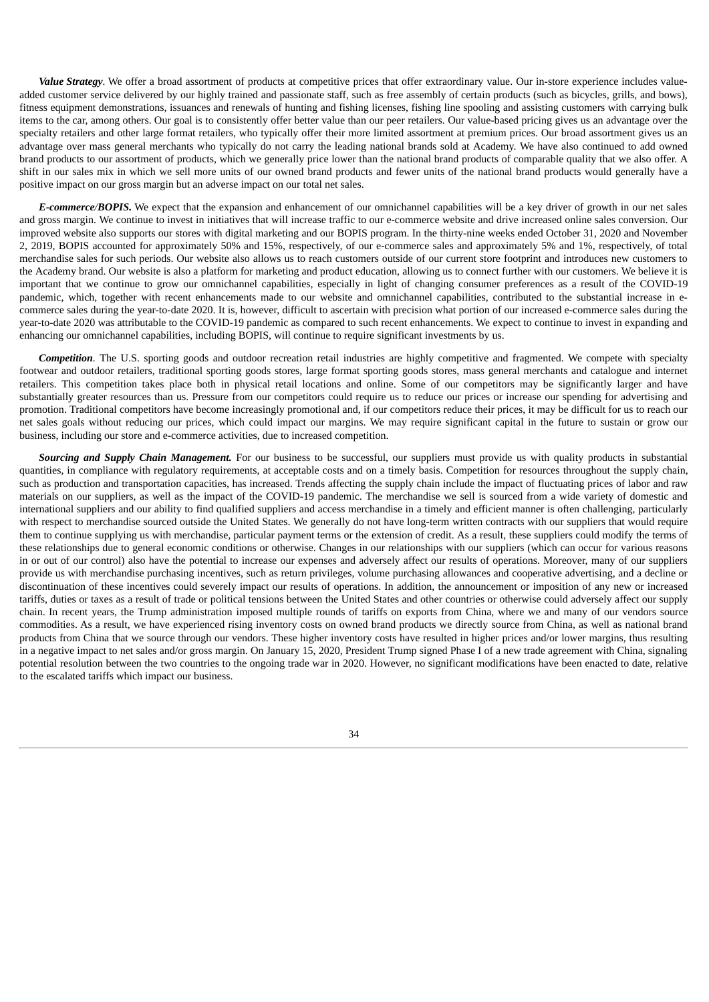*Value Strategy.* We offer a broad assortment of products at competitive prices that offer extraordinary value. Our in-store experience includes valueadded customer service delivered by our highly trained and passionate staff, such as free assembly of certain products (such as bicycles, grills, and bows), fitness equipment demonstrations, issuances and renewals of hunting and fishing licenses, fishing line spooling and assisting customers with carrying bulk items to the car, among others. Our goal is to consistently offer better value than our peer retailers. Our value-based pricing gives us an advantage over the specialty retailers and other large format retailers, who typically offer their more limited assortment at premium prices. Our broad assortment gives us an advantage over mass general merchants who typically do not carry the leading national brands sold at Academy. We have also continued to add owned brand products to our assortment of products, which we generally price lower than the national brand products of comparable quality that we also offer. A shift in our sales mix in which we sell more units of our owned brand products and fewer units of the national brand products would generally have a positive impact on our gross margin but an adverse impact on our total net sales.

*E-commerce/BOPIS.* We expect that the expansion and enhancement of our omnichannel capabilities will be a key driver of growth in our net sales and gross margin. We continue to invest in initiatives that will increase traffic to our e-commerce website and drive increased online sales conversion. Our improved website also supports our stores with digital marketing and our BOPIS program. In the thirty-nine weeks ended October 31, 2020 and November 2, 2019, BOPIS accounted for approximately 50% and 15%, respectively, of our e-commerce sales and approximately 5% and 1%, respectively, of total merchandise sales for such periods. Our website also allows us to reach customers outside of our current store footprint and introduces new customers to the Academy brand. Our website is also a platform for marketing and product education, allowing us to connect further with our customers. We believe it is important that we continue to grow our omnichannel capabilities, especially in light of changing consumer preferences as a result of the COVID-19 pandemic, which, together with recent enhancements made to our website and omnichannel capabilities, contributed to the substantial increase in ecommerce sales during the year-to-date 2020. It is, however, difficult to ascertain with precision what portion of our increased e-commerce sales during the year-to-date 2020 was attributable to the COVID-19 pandemic as compared to such recent enhancements. We expect to continue to invest in expanding and enhancing our omnichannel capabilities, including BOPIS, will continue to require significant investments by us.

*Competition.* The U.S. sporting goods and outdoor recreation retail industries are highly competitive and fragmented. We compete with specialty footwear and outdoor retailers, traditional sporting goods stores, large format sporting goods stores, mass general merchants and catalogue and internet retailers. This competition takes place both in physical retail locations and online. Some of our competitors may be significantly larger and have substantially greater resources than us. Pressure from our competitors could require us to reduce our prices or increase our spending for advertising and promotion. Traditional competitors have become increasingly promotional and, if our competitors reduce their prices, it may be difficult for us to reach our net sales goals without reducing our prices, which could impact our margins. We may require significant capital in the future to sustain or grow our business, including our store and e-commerce activities, due to increased competition.

*Sourcing and Supply Chain Management.* For our business to be successful, our suppliers must provide us with quality products in substantial quantities, in compliance with regulatory requirements, at acceptable costs and on a timely basis. Competition for resources throughout the supply chain, such as production and transportation capacities, has increased. Trends affecting the supply chain include the impact of fluctuating prices of labor and raw materials on our suppliers, as well as the impact of the COVID-19 pandemic. The merchandise we sell is sourced from a wide variety of domestic and international suppliers and our ability to find qualified suppliers and access merchandise in a timely and efficient manner is often challenging, particularly with respect to merchandise sourced outside the United States. We generally do not have long-term written contracts with our suppliers that would require them to continue supplying us with merchandise, particular payment terms or the extension of credit. As a result, these suppliers could modify the terms of these relationships due to general economic conditions or otherwise. Changes in our relationships with our suppliers (which can occur for various reasons in or out of our control) also have the potential to increase our expenses and adversely affect our results of operations. Moreover, many of our suppliers provide us with merchandise purchasing incentives, such as return privileges, volume purchasing allowances and cooperative advertising, and a decline or discontinuation of these incentives could severely impact our results of operations. In addition, the announcement or imposition of any new or increased tariffs, duties or taxes as a result of trade or political tensions between the United States and other countries or otherwise could adversely affect our supply chain. In recent years, the Trump administration imposed multiple rounds of tariffs on exports from China, where we and many of our vendors source commodities. As a result, we have experienced rising inventory costs on owned brand products we directly source from China, as well as national brand products from China that we source through our vendors. These higher inventory costs have resulted in higher prices and/or lower margins, thus resulting in a negative impact to net sales and/or gross margin. On January 15, 2020, President Trump signed Phase I of a new trade agreement with China, signaling potential resolution between the two countries to the ongoing trade war in 2020. However, no significant modifications have been enacted to date, relative to the escalated tariffs which impact our business.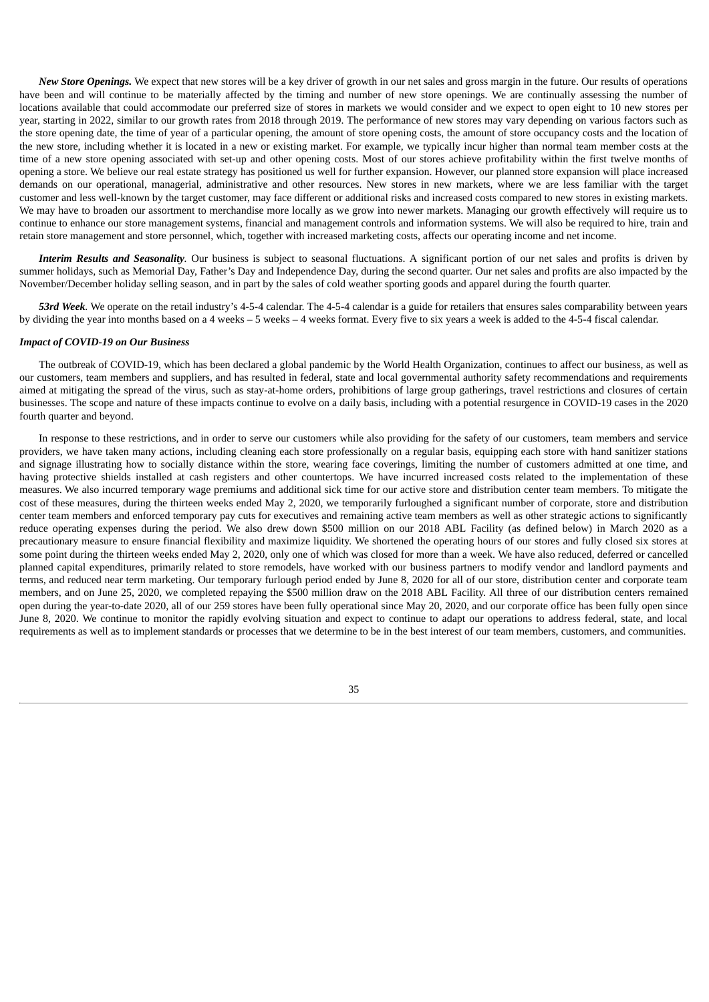*New Store Openings.* We expect that new stores will be a key driver of growth in our net sales and gross margin in the future. Our results of operations have been and will continue to be materially affected by the timing and number of new store openings. We are continually assessing the number of locations available that could accommodate our preferred size of stores in markets we would consider and we expect to open eight to 10 new stores per year, starting in 2022, similar to our growth rates from 2018 through 2019. The performance of new stores may vary depending on various factors such as the store opening date, the time of year of a particular opening, the amount of store opening costs, the amount of store occupancy costs and the location of the new store, including whether it is located in a new or existing market. For example, we typically incur higher than normal team member costs at the time of a new store opening associated with set-up and other opening costs. Most of our stores achieve profitability within the first twelve months of opening a store. We believe our real estate strategy has positioned us well for further expansion. However, our planned store expansion will place increased demands on our operational, managerial, administrative and other resources. New stores in new markets, where we are less familiar with the target customer and less well-known by the target customer, may face different or additional risks and increased costs compared to new stores in existing markets. We may have to broaden our assortment to merchandise more locally as we grow into newer markets. Managing our growth effectively will require us to continue to enhance our store management systems, financial and management controls and information systems. We will also be required to hire, train and retain store management and store personnel, which, together with increased marketing costs, affects our operating income and net income.

*Interim Results and Seasonality.* Our business is subject to seasonal fluctuations. A significant portion of our net sales and profits is driven by summer holidays, such as Memorial Day, Father's Day and Independence Day, during the second quarter. Our net sales and profits are also impacted by the November/December holiday selling season, and in part by the sales of cold weather sporting goods and apparel during the fourth quarter.

*53rd Week.* We operate on the retail industry's 4-5-4 calendar. The 4-5-4 calendar is a guide for retailers that ensures sales comparability between years by dividing the year into months based on a 4 weeks – 5 weeks – 4 weeks format. Every five to six years a week is added to the 4-5-4 fiscal calendar.

#### *Impact of COVID-19 on Our Business*

The outbreak of COVID-19, which has been declared a global pandemic by the World Health Organization, continues to affect our business, as well as our customers, team members and suppliers, and has resulted in federal, state and local governmental authority safety recommendations and requirements aimed at mitigating the spread of the virus, such as stay-at-home orders, prohibitions of large group gatherings, travel restrictions and closures of certain businesses. The scope and nature of these impacts continue to evolve on a daily basis, including with a potential resurgence in COVID-19 cases in the 2020 fourth quarter and beyond.

In response to these restrictions, and in order to serve our customers while also providing for the safety of our customers, team members and service providers, we have taken many actions, including cleaning each store professionally on a regular basis, equipping each store with hand sanitizer stations and signage illustrating how to socially distance within the store, wearing face coverings, limiting the number of customers admitted at one time, and having protective shields installed at cash registers and other countertops. We have incurred increased costs related to the implementation of these measures. We also incurred temporary wage premiums and additional sick time for our active store and distribution center team members. To mitigate the cost of these measures, during the thirteen weeks ended May 2, 2020, we temporarily furloughed a significant number of corporate, store and distribution center team members and enforced temporary pay cuts for executives and remaining active team members as well as other strategic actions to significantly reduce operating expenses during the period. We also drew down \$500 million on our 2018 ABL Facility (as defined below) in March 2020 as a precautionary measure to ensure financial flexibility and maximize liquidity. We shortened the operating hours of our stores and fully closed six stores at some point during the thirteen weeks ended May 2, 2020, only one of which was closed for more than a week. We have also reduced, deferred or cancelled planned capital expenditures, primarily related to store remodels, have worked with our business partners to modify vendor and landlord payments and terms, and reduced near term marketing. Our temporary furlough period ended by June 8, 2020 for all of our store, distribution center and corporate team members, and on June 25, 2020, we completed repaying the \$500 million draw on the 2018 ABL Facility. All three of our distribution centers remained open during the year-to-date 2020, all of our 259 stores have been fully operational since May 20, 2020, and our corporate office has been fully open since June 8, 2020. We continue to monitor the rapidly evolving situation and expect to continue to adapt our operations to address federal, state, and local requirements as well as to implement standards or processes that we determine to be in the best interest of our team members, customers, and communities.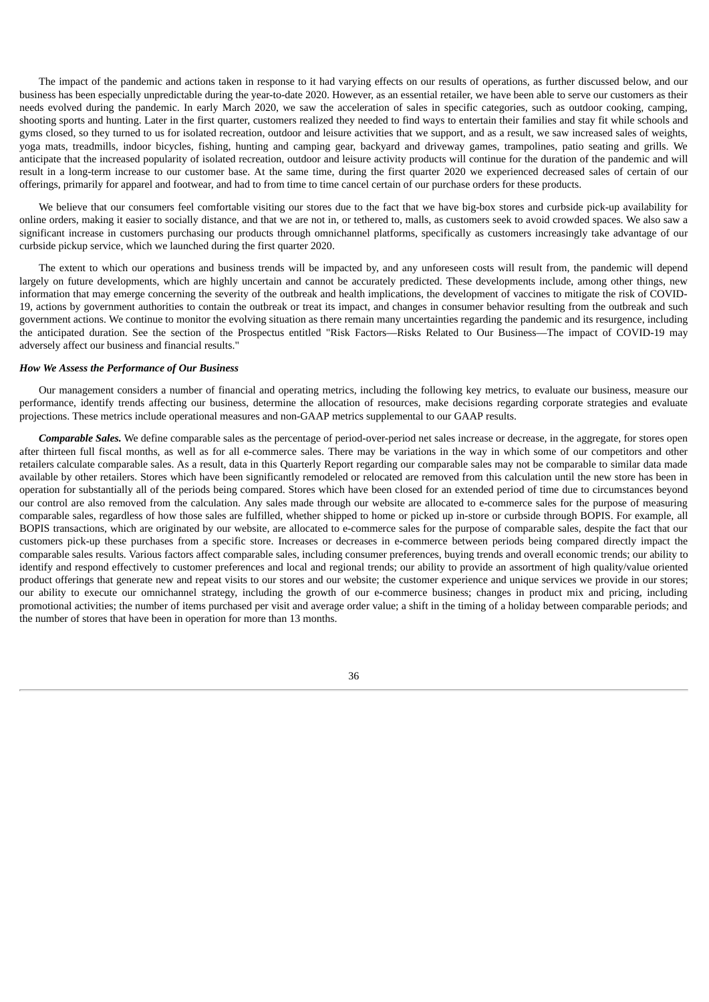The impact of the pandemic and actions taken in response to it had varying effects on our results of operations, as further discussed below, and our business has been especially unpredictable during the year-to-date 2020. However, as an essential retailer, we have been able to serve our customers as their needs evolved during the pandemic. In early March 2020, we saw the acceleration of sales in specific categories, such as outdoor cooking, camping, shooting sports and hunting. Later in the first quarter, customers realized they needed to find ways to entertain their families and stay fit while schools and gyms closed, so they turned to us for isolated recreation, outdoor and leisure activities that we support, and as a result, we saw increased sales of weights, yoga mats, treadmills, indoor bicycles, fishing, hunting and camping gear, backyard and driveway games, trampolines, patio seating and grills. We anticipate that the increased popularity of isolated recreation, outdoor and leisure activity products will continue for the duration of the pandemic and will result in a long-term increase to our customer base. At the same time, during the first quarter 2020 we experienced decreased sales of certain of our offerings, primarily for apparel and footwear, and had to from time to time cancel certain of our purchase orders for these products.

We believe that our consumers feel comfortable visiting our stores due to the fact that we have big-box stores and curbside pick-up availability for online orders, making it easier to socially distance, and that we are not in, or tethered to, malls, as customers seek to avoid crowded spaces. We also saw a significant increase in customers purchasing our products through omnichannel platforms, specifically as customers increasingly take advantage of our curbside pickup service, which we launched during the first quarter 2020.

The extent to which our operations and business trends will be impacted by, and any unforeseen costs will result from, the pandemic will depend largely on future developments, which are highly uncertain and cannot be accurately predicted. These developments include, among other things, new information that may emerge concerning the severity of the outbreak and health implications, the development of vaccines to mitigate the risk of COVID-19, actions by government authorities to contain the outbreak or treat its impact, and changes in consumer behavior resulting from the outbreak and such government actions. We continue to monitor the evolving situation as there remain many uncertainties regarding the pandemic and its resurgence, including the anticipated duration. See the section of the Prospectus entitled "Risk Factors—Risks Related to Our Business—The impact of COVID-19 may adversely affect our business and financial results."

# *How We Assess the Performance of Our Business*

Our management considers a number of financial and operating metrics, including the following key metrics, to evaluate our business, measure our performance, identify trends affecting our business, determine the allocation of resources, make decisions regarding corporate strategies and evaluate projections. These metrics include operational measures and non-GAAP metrics supplemental to our GAAP results.

*Comparable Sales.* We define comparable sales as the percentage of period-over-period net sales increase or decrease, in the aggregate, for stores open after thirteen full fiscal months, as well as for all e-commerce sales. There may be variations in the way in which some of our competitors and other retailers calculate comparable sales. As a result, data in this Quarterly Report regarding our comparable sales may not be comparable to similar data made available by other retailers. Stores which have been significantly remodeled or relocated are removed from this calculation until the new store has been in operation for substantially all of the periods being compared. Stores which have been closed for an extended period of time due to circumstances beyond our control are also removed from the calculation. Any sales made through our website are allocated to e-commerce sales for the purpose of measuring comparable sales, regardless of how those sales are fulfilled, whether shipped to home or picked up in-store or curbside through BOPIS. For example, all BOPIS transactions, which are originated by our website, are allocated to e-commerce sales for the purpose of comparable sales, despite the fact that our customers pick-up these purchases from a specific store. Increases or decreases in e-commerce between periods being compared directly impact the comparable sales results. Various factors affect comparable sales, including consumer preferences, buying trends and overall economic trends; our ability to identify and respond effectively to customer preferences and local and regional trends; our ability to provide an assortment of high quality/value oriented product offerings that generate new and repeat visits to our stores and our website; the customer experience and unique services we provide in our stores; our ability to execute our omnichannel strategy, including the growth of our e-commerce business; changes in product mix and pricing, including promotional activities; the number of items purchased per visit and average order value; a shift in the timing of a holiday between comparable periods; and the number of stores that have been in operation for more than 13 months.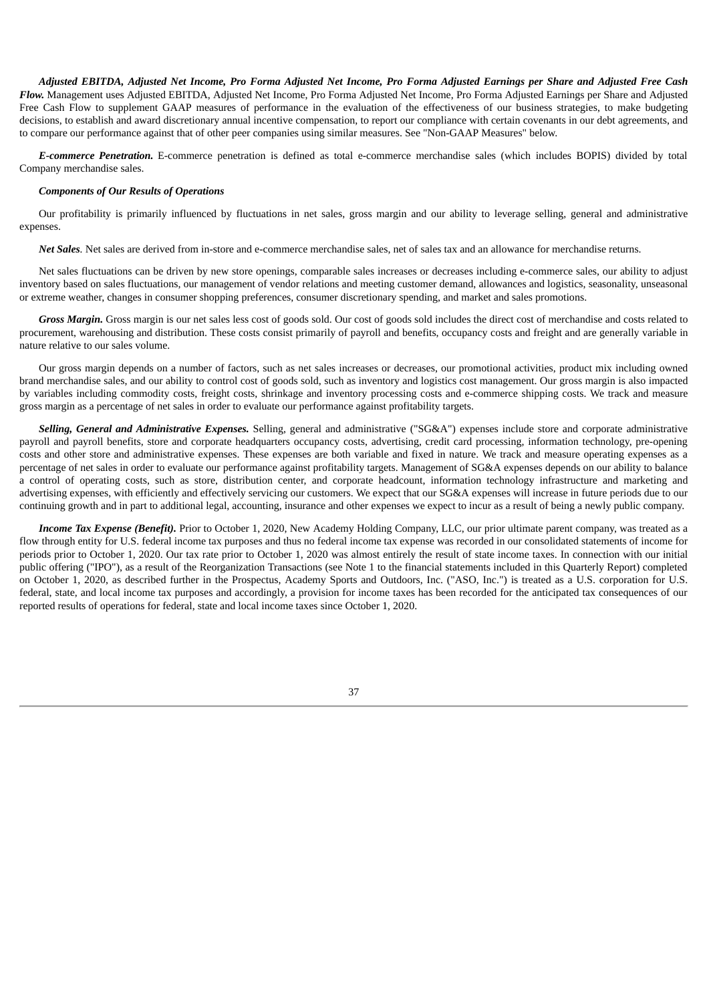Adjusted EBITDA, Adjusted Net Income, Pro Forma Adjusted Net Income, Pro Forma Adjusted Earnings per Share and Adjusted Free Cash *Flow.* Management uses Adjusted EBITDA, Adjusted Net Income, Pro Forma Adjusted Net Income, Pro Forma Adjusted Earnings per Share and Adjusted Free Cash Flow to supplement GAAP measures of performance in the evaluation of the effectiveness of our business strategies, to make budgeting decisions, to establish and award discretionary annual incentive compensation, to report our compliance with certain covenants in our debt agreements, and to compare our performance against that of other peer companies using similar measures. See "Non-GAAP Measures" below.

*E-commerce Penetration.* E-commerce penetration is defined as total e-commerce merchandise sales (which includes BOPIS) divided by total Company merchandise sales.

## *Components of Our Results of Operations*

Our profitability is primarily influenced by fluctuations in net sales, gross margin and our ability to leverage selling, general and administrative expenses.

*Net Sales.* Net sales are derived from in-store and e-commerce merchandise sales, net of sales tax and an allowance for merchandise returns.

Net sales fluctuations can be driven by new store openings, comparable sales increases or decreases including e-commerce sales, our ability to adjust inventory based on sales fluctuations, our management of vendor relations and meeting customer demand, allowances and logistics, seasonality, unseasonal or extreme weather, changes in consumer shopping preferences, consumer discretionary spending, and market and sales promotions.

*Gross Margin.* Gross margin is our net sales less cost of goods sold. Our cost of goods sold includes the direct cost of merchandise and costs related to procurement, warehousing and distribution. These costs consist primarily of payroll and benefits, occupancy costs and freight and are generally variable in nature relative to our sales volume.

Our gross margin depends on a number of factors, such as net sales increases or decreases, our promotional activities, product mix including owned brand merchandise sales, and our ability to control cost of goods sold, such as inventory and logistics cost management. Our gross margin is also impacted by variables including commodity costs, freight costs, shrinkage and inventory processing costs and e-commerce shipping costs. We track and measure gross margin as a percentage of net sales in order to evaluate our performance against profitability targets.

*Selling, General and Administrative Expenses.* Selling, general and administrative ("SG&A") expenses include store and corporate administrative payroll and payroll benefits, store and corporate headquarters occupancy costs, advertising, credit card processing, information technology, pre-opening costs and other store and administrative expenses. These expenses are both variable and fixed in nature. We track and measure operating expenses as a percentage of net sales in order to evaluate our performance against profitability targets. Management of SG&A expenses depends on our ability to balance a control of operating costs, such as store, distribution center, and corporate headcount, information technology infrastructure and marketing and advertising expenses, with efficiently and effectively servicing our customers. We expect that our SG&A expenses will increase in future periods due to our continuing growth and in part to additional legal, accounting, insurance and other expenses we expect to incur as a result of being a newly public company.

*Income Tax Expense (Benefit).* Prior to October 1, 2020, New Academy Holding Company, LLC, our prior ultimate parent company, was treated as a flow through entity for U.S. federal income tax purposes and thus no federal income tax expense was recorded in our consolidated statements of income for periods prior to October 1, 2020. Our tax rate prior to October 1, 2020 was almost entirely the result of state income taxes. In connection with our initial public offering ("IPO"), as a result of the Reorganization Transactions (see Note 1 to the financial statements included in this Quarterly Report) completed on October 1, 2020, as described further in the Prospectus, Academy Sports and Outdoors, Inc. ("ASO, Inc.") is treated as a U.S. corporation for U.S. federal, state, and local income tax purposes and accordingly, a provision for income taxes has been recorded for the anticipated tax consequences of our reported results of operations for federal, state and local income taxes since October 1, 2020.

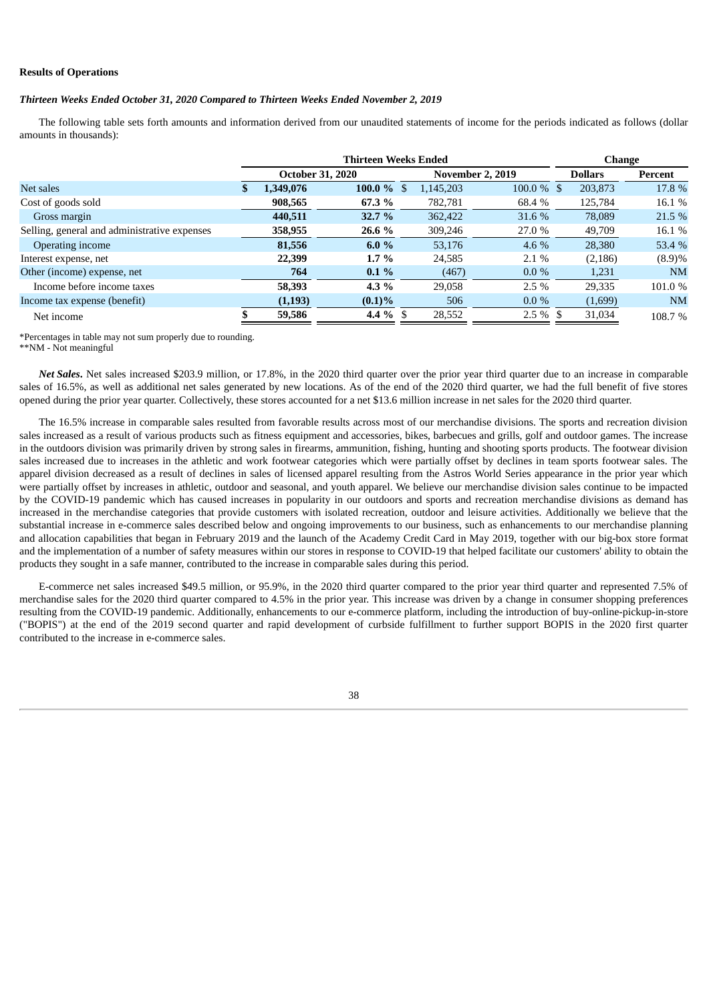#### **Results of Operations**

### *Thirteen Weeks Ended October 31, 2020 Compared to Thirteen Weeks Ended November 2, 2019*

The following table sets forth amounts and information derived from our unaudited statements of income for the periods indicated as follows (dollar amounts in thousands):

|                                              |                         | <b>Thirteen Weeks Ended</b> | Change |           |                         |  |                |           |
|----------------------------------------------|-------------------------|-----------------------------|--------|-----------|-------------------------|--|----------------|-----------|
|                                              | <b>October 31, 2020</b> |                             |        |           | <b>November 2, 2019</b> |  | <b>Dollars</b> | Percent   |
| Net sales                                    | 1,349,076               | $100.0 \%$ \$               |        | 1,145,203 | $100.0 \%$ \$           |  | 203,873        | 17.8 %    |
| Cost of goods sold                           | 908,565                 | 67.3 %                      |        | 782,781   | 68.4 %                  |  | 125,784        | 16.1 %    |
| Gross margin                                 | 440,511                 | 32.7 %                      |        | 362,422   | 31.6 %                  |  | 78,089         | 21.5 %    |
| Selling, general and administrative expenses | 358,955                 | 26.6 %                      |        | 309,246   | 27.0 %                  |  | 49,709         | 16.1 %    |
| Operating income                             | 81,556                  | 6.0%                        |        | 53,176    | 4.6 $%$                 |  | 28,380         | 53.4 %    |
| Interest expense, net                        | 22,399                  | $1.7\%$                     |        | 24,585    | 2.1%                    |  | (2, 186)       | (8.9)%    |
| Other (income) expense, net                  | 764                     | $0.1 \%$                    |        | (467)     | $0.0\%$                 |  | 1,231          | <b>NM</b> |
| Income before income taxes                   | 58,393                  | 4.3 $%$                     |        | 29,058    | $2.5\%$                 |  | 29,335         | 101.0 %   |
| Income tax expense (benefit)                 | (1, 193)                | $(0.1)\%$                   |        | 506       | $0.0\%$                 |  | (1,699)        | <b>NM</b> |
| Net income                                   | 59,586                  | 4.4 $%$ \$                  |        | 28,552    | $2.5\%$ \$              |  | 31,034         | 108.7%    |

\*Percentages in table may not sum properly due to rounding.

\*\*NM - Not meaningful

*Net Sales***.** Net sales increased \$203.9 million, or 17.8%, in the 2020 third quarter over the prior year third quarter due to an increase in comparable sales of 16.5%, as well as additional net sales generated by new locations. As of the end of the 2020 third quarter, we had the full benefit of five stores opened during the prior year quarter. Collectively, these stores accounted for a net \$13.6 million increase in net sales for the 2020 third quarter.

The 16.5% increase in comparable sales resulted from favorable results across most of our merchandise divisions. The sports and recreation division sales increased as a result of various products such as fitness equipment and accessories, bikes, barbecues and grills, golf and outdoor games. The increase in the outdoors division was primarily driven by strong sales in firearms, ammunition, fishing, hunting and shooting sports products. The footwear division sales increased due to increases in the athletic and work footwear categories which were partially offset by declines in team sports footwear sales. The apparel division decreased as a result of declines in sales of licensed apparel resulting from the Astros World Series appearance in the prior year which were partially offset by increases in athletic, outdoor and seasonal, and youth apparel. We believe our merchandise division sales continue to be impacted by the COVID-19 pandemic which has caused increases in popularity in our outdoors and sports and recreation merchandise divisions as demand has increased in the merchandise categories that provide customers with isolated recreation, outdoor and leisure activities. Additionally we believe that the substantial increase in e-commerce sales described below and ongoing improvements to our business, such as enhancements to our merchandise planning and allocation capabilities that began in February 2019 and the launch of the Academy Credit Card in May 2019, together with our big-box store format and the implementation of a number of safety measures within our stores in response to COVID-19 that helped facilitate our customers' ability to obtain the products they sought in a safe manner, contributed to the increase in comparable sales during this period.

E-commerce net sales increased \$49.5 million, or 95.9%, in the 2020 third quarter compared to the prior year third quarter and represented 7.5% of merchandise sales for the 2020 third quarter compared to 4.5% in the prior year. This increase was driven by a change in consumer shopping preferences resulting from the COVID-19 pandemic. Additionally, enhancements to our e-commerce platform, including the introduction of buy-online-pickup-in-store ("BOPIS") at the end of the 2019 second quarter and rapid development of curbside fulfillment to further support BOPIS in the 2020 first quarter contributed to the increase in e-commerce sales.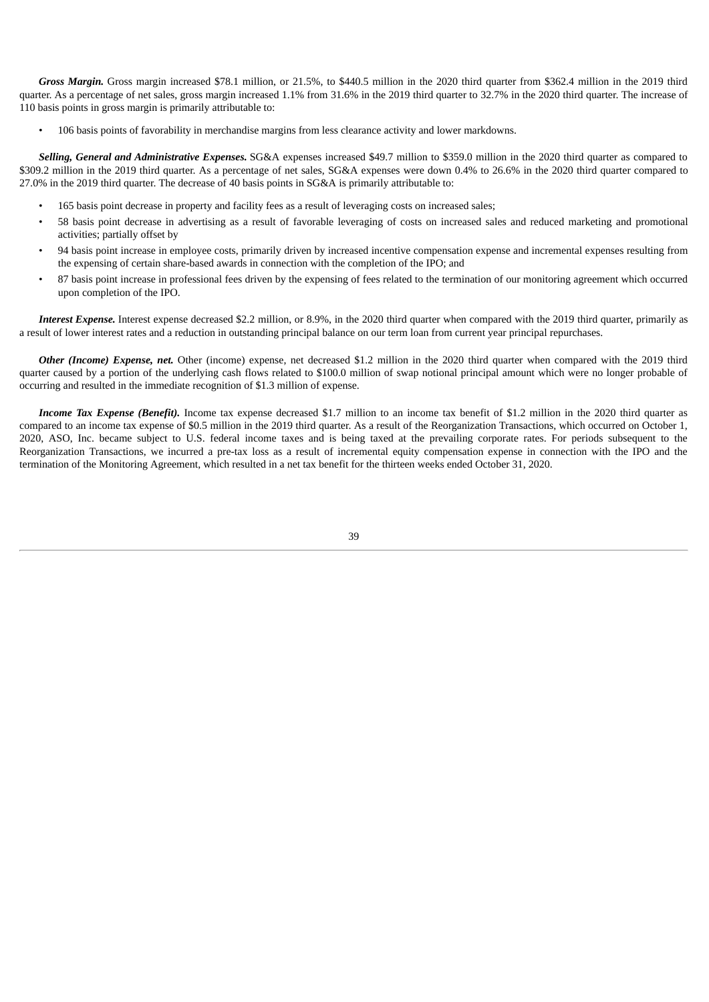*Gross Margin.* Gross margin increased \$78.1 million, or 21.5%, to \$440.5 million in the 2020 third quarter from \$362.4 million in the 2019 third quarter. As a percentage of net sales, gross margin increased 1.1% from 31.6% in the 2019 third quarter to 32.7% in the 2020 third quarter. The increase of 110 basis points in gross margin is primarily attributable to:

• 106 basis points of favorability in merchandise margins from less clearance activity and lower markdowns.

*Selling, General and Administrative Expenses.* SG&A expenses increased \$49.7 million to \$359.0 million in the 2020 third quarter as compared to \$309.2 million in the 2019 third quarter. As a percentage of net sales, SG&A expenses were down 0.4% to 26.6% in the 2020 third quarter compared to 27.0% in the 2019 third quarter. The decrease of 40 basis points in SG&A is primarily attributable to:

- 165 basis point decrease in property and facility fees as a result of leveraging costs on increased sales;
- 58 basis point decrease in advertising as a result of favorable leveraging of costs on increased sales and reduced marketing and promotional activities; partially offset by
- 94 basis point increase in employee costs, primarily driven by increased incentive compensation expense and incremental expenses resulting from the expensing of certain share-based awards in connection with the completion of the IPO; and
- 87 basis point increase in professional fees driven by the expensing of fees related to the termination of our monitoring agreement which occurred upon completion of the IPO.

*Interest Expense.* Interest expense decreased \$2.2 million, or 8.9%, in the 2020 third quarter when compared with the 2019 third quarter, primarily as a result of lower interest rates and a reduction in outstanding principal balance on our term loan from current year principal repurchases.

*Other (Income) Expense, net.* Other (income) expense, net decreased \$1.2 million in the 2020 third quarter when compared with the 2019 third quarter caused by a portion of the underlying cash flows related to \$100.0 million of swap notional principal amount which were no longer probable of occurring and resulted in the immediate recognition of \$1.3 million of expense.

*Income Tax Expense (Benefit).* Income tax expense decreased \$1.7 million to an income tax benefit of \$1.2 million in the 2020 third quarter as compared to an income tax expense of \$0.5 million in the 2019 third quarter. As a result of the Reorganization Transactions, which occurred on October 1, 2020, ASO, Inc. became subject to U.S. federal income taxes and is being taxed at the prevailing corporate rates. For periods subsequent to the Reorganization Transactions, we incurred a pre-tax loss as a result of incremental equity compensation expense in connection with the IPO and the termination of the Monitoring Agreement, which resulted in a net tax benefit for the thirteen weeks ended October 31, 2020.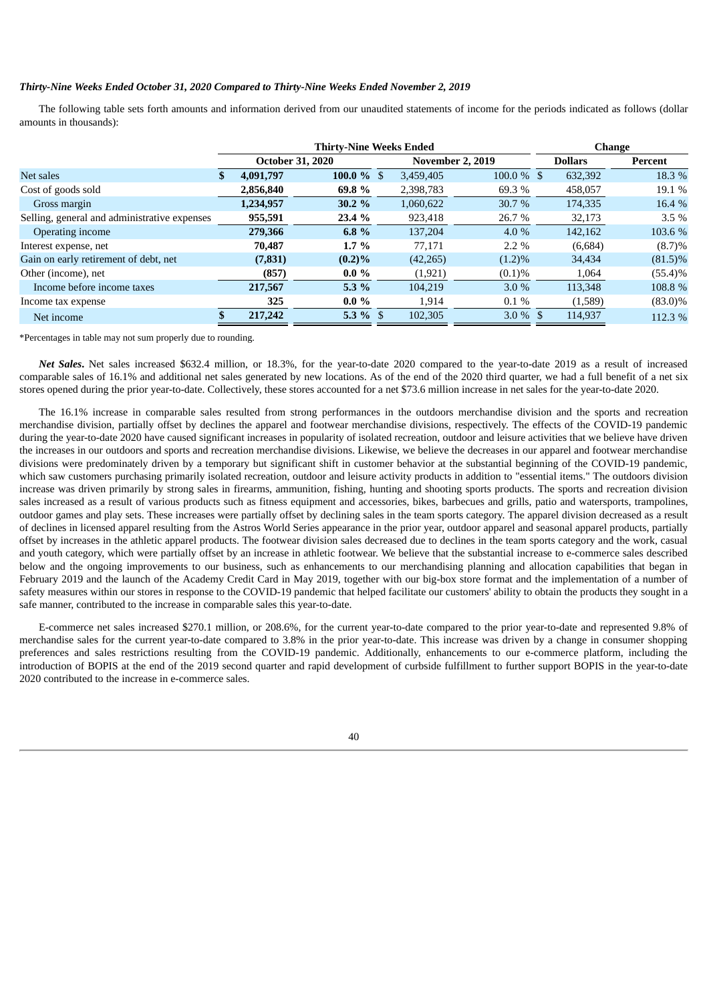## *Thirty-Nine Weeks Ended October 31, 2020 Compared to Thirty-Nine Weeks Ended November 2, 2019*

The following table sets forth amounts and information derived from our unaudited statements of income for the periods indicated as follows (dollar amounts in thousands):

|                                              |   |           | <b>Thirty-Nine Weeks Ended</b> | Change        |           |                         |  |                |            |
|----------------------------------------------|---|-----------|--------------------------------|---------------|-----------|-------------------------|--|----------------|------------|
|                                              |   |           | <b>October 31, 2020</b>        |               |           | <b>November 2, 2019</b> |  | <b>Dollars</b> | Percent    |
| Net sales                                    | S | 4,091,797 | $100.0 \%$                     | <sup>\$</sup> | 3,459,405 | $100.0\%$ \$            |  | 632,392        | 18.3 %     |
| Cost of goods sold                           |   | 2,856,840 | 69.8 %                         |               | 2,398,783 | 69.3%                   |  | 458,057        | 19.1 %     |
| Gross margin                                 |   | 1,234,957 | 30.2 %                         |               | 1,060,622 | 30.7 %                  |  | 174.335        | 16.4 %     |
| Selling, general and administrative expenses |   | 955,591   | 23.4 %                         |               | 923,418   | 26.7 %                  |  | 32,173         | $3.5\%$    |
| Operating income                             |   | 279,366   | 6.8 $%$                        |               | 137,204   | 4.0 $%$                 |  | 142,162        | 103.6 %    |
| Interest expense, net                        |   | 70,487    | $1.7\%$                        |               | 77.171    | $2.2\%$                 |  | (6,684)        | (8.7)%     |
| Gain on early retirement of debt, net        |   | (7, 831)  | $(0.2)\%$                      |               | (42, 265) | $(1.2)\%$               |  | 34,434         | $(81.5)\%$ |
| Other (income), net                          |   | (857)     | $0.0 \%$                       |               | (1, 921)  | (0.1)%                  |  | 1,064          | $(55.4)\%$ |
| Income before income taxes                   |   | 217,567   | 5.3 %                          |               | 104.219   | 3.0%                    |  | 113,348        | 108.8 %    |
| Income tax expense                           |   | 325       | $0.0 \%$                       |               | 1,914     | 0.1%                    |  | (1,589)        | $(83.0)\%$ |
| Net income                                   |   | 217,242   | $5.3 \%$ \$                    |               | 102,305   | $3.0\%$ \$              |  | 114,937        | 112.3 %    |

\*Percentages in table may not sum properly due to rounding.

*Net Sales***.** Net sales increased \$632.4 million, or 18.3%, for the year-to-date 2020 compared to the year-to-date 2019 as a result of increased comparable sales of 16.1% and additional net sales generated by new locations. As of the end of the 2020 third quarter, we had a full benefit of a net six stores opened during the prior year-to-date. Collectively, these stores accounted for a net \$73.6 million increase in net sales for the year-to-date 2020.

The 16.1% increase in comparable sales resulted from strong performances in the outdoors merchandise division and the sports and recreation merchandise division, partially offset by declines the apparel and footwear merchandise divisions, respectively. The effects of the COVID-19 pandemic during the year-to-date 2020 have caused significant increases in popularity of isolated recreation, outdoor and leisure activities that we believe have driven the increases in our outdoors and sports and recreation merchandise divisions. Likewise, we believe the decreases in our apparel and footwear merchandise divisions were predominately driven by a temporary but significant shift in customer behavior at the substantial beginning of the COVID-19 pandemic, which saw customers purchasing primarily isolated recreation, outdoor and leisure activity products in addition to "essential items." The outdoors division increase was driven primarily by strong sales in firearms, ammunition, fishing, hunting and shooting sports products. The sports and recreation division sales increased as a result of various products such as fitness equipment and accessories, bikes, barbecues and grills, patio and watersports, trampolines, outdoor games and play sets. These increases were partially offset by declining sales in the team sports category. The apparel division decreased as a result of declines in licensed apparel resulting from the Astros World Series appearance in the prior year, outdoor apparel and seasonal apparel products, partially offset by increases in the athletic apparel products. The footwear division sales decreased due to declines in the team sports category and the work, casual and youth category, which were partially offset by an increase in athletic footwear. We believe that the substantial increase to e-commerce sales described below and the ongoing improvements to our business, such as enhancements to our merchandising planning and allocation capabilities that began in February 2019 and the launch of the Academy Credit Card in May 2019, together with our big-box store format and the implementation of a number of safety measures within our stores in response to the COVID-19 pandemic that helped facilitate our customers' ability to obtain the products they sought in a safe manner, contributed to the increase in comparable sales this year-to-date.

E-commerce net sales increased \$270.1 million, or 208.6%, for the current year-to-date compared to the prior year-to-date and represented 9.8% of merchandise sales for the current year-to-date compared to 3.8% in the prior year-to-date. This increase was driven by a change in consumer shopping preferences and sales restrictions resulting from the COVID-19 pandemic. Additionally, enhancements to our e-commerce platform, including the introduction of BOPIS at the end of the 2019 second quarter and rapid development of curbside fulfillment to further support BOPIS in the year-to-date 2020 contributed to the increase in e-commerce sales.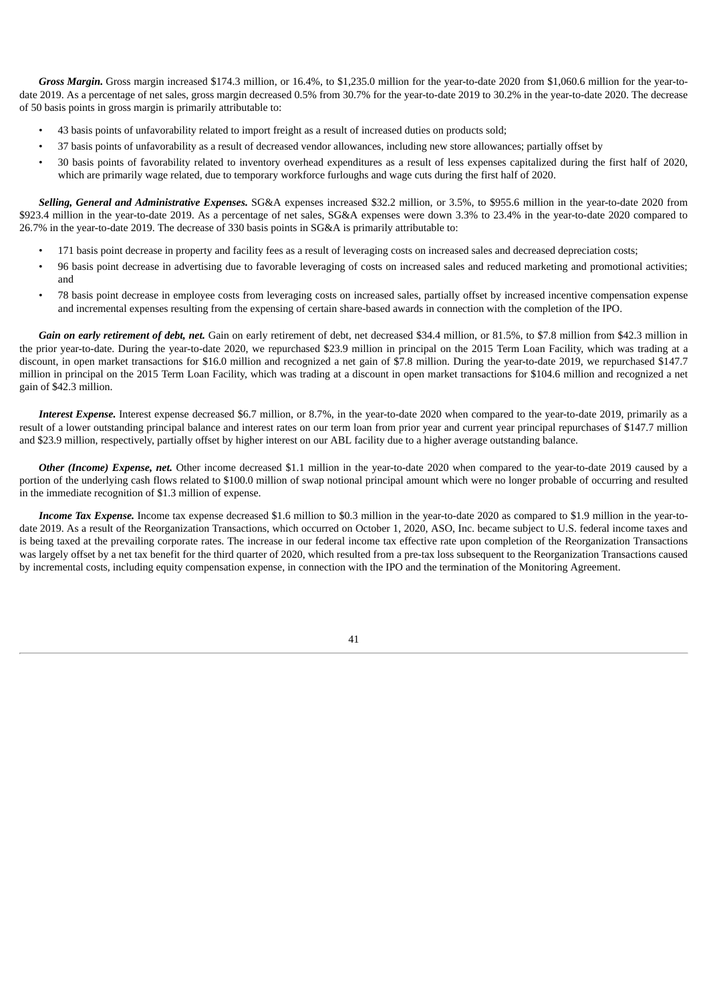*Gross Margin.* Gross margin increased \$174.3 million, or 16.4%, to \$1,235.0 million for the year-to-date 2020 from \$1,060.6 million for the year-todate 2019. As a percentage of net sales, gross margin decreased 0.5% from 30.7% for the year-to-date 2019 to 30.2% in the year-to-date 2020. The decrease of 50 basis points in gross margin is primarily attributable to:

- 43 basis points of unfavorability related to import freight as a result of increased duties on products sold;
- 37 basis points of unfavorability as a result of decreased vendor allowances, including new store allowances; partially offset by
- 30 basis points of favorability related to inventory overhead expenditures as a result of less expenses capitalized during the first half of 2020, which are primarily wage related, due to temporary workforce furloughs and wage cuts during the first half of 2020.

*Selling, General and Administrative Expenses.* SG&A expenses increased \$32.2 million, or 3.5%, to \$955.6 million in the year-to-date 2020 from \$923.4 million in the year-to-date 2019. As a percentage of net sales, SG&A expenses were down 3.3% to 23.4% in the year-to-date 2020 compared to 26.7% in the year-to-date 2019. The decrease of 330 basis points in SG&A is primarily attributable to:

- 171 basis point decrease in property and facility fees as a result of leveraging costs on increased sales and decreased depreciation costs;
- 96 basis point decrease in advertising due to favorable leveraging of costs on increased sales and reduced marketing and promotional activities; and
- 78 basis point decrease in employee costs from leveraging costs on increased sales, partially offset by increased incentive compensation expense and incremental expenses resulting from the expensing of certain share-based awards in connection with the completion of the IPO.

*Gain on early retirement of debt, net.* Gain on early retirement of debt, net decreased \$34.4 million, or 81.5%, to \$7.8 million from \$42.3 million in the prior year-to-date. During the year-to-date 2020, we repurchased \$23.9 million in principal on the 2015 Term Loan Facility, which was trading at a discount, in open market transactions for \$16.0 million and recognized a net gain of \$7.8 million. During the year-to-date 2019, we repurchased \$147.7 million in principal on the 2015 Term Loan Facility, which was trading at a discount in open market transactions for \$104.6 million and recognized a net gain of \$42.3 million.

*Interest Expense.* Interest expense decreased \$6.7 million, or 8.7%, in the year-to-date 2020 when compared to the year-to-date 2019, primarily as a result of a lower outstanding principal balance and interest rates on our term loan from prior year and current year principal repurchases of \$147.7 million and \$23.9 million, respectively, partially offset by higher interest on our ABL facility due to a higher average outstanding balance.

*Other (Income) Expense, net.* Other income decreased \$1.1 million in the year-to-date 2020 when compared to the year-to-date 2019 caused by a portion of the underlying cash flows related to \$100.0 million of swap notional principal amount which were no longer probable of occurring and resulted in the immediate recognition of \$1.3 million of expense.

*Income Tax Expense.* Income tax expense decreased \$1.6 million to \$0.3 million in the year-to-date 2020 as compared to \$1.9 million in the year-todate 2019. As a result of the Reorganization Transactions, which occurred on October 1, 2020, ASO, Inc. became subject to U.S. federal income taxes and is being taxed at the prevailing corporate rates. The increase in our federal income tax effective rate upon completion of the Reorganization Transactions was largely offset by a net tax benefit for the third quarter of 2020, which resulted from a pre-tax loss subsequent to the Reorganization Transactions caused by incremental costs, including equity compensation expense, in connection with the IPO and the termination of the Monitoring Agreement.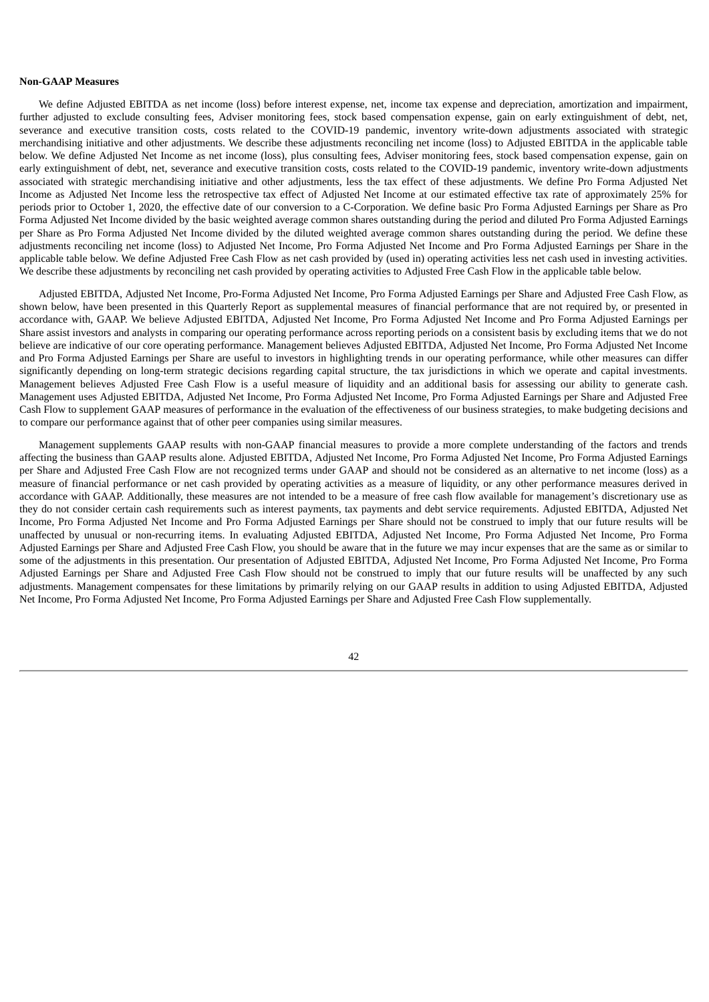#### **Non-GAAP Measures**

We define Adjusted EBITDA as net income (loss) before interest expense, net, income tax expense and depreciation, amortization and impairment, further adjusted to exclude consulting fees. Adviser monitoring fees, stock based compensation expense, gain on early extinguishment of debt, net, severance and executive transition costs, costs related to the COVID-19 pandemic, inventory write-down adjustments associated with strategic merchandising initiative and other adjustments. We describe these adjustments reconciling net income (loss) to Adjusted EBITDA in the applicable table below. We define Adjusted Net Income as net income (loss), plus consulting fees, Adviser monitoring fees, stock based compensation expense, gain on early extinguishment of debt, net, severance and executive transition costs, costs related to the COVID-19 pandemic, inventory write-down adjustments associated with strategic merchandising initiative and other adjustments, less the tax effect of these adjustments. We define Pro Forma Adjusted Net Income as Adjusted Net Income less the retrospective tax effect of Adjusted Net Income at our estimated effective tax rate of approximately 25% for periods prior to October 1, 2020, the effective date of our conversion to a C-Corporation. We define basic Pro Forma Adjusted Earnings per Share as Pro Forma Adjusted Net Income divided by the basic weighted average common shares outstanding during the period and diluted Pro Forma Adjusted Earnings per Share as Pro Forma Adjusted Net Income divided by the diluted weighted average common shares outstanding during the period. We define these adjustments reconciling net income (loss) to Adjusted Net Income, Pro Forma Adjusted Net Income and Pro Forma Adjusted Earnings per Share in the applicable table below. We define Adjusted Free Cash Flow as net cash provided by (used in) operating activities less net cash used in investing activities. We describe these adjustments by reconciling net cash provided by operating activities to Adjusted Free Cash Flow in the applicable table below.

Adjusted EBITDA, Adjusted Net Income, Pro-Forma Adjusted Net Income, Pro Forma Adjusted Earnings per Share and Adjusted Free Cash Flow, as shown below, have been presented in this Quarterly Report as supplemental measures of financial performance that are not required by, or presented in accordance with, GAAP. We believe Adjusted EBITDA, Adjusted Net Income, Pro Forma Adjusted Net Income and Pro Forma Adjusted Earnings per Share assist investors and analysts in comparing our operating performance across reporting periods on a consistent basis by excluding items that we do not believe are indicative of our core operating performance. Management believes Adjusted EBITDA, Adjusted Net Income, Pro Forma Adjusted Net Income and Pro Forma Adjusted Earnings per Share are useful to investors in highlighting trends in our operating performance, while other measures can differ significantly depending on long-term strategic decisions regarding capital structure, the tax jurisdictions in which we operate and capital investments. Management believes Adjusted Free Cash Flow is a useful measure of liquidity and an additional basis for assessing our ability to generate cash. Management uses Adjusted EBITDA, Adjusted Net Income, Pro Forma Adjusted Net Income, Pro Forma Adjusted Earnings per Share and Adjusted Free Cash Flow to supplement GAAP measures of performance in the evaluation of the effectiveness of our business strategies, to make budgeting decisions and to compare our performance against that of other peer companies using similar measures.

Management supplements GAAP results with non-GAAP financial measures to provide a more complete understanding of the factors and trends affecting the business than GAAP results alone. Adjusted EBITDA, Adjusted Net Income, Pro Forma Adjusted Net Income, Pro Forma Adjusted Earnings per Share and Adjusted Free Cash Flow are not recognized terms under GAAP and should not be considered as an alternative to net income (loss) as a measure of financial performance or net cash provided by operating activities as a measure of liquidity, or any other performance measures derived in accordance with GAAP. Additionally, these measures are not intended to be a measure of free cash flow available for management's discretionary use as they do not consider certain cash requirements such as interest payments, tax payments and debt service requirements. Adjusted EBITDA, Adjusted Net Income, Pro Forma Adjusted Net Income and Pro Forma Adjusted Earnings per Share should not be construed to imply that our future results will be unaffected by unusual or non-recurring items. In evaluating Adjusted EBITDA, Adjusted Net Income, Pro Forma Adjusted Net Income, Pro Forma Adjusted Earnings per Share and Adjusted Free Cash Flow, you should be aware that in the future we may incur expenses that are the same as or similar to some of the adjustments in this presentation. Our presentation of Adjusted EBITDA, Adjusted Net Income, Pro Forma Adjusted Net Income, Pro Forma Adjusted Earnings per Share and Adjusted Free Cash Flow should not be construed to imply that our future results will be unaffected by any such adjustments. Management compensates for these limitations by primarily relying on our GAAP results in addition to using Adjusted EBITDA, Adjusted Net Income, Pro Forma Adjusted Net Income, Pro Forma Adjusted Earnings per Share and Adjusted Free Cash Flow supplementally.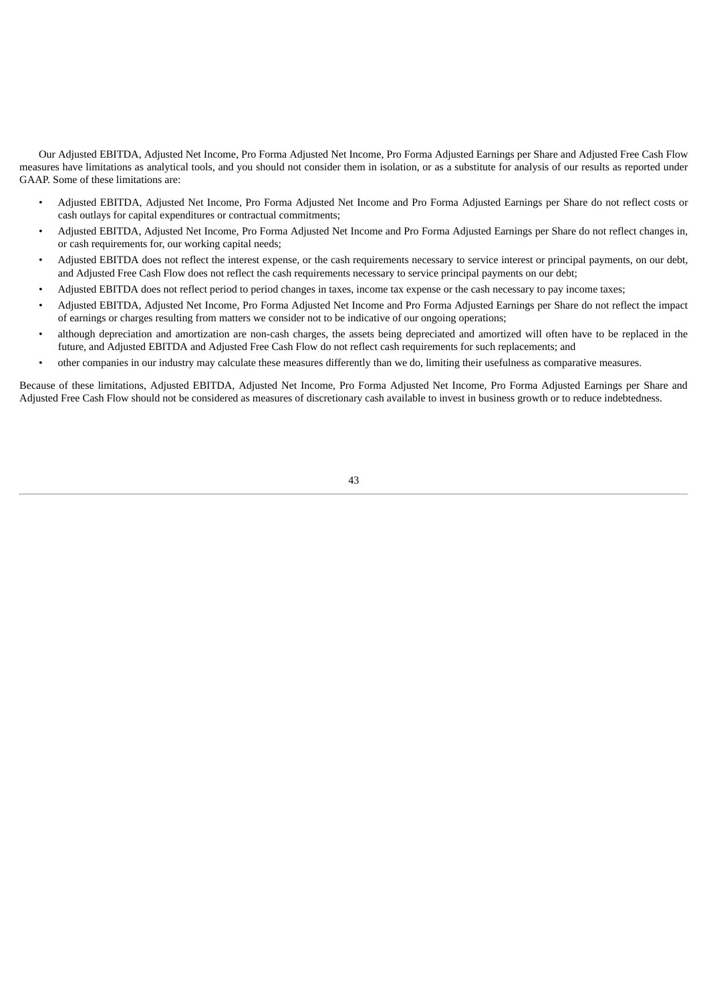Our Adjusted EBITDA, Adjusted Net Income, Pro Forma Adjusted Net Income, Pro Forma Adjusted Earnings per Share and Adjusted Free Cash Flow measures have limitations as analytical tools, and you should not consider them in isolation, or as a substitute for analysis of our results as reported under GAAP. Some of these limitations are:

- Adjusted EBITDA, Adjusted Net Income, Pro Forma Adjusted Net Income and Pro Forma Adjusted Earnings per Share do not reflect costs or cash outlays for capital expenditures or contractual commitments;
- Adjusted EBITDA, Adjusted Net Income, Pro Forma Adjusted Net Income and Pro Forma Adjusted Earnings per Share do not reflect changes in, or cash requirements for, our working capital needs;
- Adjusted EBITDA does not reflect the interest expense, or the cash requirements necessary to service interest or principal payments, on our debt, and Adjusted Free Cash Flow does not reflect the cash requirements necessary to service principal payments on our debt;
- Adjusted EBITDA does not reflect period to period changes in taxes, income tax expense or the cash necessary to pay income taxes;
- Adjusted EBITDA, Adjusted Net Income, Pro Forma Adjusted Net Income and Pro Forma Adjusted Earnings per Share do not reflect the impact of earnings or charges resulting from matters we consider not to be indicative of our ongoing operations;
- although depreciation and amortization are non-cash charges, the assets being depreciated and amortized will often have to be replaced in the future, and Adjusted EBITDA and Adjusted Free Cash Flow do not reflect cash requirements for such replacements; and
- other companies in our industry may calculate these measures differently than we do, limiting their usefulness as comparative measures.

Because of these limitations, Adjusted EBITDA, Adjusted Net Income, Pro Forma Adjusted Net Income, Pro Forma Adjusted Earnings per Share and Adjusted Free Cash Flow should not be considered as measures of discretionary cash available to invest in business growth or to reduce indebtedness.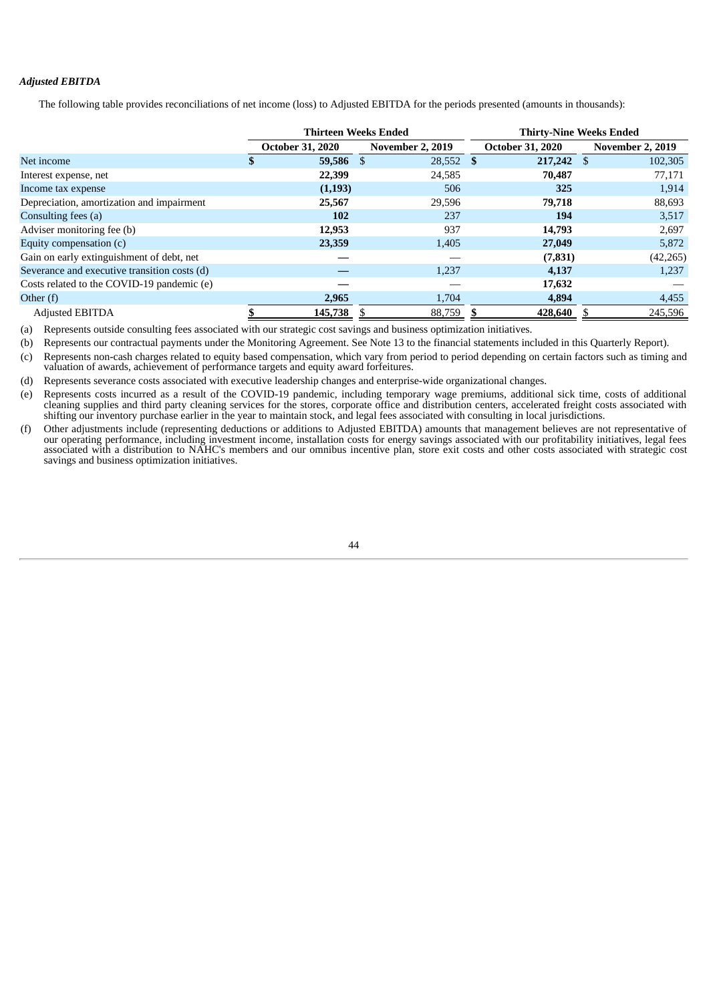## *Adjusted EBITDA*

The following table provides reconciliations of net income (loss) to Adjusted EBITDA for the periods presented (amounts in thousands):

|                                              |                         | <b>Thirteen Weeks Ended</b> | <b>Thirty-Nine Weeks Ended</b> |                         |  |  |
|----------------------------------------------|-------------------------|-----------------------------|--------------------------------|-------------------------|--|--|
|                                              | <b>October 31, 2020</b> | <b>November 2, 2019</b>     | <b>October 31, 2020</b>        | <b>November 2, 2019</b> |  |  |
| Net income                                   | 59,586 \$               | $28,552$ \$                 | 217,242                        | 102,305<br>-S           |  |  |
| Interest expense, net                        | 22,399                  | 24,585                      | 70,487                         | 77,171                  |  |  |
| Income tax expense                           | (1,193)                 | 506                         | 325                            | 1,914                   |  |  |
| Depreciation, amortization and impairment    | 25,567                  | 29,596                      | 79,718                         | 88,693                  |  |  |
| Consulting fees (a)                          | 102                     | 237                         | 194                            | 3,517                   |  |  |
| Adviser monitoring fee (b)                   | 12,953                  | 937                         | 14,793                         | 2,697                   |  |  |
| Equity compensation (c)                      | 23,359                  | 1,405                       | 27,049                         | 5,872                   |  |  |
| Gain on early extinguishment of debt, net    |                         |                             | (7, 831)                       | (42, 265)               |  |  |
| Severance and executive transition costs (d) |                         | 1,237                       | 4,137                          | 1,237                   |  |  |
| Costs related to the COVID-19 pandemic (e)   |                         |                             | 17,632                         |                         |  |  |
| Other (f)                                    | 2,965                   | 1,704                       | 4,894                          | 4,455                   |  |  |
| <b>Adjusted EBITDA</b>                       | 145,738                 | 88,759                      | 428,640                        | 245,596                 |  |  |

(a) Represents outside consulting fees associated with our strategic cost savings and business optimization initiatives.

(b) Represents our contractual payments under the Monitoring Agreement. See Note 13 to the financial statements included in this Quarterly Report).

(c) Represents non-cash charges related to equity based compensation, which vary from period to period depending on certain factors such as timing and valuation of awards, achievement of performance targets and equity award forfeitures.

(d) Represents severance costs associated with executive leadership changes and enterprise-wide organizational changes.

(e) Represents costs incurred as a result of the COVID-19 pandemic, including temporary wage premiums, additional sick time, costs of additional cleaning supplies and third party cleaning services for the stores, corporate office and distribution centers, accelerated freight costs associated with shifting our inventory purchase earlier in the year to maintain stock, and legal fees associated with consulting in local jurisdictions.

(f) Other adjustments include (representing deductions or additions to Adjusted EBITDA) amounts that management believes are not representative of our operating performance, including investment income, installation costs for energy savings associated with our profitability initiatives, legal fees associated with a distribution to NAHC's members and our omnibus incentive plan, store exit costs and other costs associated with strategic cost savings and business optimization initiatives.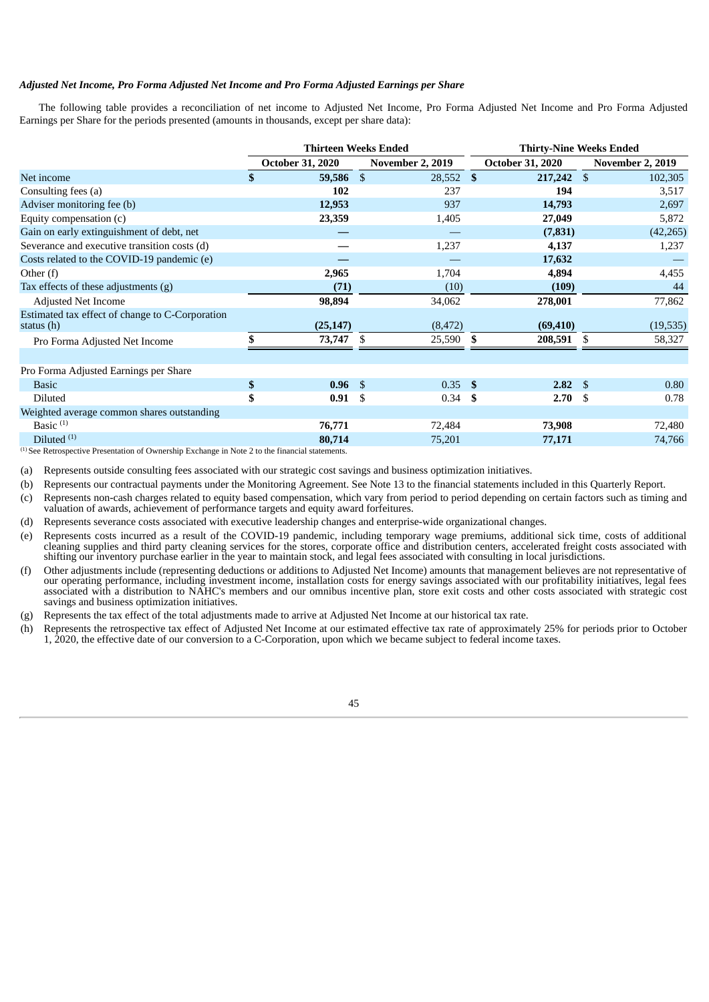#### *Adjusted Net Income, Pro Forma Adjusted Net Income and Pro Forma Adjusted Earnings per Share*

The following table provides a reconciliation of net income to Adjusted Net Income, Pro Forma Adjusted Net Income and Pro Forma Adjusted Earnings per Share for the periods presented (amounts in thousands, except per share data):

|                                                               | <b>Thirteen Weeks Ended</b> |                         |              |                         |    | <b>Thirty-Nine Weeks Ended</b> |               |                         |  |
|---------------------------------------------------------------|-----------------------------|-------------------------|--------------|-------------------------|----|--------------------------------|---------------|-------------------------|--|
|                                                               |                             | <b>October 31, 2020</b> |              | <b>November 2, 2019</b> |    | <b>October 31, 2020</b>        |               | <b>November 2, 2019</b> |  |
| Net income                                                    | \$                          | 59,586                  | $\mathbb{S}$ | $28,552$ \$             |    | 217,242                        | $\mathcal{S}$ | 102,305                 |  |
| Consulting fees (a)                                           |                             | 102                     |              | 237                     |    | 194                            |               | 3,517                   |  |
| Adviser monitoring fee (b)                                    |                             | 12,953                  |              | 937                     |    | 14,793                         |               | 2,697                   |  |
| Equity compensation (c)                                       |                             | 23,359                  |              | 1,405                   |    | 27,049                         |               | 5,872                   |  |
| Gain on early extinguishment of debt, net                     |                             |                         |              |                         |    | (7, 831)                       |               | (42, 265)               |  |
| Severance and executive transition costs (d)                  |                             |                         |              | 1,237                   |    | 4,137                          |               | 1,237                   |  |
| Costs related to the COVID-19 pandemic (e)                    |                             |                         |              |                         |    | 17,632                         |               |                         |  |
| Other (f)                                                     |                             | 2,965                   |              | 1,704                   |    | 4,894                          |               | 4,455                   |  |
| Tax effects of these adjustments $(g)$                        |                             | (71)                    |              | (10)                    |    | (109)                          |               | 44                      |  |
| <b>Adjusted Net Income</b>                                    |                             | 98,894                  |              | 34,062                  |    | 278,001                        |               | 77,862                  |  |
| Estimated tax effect of change to C-Corporation<br>status (h) |                             | (25, 147)               |              | (8, 472)                |    | (69, 410)                      |               | (19, 535)               |  |
| Pro Forma Adjusted Net Income                                 |                             | 73,747                  | £.           | 25,590                  | S. | 208,591                        | \$.           | 58,327                  |  |
|                                                               |                             |                         |              |                         |    |                                |               |                         |  |
| Pro Forma Adjusted Earnings per Share                         |                             |                         |              |                         |    |                                |               |                         |  |
| <b>Basic</b>                                                  | \$                          | 0.96                    | \$           | $0.35$ \$               |    | 2.82                           | <sup>\$</sup> | 0.80                    |  |
| <b>Diluted</b>                                                |                             | 0.91                    | - \$         | $0.34 \; \; \text{\AA}$ |    | 2.70                           | -S            | 0.78                    |  |
| Weighted average common shares outstanding                    |                             |                         |              |                         |    |                                |               |                         |  |
| Basic <sup>(1)</sup>                                          |                             | 76,771                  |              | 72,484                  |    | 73,908                         |               | 72,480                  |  |
| Diluted $(1)$                                                 |                             | 80,714                  |              | 75,201                  |    | 77,171                         |               | 74,766                  |  |

 $<sup>(1)</sup>$  See Retrospective Presentation of Ownership Exchange in Note 2 to the financial statements.</sup>

(a) Represents outside consulting fees associated with our strategic cost savings and business optimization initiatives.

(b) Represents our contractual payments under the Monitoring Agreement. See Note 13 to the financial statements included in this Quarterly Report.

(c) Represents non-cash charges related to equity based compensation, which vary from period to period depending on certain factors such as timing and valuation of awards, achievement of performance targets and equity award forfeitures.

(d) Represents severance costs associated with executive leadership changes and enterprise-wide organizational changes.

(e) Represents costs incurred as a result of the COVID-19 pandemic, including temporary wage premiums, additional sick time, costs of additional cleaning supplies and third party cleaning services for the stores, corporate office and distribution centers, accelerated freight costs associated with shifting our inventory purchase earlier in the year to maintain stock, and legal fees associated with consulting in local jurisdictions.

(f) Other adjustments include (representing deductions or additions to Adjusted Net Income) amounts that management believes are not representative of our operating performance, including investment income, installation costs for energy savings associated with our profitability initiatives, legal fees associated with a distribution to NAHC's members and our omnibus incentive plan, store exit costs and other costs associated with strategic cost savings and business optimization initiatives.

(g) Represents the tax effect of the total adjustments made to arrive at Adjusted Net Income at our historical tax rate.

(h) Represents the retrospective tax effect of Adjusted Net Income at our estimated effective tax rate of approximately 25% for periods prior to October 1, 2020, the effective date of our conversion to a C-Corporation, upon which we became subject to federal income taxes.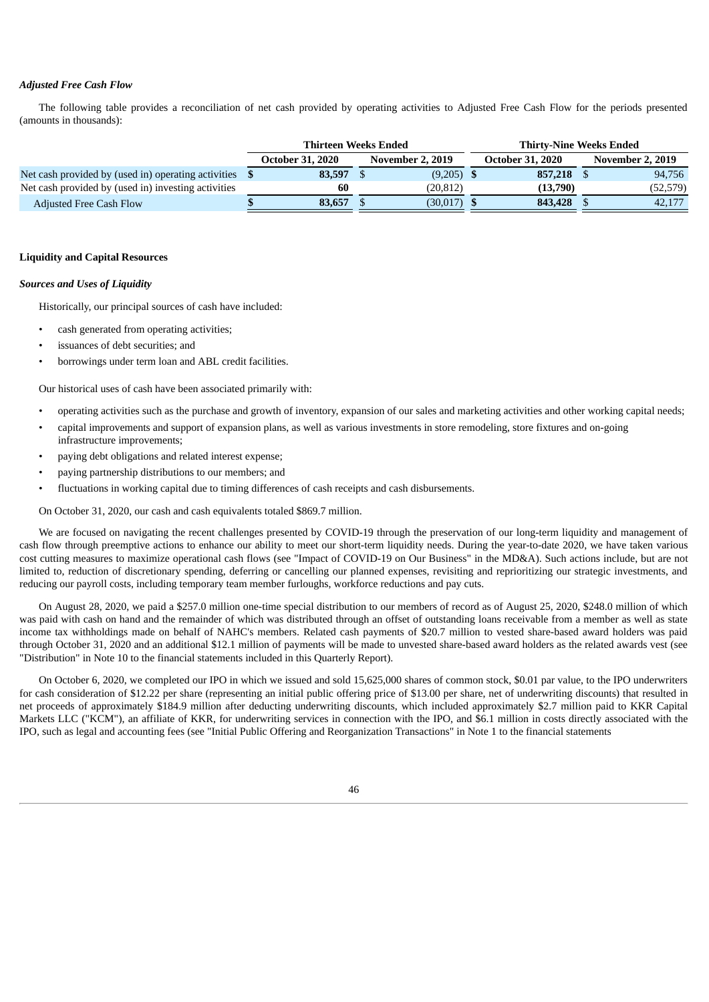#### *Adjusted Free Cash Flow*

The following table provides a reconciliation of net cash provided by operating activities to Adjusted Free Cash Flow for the periods presented (amounts in thousands):

|                                                        | <b>Thirteen Weeks Ended</b> |  | <b>Thirty-Nine Weeks Ended</b> |  |                         |  |                         |
|--------------------------------------------------------|-----------------------------|--|--------------------------------|--|-------------------------|--|-------------------------|
|                                                        | <b>October 31, 2020</b>     |  | <b>November 2, 2019</b>        |  | <b>October 31, 2020</b> |  | <b>November 2, 2019</b> |
| Net cash provided by (used in) operating activities \$ | 83,597                      |  | $(9,205)$ \$                   |  | 857,218                 |  | 94,756                  |
| Net cash provided by (used in) investing activities    | 60                          |  | (20,812)                       |  | (13,790)                |  | (52, 579)               |
| <b>Adjusted Free Cash Flow</b>                         | 83,657                      |  | (30,017)                       |  | 843,428                 |  | 42,177                  |

## **Liquidity and Capital Resources**

## *Sources and Uses of Liquidity*

Historically, our principal sources of cash have included:

- cash generated from operating activities;
- issuances of debt securities; and
- borrowings under term loan and ABL credit facilities.

Our historical uses of cash have been associated primarily with:

- operating activities such as the purchase and growth of inventory, expansion of our sales and marketing activities and other working capital needs;
- capital improvements and support of expansion plans, as well as various investments in store remodeling, store fixtures and on-going infrastructure improvements;
- paying debt obligations and related interest expense;
- paying partnership distributions to our members; and
- fluctuations in working capital due to timing differences of cash receipts and cash disbursements.

On October 31, 2020, our cash and cash equivalents totaled \$869.7 million.

We are focused on navigating the recent challenges presented by COVID-19 through the preservation of our long-term liquidity and management of cash flow through preemptive actions to enhance our ability to meet our short-term liquidity needs. During the year-to-date 2020, we have taken various cost cutting measures to maximize operational cash flows (see "Impact of COVID-19 on Our Business" in the MD&A). Such actions include, but are not limited to, reduction of discretionary spending, deferring or cancelling our planned expenses, revisiting and reprioritizing our strategic investments, and reducing our payroll costs, including temporary team member furloughs, workforce reductions and pay cuts.

On August 28, 2020, we paid a \$257.0 million one-time special distribution to our members of record as of August 25, 2020, \$248.0 million of which was paid with cash on hand and the remainder of which was distributed through an offset of outstanding loans receivable from a member as well as state income tax withholdings made on behalf of NAHC's members. Related cash payments of \$20.7 million to vested share-based award holders was paid through October 31, 2020 and an additional \$12.1 million of payments will be made to unvested share-based award holders as the related awards vest (see "Distribution" in Note 10 to the financial statements included in this Quarterly Report).

On October 6, 2020, we completed our IPO in which we issued and sold 15,625,000 shares of common stock, \$0.01 par value, to the IPO underwriters for cash consideration of \$12.22 per share (representing an initial public offering price of \$13.00 per share, net of underwriting discounts) that resulted in net proceeds of approximately \$184.9 million after deducting underwriting discounts, which included approximately \$2.7 million paid to KKR Capital Markets LLC ("KCM"), an affiliate of KKR, for underwriting services in connection with the IPO, and \$6.1 million in costs directly associated with the IPO, such as legal and accounting fees (see "Initial Public Offering and Reorganization Transactions" in Note 1 to the financial statements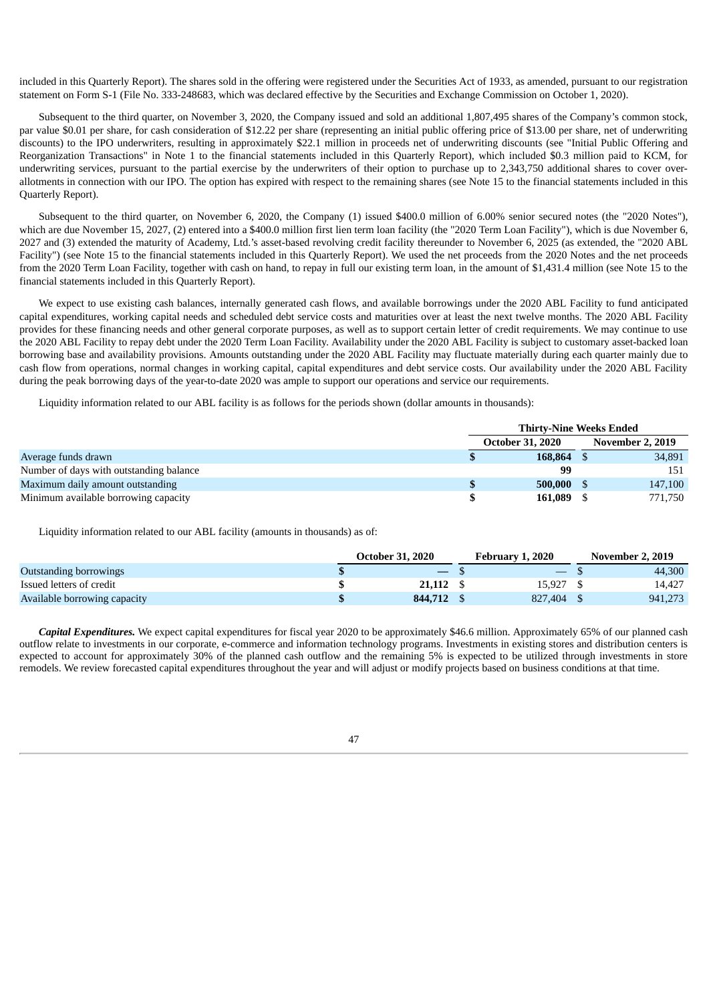included in this Quarterly Report). The shares sold in the offering were registered under the Securities Act of 1933, as amended, pursuant to our registration statement on Form S-1 (File No. 333-248683, which was declared effective by the Securities and Exchange Commission on October 1, 2020).

Subsequent to the third quarter, on November 3, 2020, the Company issued and sold an additional 1,807,495 shares of the Company's common stock, par value \$0.01 per share, for cash consideration of \$12.22 per share (representing an initial public offering price of \$13.00 per share, net of underwriting discounts) to the IPO underwriters, resulting in approximately \$22.1 million in proceeds net of underwriting discounts (see "Initial Public Offering and Reorganization Transactions" in Note 1 to the financial statements included in this Quarterly Report), which included \$0.3 million paid to KCM, for underwriting services, pursuant to the partial exercise by the underwriters of their option to purchase up to 2,343,750 additional shares to cover overallotments in connection with our IPO. The option has expired with respect to the remaining shares (see Note 15 to the financial statements included in this Quarterly Report).

Subsequent to the third quarter, on November 6, 2020, the Company (1) issued \$400.0 million of 6.00% senior secured notes (the "2020 Notes"), which are due November 15, 2027, (2) entered into a \$400.0 million first lien term loan facility (the "2020 Term Loan Facility"), which is due November 6, 2027 and (3) extended the maturity of Academy, Ltd.'s asset-based revolving credit facility thereunder to November 6, 2025 (as extended, the "2020 ABL Facility") (see Note 15 to the financial statements included in this Quarterly Report). We used the net proceeds from the 2020 Notes and the net proceeds from the 2020 Term Loan Facility, together with cash on hand, to repay in full our existing term loan, in the amount of \$1,431.4 million (see Note 15 to the financial statements included in this Quarterly Report).

We expect to use existing cash balances, internally generated cash flows, and available borrowings under the 2020 ABL Facility to fund anticipated capital expenditures, working capital needs and scheduled debt service costs and maturities over at least the next twelve months. The 2020 ABL Facility provides for these financing needs and other general corporate purposes, as well as to support certain letter of credit requirements. We may continue to use the 2020 ABL Facility to repay debt under the 2020 Term Loan Facility. Availability under the 2020 ABL Facility is subject to customary asset-backed loan borrowing base and availability provisions. Amounts outstanding under the 2020 ABL Facility may fluctuate materially during each quarter mainly due to cash flow from operations, normal changes in working capital, capital expenditures and debt service costs. Our availability under the 2020 ABL Facility during the peak borrowing days of the year-to-date 2020 was ample to support our operations and service our requirements.

Liquidity information related to our ABL facility is as follows for the periods shown (dollar amounts in thousands):

|                                         | <b>Thirty-Nine Weeks Ended</b> |                         |  |                         |
|-----------------------------------------|--------------------------------|-------------------------|--|-------------------------|
|                                         |                                | <b>October 31, 2020</b> |  | <b>November 2, 2019</b> |
| Average funds drawn                     |                                | 168,864                 |  | 34,891                  |
| Number of days with outstanding balance |                                | 99                      |  | 151                     |
| Maximum daily amount outstanding        |                                | 500,000                 |  | 147,100                 |
| Minimum available borrowing capacity    |                                | 161,089                 |  | 771,750                 |

Liquidity information related to our ABL facility (amounts in thousands) as of:

|                               | <b>October 31, 2020</b>  | <b>February 1, 2020</b>         | <b>November 2, 2019</b> |
|-------------------------------|--------------------------|---------------------------------|-------------------------|
| <b>Outstanding borrowings</b> | $\overline{\phantom{0}}$ | $\hspace{0.1mm}-\hspace{0.1mm}$ | 44,300                  |
| Issued letters of credit      | 21.112                   | 15.927                          | 14.427                  |
| Available borrowing capacity  | 844,712                  | 827,404                         | 941,273                 |

*Capital Expenditures.* We expect capital expenditures for fiscal year 2020 to be approximately \$46.6 million. Approximately 65% of our planned cash outflow relate to investments in our corporate, e-commerce and information technology programs. Investments in existing stores and distribution centers is expected to account for approximately 30% of the planned cash outflow and the remaining 5% is expected to be utilized through investments in store remodels. We review forecasted capital expenditures throughout the year and will adjust or modify projects based on business conditions at that time.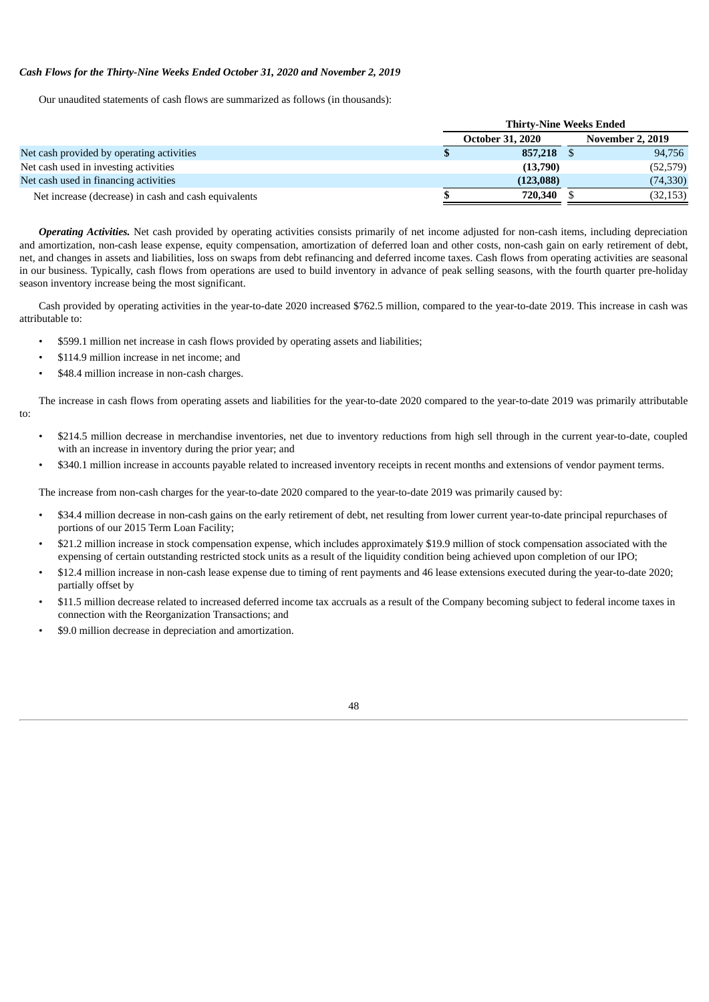## *Cash Flows for the Thirty-Nine Weeks Ended October 31, 2020 and November 2, 2019*

Our unaudited statements of cash flows are summarized as follows (in thousands):

|                                                      | <b>Thirty-Nine Weeks Ended</b> |                         |  |                         |
|------------------------------------------------------|--------------------------------|-------------------------|--|-------------------------|
|                                                      |                                | <b>October 31, 2020</b> |  | <b>November 2, 2019</b> |
| Net cash provided by operating activities            |                                | 857,218 \$              |  | 94,756                  |
| Net cash used in investing activities                |                                | (13,790)                |  | (52, 579)               |
| Net cash used in financing activities                |                                | (123,088)               |  | (74, 330)               |
| Net increase (decrease) in cash and cash equivalents |                                | 720,340                 |  | (32, 153)               |

*Operating Activities.* Net cash provided by operating activities consists primarily of net income adjusted for non-cash items, including depreciation and amortization, non-cash lease expense, equity compensation, amortization of deferred loan and other costs, non-cash gain on early retirement of debt, net, and changes in assets and liabilities, loss on swaps from debt refinancing and deferred income taxes. Cash flows from operating activities are seasonal in our business. Typically, cash flows from operations are used to build inventory in advance of peak selling seasons, with the fourth quarter pre-holiday season inventory increase being the most significant.

Cash provided by operating activities in the year-to-date 2020 increased \$762.5 million, compared to the year-to-date 2019. This increase in cash was attributable to:

- \$599.1 million net increase in cash flows provided by operating assets and liabilities;
- \$114.9 million increase in net income; and
- \$48.4 million increase in non-cash charges.

The increase in cash flows from operating assets and liabilities for the year-to-date 2020 compared to the year-to-date 2019 was primarily attributable to:

- \$214.5 million decrease in merchandise inventories, net due to inventory reductions from high sell through in the current year-to-date, coupled with an increase in inventory during the prior year; and
- \$340.1 million increase in accounts payable related to increased inventory receipts in recent months and extensions of vendor payment terms.

The increase from non-cash charges for the year-to-date 2020 compared to the year-to-date 2019 was primarily caused by:

- \$34.4 million decrease in non-cash gains on the early retirement of debt, net resulting from lower current year-to-date principal repurchases of portions of our 2015 Term Loan Facility;
- \$21.2 million increase in stock compensation expense, which includes approximately \$19.9 million of stock compensation associated with the expensing of certain outstanding restricted stock units as a result of the liquidity condition being achieved upon completion of our IPO;
- \$12.4 million increase in non-cash lease expense due to timing of rent payments and 46 lease extensions executed during the year-to-date 2020; partially offset by
- \$11.5 million decrease related to increased deferred income tax accruals as a result of the Company becoming subject to federal income taxes in connection with the Reorganization Transactions; and
- \$9.0 million decrease in depreciation and amortization.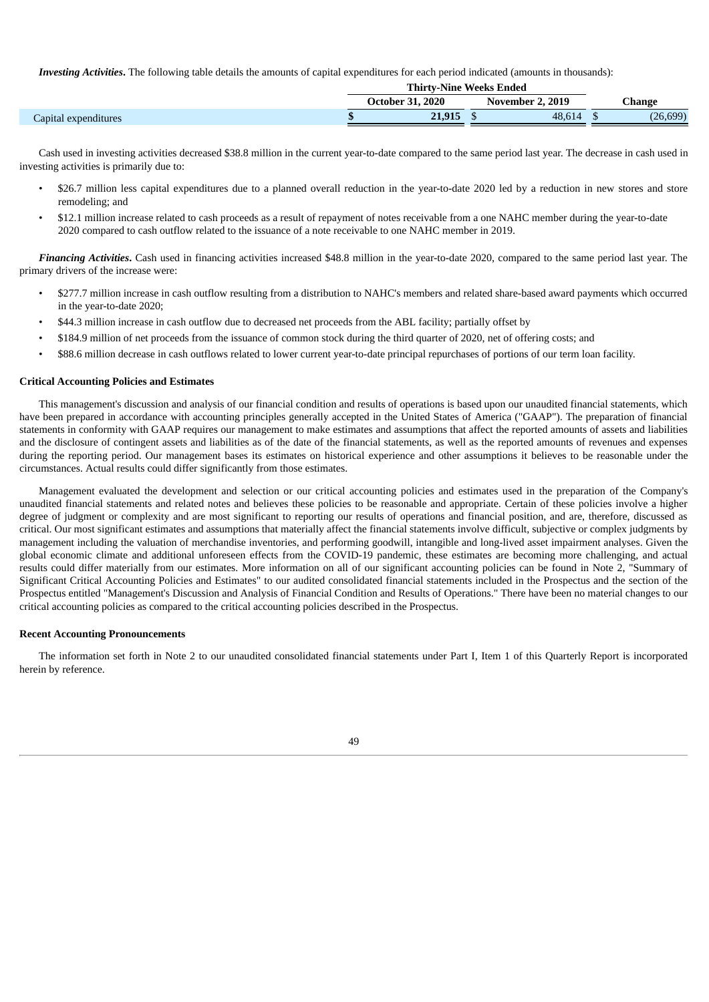*Investing Activities***.** The following table details the amounts of capital expenditures for each period indicated (amounts in thousands):

|                         | 2020<br><b>D</b> 4<br>. )ctober | 2019<br>November | hange                               |
|-------------------------|---------------------------------|------------------|-------------------------------------|
| Capital<br>expenditures | 21.015<br>41,910                | $\sim$<br>18     | 699)<br><b>COL</b><br>v.v <i>jj</i> |

Cash used in investing activities decreased \$38.8 million in the current year-to-date compared to the same period last year. The decrease in cash used in investing activities is primarily due to:

- \$26.7 million less capital expenditures due to a planned overall reduction in the year-to-date 2020 led by a reduction in new stores and store remodeling; and
- \$12.1 million increase related to cash proceeds as a result of repayment of notes receivable from a one NAHC member during the year-to-date 2020 compared to cash outflow related to the issuance of a note receivable to one NAHC member in 2019.

*Financing Activities***.** Cash used in financing activities increased \$48.8 million in the year-to-date 2020, compared to the same period last year. The primary drivers of the increase were:

- \$277.7 million increase in cash outflow resulting from a distribution to NAHC's members and related share-based award payments which occurred in the year-to-date 2020;
- \$44.3 million increase in cash outflow due to decreased net proceeds from the ABL facility; partially offset by
- \$184.9 million of net proceeds from the issuance of common stock during the third quarter of 2020, net of offering costs; and
- \$88.6 million decrease in cash outflows related to lower current year-to-date principal repurchases of portions of our term loan facility.

## **Critical Accounting Policies and Estimates**

This management's discussion and analysis of our financial condition and results of operations is based upon our unaudited financial statements, which have been prepared in accordance with accounting principles generally accepted in the United States of America ("GAAP"). The preparation of financial statements in conformity with GAAP requires our management to make estimates and assumptions that affect the reported amounts of assets and liabilities and the disclosure of contingent assets and liabilities as of the date of the financial statements, as well as the reported amounts of revenues and expenses during the reporting period. Our management bases its estimates on historical experience and other assumptions it believes to be reasonable under the circumstances. Actual results could differ significantly from those estimates.

Management evaluated the development and selection or our critical accounting policies and estimates used in the preparation of the Company's unaudited financial statements and related notes and believes these policies to be reasonable and appropriate. Certain of these policies involve a higher degree of judgment or complexity and are most significant to reporting our results of operations and financial position, and are, therefore, discussed as critical. Our most significant estimates and assumptions that materially affect the financial statements involve difficult, subjective or complex judgments by management including the valuation of merchandise inventories, and performing goodwill, intangible and long-lived asset impairment analyses. Given the global economic climate and additional unforeseen effects from the COVID-19 pandemic, these estimates are becoming more challenging, and actual results could differ materially from our estimates. More information on all of our significant accounting policies can be found in Note 2, "Summary of Significant Critical Accounting Policies and Estimates" to our audited consolidated financial statements included in the Prospectus and the section of the Prospectus entitled "Management's Discussion and Analysis of Financial Condition and Results of Operations." There have been no material changes to our critical accounting policies as compared to the critical accounting policies described in the Prospectus.

#### **Recent Accounting Pronouncements**

The information set forth in Note 2 to our unaudited consolidated financial statements under Part I, Item 1 of this Quarterly Report is incorporated herein by reference.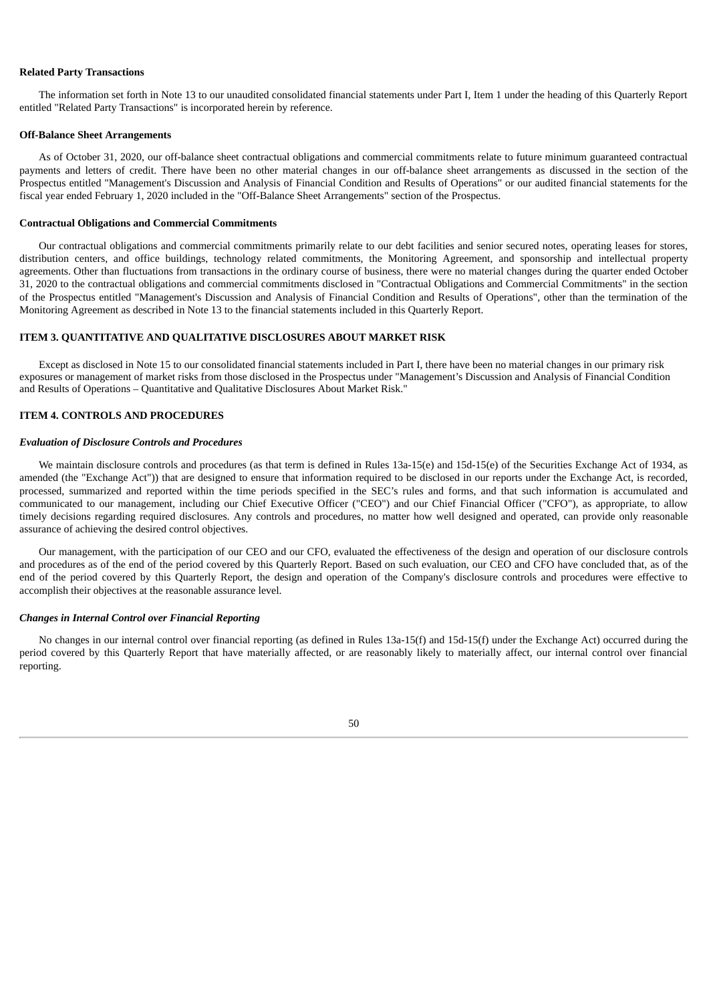#### **Related Party Transactions**

The information set forth in Note 13 to our unaudited consolidated financial statements under Part I, Item 1 under the heading of this Quarterly Report entitled "Related Party Transactions" is incorporated herein by reference.

#### **Off-Balance Sheet Arrangements**

As of October 31, 2020, our off-balance sheet contractual obligations and commercial commitments relate to future minimum guaranteed contractual payments and letters of credit. There have been no other material changes in our off-balance sheet arrangements as discussed in the section of the Prospectus entitled "Management's Discussion and Analysis of Financial Condition and Results of Operations" or our audited financial statements for the fiscal year ended February 1, 2020 included in the "Off-Balance Sheet Arrangements" section of the Prospectus.

#### **Contractual Obligations and Commercial Commitments**

Our contractual obligations and commercial commitments primarily relate to our debt facilities and senior secured notes, operating leases for stores, distribution centers, and office buildings, technology related commitments, the Monitoring Agreement, and sponsorship and intellectual property agreements. Other than fluctuations from transactions in the ordinary course of business, there were no material changes during the quarter ended October 31, 2020 to the contractual obligations and commercial commitments disclosed in "Contractual Obligations and Commercial Commitments" in the section of the Prospectus entitled "Management's Discussion and Analysis of Financial Condition and Results of Operations", other than the termination of the Monitoring Agreement as described in Note 13 to the financial statements included in this Quarterly Report.

#### **ITEM 3. QUANTITATIVE AND QUALITATIVE DISCLOSURES ABOUT MARKET RISK**

Except as disclosed in Note 15 to our consolidated financial statements included in Part I, there have been no material changes in our primary risk exposures or management of market risks from those disclosed in the Prospectus under "Management's Discussion and Analysis of Financial Condition and Results of Operations – Quantitative and Qualitative Disclosures About Market Risk."

### **ITEM 4. CONTROLS AND PROCEDURES**

#### *Evaluation of Disclosure Controls and Procedures*

We maintain disclosure controls and procedures (as that term is defined in Rules 13a-15(e) and 15d-15(e) of the Securities Exchange Act of 1934, as amended (the "Exchange Act")) that are designed to ensure that information required to be disclosed in our reports under the Exchange Act, is recorded, processed, summarized and reported within the time periods specified in the SEC's rules and forms, and that such information is accumulated and communicated to our management, including our Chief Executive Officer ("CEO") and our Chief Financial Officer ("CFO"), as appropriate, to allow timely decisions regarding required disclosures. Any controls and procedures, no matter how well designed and operated, can provide only reasonable assurance of achieving the desired control objectives.

Our management, with the participation of our CEO and our CFO, evaluated the effectiveness of the design and operation of our disclosure controls and procedures as of the end of the period covered by this Quarterly Report. Based on such evaluation, our CEO and CFO have concluded that, as of the end of the period covered by this Quarterly Report, the design and operation of the Company's disclosure controls and procedures were effective to accomplish their objectives at the reasonable assurance level.

#### *Changes in Internal Control over Financial Reporting*

No changes in our internal control over financial reporting (as defined in Rules 13a-15(f) and 15d-15(f) under the Exchange Act) occurred during the period covered by this Quarterly Report that have materially affected, or are reasonably likely to materially affect, our internal control over financial reporting.

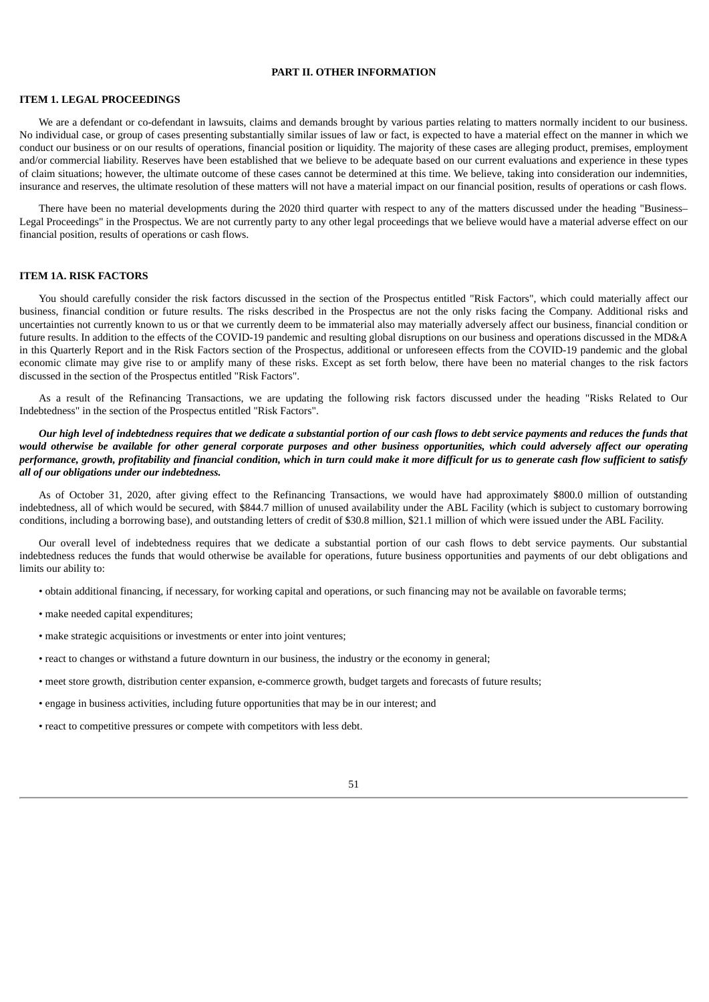## **PART II. OTHER INFORMATION**

#### **ITEM 1. LEGAL PROCEEDINGS**

We are a defendant or co-defendant in lawsuits, claims and demands brought by various parties relating to matters normally incident to our business. No individual case, or group of cases presenting substantially similar issues of law or fact, is expected to have a material effect on the manner in which we conduct our business or on our results of operations, financial position or liquidity. The majority of these cases are alleging product, premises, employment and/or commercial liability. Reserves have been established that we believe to be adequate based on our current evaluations and experience in these types of claim situations; however, the ultimate outcome of these cases cannot be determined at this time. We believe, taking into consideration our indemnities, insurance and reserves, the ultimate resolution of these matters will not have a material impact on our financial position, results of operations or cash flows.

There have been no material developments during the 2020 third quarter with respect to any of the matters discussed under the heading "Business– Legal Proceedings" in the Prospectus. We are not currently party to any other legal proceedings that we believe would have a material adverse effect on our financial position, results of operations or cash flows.

#### **ITEM 1A. RISK FACTORS**

You should carefully consider the risk factors discussed in the section of the Prospectus entitled "Risk Factors", which could materially affect our business, financial condition or future results. The risks described in the Prospectus are not the only risks facing the Company. Additional risks and uncertainties not currently known to us or that we currently deem to be immaterial also may materially adversely affect our business, financial condition or future results. In addition to the effects of the COVID-19 pandemic and resulting global disruptions on our business and operations discussed in the MD&A in this Quarterly Report and in the Risk Factors section of the Prospectus, additional or unforeseen effects from the COVID-19 pandemic and the global economic climate may give rise to or amplify many of these risks. Except as set forth below, there have been no material changes to the risk factors discussed in the section of the Prospectus entitled "Risk Factors".

As a result of the Refinancing Transactions, we are updating the following risk factors discussed under the heading "Risks Related to Our Indebtedness" in the section of the Prospectus entitled "Risk Factors".

Our high level of indebtedness requires that we dedicate a substantial portion of our cash flows to debt service payments and reduces the funds that would otherwise be available for other general corporate purposes and other business opportunities, which could adversely affect our operating performance, growth, profitability and financial condition, which in turn could make it more difficult for us to generate cash flow sufficient to satisfy *all of our obligations under our indebtedness.*

As of October 31, 2020, after giving effect to the Refinancing Transactions, we would have had approximately \$800.0 million of outstanding indebtedness, all of which would be secured, with \$844.7 million of unused availability under the ABL Facility (which is subject to customary borrowing conditions, including a borrowing base), and outstanding letters of credit of \$30.8 million, \$21.1 million of which were issued under the ABL Facility.

Our overall level of indebtedness requires that we dedicate a substantial portion of our cash flows to debt service payments. Our substantial indebtedness reduces the funds that would otherwise be available for operations, future business opportunities and payments of our debt obligations and limits our ability to:

• obtain additional financing, if necessary, for working capital and operations, or such financing may not be available on favorable terms;

- make needed capital expenditures;
- make strategic acquisitions or investments or enter into joint ventures;
- react to changes or withstand a future downturn in our business, the industry or the economy in general;
- meet store growth, distribution center expansion, e-commerce growth, budget targets and forecasts of future results;
- engage in business activities, including future opportunities that may be in our interest; and
- react to competitive pressures or compete with competitors with less debt.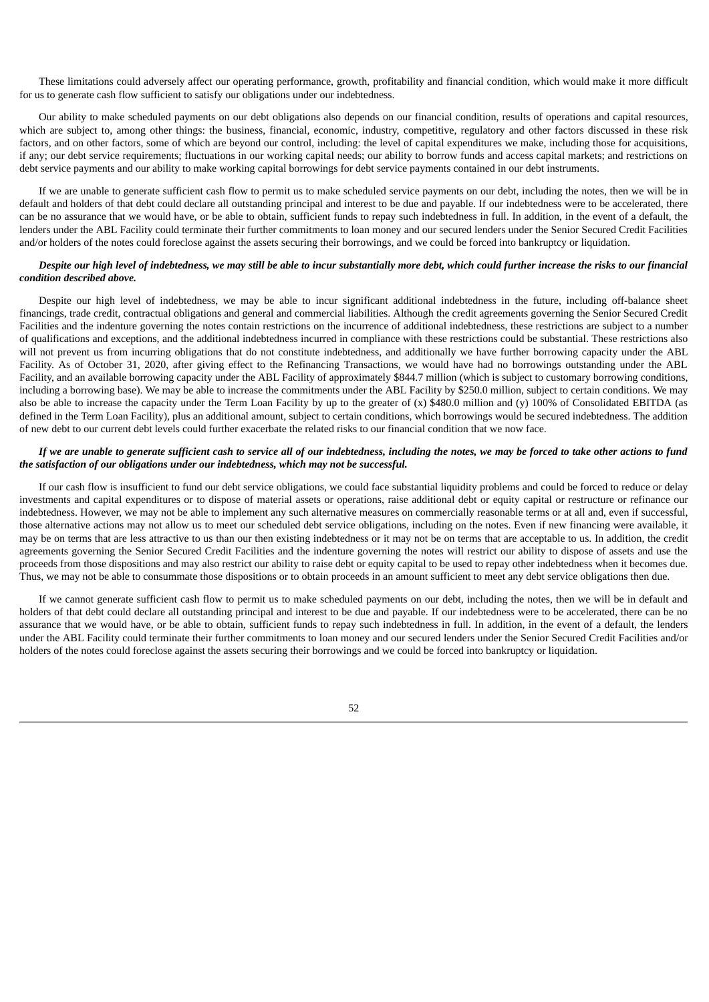These limitations could adversely affect our operating performance, growth, profitability and financial condition, which would make it more difficult for us to generate cash flow sufficient to satisfy our obligations under our indebtedness.

Our ability to make scheduled payments on our debt obligations also depends on our financial condition, results of operations and capital resources, which are subject to, among other things: the business, financial, economic, industry, competitive, regulatory and other factors discussed in these risk factors, and on other factors, some of which are beyond our control, including: the level of capital expenditures we make, including those for acquisitions, if any; our debt service requirements; fluctuations in our working capital needs; our ability to borrow funds and access capital markets; and restrictions on debt service payments and our ability to make working capital borrowings for debt service payments contained in our debt instruments.

If we are unable to generate sufficient cash flow to permit us to make scheduled service payments on our debt, including the notes, then we will be in default and holders of that debt could declare all outstanding principal and interest to be due and payable. If our indebtedness were to be accelerated, there can be no assurance that we would have, or be able to obtain, sufficient funds to repay such indebtedness in full. In addition, in the event of a default, the lenders under the ABL Facility could terminate their further commitments to loan money and our secured lenders under the Senior Secured Credit Facilities and/or holders of the notes could foreclose against the assets securing their borrowings, and we could be forced into bankruptcy or liquidation.

## Despite our high level of indebtedness, we may still be able to incur substantially more debt, which could further increase the risks to our financial *condition described above.*

Despite our high level of indebtedness, we may be able to incur significant additional indebtedness in the future, including off-balance sheet financings, trade credit, contractual obligations and general and commercial liabilities. Although the credit agreements governing the Senior Secured Credit Facilities and the indenture governing the notes contain restrictions on the incurrence of additional indebtedness, these restrictions are subject to a number of qualifications and exceptions, and the additional indebtedness incurred in compliance with these restrictions could be substantial. These restrictions also will not prevent us from incurring obligations that do not constitute indebtedness, and additionally we have further borrowing capacity under the ABL Facility. As of October 31, 2020, after giving effect to the Refinancing Transactions, we would have had no borrowings outstanding under the ABL Facility, and an available borrowing capacity under the ABL Facility of approximately \$844.7 million (which is subject to customary borrowing conditions, including a borrowing base). We may be able to increase the commitments under the ABL Facility by \$250.0 million, subject to certain conditions. We may also be able to increase the capacity under the Term Loan Facility by up to the greater of (x) \$480.0 million and (y) 100% of Consolidated EBITDA (as defined in the Term Loan Facility), plus an additional amount, subject to certain conditions, which borrowings would be secured indebtedness. The addition of new debt to our current debt levels could further exacerbate the related risks to our financial condition that we now face.

## If we are unable to generate sufficient cash to service all of our indebtedness, including the notes, we may be forced to take other actions to fund *the satisfaction of our obligations under our indebtedness, which may not be successful.*

If our cash flow is insufficient to fund our debt service obligations, we could face substantial liquidity problems and could be forced to reduce or delay investments and capital expenditures or to dispose of material assets or operations, raise additional debt or equity capital or restructure or refinance our indebtedness. However, we may not be able to implement any such alternative measures on commercially reasonable terms or at all and, even if successful, those alternative actions may not allow us to meet our scheduled debt service obligations, including on the notes. Even if new financing were available, it may be on terms that are less attractive to us than our then existing indebtedness or it may not be on terms that are acceptable to us. In addition, the credit agreements governing the Senior Secured Credit Facilities and the indenture governing the notes will restrict our ability to dispose of assets and use the proceeds from those dispositions and may also restrict our ability to raise debt or equity capital to be used to repay other indebtedness when it becomes due. Thus, we may not be able to consummate those dispositions or to obtain proceeds in an amount sufficient to meet any debt service obligations then due.

If we cannot generate sufficient cash flow to permit us to make scheduled payments on our debt, including the notes, then we will be in default and holders of that debt could declare all outstanding principal and interest to be due and payable. If our indebtedness were to be accelerated, there can be no assurance that we would have, or be able to obtain, sufficient funds to repay such indebtedness in full. In addition, in the event of a default, the lenders under the ABL Facility could terminate their further commitments to loan money and our secured lenders under the Senior Secured Credit Facilities and/or holders of the notes could foreclose against the assets securing their borrowings and we could be forced into bankruptcy or liquidation.

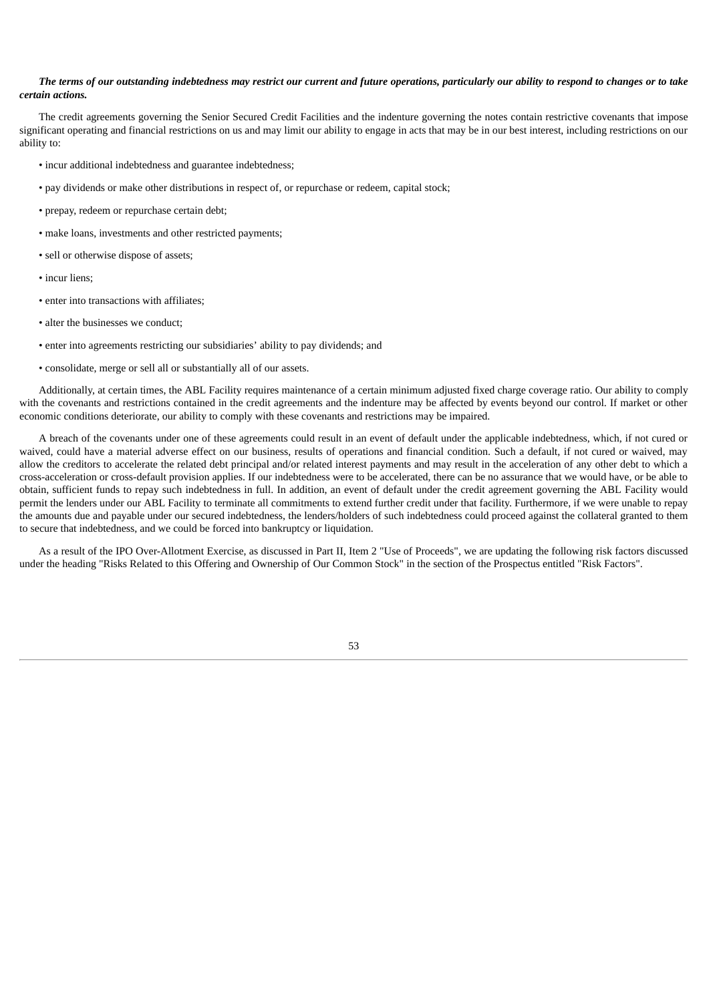## The terms of our outstanding indebtedness may restrict our current and future operations, particularly our ability to respond to changes or to take *certain actions.*

The credit agreements governing the Senior Secured Credit Facilities and the indenture governing the notes contain restrictive covenants that impose significant operating and financial restrictions on us and may limit our ability to engage in acts that may be in our best interest, including restrictions on our ability to:

- incur additional indebtedness and guarantee indebtedness;
- pay dividends or make other distributions in respect of, or repurchase or redeem, capital stock;
- prepay, redeem or repurchase certain debt;
- make loans, investments and other restricted payments;
- sell or otherwise dispose of assets;
- incur liens;
- enter into transactions with affiliates;
- alter the businesses we conduct;
- enter into agreements restricting our subsidiaries' ability to pay dividends; and
- consolidate, merge or sell all or substantially all of our assets.

Additionally, at certain times, the ABL Facility requires maintenance of a certain minimum adjusted fixed charge coverage ratio. Our ability to comply with the covenants and restrictions contained in the credit agreements and the indenture may be affected by events beyond our control. If market or other economic conditions deteriorate, our ability to comply with these covenants and restrictions may be impaired.

A breach of the covenants under one of these agreements could result in an event of default under the applicable indebtedness, which, if not cured or waived, could have a material adverse effect on our business, results of operations and financial condition. Such a default, if not cured or waived, may allow the creditors to accelerate the related debt principal and/or related interest payments and may result in the acceleration of any other debt to which a cross-acceleration or cross-default provision applies. If our indebtedness were to be accelerated, there can be no assurance that we would have, or be able to obtain, sufficient funds to repay such indebtedness in full. In addition, an event of default under the credit agreement governing the ABL Facility would permit the lenders under our ABL Facility to terminate all commitments to extend further credit under that facility. Furthermore, if we were unable to repay the amounts due and payable under our secured indebtedness, the lenders/holders of such indebtedness could proceed against the collateral granted to them to secure that indebtedness, and we could be forced into bankruptcy or liquidation.

As a result of the IPO Over-Allotment Exercise, as discussed in Part II, Item 2 "Use of Proceeds", we are updating the following risk factors discussed under the heading "Risks Related to this Offering and Ownership of Our Common Stock" in the section of the Prospectus entitled "Risk Factors".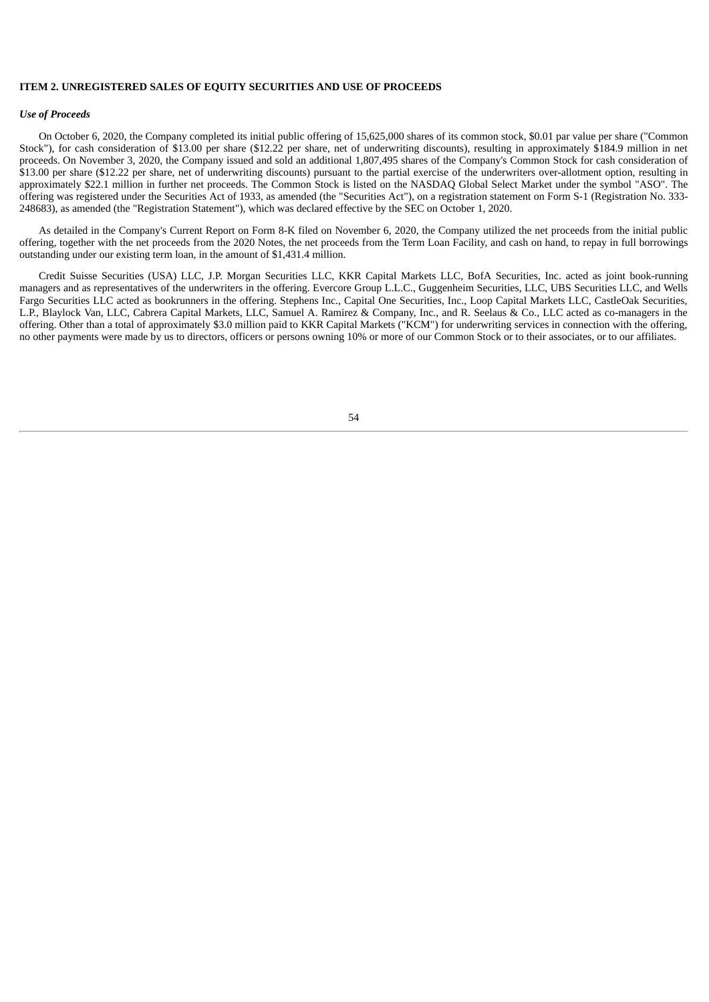#### **ITEM 2. UNREGISTERED SALES OF EQUITY SECURITIES AND USE OF PROCEEDS**

#### *Use of Proceeds*

On October 6, 2020, the Company completed its initial public offering of 15,625,000 shares of its common stock, \$0.01 par value per share ("Common Stock"), for cash consideration of \$13.00 per share (\$12.22 per share, net of underwriting discounts), resulting in approximately \$184.9 million in net proceeds. On November 3, 2020, the Company issued and sold an additional 1,807,495 shares of the Company's Common Stock for cash consideration of \$13.00 per share (\$12.22 per share, net of underwriting discounts) pursuant to the partial exercise of the underwriters over-allotment option, resulting in approximately \$22.1 million in further net proceeds. The Common Stock is listed on the NASDAQ Global Select Market under the symbol "ASO". The offering was registered under the Securities Act of 1933, as amended (the "Securities Act"), on a registration statement on Form S-1 (Registration No. 333- 248683), as amended (the "Registration Statement"), which was declared effective by the SEC on October 1, 2020.

As detailed in the Company's Current Report on Form 8-K filed on November 6, 2020, the Company utilized the net proceeds from the initial public offering, together with the net proceeds from the 2020 Notes, the net proceeds from the Term Loan Facility, and cash on hand, to repay in full borrowings outstanding under our existing term loan, in the amount of \$1,431.4 million.

Credit Suisse Securities (USA) LLC, J.P. Morgan Securities LLC, KKR Capital Markets LLC, BofA Securities, Inc. acted as joint book-running managers and as representatives of the underwriters in the offering. Evercore Group L.L.C., Guggenheim Securities, LLC, UBS Securities LLC, and Wells Fargo Securities LLC acted as bookrunners in the offering. Stephens Inc., Capital One Securities, Inc., Loop Capital Markets LLC, CastleOak Securities, L.P., Blaylock Van, LLC, Cabrera Capital Markets, LLC, Samuel A. Ramirez & Company, Inc., and R. Seelaus & Co., LLC acted as co-managers in the offering. Other than a total of approximately \$3.0 million paid to KKR Capital Markets ("KCM") for underwriting services in connection with the offering, no other payments were made by us to directors, officers or persons owning 10% or more of our Common Stock or to their associates, or to our affiliates.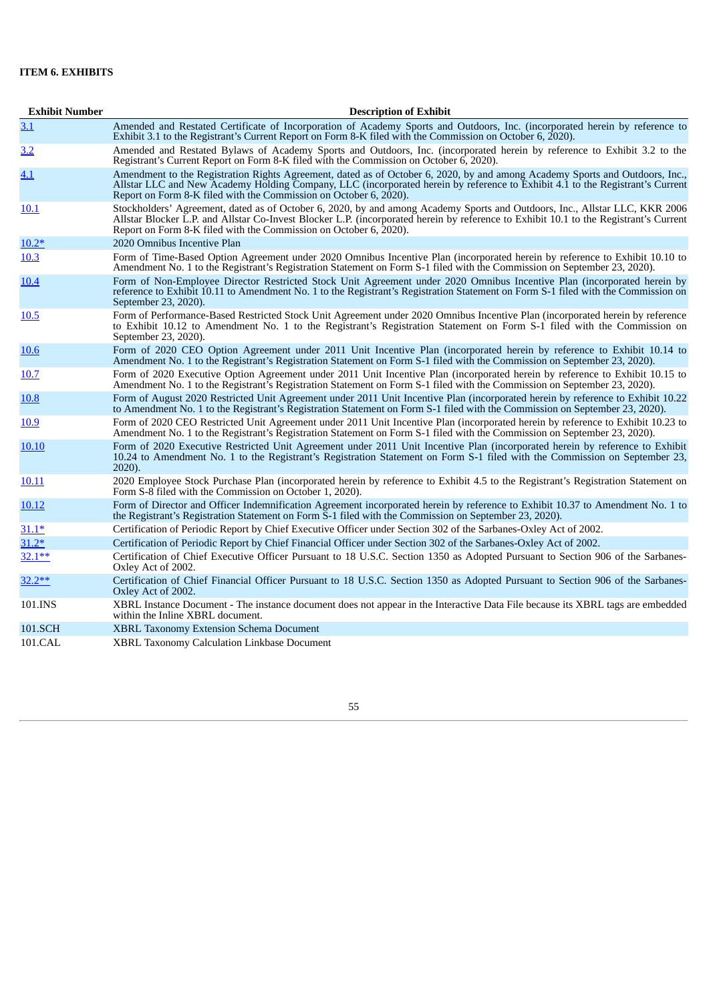| <b>Exhibit Number</b> | <b>Description of Exhibit</b>                                                                                                                                                                                                                                                                                                             |
|-----------------------|-------------------------------------------------------------------------------------------------------------------------------------------------------------------------------------------------------------------------------------------------------------------------------------------------------------------------------------------|
| 3.1                   | Amended and Restated Certificate of Incorporation of Academy Sports and Outdoors, Inc. (incorporated herein by reference to<br>Exhibit 3.1 to the Registrant's Current Report on Form 8-K filed with the Commission on October 6, 2020).                                                                                                  |
| 3.2                   | Amended and Restated Bylaws of Academy Sports and Outdoors, Inc. (incorporated herein by reference to Exhibit 3.2 to the<br>Registrant's Current Report on Form 8-K filed with the Commission on October 6, 2020).                                                                                                                        |
| 4.1                   | Amendment to the Registration Rights Agreement, dated as of October 6, 2020, by and among Academy Sports and Outdoors, Inc.,<br>Allstar LLC and New Academy Holding Company, LLC (incorporated herein by reference to Exhibit 4.1 to the Registrant's Current<br>Report on Form 8-K filed with the Commission on October 6, 2020).        |
| 10.1                  | Stockholders' Agreement, dated as of October 6, 2020, by and among Academy Sports and Outdoors, Inc., Allstar LLC, KKR 2006<br>Allstar Blocker L.P. and Allstar Co-Invest Blocker L.P. (incorporated herein by reference to Exhibit 10.1 to the Registrant's Current<br>Report on Form 8-K filed with the Commission on October 6, 2020). |
| $10.2*$               | 2020 Omnibus Incentive Plan                                                                                                                                                                                                                                                                                                               |
| 10.3                  | Form of Time-Based Option Agreement under 2020 Omnibus Incentive Plan (incorporated herein by reference to Exhibit 10.10 to<br>Amendment No. 1 to the Registrant's Registration Statement on Form S-1 filed with the Commission on September 23, 2020).                                                                                   |
| 10.4                  | Form of Non-Employee Director Restricted Stock Unit Agreement under 2020 Omnibus Incentive Plan (incorporated herein by<br>reference to Exhibit 10.11 to Amendment No. 1 to the Registrant's Registration Statement on Form S-1 filed with the Commission on<br>September 23, 2020).                                                      |
| 10.5                  | Form of Performance-Based Restricted Stock Unit Agreement under 2020 Omnibus Incentive Plan (incorporated herein by reference<br>to Exhibit 10.12 to Amendment No. 1 to the Registrant's Registration Statement on Form S-1 filed with the Commission on<br>September 23, 2020).                                                          |
| <u>10.6</u>           | Form of 2020 CEO Option Agreement under 2011 Unit Incentive Plan (incorporated herein by reference to Exhibit 10.14 to<br>Amendment No. 1 to the Registrant's Registration Statement on Form S-1 filed with the Commission on September 23, 2020).                                                                                        |
| 10.7                  | Form of 2020 Executive Option Agreement under 2011 Unit Incentive Plan (incorporated herein by reference to Exhibit 10.15 to<br>Amendment No. 1 to the Registrant's Registration Statement on Form S-1 filed with the Commission on September 23, 2020).                                                                                  |
| <u>10.8</u>           | Form of August 2020 Restricted Unit Agreement under 2011 Unit Incentive Plan (incorporated herein by reference to Exhibit 10.22<br>to Amendment No. 1 to the Registrant's Registration Statement on Form S-1 filed with the Commission on September 23, 2020).                                                                            |
| 10.9                  | Form of 2020 CEO Restricted Unit Agreement under 2011 Unit Incentive Plan (incorporated herein by reference to Exhibit 10.23 to<br>Amendment No. 1 to the Registrant's Registration Statement on Form S-1 filed with the Commission on September 23, 2020).                                                                               |
| 10.10                 | Form of 2020 Executive Restricted Unit Agreement under 2011 Unit Incentive Plan (incorporated herein by reference to Exhibit<br>10.24 to Amendment No. 1 to the Registrant's Registration Statement on Form S-1 filed with the Commission on September 23,<br>$2020$ ).                                                                   |
| 10.11                 | 2020 Employee Stock Purchase Plan (incorporated herein by reference to Exhibit 4.5 to the Registrant's Registration Statement on<br>Form S-8 filed with the Commission on October 1, 2020).                                                                                                                                               |
| <u>10.12</u>          | Form of Director and Officer Indemnification Agreement incorporated herein by reference to Exhibit 10.37 to Amendment No. 1 to<br>the Registrant's Registration Statement on Form S-1 filed with the Commission on September 23, 2020).                                                                                                   |
| $31.1*$               | Certification of Periodic Report by Chief Executive Officer under Section 302 of the Sarbanes-Oxley Act of 2002.                                                                                                                                                                                                                          |
| $31.2*$               | Certification of Periodic Report by Chief Financial Officer under Section 302 of the Sarbanes-Oxley Act of 2002.                                                                                                                                                                                                                          |
| $32.1**$              | Certification of Chief Executive Officer Pursuant to 18 U.S.C. Section 1350 as Adopted Pursuant to Section 906 of the Sarbanes-<br>Oxley Act of 2002.                                                                                                                                                                                     |
| $32.2**$              | Certification of Chief Financial Officer Pursuant to 18 U.S.C. Section 1350 as Adopted Pursuant to Section 906 of the Sarbanes-<br>Oxley Act of 2002.                                                                                                                                                                                     |
| 101.INS               | XBRL Instance Document - The instance document does not appear in the Interactive Data File because its XBRL tags are embedded<br>within the Inline XBRL document.                                                                                                                                                                        |
| 101.SCH               | <b>XBRL Taxonomy Extension Schema Document</b>                                                                                                                                                                                                                                                                                            |
| 101.CAL               | XBRL Taxonomy Calculation Linkbase Document                                                                                                                                                                                                                                                                                               |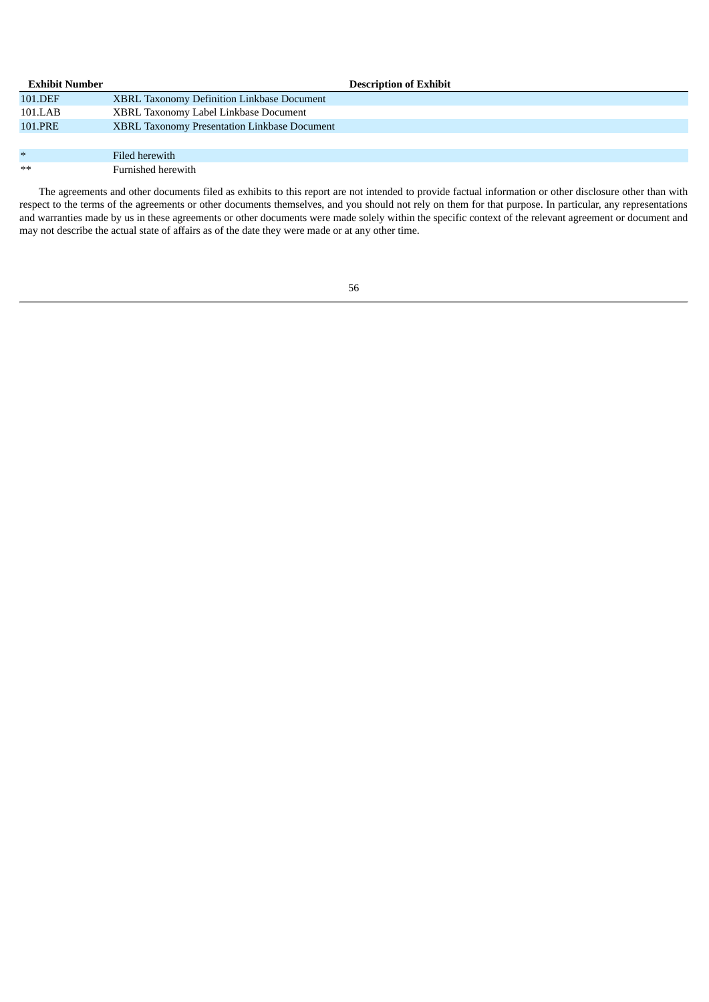| <b>Exhibit Number</b> |                                                     | <b>Description of Exhibit</b> |
|-----------------------|-----------------------------------------------------|-------------------------------|
| 101.DEF               | <b>XBRL Taxonomy Definition Linkbase Document</b>   |                               |
| 101.LAB               | XBRL Taxonomy Label Linkbase Document               |                               |
| <b>101.PRE</b>        | <b>XBRL Taxonomy Presentation Linkbase Document</b> |                               |
|                       |                                                     |                               |
| $*$                   | Filed herewith                                      |                               |
| $***$                 | Furnished herewith                                  |                               |

The agreements and other documents filed as exhibits to this report are not intended to provide factual information or other disclosure other than with respect to the terms of the agreements or other documents themselves, and you should not rely on them for that purpose. In particular, any representations and warranties made by us in these agreements or other documents were made solely within the specific context of the relevant agreement or document and may not describe the actual state of affairs as of the date they were made or at any other time.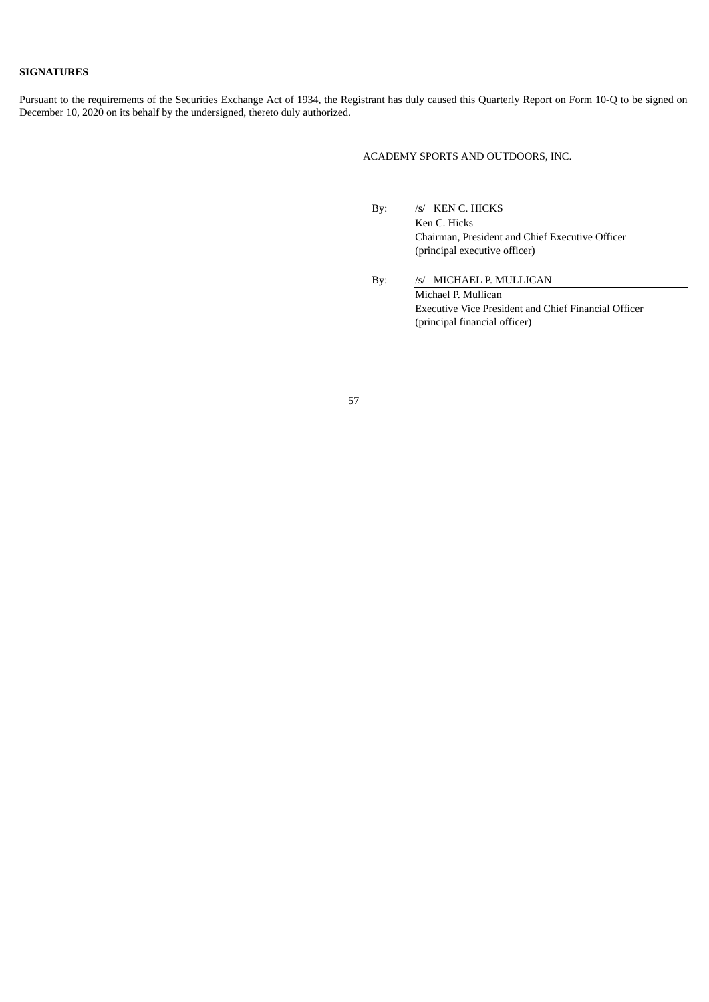# **SIGNATURES**

Pursuant to the requirements of the Securities Exchange Act of 1934, the Registrant has duly caused this Quarterly Report on Form 10-Q to be signed on December 10, 2020 on its behalf by the undersigned, thereto duly authorized.

ACADEMY SPORTS AND OUTDOORS, INC.

- By: /s/ KEN C. HICKS Ken C. Hicks Chairman, President and Chief Executive Officer (principal executive officer)
- By: /s/ MICHAEL P. MULLICAN Michael P. Mullican Executive Vice President and Chief Financial Officer (principal financial officer)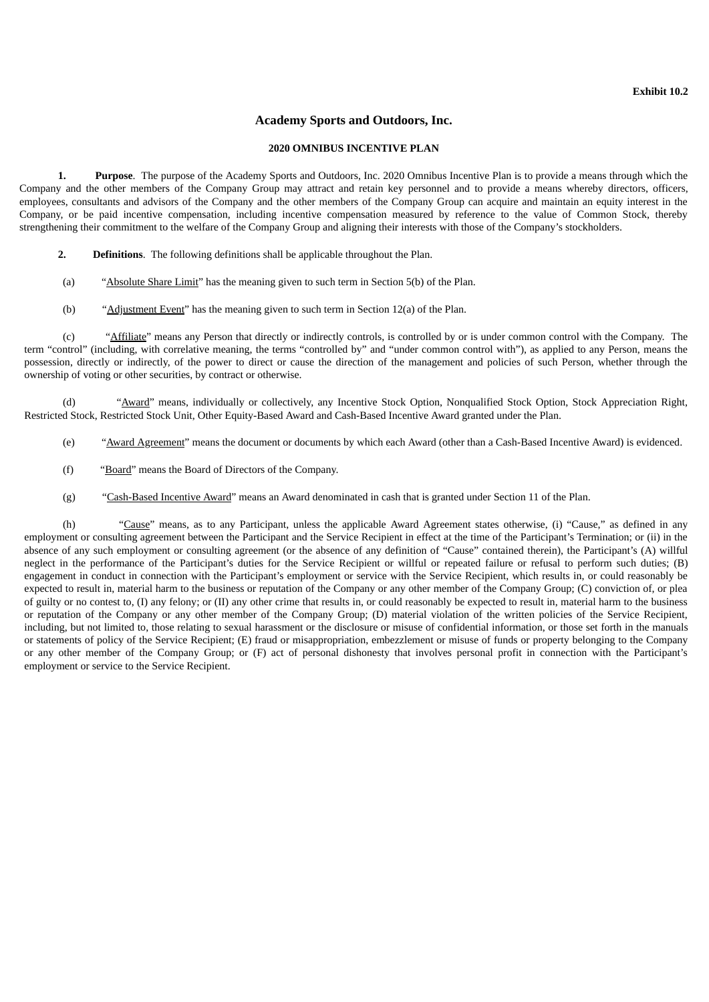# **Academy Sports and Outdoors, Inc.**

## **2020 OMNIBUS INCENTIVE PLAN**

<span id="page-57-0"></span>**1. Purpose**. The purpose of the Academy Sports and Outdoors, Inc. 2020 Omnibus Incentive Plan is to provide a means through which the Company and the other members of the Company Group may attract and retain key personnel and to provide a means whereby directors, officers, employees, consultants and advisors of the Company and the other members of the Company Group can acquire and maintain an equity interest in the Company, or be paid incentive compensation, including incentive compensation measured by reference to the value of Common Stock, thereby strengthening their commitment to the welfare of the Company Group and aligning their interests with those of the Company's stockholders.

- **2. Definitions**. The following definitions shall be applicable throughout the Plan.
- (a) "Absolute Share Limit" has the meaning given to such term in Section 5(b) of the Plan.
- (b) "Adjustment Event" has the meaning given to such term in Section 12(a) of the Plan.

(c) "Affiliate" means any Person that directly or indirectly controls, is controlled by or is under common control with the Company. The term "control" (including, with correlative meaning, the terms "controlled by" and "under common control with"), as applied to any Person, means the possession, directly or indirectly, of the power to direct or cause the direction of the management and policies of such Person, whether through the ownership of voting or other securities, by contract or otherwise.

(d) "Award" means, individually or collectively, any Incentive Stock Option, Nonqualified Stock Option, Stock Appreciation Right, Restricted Stock, Restricted Stock Unit, Other Equity-Based Award and Cash-Based Incentive Award granted under the Plan.

- (e) "Award Agreement" means the document or documents by which each Award (other than a Cash-Based Incentive Award) is evidenced.
- (f) "Board" means the Board of Directors of the Company.
- (g) "Cash-Based Incentive Award" means an Award denominated in cash that is granted under Section 11 of the Plan.

(h) "Cause" means, as to any Participant, unless the applicable Award Agreement states otherwise, (i) "Cause," as defined in any employment or consulting agreement between the Participant and the Service Recipient in effect at the time of the Participant's Termination; or (ii) in the absence of any such employment or consulting agreement (or the absence of any definition of "Cause" contained therein), the Participant's (A) willful neglect in the performance of the Participant's duties for the Service Recipient or willful or repeated failure or refusal to perform such duties; (B) engagement in conduct in connection with the Participant's employment or service with the Service Recipient, which results in, or could reasonably be expected to result in, material harm to the business or reputation of the Company or any other member of the Company Group; (C) conviction of, or plea of guilty or no contest to, (I) any felony; or (II) any other crime that results in, or could reasonably be expected to result in, material harm to the business or reputation of the Company or any other member of the Company Group; (D) material violation of the written policies of the Service Recipient, including, but not limited to, those relating to sexual harassment or the disclosure or misuse of confidential information, or those set forth in the manuals or statements of policy of the Service Recipient; (E) fraud or misappropriation, embezzlement or misuse of funds or property belonging to the Company or any other member of the Company Group; or (F) act of personal dishonesty that involves personal profit in connection with the Participant's employment or service to the Service Recipient.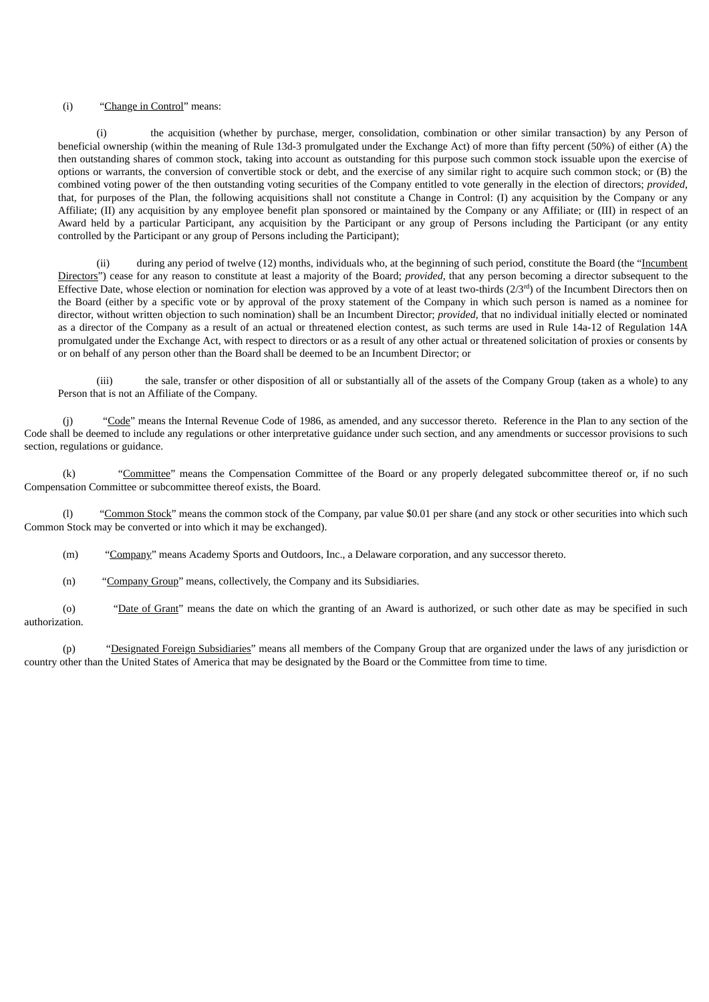### (i) "Change in Control" means:

(i) the acquisition (whether by purchase, merger, consolidation, combination or other similar transaction) by any Person of beneficial ownership (within the meaning of Rule 13d-3 promulgated under the Exchange Act) of more than fifty percent (50%) of either (A) the then outstanding shares of common stock, taking into account as outstanding for this purpose such common stock issuable upon the exercise of options or warrants, the conversion of convertible stock or debt, and the exercise of any similar right to acquire such common stock; or (B) the combined voting power of the then outstanding voting securities of the Company entitled to vote generally in the election of directors; *provided*, that, for purposes of the Plan, the following acquisitions shall not constitute a Change in Control: (I) any acquisition by the Company or any Affiliate; (II) any acquisition by any employee benefit plan sponsored or maintained by the Company or any Affiliate; or (III) in respect of an Award held by a particular Participant, any acquisition by the Participant or any group of Persons including the Participant (or any entity controlled by the Participant or any group of Persons including the Participant);

during any period of twelve (12) months, individuals who, at the beginning of such period, constitute the Board (the "Incumbent" Directors") cease for any reason to constitute at least a majority of the Board; *provided,* that any person becoming a director subsequent to the Effective Date, whose election or nomination for election was approved by a vote of at least two-thirds ( $2/3<sup>rd</sup>$ ) of the Incumbent Directors then on the Board (either by a specific vote or by approval of the proxy statement of the Company in which such person is named as a nominee for director, without written objection to such nomination) shall be an Incumbent Director; *provided*, that no individual initially elected or nominated as a director of the Company as a result of an actual or threatened election contest, as such terms are used in Rule 14a-12 of Regulation 14A promulgated under the Exchange Act, with respect to directors or as a result of any other actual or threatened solicitation of proxies or consents by or on behalf of any person other than the Board shall be deemed to be an Incumbent Director; or

(iii) the sale, transfer or other disposition of all or substantially all of the assets of the Company Group (taken as a whole) to any Person that is not an Affiliate of the Company.

(j) "Code" means the Internal Revenue Code of 1986, as amended, and any successor thereto. Reference in the Plan to any section of the Code shall be deemed to include any regulations or other interpretative guidance under such section, and any amendments or successor provisions to such section, regulations or guidance.

(k) "Committee" means the Compensation Committee of the Board or any properly delegated subcommittee thereof or, if no such Compensation Committee or subcommittee thereof exists, the Board.

(l) "Common Stock" means the common stock of the Company, par value \$0.01 per share (and any stock or other securities into which such Common Stock may be converted or into which it may be exchanged).

(m) "Company" means Academy Sports and Outdoors, Inc., a Delaware corporation, and any successor thereto.

(n) "Company Group" means, collectively, the Company and its Subsidiaries.

(o) "Date of Grant" means the date on which the granting of an Award is authorized, or such other date as may be specified in such authorization.

(p) "Designated Foreign Subsidiaries" means all members of the Company Group that are organized under the laws of any jurisdiction or country other than the United States of America that may be designated by the Board or the Committee from time to time.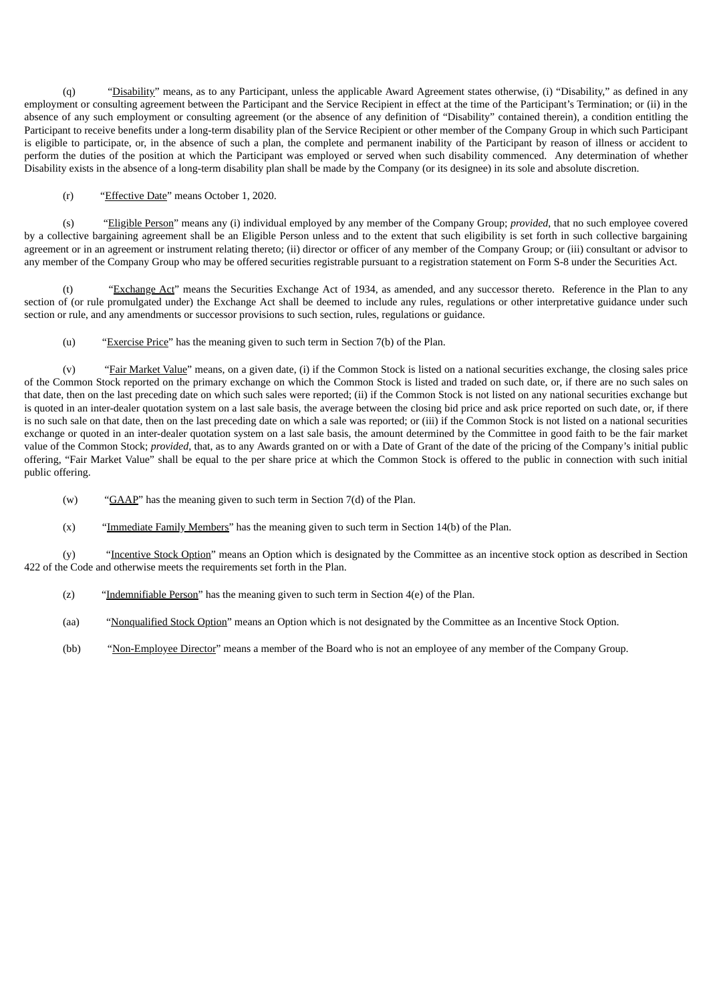(q) "Disability" means, as to any Participant, unless the applicable Award Agreement states otherwise, (i) "Disability," as defined in any employment or consulting agreement between the Participant and the Service Recipient in effect at the time of the Participant's Termination; or (ii) in the absence of any such employment or consulting agreement (or the absence of any definition of "Disability" contained therein), a condition entitling the Participant to receive benefits under a long-term disability plan of the Service Recipient or other member of the Company Group in which such Participant is eligible to participate, or, in the absence of such a plan, the complete and permanent inability of the Participant by reason of illness or accident to perform the duties of the position at which the Participant was employed or served when such disability commenced. Any determination of whether Disability exists in the absence of a long-term disability plan shall be made by the Company (or its designee) in its sole and absolute discretion.

(r) "Effective Date" means October 1, 2020.

(s) "Eligible Person" means any (i) individual employed by any member of the Company Group; *provided*, that no such employee covered by a collective bargaining agreement shall be an Eligible Person unless and to the extent that such eligibility is set forth in such collective bargaining agreement or in an agreement or instrument relating thereto; (ii) director or officer of any member of the Company Group; or (iii) consultant or advisor to any member of the Company Group who may be offered securities registrable pursuant to a registration statement on Form S-8 under the Securities Act.

(t) "Exchange Act" means the Securities Exchange Act of 1934, as amended, and any successor thereto. Reference in the Plan to any section of (or rule promulgated under) the Exchange Act shall be deemed to include any rules, regulations or other interpretative guidance under such section or rule, and any amendments or successor provisions to such section, rules, regulations or guidance.

(u) "Exercise Price" has the meaning given to such term in Section 7(b) of the Plan.

(v) "Fair Market Value" means, on a given date, (i) if the Common Stock is listed on a national securities exchange, the closing sales price of the Common Stock reported on the primary exchange on which the Common Stock is listed and traded on such date, or, if there are no such sales on that date, then on the last preceding date on which such sales were reported; (ii) if the Common Stock is not listed on any national securities exchange but is quoted in an inter-dealer quotation system on a last sale basis, the average between the closing bid price and ask price reported on such date, or, if there is no such sale on that date, then on the last preceding date on which a sale was reported; or (iii) if the Common Stock is not listed on a national securities exchange or quoted in an inter-dealer quotation system on a last sale basis, the amount determined by the Committee in good faith to be the fair market value of the Common Stock; *provided*, that, as to any Awards granted on or with a Date of Grant of the date of the pricing of the Company's initial public offering, "Fair Market Value" shall be equal to the per share price at which the Common Stock is offered to the public in connection with such initial public offering.

- (w) "GAAP" has the meaning given to such term in Section 7(d) of the Plan.
- $(x)$  "Immediate Family Members" has the meaning given to such term in Section 14(b) of the Plan.

(y) "Incentive Stock Option" means an Option which is designated by the Committee as an incentive stock option as described in Section 422 of the Code and otherwise meets the requirements set forth in the Plan.

- (z) "Indemnifiable Person" has the meaning given to such term in Section  $4(e)$  of the Plan.
- (aa) "Nonqualified Stock Option" means an Option which is not designated by the Committee as an Incentive Stock Option.
- (bb) "Non-Employee Director" means a member of the Board who is not an employee of any member of the Company Group.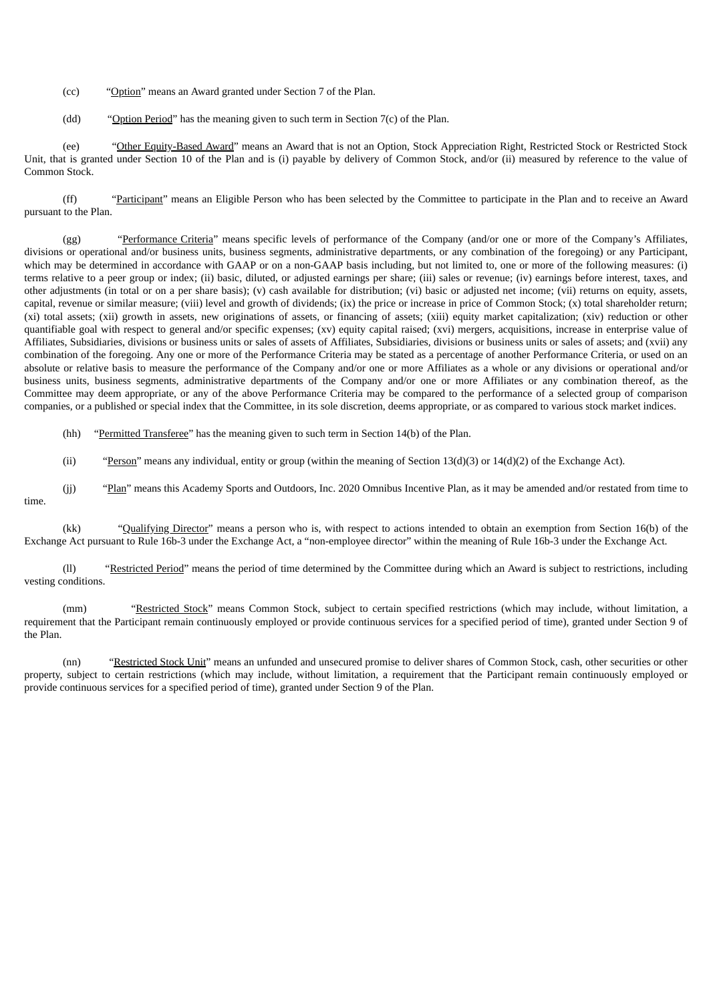- (cc) "Option" means an Award granted under Section 7 of the Plan.
- (dd) "Option Period" has the meaning given to such term in Section 7(c) of the Plan.

(ee) "Other Equity-Based Award" means an Award that is not an Option, Stock Appreciation Right, Restricted Stock or Restricted Stock Unit, that is granted under Section 10 of the Plan and is (i) payable by delivery of Common Stock, and/or (ii) measured by reference to the value of Common Stock.

(ff) "Participant" means an Eligible Person who has been selected by the Committee to participate in the Plan and to receive an Award pursuant to the Plan.

(gg) "Performance Criteria" means specific levels of performance of the Company (and/or one or more of the Company's Affiliates, divisions or operational and/or business units, business segments, administrative departments, or any combination of the foregoing) or any Participant, which may be determined in accordance with GAAP or on a non-GAAP basis including, but not limited to, one or more of the following measures: (i) terms relative to a peer group or index; (ii) basic, diluted, or adjusted earnings per share; (iii) sales or revenue; (iv) earnings before interest, taxes, and other adjustments (in total or on a per share basis); (v) cash available for distribution; (vi) basic or adjusted net income; (vii) returns on equity, assets, capital, revenue or similar measure; (viii) level and growth of dividends; (ix) the price or increase in price of Common Stock; (x) total shareholder return; (xi) total assets; (xii) growth in assets, new originations of assets, or financing of assets; (xiii) equity market capitalization; (xiv) reduction or other quantifiable goal with respect to general and/or specific expenses; (xv) equity capital raised; (xvi) mergers, acquisitions, increase in enterprise value of Affiliates, Subsidiaries, divisions or business units or sales of assets of Affiliates, Subsidiaries, divisions or business units or sales of assets; and (xvii) any combination of the foregoing. Any one or more of the Performance Criteria may be stated as a percentage of another Performance Criteria, or used on an absolute or relative basis to measure the performance of the Company and/or one or more Affiliates as a whole or any divisions or operational and/or business units, business segments, administrative departments of the Company and/or one or more Affiliates or any combination thereof, as the Committee may deem appropriate, or any of the above Performance Criteria may be compared to the performance of a selected group of comparison companies, or a published or special index that the Committee, in its sole discretion, deems appropriate, or as compared to various stock market indices.

(hh) "Permitted Transferee" has the meaning given to such term in Section 14(b) of the Plan.

(ii) "Person" means any individual, entity or group (within the meaning of Section 13(d)(3) or 14(d)(2) of the Exchange Act).

(jj) "Plan" means this Academy Sports and Outdoors, Inc. 2020 Omnibus Incentive Plan, as it may be amended and/or restated from time to time.

(kk) "Qualifying Director" means a person who is, with respect to actions intended to obtain an exemption from Section 16(b) of the Exchange Act pursuant to Rule 16b-3 under the Exchange Act, a "non-employee director" within the meaning of Rule 16b-3 under the Exchange Act.

(ll) "Restricted Period" means the period of time determined by the Committee during which an Award is subject to restrictions, including vesting conditions.

(mm) "Restricted Stock" means Common Stock, subject to certain specified restrictions (which may include, without limitation, a requirement that the Participant remain continuously employed or provide continuous services for a specified period of time), granted under Section 9 of the Plan.

(nn) "Restricted Stock Unit" means an unfunded and unsecured promise to deliver shares of Common Stock, cash, other securities or other property, subject to certain restrictions (which may include, without limitation, a requirement that the Participant remain continuously employed or provide continuous services for a specified period of time), granted under Section 9 of the Plan.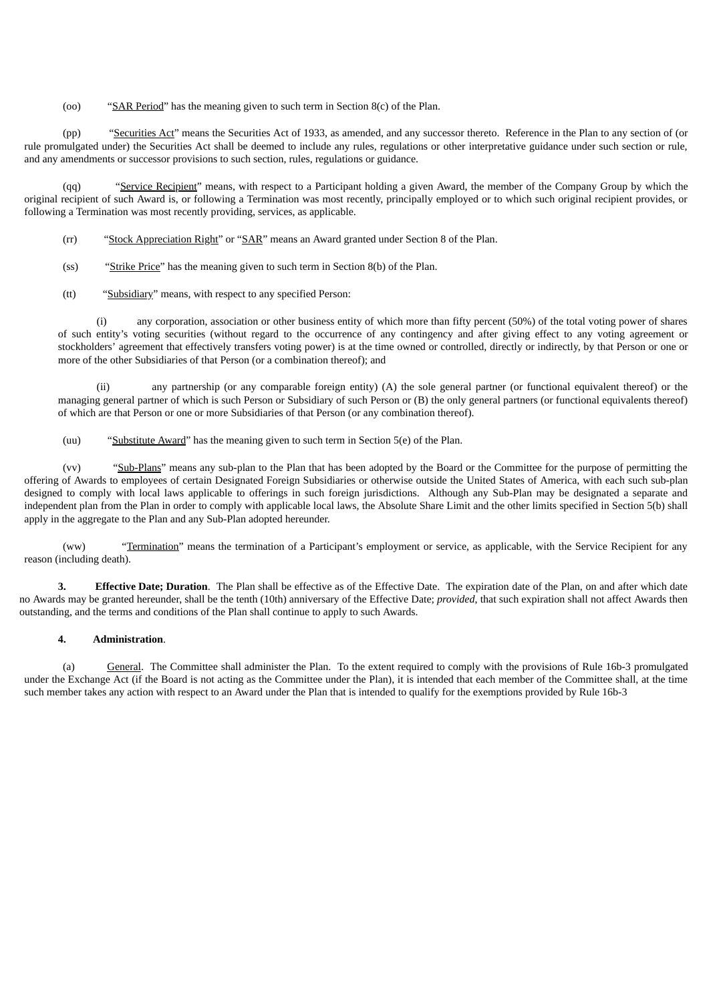(oo) "SAR Period" has the meaning given to such term in Section  $8(c)$  of the Plan.

(pp) "Securities Act" means the Securities Act of 1933, as amended, and any successor thereto. Reference in the Plan to any section of (or rule promulgated under) the Securities Act shall be deemed to include any rules, regulations or other interpretative guidance under such section or rule, and any amendments or successor provisions to such section, rules, regulations or guidance.

(qq) "Service Recipient" means, with respect to a Participant holding a given Award, the member of the Company Group by which the original recipient of such Award is, or following a Termination was most recently, principally employed or to which such original recipient provides, or following a Termination was most recently providing, services, as applicable.

- (rr) "Stock Appreciation Right" or "SAR" means an Award granted under Section 8 of the Plan.
- (ss) "Strike Price" has the meaning given to such term in Section 8(b) of the Plan.
- (tt) "Subsidiary" means, with respect to any specified Person:

(i) any corporation, association or other business entity of which more than fifty percent (50%) of the total voting power of shares of such entity's voting securities (without regard to the occurrence of any contingency and after giving effect to any voting agreement or stockholders' agreement that effectively transfers voting power) is at the time owned or controlled, directly or indirectly, by that Person or one or more of the other Subsidiaries of that Person (or a combination thereof); and

(ii) any partnership (or any comparable foreign entity) (A) the sole general partner (or functional equivalent thereof) or the managing general partner of which is such Person or Subsidiary of such Person or (B) the only general partners (or functional equivalents thereof) of which are that Person or one or more Subsidiaries of that Person (or any combination thereof).

(uu) "Substitute Award" has the meaning given to such term in Section 5(e) of the Plan.

(vv) "Sub-Plans" means any sub-plan to the Plan that has been adopted by the Board or the Committee for the purpose of permitting the offering of Awards to employees of certain Designated Foreign Subsidiaries or otherwise outside the United States of America, with each such sub-plan designed to comply with local laws applicable to offerings in such foreign jurisdictions. Although any Sub-Plan may be designated a separate and independent plan from the Plan in order to comply with applicable local laws, the Absolute Share Limit and the other limits specified in Section 5(b) shall apply in the aggregate to the Plan and any Sub-Plan adopted hereunder.

(ww) "Termination" means the termination of a Participant's employment or service, as applicable, with the Service Recipient for any reason (including death).

**3. Effective Date; Duration**. The Plan shall be effective as of the Effective Date. The expiration date of the Plan, on and after which date no Awards may be granted hereunder, shall be the tenth (10th) anniversary of the Effective Date; *provided*, that such expiration shall not affect Awards then outstanding, and the terms and conditions of the Plan shall continue to apply to such Awards.

#### **4. Administration**.

(a) General. The Committee shall administer the Plan. To the extent required to comply with the provisions of Rule 16b-3 promulgated under the Exchange Act (if the Board is not acting as the Committee under the Plan), it is intended that each member of the Committee shall, at the time such member takes any action with respect to an Award under the Plan that is intended to qualify for the exemptions provided by Rule 16b-3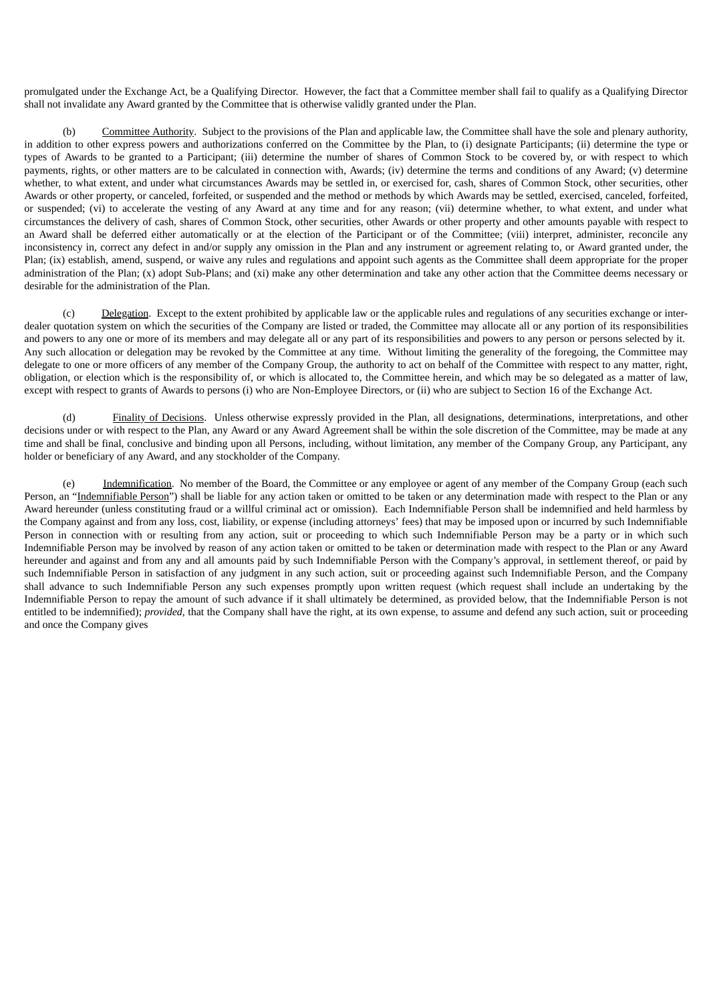promulgated under the Exchange Act, be a Qualifying Director. However, the fact that a Committee member shall fail to qualify as a Qualifying Director shall not invalidate any Award granted by the Committee that is otherwise validly granted under the Plan.

Committee Authority. Subject to the provisions of the Plan and applicable law, the Committee shall have the sole and plenary authority, in addition to other express powers and authorizations conferred on the Committee by the Plan, to (i) designate Participants; (ii) determine the type or types of Awards to be granted to a Participant; (iii) determine the number of shares of Common Stock to be covered by, or with respect to which payments, rights, or other matters are to be calculated in connection with, Awards; (iv) determine the terms and conditions of any Award; (v) determine whether, to what extent, and under what circumstances Awards may be settled in, or exercised for, cash, shares of Common Stock, other securities, other Awards or other property, or canceled, forfeited, or suspended and the method or methods by which Awards may be settled, exercised, canceled, forfeited, or suspended; (vi) to accelerate the vesting of any Award at any time and for any reason; (vii) determine whether, to what extent, and under what circumstances the delivery of cash, shares of Common Stock, other securities, other Awards or other property and other amounts payable with respect to an Award shall be deferred either automatically or at the election of the Participant or of the Committee; (viii) interpret, administer, reconcile any inconsistency in, correct any defect in and/or supply any omission in the Plan and any instrument or agreement relating to, or Award granted under, the Plan; (ix) establish, amend, suspend, or waive any rules and regulations and appoint such agents as the Committee shall deem appropriate for the proper administration of the Plan; (x) adopt Sub-Plans; and (xi) make any other determination and take any other action that the Committee deems necessary or desirable for the administration of the Plan.

(c) Delegation. Except to the extent prohibited by applicable law or the applicable rules and regulations of any securities exchange or interdealer quotation system on which the securities of the Company are listed or traded, the Committee may allocate all or any portion of its responsibilities and powers to any one or more of its members and may delegate all or any part of its responsibilities and powers to any person or persons selected by it. Any such allocation or delegation may be revoked by the Committee at any time. Without limiting the generality of the foregoing, the Committee may delegate to one or more officers of any member of the Company Group, the authority to act on behalf of the Committee with respect to any matter, right, obligation, or election which is the responsibility of, or which is allocated to, the Committee herein, and which may be so delegated as a matter of law, except with respect to grants of Awards to persons (i) who are Non-Employee Directors, or (ii) who are subject to Section 16 of the Exchange Act.

Finality of Decisions. Unless otherwise expressly provided in the Plan, all designations, determinations, interpretations, and other decisions under or with respect to the Plan, any Award or any Award Agreement shall be within the sole discretion of the Committee, may be made at any time and shall be final, conclusive and binding upon all Persons, including, without limitation, any member of the Company Group, any Participant, any holder or beneficiary of any Award, and any stockholder of the Company.

(e) Indemnification. No member of the Board, the Committee or any employee or agent of any member of the Company Group (each such Person, an "Indemnifiable Person") shall be liable for any action taken or omitted to be taken or any determination made with respect to the Plan or any Award hereunder (unless constituting fraud or a willful criminal act or omission). Each Indemnifiable Person shall be indemnified and held harmless by the Company against and from any loss, cost, liability, or expense (including attorneys' fees) that may be imposed upon or incurred by such Indemnifiable Person in connection with or resulting from any action, suit or proceeding to which such Indemnifiable Person may be a party or in which such Indemnifiable Person may be involved by reason of any action taken or omitted to be taken or determination made with respect to the Plan or any Award hereunder and against and from any and all amounts paid by such Indemnifiable Person with the Company's approval, in settlement thereof, or paid by such Indemnifiable Person in satisfaction of any judgment in any such action, suit or proceeding against such Indemnifiable Person, and the Company shall advance to such Indemnifiable Person any such expenses promptly upon written request (which request shall include an undertaking by the Indemnifiable Person to repay the amount of such advance if it shall ultimately be determined, as provided below, that the Indemnifiable Person is not entitled to be indemnified); *provided*, that the Company shall have the right, at its own expense, to assume and defend any such action, suit or proceeding and once the Company gives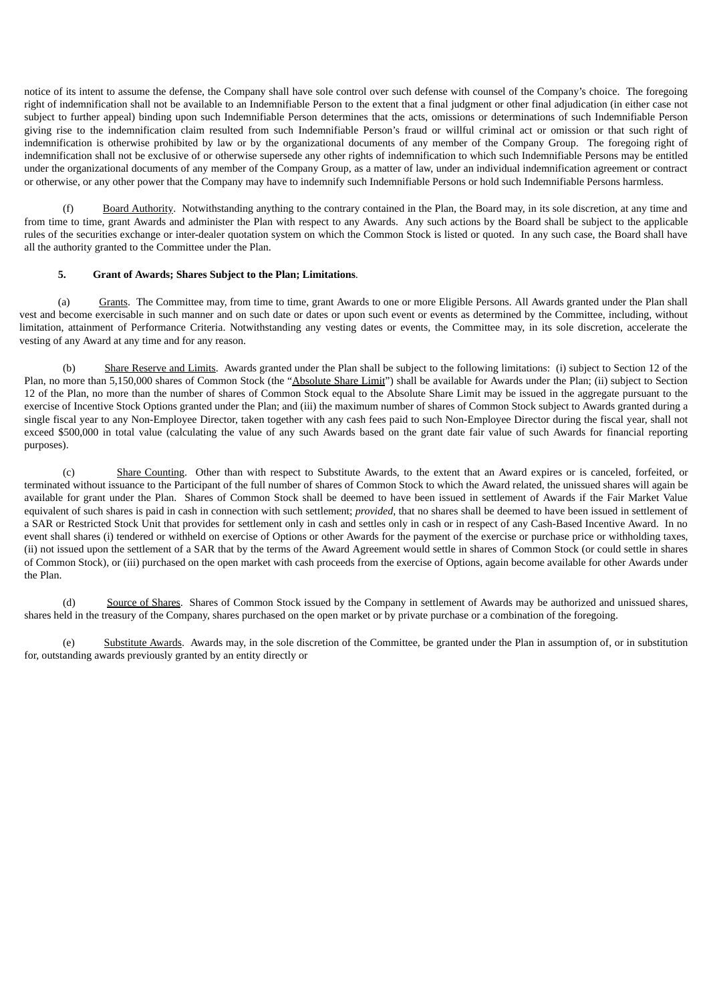notice of its intent to assume the defense, the Company shall have sole control over such defense with counsel of the Company's choice. The foregoing right of indemnification shall not be available to an Indemnifiable Person to the extent that a final judgment or other final adjudication (in either case not subject to further appeal) binding upon such Indemnifiable Person determines that the acts, omissions or determinations of such Indemnifiable Person giving rise to the indemnification claim resulted from such Indemnifiable Person's fraud or willful criminal act or omission or that such right of indemnification is otherwise prohibited by law or by the organizational documents of any member of the Company Group. The foregoing right of indemnification shall not be exclusive of or otherwise supersede any other rights of indemnification to which such Indemnifiable Persons may be entitled under the organizational documents of any member of the Company Group, as a matter of law, under an individual indemnification agreement or contract or otherwise, or any other power that the Company may have to indemnify such Indemnifiable Persons or hold such Indemnifiable Persons harmless.

(f) Board Authority. Notwithstanding anything to the contrary contained in the Plan, the Board may, in its sole discretion, at any time and from time to time, grant Awards and administer the Plan with respect to any Awards. Any such actions by the Board shall be subject to the applicable rules of the securities exchange or inter-dealer quotation system on which the Common Stock is listed or quoted. In any such case, the Board shall have all the authority granted to the Committee under the Plan.

## **5. Grant of Awards; Shares Subject to the Plan; Limitations**.

(a) Grants. The Committee may, from time to time, grant Awards to one or more Eligible Persons. All Awards granted under the Plan shall vest and become exercisable in such manner and on such date or dates or upon such event or events as determined by the Committee, including, without limitation, attainment of Performance Criteria. Notwithstanding any vesting dates or events, the Committee may, in its sole discretion, accelerate the vesting of any Award at any time and for any reason.

(b) Share Reserve and Limits. Awards granted under the Plan shall be subject to the following limitations: (i) subject to Section 12 of the Plan, no more than 5,150,000 shares of Common Stock (the "Absolute Share Limit") shall be available for Awards under the Plan; (ii) subject to Section 12 of the Plan, no more than the number of shares of Common Stock equal to the Absolute Share Limit may be issued in the aggregate pursuant to the exercise of Incentive Stock Options granted under the Plan; and (iii) the maximum number of shares of Common Stock subject to Awards granted during a single fiscal year to any Non-Employee Director, taken together with any cash fees paid to such Non-Employee Director during the fiscal year, shall not exceed \$500,000 in total value (calculating the value of any such Awards based on the grant date fair value of such Awards for financial reporting purposes).

(c) Share Counting. Other than with respect to Substitute Awards, to the extent that an Award expires or is canceled, forfeited, or terminated without issuance to the Participant of the full number of shares of Common Stock to which the Award related, the unissued shares will again be available for grant under the Plan. Shares of Common Stock shall be deemed to have been issued in settlement of Awards if the Fair Market Value equivalent of such shares is paid in cash in connection with such settlement; *provided*, that no shares shall be deemed to have been issued in settlement of a SAR or Restricted Stock Unit that provides for settlement only in cash and settles only in cash or in respect of any Cash-Based Incentive Award. In no event shall shares (i) tendered or withheld on exercise of Options or other Awards for the payment of the exercise or purchase price or withholding taxes, (ii) not issued upon the settlement of a SAR that by the terms of the Award Agreement would settle in shares of Common Stock (or could settle in shares of Common Stock), or (iii) purchased on the open market with cash proceeds from the exercise of Options, again become available for other Awards under the Plan.

(d) Source of Shares. Shares of Common Stock issued by the Company in settlement of Awards may be authorized and unissued shares, shares held in the treasury of the Company, shares purchased on the open market or by private purchase or a combination of the foregoing.

(e) Substitute Awards. Awards may, in the sole discretion of the Committee, be granted under the Plan in assumption of, or in substitution for, outstanding awards previously granted by an entity directly or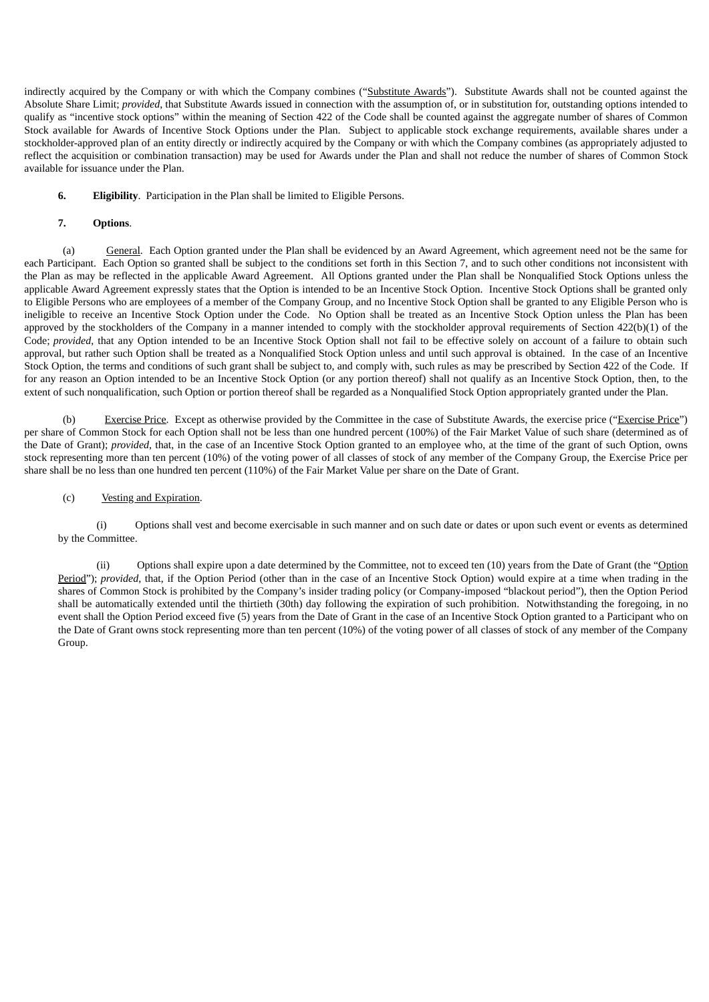indirectly acquired by the Company or with which the Company combines ("Substitute Awards"). Substitute Awards shall not be counted against the Absolute Share Limit; *provided*, that Substitute Awards issued in connection with the assumption of, or in substitution for, outstanding options intended to qualify as "incentive stock options" within the meaning of Section 422 of the Code shall be counted against the aggregate number of shares of Common Stock available for Awards of Incentive Stock Options under the Plan. Subject to applicable stock exchange requirements, available shares under a stockholder-approved plan of an entity directly or indirectly acquired by the Company or with which the Company combines (as appropriately adjusted to reflect the acquisition or combination transaction) may be used for Awards under the Plan and shall not reduce the number of shares of Common Stock available for issuance under the Plan.

**6. Eligibility**. Participation in the Plan shall be limited to Eligible Persons.

#### **7. Options**.

(a) General. Each Option granted under the Plan shall be evidenced by an Award Agreement, which agreement need not be the same for each Participant. Each Option so granted shall be subject to the conditions set forth in this Section 7, and to such other conditions not inconsistent with the Plan as may be reflected in the applicable Award Agreement. All Options granted under the Plan shall be Nonqualified Stock Options unless the applicable Award Agreement expressly states that the Option is intended to be an Incentive Stock Option. Incentive Stock Options shall be granted only to Eligible Persons who are employees of a member of the Company Group, and no Incentive Stock Option shall be granted to any Eligible Person who is ineligible to receive an Incentive Stock Option under the Code. No Option shall be treated as an Incentive Stock Option unless the Plan has been approved by the stockholders of the Company in a manner intended to comply with the stockholder approval requirements of Section 422(b)(1) of the Code; *provided*, that any Option intended to be an Incentive Stock Option shall not fail to be effective solely on account of a failure to obtain such approval, but rather such Option shall be treated as a Nonqualified Stock Option unless and until such approval is obtained. In the case of an Incentive Stock Option, the terms and conditions of such grant shall be subject to, and comply with, such rules as may be prescribed by Section 422 of the Code. If for any reason an Option intended to be an Incentive Stock Option (or any portion thereof) shall not qualify as an Incentive Stock Option, then, to the extent of such nonqualification, such Option or portion thereof shall be regarded as a Nonqualified Stock Option appropriately granted under the Plan.

(b) Exercise Price. Except as otherwise provided by the Committee in the case of Substitute Awards, the exercise price ("Exercise Price") per share of Common Stock for each Option shall not be less than one hundred percent (100%) of the Fair Market Value of such share (determined as of the Date of Grant); *provided*, that, in the case of an Incentive Stock Option granted to an employee who, at the time of the grant of such Option, owns stock representing more than ten percent (10%) of the voting power of all classes of stock of any member of the Company Group, the Exercise Price per share shall be no less than one hundred ten percent (110%) of the Fair Market Value per share on the Date of Grant.

# (c) Vesting and Expiration.

(i) Options shall vest and become exercisable in such manner and on such date or dates or upon such event or events as determined by the Committee.

(ii) Options shall expire upon a date determined by the Committee, not to exceed ten (10) years from the Date of Grant (the "Option Period"); *provided*, that, if the Option Period (other than in the case of an Incentive Stock Option) would expire at a time when trading in the shares of Common Stock is prohibited by the Company's insider trading policy (or Company-imposed "blackout period"), then the Option Period shall be automatically extended until the thirtieth (30th) day following the expiration of such prohibition. Notwithstanding the foregoing, in no event shall the Option Period exceed five (5) years from the Date of Grant in the case of an Incentive Stock Option granted to a Participant who on the Date of Grant owns stock representing more than ten percent (10%) of the voting power of all classes of stock of any member of the Company Group.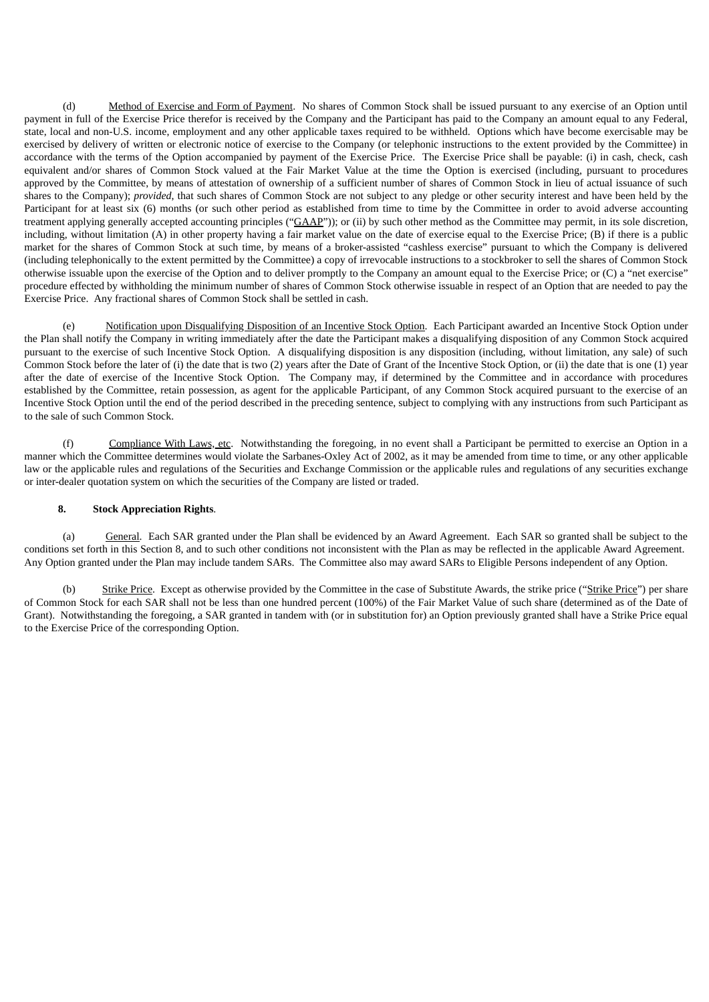(d) Method of Exercise and Form of Payment. No shares of Common Stock shall be issued pursuant to any exercise of an Option until payment in full of the Exercise Price therefor is received by the Company and the Participant has paid to the Company an amount equal to any Federal, state, local and non-U.S. income, employment and any other applicable taxes required to be withheld. Options which have become exercisable may be exercised by delivery of written or electronic notice of exercise to the Company (or telephonic instructions to the extent provided by the Committee) in accordance with the terms of the Option accompanied by payment of the Exercise Price. The Exercise Price shall be payable: (i) in cash, check, cash equivalent and/or shares of Common Stock valued at the Fair Market Value at the time the Option is exercised (including, pursuant to procedures approved by the Committee, by means of attestation of ownership of a sufficient number of shares of Common Stock in lieu of actual issuance of such shares to the Company); *provided*, that such shares of Common Stock are not subject to any pledge or other security interest and have been held by the Participant for at least six (6) months (or such other period as established from time to time by the Committee in order to avoid adverse accounting treatment applying generally accepted accounting principles ("GAAP")); or (ii) by such other method as the Committee may permit, in its sole discretion, including, without limitation (A) in other property having a fair market value on the date of exercise equal to the Exercise Price; (B) if there is a public market for the shares of Common Stock at such time, by means of a broker-assisted "cashless exercise" pursuant to which the Company is delivered (including telephonically to the extent permitted by the Committee) a copy of irrevocable instructions to a stockbroker to sell the shares of Common Stock otherwise issuable upon the exercise of the Option and to deliver promptly to the Company an amount equal to the Exercise Price; or (C) a "net exercise" procedure effected by withholding the minimum number of shares of Common Stock otherwise issuable in respect of an Option that are needed to pay the Exercise Price. Any fractional shares of Common Stock shall be settled in cash.

(e) Notification upon Disqualifying Disposition of an Incentive Stock Option. Each Participant awarded an Incentive Stock Option under the Plan shall notify the Company in writing immediately after the date the Participant makes a disqualifying disposition of any Common Stock acquired pursuant to the exercise of such Incentive Stock Option. A disqualifying disposition is any disposition (including, without limitation, any sale) of such Common Stock before the later of (i) the date that is two (2) years after the Date of Grant of the Incentive Stock Option, or (ii) the date that is one (1) year after the date of exercise of the Incentive Stock Option. The Company may, if determined by the Committee and in accordance with procedures established by the Committee, retain possession, as agent for the applicable Participant, of any Common Stock acquired pursuant to the exercise of an Incentive Stock Option until the end of the period described in the preceding sentence, subject to complying with any instructions from such Participant as to the sale of such Common Stock.

(f) Compliance With Laws, etc. Notwithstanding the foregoing, in no event shall a Participant be permitted to exercise an Option in a manner which the Committee determines would violate the Sarbanes-Oxley Act of 2002, as it may be amended from time to time, or any other applicable law or the applicable rules and regulations of the Securities and Exchange Commission or the applicable rules and regulations of any securities exchange or inter-dealer quotation system on which the securities of the Company are listed or traded.

#### **8. Stock Appreciation Rights**.

(a) General. Each SAR granted under the Plan shall be evidenced by an Award Agreement. Each SAR so granted shall be subject to the conditions set forth in this Section 8, and to such other conditions not inconsistent with the Plan as may be reflected in the applicable Award Agreement. Any Option granted under the Plan may include tandem SARs. The Committee also may award SARs to Eligible Persons independent of any Option.

(b) Strike Price. Except as otherwise provided by the Committee in the case of Substitute Awards, the strike price ("Strike Price") per share of Common Stock for each SAR shall not be less than one hundred percent (100%) of the Fair Market Value of such share (determined as of the Date of Grant). Notwithstanding the foregoing, a SAR granted in tandem with (or in substitution for) an Option previously granted shall have a Strike Price equal to the Exercise Price of the corresponding Option.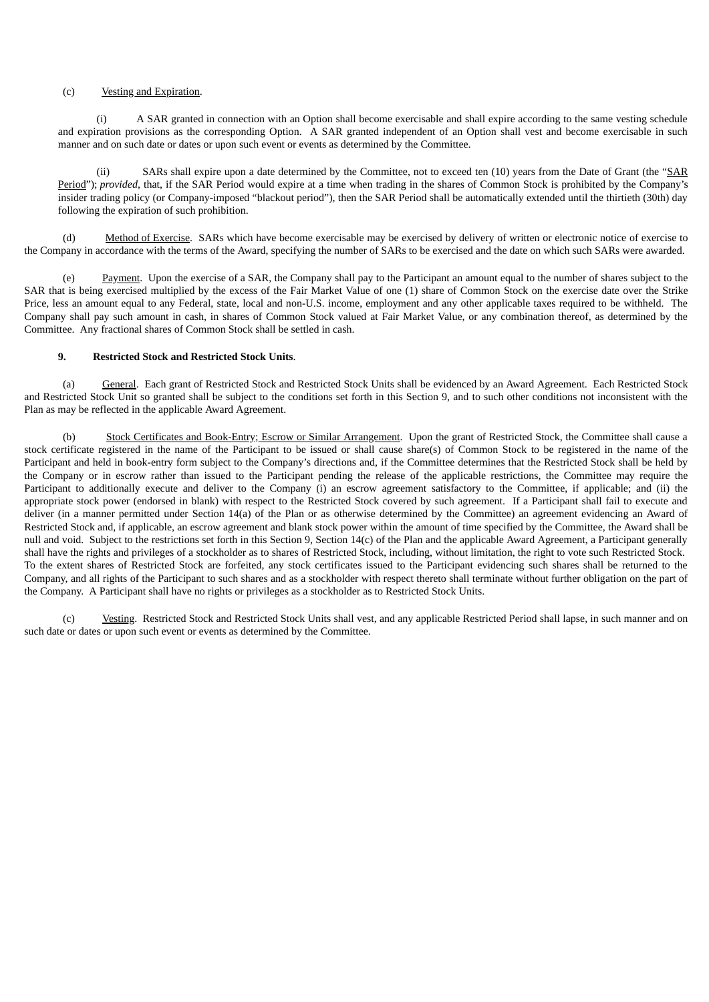## (c) Vesting and Expiration.

(i) A SAR granted in connection with an Option shall become exercisable and shall expire according to the same vesting schedule and expiration provisions as the corresponding Option. A SAR granted independent of an Option shall vest and become exercisable in such manner and on such date or dates or upon such event or events as determined by the Committee.

(ii) SARs shall expire upon a date determined by the Committee, not to exceed ten (10) years from the Date of Grant (the "SAR Period"); *provided*, that, if the SAR Period would expire at a time when trading in the shares of Common Stock is prohibited by the Company's insider trading policy (or Company-imposed "blackout period"), then the SAR Period shall be automatically extended until the thirtieth (30th) day following the expiration of such prohibition.

(d) Method of Exercise. SARs which have become exercisable may be exercised by delivery of written or electronic notice of exercise to the Company in accordance with the terms of the Award, specifying the number of SARs to be exercised and the date on which such SARs were awarded.

(e) Payment. Upon the exercise of a SAR, the Company shall pay to the Participant an amount equal to the number of shares subject to the SAR that is being exercised multiplied by the excess of the Fair Market Value of one (1) share of Common Stock on the exercise date over the Strike Price, less an amount equal to any Federal, state, local and non-U.S. income, employment and any other applicable taxes required to be withheld. The Company shall pay such amount in cash, in shares of Common Stock valued at Fair Market Value, or any combination thereof, as determined by the Committee. Any fractional shares of Common Stock shall be settled in cash.

## **9. Restricted Stock and Restricted Stock Units**.

(a) General. Each grant of Restricted Stock and Restricted Stock Units shall be evidenced by an Award Agreement. Each Restricted Stock and Restricted Stock Unit so granted shall be subject to the conditions set forth in this Section 9, and to such other conditions not inconsistent with the Plan as may be reflected in the applicable Award Agreement.

(b) Stock Certificates and Book-Entry; Escrow or Similar Arrangement. Upon the grant of Restricted Stock, the Committee shall cause a stock certificate registered in the name of the Participant to be issued or shall cause share(s) of Common Stock to be registered in the name of the Participant and held in book-entry form subject to the Company's directions and, if the Committee determines that the Restricted Stock shall be held by the Company or in escrow rather than issued to the Participant pending the release of the applicable restrictions, the Committee may require the Participant to additionally execute and deliver to the Company (i) an escrow agreement satisfactory to the Committee, if applicable; and (ii) the appropriate stock power (endorsed in blank) with respect to the Restricted Stock covered by such agreement. If a Participant shall fail to execute and deliver (in a manner permitted under Section 14(a) of the Plan or as otherwise determined by the Committee) an agreement evidencing an Award of Restricted Stock and, if applicable, an escrow agreement and blank stock power within the amount of time specified by the Committee, the Award shall be null and void. Subject to the restrictions set forth in this Section 9, Section 14(c) of the Plan and the applicable Award Agreement, a Participant generally shall have the rights and privileges of a stockholder as to shares of Restricted Stock, including, without limitation, the right to vote such Restricted Stock. To the extent shares of Restricted Stock are forfeited, any stock certificates issued to the Participant evidencing such shares shall be returned to the Company, and all rights of the Participant to such shares and as a stockholder with respect thereto shall terminate without further obligation on the part of the Company. A Participant shall have no rights or privileges as a stockholder as to Restricted Stock Units.

(c) Vesting. Restricted Stock and Restricted Stock Units shall vest, and any applicable Restricted Period shall lapse, in such manner and on such date or dates or upon such event or events as determined by the Committee.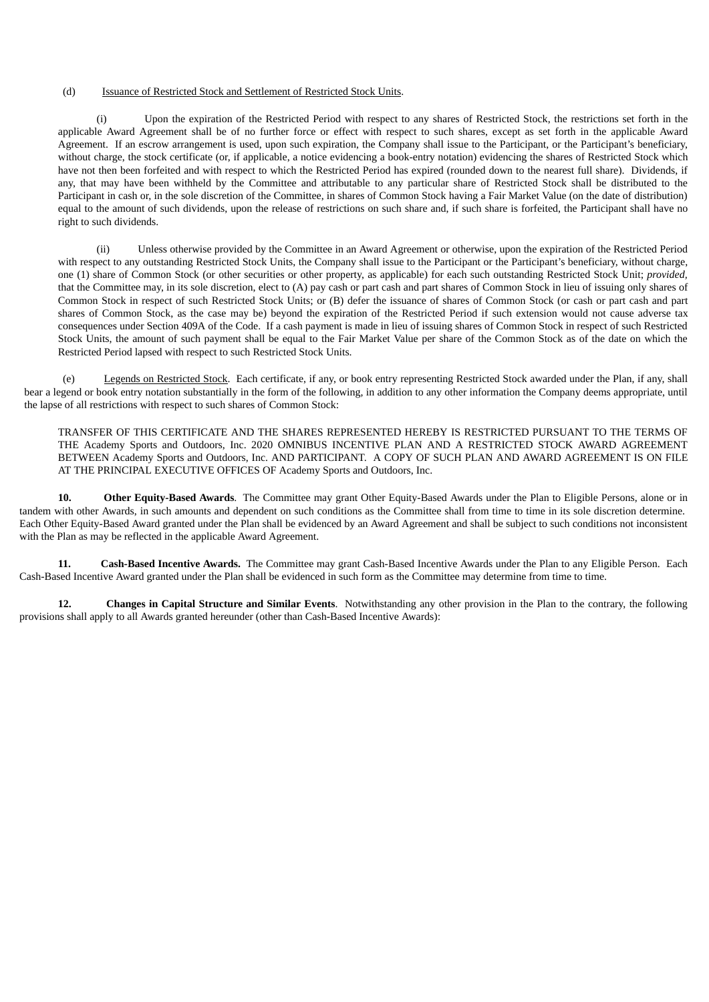## (d) **Issuance of Restricted Stock and Settlement of Restricted Stock Units.**

(i) Upon the expiration of the Restricted Period with respect to any shares of Restricted Stock, the restrictions set forth in the applicable Award Agreement shall be of no further force or effect with respect to such shares, except as set forth in the applicable Award Agreement. If an escrow arrangement is used, upon such expiration, the Company shall issue to the Participant, or the Participant's beneficiary, without charge, the stock certificate (or, if applicable, a notice evidencing a book-entry notation) evidencing the shares of Restricted Stock which have not then been forfeited and with respect to which the Restricted Period has expired (rounded down to the nearest full share). Dividends, if any, that may have been withheld by the Committee and attributable to any particular share of Restricted Stock shall be distributed to the Participant in cash or, in the sole discretion of the Committee, in shares of Common Stock having a Fair Market Value (on the date of distribution) equal to the amount of such dividends, upon the release of restrictions on such share and, if such share is forfeited, the Participant shall have no right to such dividends.

(ii) Unless otherwise provided by the Committee in an Award Agreement or otherwise, upon the expiration of the Restricted Period with respect to any outstanding Restricted Stock Units, the Company shall issue to the Participant or the Participant's beneficiary, without charge, one (1) share of Common Stock (or other securities or other property, as applicable) for each such outstanding Restricted Stock Unit; *provided,* that the Committee may, in its sole discretion, elect to (A) pay cash or part cash and part shares of Common Stock in lieu of issuing only shares of Common Stock in respect of such Restricted Stock Units; or (B) defer the issuance of shares of Common Stock (or cash or part cash and part shares of Common Stock, as the case may be) beyond the expiration of the Restricted Period if such extension would not cause adverse tax consequences under Section 409A of the Code. If a cash payment is made in lieu of issuing shares of Common Stock in respect of such Restricted Stock Units, the amount of such payment shall be equal to the Fair Market Value per share of the Common Stock as of the date on which the Restricted Period lapsed with respect to such Restricted Stock Units.

(e) Legends on Restricted Stock. Each certificate, if any, or book entry representing Restricted Stock awarded under the Plan, if any, shall bear a legend or book entry notation substantially in the form of the following, in addition to any other information the Company deems appropriate, until the lapse of all restrictions with respect to such shares of Common Stock:

TRANSFER OF THIS CERTIFICATE AND THE SHARES REPRESENTED HEREBY IS RESTRICTED PURSUANT TO THE TERMS OF THE Academy Sports and Outdoors, Inc. 2020 OMNIBUS INCENTIVE PLAN AND A RESTRICTED STOCK AWARD AGREEMENT BETWEEN Academy Sports and Outdoors, Inc. AND PARTICIPANT. A COPY OF SUCH PLAN AND AWARD AGREEMENT IS ON FILE AT THE PRINCIPAL EXECUTIVE OFFICES OF Academy Sports and Outdoors, Inc.

**10. Other Equity-Based Awards**. The Committee may grant Other Equity-Based Awards under the Plan to Eligible Persons, alone or in tandem with other Awards, in such amounts and dependent on such conditions as the Committee shall from time to time in its sole discretion determine. Each Other Equity-Based Award granted under the Plan shall be evidenced by an Award Agreement and shall be subject to such conditions not inconsistent with the Plan as may be reflected in the applicable Award Agreement.

**11. Cash-Based Incentive Awards.** The Committee may grant Cash-Based Incentive Awards under the Plan to any Eligible Person. Each Cash-Based Incentive Award granted under the Plan shall be evidenced in such form as the Committee may determine from time to time.

**12. Changes in Capital Structure and Similar Events**. Notwithstanding any other provision in the Plan to the contrary, the following provisions shall apply to all Awards granted hereunder (other than Cash-Based Incentive Awards):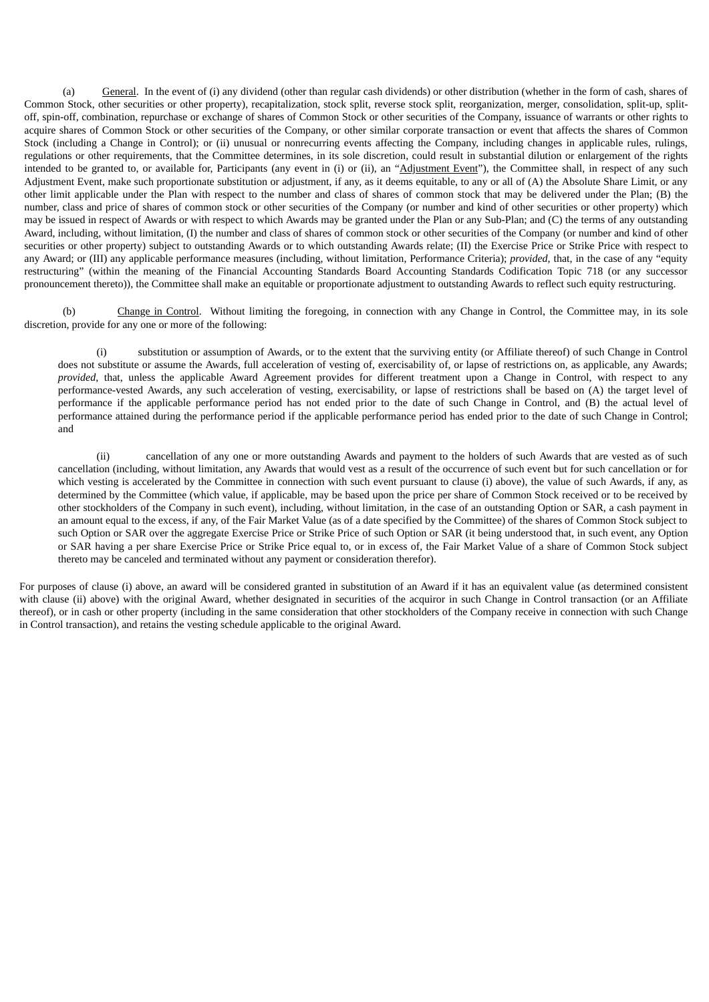(a) General. In the event of (i) any dividend (other than regular cash dividends) or other distribution (whether in the form of cash, shares of Common Stock, other securities or other property), recapitalization, stock split, reverse stock split, reorganization, merger, consolidation, split-up, splitoff, spin-off, combination, repurchase or exchange of shares of Common Stock or other securities of the Company, issuance of warrants or other rights to acquire shares of Common Stock or other securities of the Company, or other similar corporate transaction or event that affects the shares of Common Stock (including a Change in Control); or (ii) unusual or nonrecurring events affecting the Company, including changes in applicable rules, rulings, regulations or other requirements, that the Committee determines, in its sole discretion, could result in substantial dilution or enlargement of the rights intended to be granted to, or available for, Participants (any event in (i) or (ii), an "Adjustment Event"), the Committee shall, in respect of any such Adjustment Event, make such proportionate substitution or adjustment, if any, as it deems equitable, to any or all of (A) the Absolute Share Limit, or any other limit applicable under the Plan with respect to the number and class of shares of common stock that may be delivered under the Plan; (B) the number, class and price of shares of common stock or other securities of the Company (or number and kind of other securities or other property) which may be issued in respect of Awards or with respect to which Awards may be granted under the Plan or any Sub-Plan; and (C) the terms of any outstanding Award, including, without limitation, (I) the number and class of shares of common stock or other securities of the Company (or number and kind of other securities or other property) subject to outstanding Awards or to which outstanding Awards relate; (II) the Exercise Price or Strike Price with respect to any Award; or (III) any applicable performance measures (including, without limitation, Performance Criteria); *provided*, that, in the case of any "equity restructuring" (within the meaning of the Financial Accounting Standards Board Accounting Standards Codification Topic 718 (or any successor pronouncement thereto)), the Committee shall make an equitable or proportionate adjustment to outstanding Awards to reflect such equity restructuring.

(b) Change in Control. Without limiting the foregoing, in connection with any Change in Control, the Committee may, in its sole discretion, provide for any one or more of the following:

(i) substitution or assumption of Awards, or to the extent that the surviving entity (or Affiliate thereof) of such Change in Control does not substitute or assume the Awards, full acceleration of vesting of, exercisability of, or lapse of restrictions on, as applicable, any Awards; *provided*, that, unless the applicable Award Agreement provides for different treatment upon a Change in Control, with respect to any performance-vested Awards, any such acceleration of vesting, exercisability, or lapse of restrictions shall be based on (A) the target level of performance if the applicable performance period has not ended prior to the date of such Change in Control, and (B) the actual level of performance attained during the performance period if the applicable performance period has ended prior to the date of such Change in Control; and

(ii) cancellation of any one or more outstanding Awards and payment to the holders of such Awards that are vested as of such cancellation (including, without limitation, any Awards that would vest as a result of the occurrence of such event but for such cancellation or for which vesting is accelerated by the Committee in connection with such event pursuant to clause (i) above), the value of such Awards, if any, as determined by the Committee (which value, if applicable, may be based upon the price per share of Common Stock received or to be received by other stockholders of the Company in such event), including, without limitation, in the case of an outstanding Option or SAR, a cash payment in an amount equal to the excess, if any, of the Fair Market Value (as of a date specified by the Committee) of the shares of Common Stock subject to such Option or SAR over the aggregate Exercise Price or Strike Price of such Option or SAR (it being understood that, in such event, any Option or SAR having a per share Exercise Price or Strike Price equal to, or in excess of, the Fair Market Value of a share of Common Stock subject thereto may be canceled and terminated without any payment or consideration therefor).

For purposes of clause (i) above, an award will be considered granted in substitution of an Award if it has an equivalent value (as determined consistent with clause (ii) above) with the original Award, whether designated in securities of the acquiror in such Change in Control transaction (or an Affiliate thereof), or in cash or other property (including in the same consideration that other stockholders of the Company receive in connection with such Change in Control transaction), and retains the vesting schedule applicable to the original Award.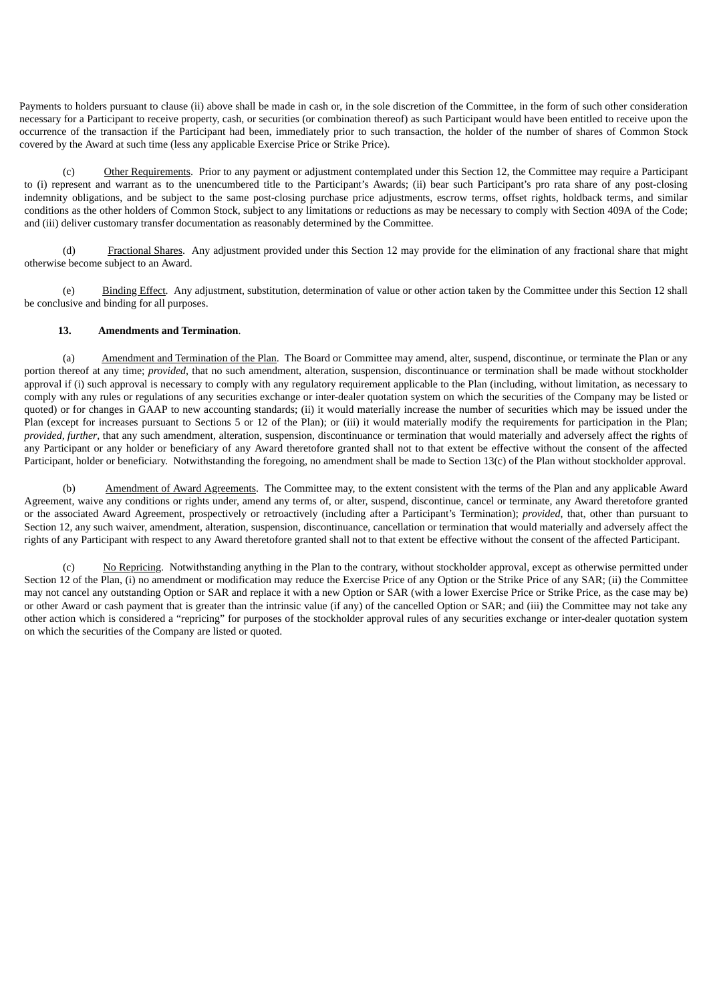Payments to holders pursuant to clause (ii) above shall be made in cash or, in the sole discretion of the Committee, in the form of such other consideration necessary for a Participant to receive property, cash, or securities (or combination thereof) as such Participant would have been entitled to receive upon the occurrence of the transaction if the Participant had been, immediately prior to such transaction, the holder of the number of shares of Common Stock covered by the Award at such time (less any applicable Exercise Price or Strike Price).

(c) Other Requirements. Prior to any payment or adjustment contemplated under this Section 12, the Committee may require a Participant to (i) represent and warrant as to the unencumbered title to the Participant's Awards; (ii) bear such Participant's pro rata share of any post-closing indemnity obligations, and be subject to the same post-closing purchase price adjustments, escrow terms, offset rights, holdback terms, and similar conditions as the other holders of Common Stock, subject to any limitations or reductions as may be necessary to comply with Section 409A of the Code; and (iii) deliver customary transfer documentation as reasonably determined by the Committee.

(d) Fractional Shares. Any adjustment provided under this Section 12 may provide for the elimination of any fractional share that might otherwise become subject to an Award.

(e) Binding Effect. Any adjustment, substitution, determination of value or other action taken by the Committee under this Section 12 shall be conclusive and binding for all purposes.

# **13. Amendments and Termination**.

(a) Amendment and Termination of the Plan. The Board or Committee may amend, alter, suspend, discontinue, or terminate the Plan or any portion thereof at any time; *provided*, that no such amendment, alteration, suspension, discontinuance or termination shall be made without stockholder approval if (i) such approval is necessary to comply with any regulatory requirement applicable to the Plan (including, without limitation, as necessary to comply with any rules or regulations of any securities exchange or inter-dealer quotation system on which the securities of the Company may be listed or quoted) or for changes in GAAP to new accounting standards; (ii) it would materially increase the number of securities which may be issued under the Plan (except for increases pursuant to Sections 5 or 12 of the Plan); or (iii) it would materially modify the requirements for participation in the Plan; *provided, further*, that any such amendment, alteration, suspension, discontinuance or termination that would materially and adversely affect the rights of any Participant or any holder or beneficiary of any Award theretofore granted shall not to that extent be effective without the consent of the affected Participant, holder or beneficiary. Notwithstanding the foregoing, no amendment shall be made to Section 13(c) of the Plan without stockholder approval.

(b) Amendment of Award Agreements. The Committee may, to the extent consistent with the terms of the Plan and any applicable Award Agreement, waive any conditions or rights under, amend any terms of, or alter, suspend, discontinue, cancel or terminate, any Award theretofore granted or the associated Award Agreement, prospectively or retroactively (including after a Participant's Termination); *provided*, that, other than pursuant to Section 12, any such waiver, amendment, alteration, suspension, discontinuance, cancellation or termination that would materially and adversely affect the rights of any Participant with respect to any Award theretofore granted shall not to that extent be effective without the consent of the affected Participant.

(c) No Repricing. Notwithstanding anything in the Plan to the contrary, without stockholder approval, except as otherwise permitted under Section 12 of the Plan, (i) no amendment or modification may reduce the Exercise Price of any Option or the Strike Price of any SAR; (ii) the Committee may not cancel any outstanding Option or SAR and replace it with a new Option or SAR (with a lower Exercise Price or Strike Price, as the case may be) or other Award or cash payment that is greater than the intrinsic value (if any) of the cancelled Option or SAR; and (iii) the Committee may not take any other action which is considered a "repricing" for purposes of the stockholder approval rules of any securities exchange or inter-dealer quotation system on which the securities of the Company are listed or quoted.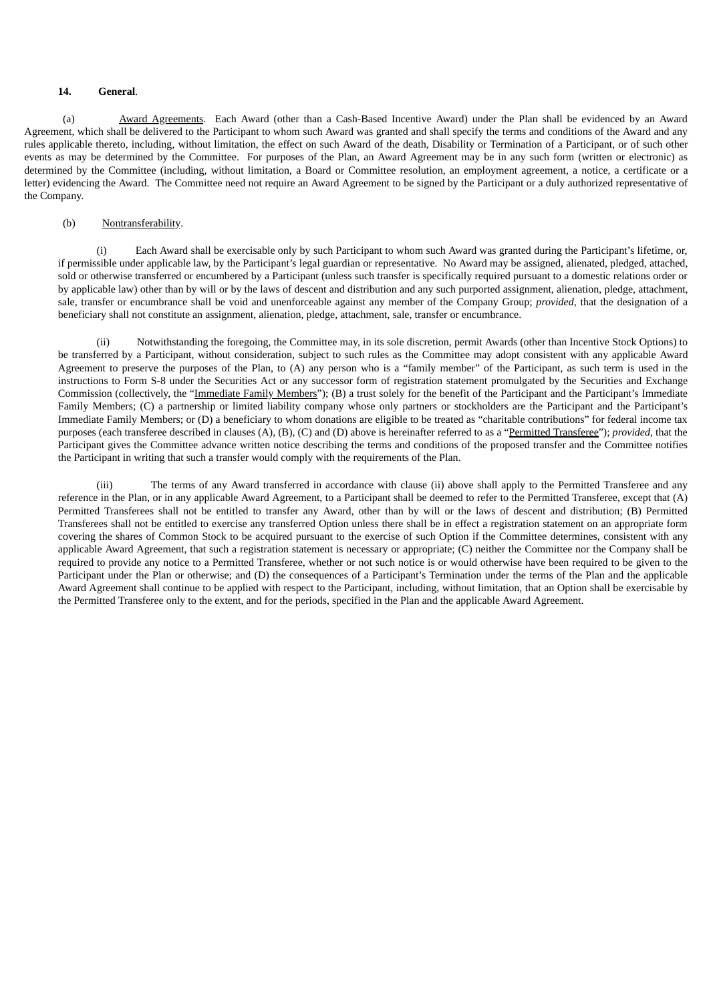#### **14. General**.

(a) Award Agreements. Each Award (other than a Cash-Based Incentive Award) under the Plan shall be evidenced by an Award Agreement, which shall be delivered to the Participant to whom such Award was granted and shall specify the terms and conditions of the Award and any rules applicable thereto, including, without limitation, the effect on such Award of the death, Disability or Termination of a Participant, or of such other events as may be determined by the Committee. For purposes of the Plan, an Award Agreement may be in any such form (written or electronic) as determined by the Committee (including, without limitation, a Board or Committee resolution, an employment agreement, a notice, a certificate or a letter) evidencing the Award. The Committee need not require an Award Agreement to be signed by the Participant or a duly authorized representative of the Company.

## (b) Nontransferability.

(i) Each Award shall be exercisable only by such Participant to whom such Award was granted during the Participant's lifetime, or, if permissible under applicable law, by the Participant's legal guardian or representative. No Award may be assigned, alienated, pledged, attached, sold or otherwise transferred or encumbered by a Participant (unless such transfer is specifically required pursuant to a domestic relations order or by applicable law) other than by will or by the laws of descent and distribution and any such purported assignment, alienation, pledge, attachment, sale, transfer or encumbrance shall be void and unenforceable against any member of the Company Group; *provided*, that the designation of a beneficiary shall not constitute an assignment, alienation, pledge, attachment, sale, transfer or encumbrance.

(ii) Notwithstanding the foregoing, the Committee may, in its sole discretion, permit Awards (other than Incentive Stock Options) to be transferred by a Participant, without consideration, subject to such rules as the Committee may adopt consistent with any applicable Award Agreement to preserve the purposes of the Plan, to (A) any person who is a "family member" of the Participant, as such term is used in the instructions to Form S-8 under the Securities Act or any successor form of registration statement promulgated by the Securities and Exchange Commission (collectively, the "Immediate Family Members"); (B) a trust solely for the benefit of the Participant and the Participant's Immediate Family Members; (C) a partnership or limited liability company whose only partners or stockholders are the Participant and the Participant's Immediate Family Members; or (D) a beneficiary to whom donations are eligible to be treated as "charitable contributions" for federal income tax purposes (each transferee described in clauses (A), (B), (C) and (D) above is hereinafter referred to as a "Permitted Transferee"); *provided*, that the Participant gives the Committee advance written notice describing the terms and conditions of the proposed transfer and the Committee notifies the Participant in writing that such a transfer would comply with the requirements of the Plan.

(iii) The terms of any Award transferred in accordance with clause (ii) above shall apply to the Permitted Transferee and any reference in the Plan, or in any applicable Award Agreement, to a Participant shall be deemed to refer to the Permitted Transferee, except that (A) Permitted Transferees shall not be entitled to transfer any Award, other than by will or the laws of descent and distribution; (B) Permitted Transferees shall not be entitled to exercise any transferred Option unless there shall be in effect a registration statement on an appropriate form covering the shares of Common Stock to be acquired pursuant to the exercise of such Option if the Committee determines, consistent with any applicable Award Agreement, that such a registration statement is necessary or appropriate; (C) neither the Committee nor the Company shall be required to provide any notice to a Permitted Transferee, whether or not such notice is or would otherwise have been required to be given to the Participant under the Plan or otherwise; and (D) the consequences of a Participant's Termination under the terms of the Plan and the applicable Award Agreement shall continue to be applied with respect to the Participant, including, without limitation, that an Option shall be exercisable by the Permitted Transferee only to the extent, and for the periods, specified in the Plan and the applicable Award Agreement.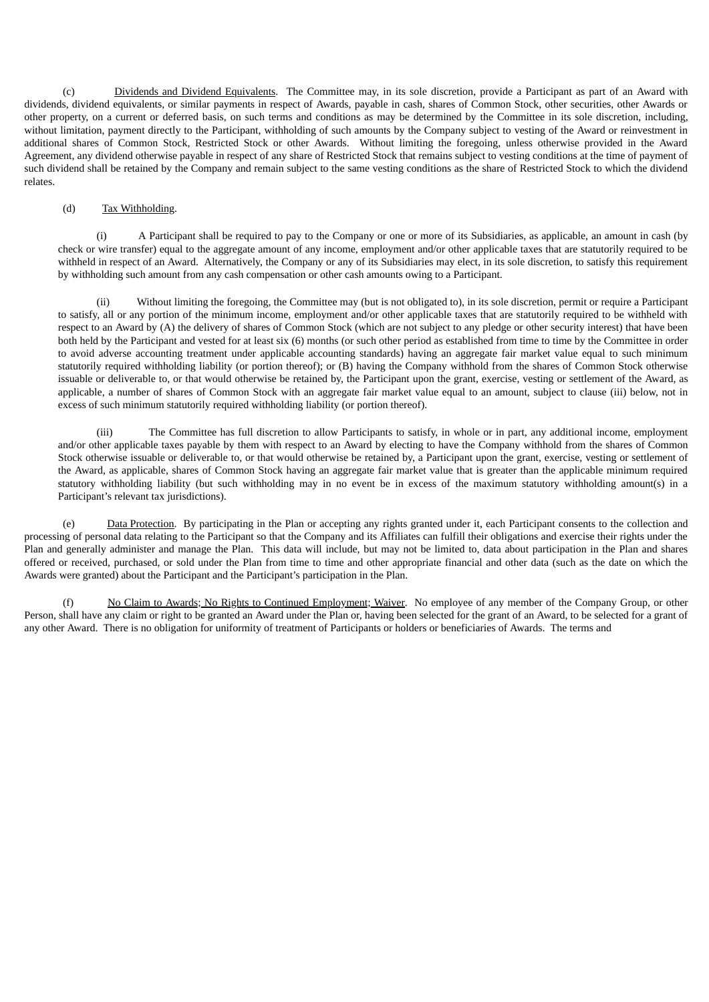(c) Dividends and Dividend Equivalents. The Committee may, in its sole discretion, provide a Participant as part of an Award with dividends, dividend equivalents, or similar payments in respect of Awards, payable in cash, shares of Common Stock, other securities, other Awards or other property, on a current or deferred basis, on such terms and conditions as may be determined by the Committee in its sole discretion, including, without limitation, payment directly to the Participant, withholding of such amounts by the Company subject to vesting of the Award or reinvestment in additional shares of Common Stock, Restricted Stock or other Awards. Without limiting the foregoing, unless otherwise provided in the Award Agreement, any dividend otherwise payable in respect of any share of Restricted Stock that remains subject to vesting conditions at the time of payment of such dividend shall be retained by the Company and remain subject to the same vesting conditions as the share of Restricted Stock to which the dividend relates.

## (d) Tax Withholding.

(i) A Participant shall be required to pay to the Company or one or more of its Subsidiaries, as applicable, an amount in cash (by check or wire transfer) equal to the aggregate amount of any income, employment and/or other applicable taxes that are statutorily required to be withheld in respect of an Award. Alternatively, the Company or any of its Subsidiaries may elect, in its sole discretion, to satisfy this requirement by withholding such amount from any cash compensation or other cash amounts owing to a Participant.

(ii) Without limiting the foregoing, the Committee may (but is not obligated to), in its sole discretion, permit or require a Participant to satisfy, all or any portion of the minimum income, employment and/or other applicable taxes that are statutorily required to be withheld with respect to an Award by (A) the delivery of shares of Common Stock (which are not subject to any pledge or other security interest) that have been both held by the Participant and vested for at least six (6) months (or such other period as established from time to time by the Committee in order to avoid adverse accounting treatment under applicable accounting standards) having an aggregate fair market value equal to such minimum statutorily required withholding liability (or portion thereof); or (B) having the Company withhold from the shares of Common Stock otherwise issuable or deliverable to, or that would otherwise be retained by, the Participant upon the grant, exercise, vesting or settlement of the Award, as applicable, a number of shares of Common Stock with an aggregate fair market value equal to an amount, subject to clause (iii) below, not in excess of such minimum statutorily required withholding liability (or portion thereof).

(iii) The Committee has full discretion to allow Participants to satisfy, in whole or in part, any additional income, employment and/or other applicable taxes payable by them with respect to an Award by electing to have the Company withhold from the shares of Common Stock otherwise issuable or deliverable to, or that would otherwise be retained by, a Participant upon the grant, exercise, vesting or settlement of the Award, as applicable, shares of Common Stock having an aggregate fair market value that is greater than the applicable minimum required statutory withholding liability (but such withholding may in no event be in excess of the maximum statutory withholding amount(s) in a Participant's relevant tax jurisdictions).

(e) Data Protection. By participating in the Plan or accepting any rights granted under it, each Participant consents to the collection and processing of personal data relating to the Participant so that the Company and its Affiliates can fulfill their obligations and exercise their rights under the Plan and generally administer and manage the Plan. This data will include, but may not be limited to, data about participation in the Plan and shares offered or received, purchased, or sold under the Plan from time to time and other appropriate financial and other data (such as the date on which the Awards were granted) about the Participant and the Participant's participation in the Plan.

(f) No Claim to Awards; No Rights to Continued Employment; Waiver. No employee of any member of the Company Group, or other Person, shall have any claim or right to be granted an Award under the Plan or, having been selected for the grant of an Award, to be selected for a grant of any other Award. There is no obligation for uniformity of treatment of Participants or holders or beneficiaries of Awards. The terms and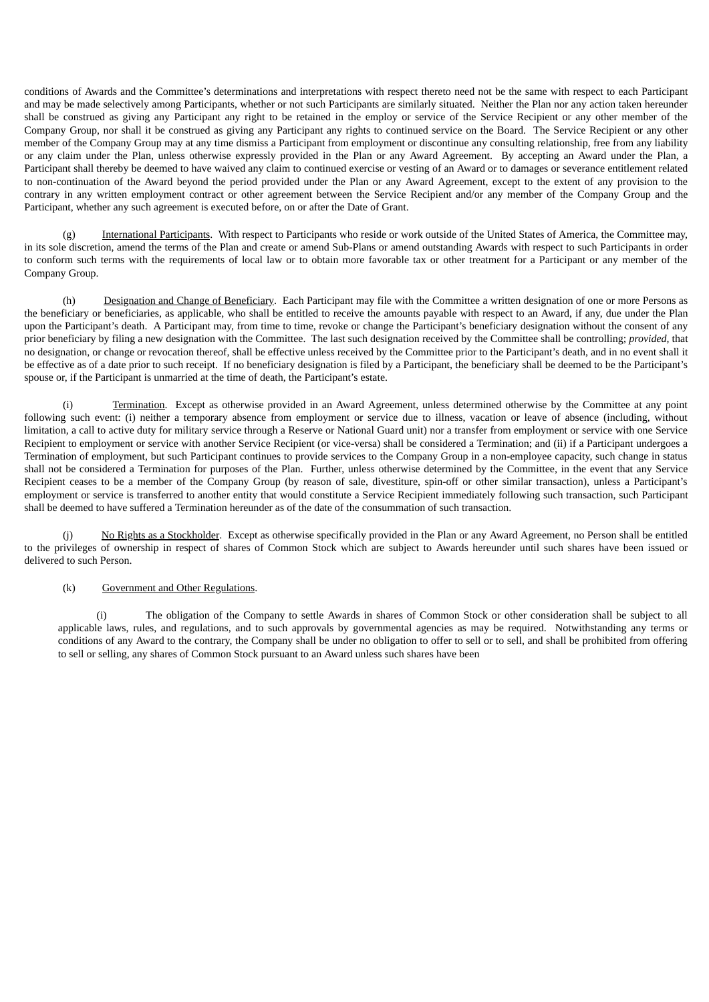conditions of Awards and the Committee's determinations and interpretations with respect thereto need not be the same with respect to each Participant and may be made selectively among Participants, whether or not such Participants are similarly situated. Neither the Plan nor any action taken hereunder shall be construed as giving any Participant any right to be retained in the employ or service of the Service Recipient or any other member of the Company Group, nor shall it be construed as giving any Participant any rights to continued service on the Board. The Service Recipient or any other member of the Company Group may at any time dismiss a Participant from employment or discontinue any consulting relationship, free from any liability or any claim under the Plan, unless otherwise expressly provided in the Plan or any Award Agreement. By accepting an Award under the Plan, a Participant shall thereby be deemed to have waived any claim to continued exercise or vesting of an Award or to damages or severance entitlement related to non-continuation of the Award beyond the period provided under the Plan or any Award Agreement, except to the extent of any provision to the contrary in any written employment contract or other agreement between the Service Recipient and/or any member of the Company Group and the Participant, whether any such agreement is executed before, on or after the Date of Grant.

(g) International Participants. With respect to Participants who reside or work outside of the United States of America, the Committee may, in its sole discretion, amend the terms of the Plan and create or amend Sub-Plans or amend outstanding Awards with respect to such Participants in order to conform such terms with the requirements of local law or to obtain more favorable tax or other treatment for a Participant or any member of the Company Group.

(h) Designation and Change of Beneficiary. Each Participant may file with the Committee a written designation of one or more Persons as the beneficiary or beneficiaries, as applicable, who shall be entitled to receive the amounts payable with respect to an Award, if any, due under the Plan upon the Participant's death. A Participant may, from time to time, revoke or change the Participant's beneficiary designation without the consent of any prior beneficiary by filing a new designation with the Committee. The last such designation received by the Committee shall be controlling; *provided,* that no designation, or change or revocation thereof, shall be effective unless received by the Committee prior to the Participant's death, and in no event shall it be effective as of a date prior to such receipt. If no beneficiary designation is filed by a Participant, the beneficiary shall be deemed to be the Participant's spouse or, if the Participant is unmarried at the time of death, the Participant's estate.

(i) Termination. Except as otherwise provided in an Award Agreement, unless determined otherwise by the Committee at any point following such event: (i) neither a temporary absence from employment or service due to illness, vacation or leave of absence (including, without limitation, a call to active duty for military service through a Reserve or National Guard unit) nor a transfer from employment or service with one Service Recipient to employment or service with another Service Recipient (or vice-versa) shall be considered a Termination; and (ii) if a Participant undergoes a Termination of employment, but such Participant continues to provide services to the Company Group in a non-employee capacity, such change in status shall not be considered a Termination for purposes of the Plan. Further, unless otherwise determined by the Committee, in the event that any Service Recipient ceases to be a member of the Company Group (by reason of sale, divestiture, spin-off or other similar transaction), unless a Participant's employment or service is transferred to another entity that would constitute a Service Recipient immediately following such transaction, such Participant shall be deemed to have suffered a Termination hereunder as of the date of the consummation of such transaction.

No Rights as a Stockholder. Except as otherwise specifically provided in the Plan or any Award Agreement, no Person shall be entitled to the privileges of ownership in respect of shares of Common Stock which are subject to Awards hereunder until such shares have been issued or delivered to such Person.

#### (k) Government and Other Regulations.

(i) The obligation of the Company to settle Awards in shares of Common Stock or other consideration shall be subject to all applicable laws, rules, and regulations, and to such approvals by governmental agencies as may be required. Notwithstanding any terms or conditions of any Award to the contrary, the Company shall be under no obligation to offer to sell or to sell, and shall be prohibited from offering to sell or selling, any shares of Common Stock pursuant to an Award unless such shares have been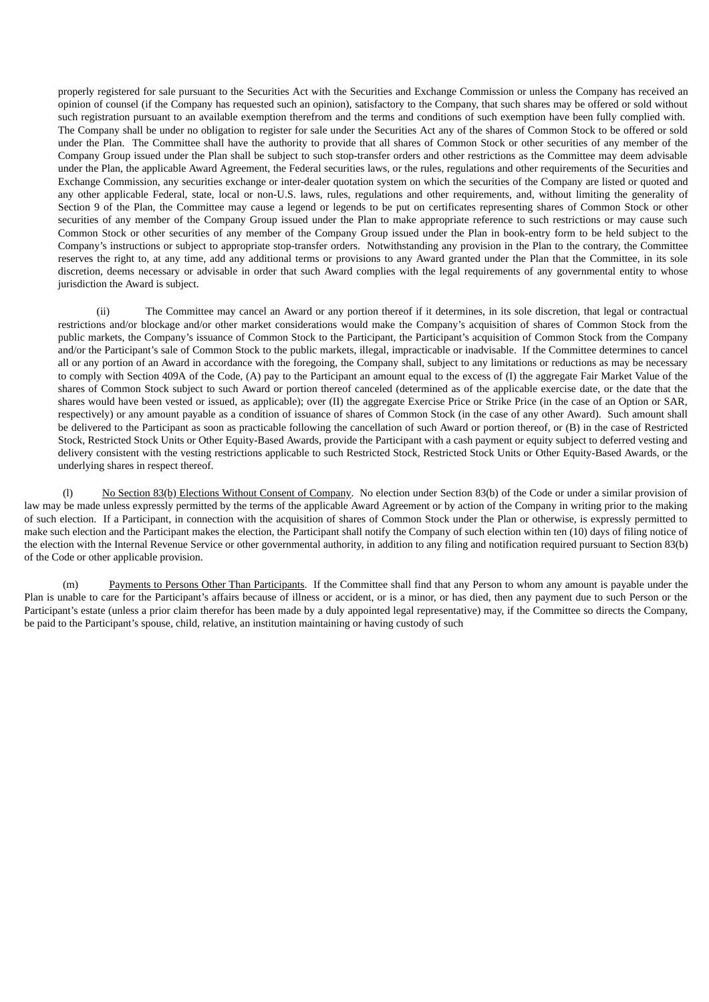properly registered for sale pursuant to the Securities Act with the Securities and Exchange Commission or unless the Company has received an opinion of counsel (if the Company has requested such an opinion), satisfactory to the Company, that such shares may be offered or sold without such registration pursuant to an available exemption therefrom and the terms and conditions of such exemption have been fully complied with. The Company shall be under no obligation to register for sale under the Securities Act any of the shares of Common Stock to be offered or sold under the Plan. The Committee shall have the authority to provide that all shares of Common Stock or other securities of any member of the Company Group issued under the Plan shall be subject to such stop-transfer orders and other restrictions as the Committee may deem advisable under the Plan, the applicable Award Agreement, the Federal securities laws, or the rules, regulations and other requirements of the Securities and Exchange Commission, any securities exchange or inter-dealer quotation system on which the securities of the Company are listed or quoted and any other applicable Federal, state, local or non-U.S. laws, rules, regulations and other requirements, and, without limiting the generality of Section 9 of the Plan, the Committee may cause a legend or legends to be put on certificates representing shares of Common Stock or other securities of any member of the Company Group issued under the Plan to make appropriate reference to such restrictions or may cause such Common Stock or other securities of any member of the Company Group issued under the Plan in book-entry form to be held subject to the Company's instructions or subject to appropriate stop-transfer orders. Notwithstanding any provision in the Plan to the contrary, the Committee reserves the right to, at any time, add any additional terms or provisions to any Award granted under the Plan that the Committee, in its sole discretion, deems necessary or advisable in order that such Award complies with the legal requirements of any governmental entity to whose jurisdiction the Award is subject.

(ii) The Committee may cancel an Award or any portion thereof if it determines, in its sole discretion, that legal or contractual restrictions and/or blockage and/or other market considerations would make the Company's acquisition of shares of Common Stock from the public markets, the Company's issuance of Common Stock to the Participant, the Participant's acquisition of Common Stock from the Company and/or the Participant's sale of Common Stock to the public markets, illegal, impracticable or inadvisable. If the Committee determines to cancel all or any portion of an Award in accordance with the foregoing, the Company shall, subject to any limitations or reductions as may be necessary to comply with Section 409A of the Code, (A) pay to the Participant an amount equal to the excess of (I) the aggregate Fair Market Value of the shares of Common Stock subject to such Award or portion thereof canceled (determined as of the applicable exercise date, or the date that the shares would have been vested or issued, as applicable); over (II) the aggregate Exercise Price or Strike Price (in the case of an Option or SAR, respectively) or any amount payable as a condition of issuance of shares of Common Stock (in the case of any other Award). Such amount shall be delivered to the Participant as soon as practicable following the cancellation of such Award or portion thereof, or (B) in the case of Restricted Stock, Restricted Stock Units or Other Equity-Based Awards, provide the Participant with a cash payment or equity subject to deferred vesting and delivery consistent with the vesting restrictions applicable to such Restricted Stock, Restricted Stock Units or Other Equity-Based Awards, or the underlying shares in respect thereof.

(l) No Section 83(b) Elections Without Consent of Company. No election under Section 83(b) of the Code or under a similar provision of law may be made unless expressly permitted by the terms of the applicable Award Agreement or by action of the Company in writing prior to the making of such election. If a Participant, in connection with the acquisition of shares of Common Stock under the Plan or otherwise, is expressly permitted to make such election and the Participant makes the election, the Participant shall notify the Company of such election within ten (10) days of filing notice of the election with the Internal Revenue Service or other governmental authority, in addition to any filing and notification required pursuant to Section 83(b) of the Code or other applicable provision.

(m) Payments to Persons Other Than Participants. If the Committee shall find that any Person to whom any amount is payable under the Plan is unable to care for the Participant's affairs because of illness or accident, or is a minor, or has died, then any payment due to such Person or the Participant's estate (unless a prior claim therefor has been made by a duly appointed legal representative) may, if the Committee so directs the Company, be paid to the Participant's spouse, child, relative, an institution maintaining or having custody of such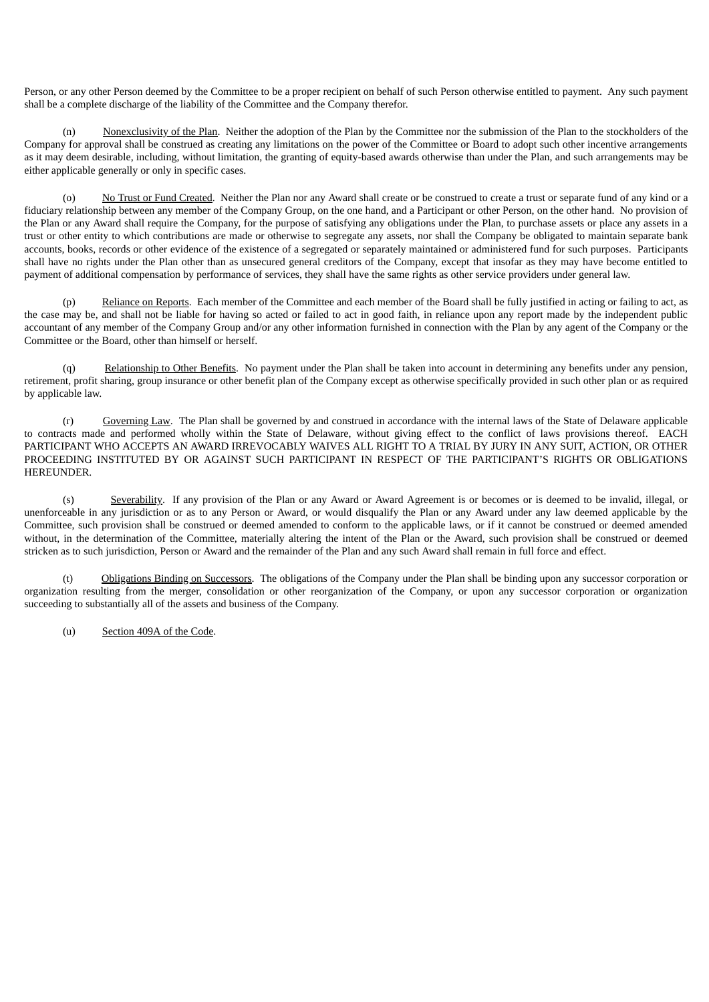Person, or any other Person deemed by the Committee to be a proper recipient on behalf of such Person otherwise entitled to payment. Any such payment shall be a complete discharge of the liability of the Committee and the Company therefor.

(n) Nonexclusivity of the Plan. Neither the adoption of the Plan by the Committee nor the submission of the Plan to the stockholders of the Company for approval shall be construed as creating any limitations on the power of the Committee or Board to adopt such other incentive arrangements as it may deem desirable, including, without limitation, the granting of equity-based awards otherwise than under the Plan, and such arrangements may be either applicable generally or only in specific cases.

(o) No Trust or Fund Created. Neither the Plan nor any Award shall create or be construed to create a trust or separate fund of any kind or a fiduciary relationship between any member of the Company Group, on the one hand, and a Participant or other Person, on the other hand. No provision of the Plan or any Award shall require the Company, for the purpose of satisfying any obligations under the Plan, to purchase assets or place any assets in a trust or other entity to which contributions are made or otherwise to segregate any assets, nor shall the Company be obligated to maintain separate bank accounts, books, records or other evidence of the existence of a segregated or separately maintained or administered fund for such purposes. Participants shall have no rights under the Plan other than as unsecured general creditors of the Company, except that insofar as they may have become entitled to payment of additional compensation by performance of services, they shall have the same rights as other service providers under general law.

(p) Reliance on Reports. Each member of the Committee and each member of the Board shall be fully justified in acting or failing to act, as the case may be, and shall not be liable for having so acted or failed to act in good faith, in reliance upon any report made by the independent public accountant of any member of the Company Group and/or any other information furnished in connection with the Plan by any agent of the Company or the Committee or the Board, other than himself or herself.

(q) Relationship to Other Benefits. No payment under the Plan shall be taken into account in determining any benefits under any pension, retirement, profit sharing, group insurance or other benefit plan of the Company except as otherwise specifically provided in such other plan or as required by applicable law.

(r) Governing Law. The Plan shall be governed by and construed in accordance with the internal laws of the State of Delaware applicable to contracts made and performed wholly within the State of Delaware, without giving effect to the conflict of laws provisions thereof. EACH PARTICIPANT WHO ACCEPTS AN AWARD IRREVOCABLY WAIVES ALL RIGHT TO A TRIAL BY JURY IN ANY SUIT, ACTION, OR OTHER PROCEEDING INSTITUTED BY OR AGAINST SUCH PARTICIPANT IN RESPECT OF THE PARTICIPANT'S RIGHTS OR OBLIGATIONS HEREUNDER.

(s) Severability. If any provision of the Plan or any Award or Award Agreement is or becomes or is deemed to be invalid, illegal, or unenforceable in any jurisdiction or as to any Person or Award, or would disqualify the Plan or any Award under any law deemed applicable by the Committee, such provision shall be construed or deemed amended to conform to the applicable laws, or if it cannot be construed or deemed amended without, in the determination of the Committee, materially altering the intent of the Plan or the Award, such provision shall be construed or deemed stricken as to such jurisdiction, Person or Award and the remainder of the Plan and any such Award shall remain in full force and effect.

(t) Obligations Binding on Successors. The obligations of the Company under the Plan shall be binding upon any successor corporation or organization resulting from the merger, consolidation or other reorganization of the Company, or upon any successor corporation or organization succeeding to substantially all of the assets and business of the Company.

(u) Section 409A of the Code.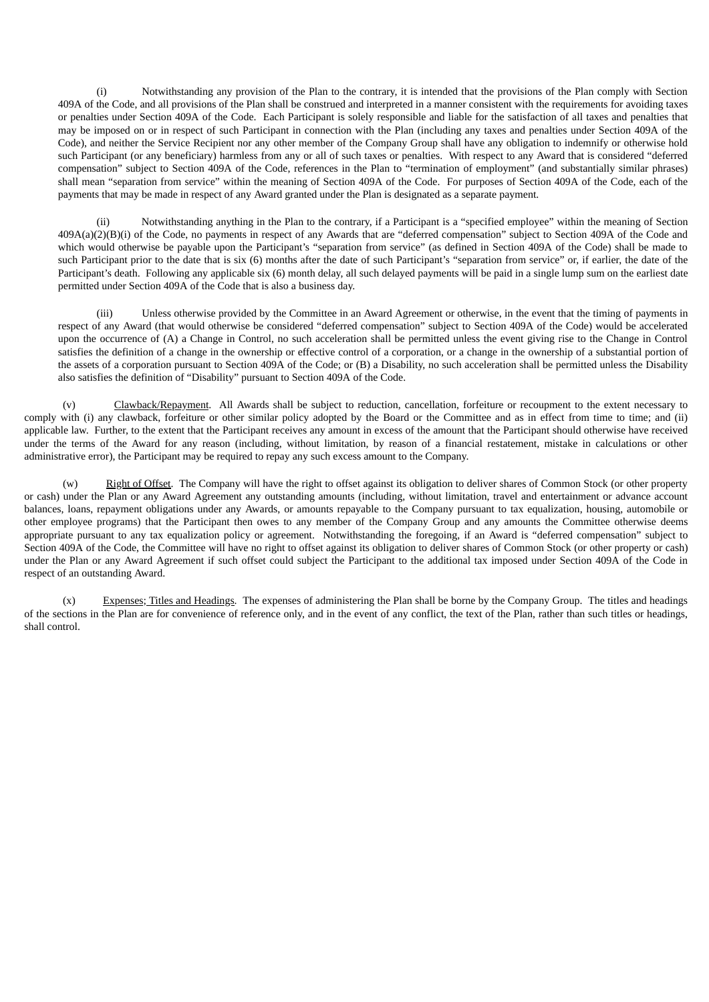(i) Notwithstanding any provision of the Plan to the contrary, it is intended that the provisions of the Plan comply with Section 409A of the Code, and all provisions of the Plan shall be construed and interpreted in a manner consistent with the requirements for avoiding taxes or penalties under Section 409A of the Code. Each Participant is solely responsible and liable for the satisfaction of all taxes and penalties that may be imposed on or in respect of such Participant in connection with the Plan (including any taxes and penalties under Section 409A of the Code), and neither the Service Recipient nor any other member of the Company Group shall have any obligation to indemnify or otherwise hold such Participant (or any beneficiary) harmless from any or all of such taxes or penalties. With respect to any Award that is considered "deferred compensation" subject to Section 409A of the Code, references in the Plan to "termination of employment" (and substantially similar phrases) shall mean "separation from service" within the meaning of Section 409A of the Code. For purposes of Section 409A of the Code, each of the payments that may be made in respect of any Award granted under the Plan is designated as a separate payment.

(ii) Notwithstanding anything in the Plan to the contrary, if a Participant is a "specified employee" within the meaning of Section 409A(a)(2)(B)(i) of the Code, no payments in respect of any Awards that are "deferred compensation" subject to Section 409A of the Code and which would otherwise be payable upon the Participant's "separation from service" (as defined in Section 409A of the Code) shall be made to such Participant prior to the date that is six (6) months after the date of such Participant's "separation from service" or, if earlier, the date of the Participant's death. Following any applicable six (6) month delay, all such delayed payments will be paid in a single lump sum on the earliest date permitted under Section 409A of the Code that is also a business day.

(iii) Unless otherwise provided by the Committee in an Award Agreement or otherwise, in the event that the timing of payments in respect of any Award (that would otherwise be considered "deferred compensation" subject to Section 409A of the Code) would be accelerated upon the occurrence of (A) a Change in Control, no such acceleration shall be permitted unless the event giving rise to the Change in Control satisfies the definition of a change in the ownership or effective control of a corporation, or a change in the ownership of a substantial portion of the assets of a corporation pursuant to Section 409A of the Code; or (B) a Disability, no such acceleration shall be permitted unless the Disability also satisfies the definition of "Disability" pursuant to Section 409A of the Code.

(v) Clawback/Repayment. All Awards shall be subject to reduction, cancellation, forfeiture or recoupment to the extent necessary to comply with (i) any clawback, forfeiture or other similar policy adopted by the Board or the Committee and as in effect from time to time; and (ii) applicable law. Further, to the extent that the Participant receives any amount in excess of the amount that the Participant should otherwise have received under the terms of the Award for any reason (including, without limitation, by reason of a financial restatement, mistake in calculations or other administrative error), the Participant may be required to repay any such excess amount to the Company.

(w) Right of Offset. The Company will have the right to offset against its obligation to deliver shares of Common Stock (or other property or cash) under the Plan or any Award Agreement any outstanding amounts (including, without limitation, travel and entertainment or advance account balances, loans, repayment obligations under any Awards, or amounts repayable to the Company pursuant to tax equalization, housing, automobile or other employee programs) that the Participant then owes to any member of the Company Group and any amounts the Committee otherwise deems appropriate pursuant to any tax equalization policy or agreement. Notwithstanding the foregoing, if an Award is "deferred compensation" subject to Section 409A of the Code, the Committee will have no right to offset against its obligation to deliver shares of Common Stock (or other property or cash) under the Plan or any Award Agreement if such offset could subject the Participant to the additional tax imposed under Section 409A of the Code in respect of an outstanding Award.

(x) Expenses; Titles and Headings. The expenses of administering the Plan shall be borne by the Company Group. The titles and headings of the sections in the Plan are for convenience of reference only, and in the event of any conflict, the text of the Plan, rather than such titles or headings, shall control.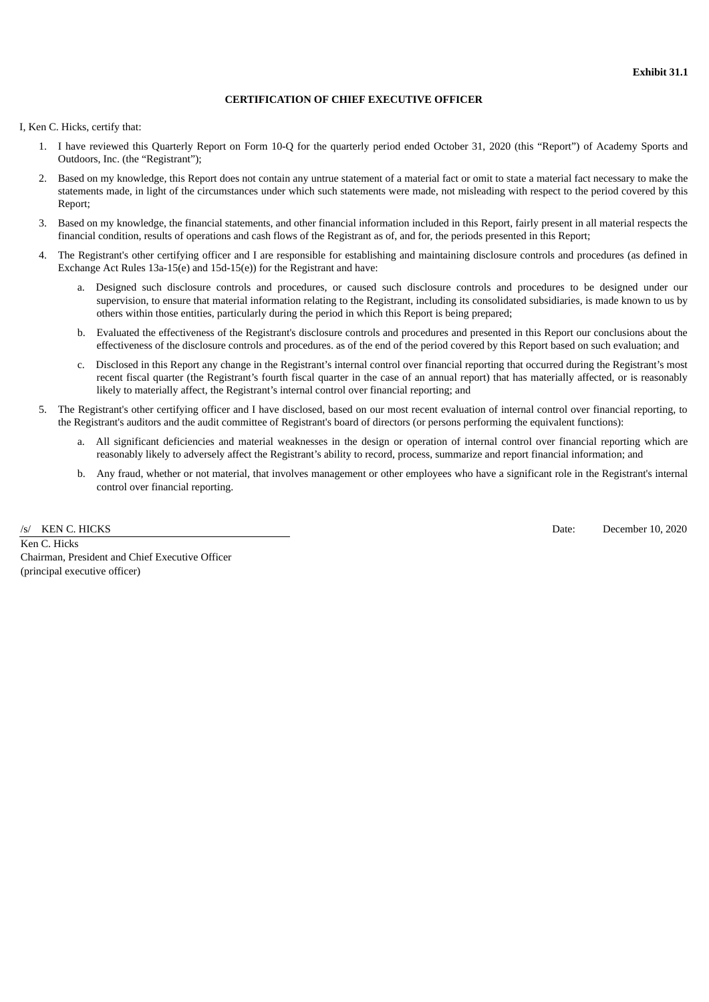# **CERTIFICATION OF CHIEF EXECUTIVE OFFICER**

I, Ken C. Hicks, certify that:

- 1. I have reviewed this Quarterly Report on Form 10-Q for the quarterly period ended October 31, 2020 (this "Report") of Academy Sports and Outdoors, Inc. (the "Registrant");
- 2. Based on my knowledge, this Report does not contain any untrue statement of a material fact or omit to state a material fact necessary to make the statements made, in light of the circumstances under which such statements were made, not misleading with respect to the period covered by this Report;
- 3. Based on my knowledge, the financial statements, and other financial information included in this Report, fairly present in all material respects the financial condition, results of operations and cash flows of the Registrant as of, and for, the periods presented in this Report;
- 4. The Registrant's other certifying officer and I are responsible for establishing and maintaining disclosure controls and procedures (as defined in Exchange Act Rules 13a-15(e) and 15d-15(e)) for the Registrant and have:
	- a. Designed such disclosure controls and procedures, or caused such disclosure controls and procedures to be designed under our supervision, to ensure that material information relating to the Registrant, including its consolidated subsidiaries, is made known to us by others within those entities, particularly during the period in which this Report is being prepared;
	- b. Evaluated the effectiveness of the Registrant's disclosure controls and procedures and presented in this Report our conclusions about the effectiveness of the disclosure controls and procedures. as of the end of the period covered by this Report based on such evaluation; and
	- c. Disclosed in this Report any change in the Registrant's internal control over financial reporting that occurred during the Registrant's most recent fiscal quarter (the Registrant's fourth fiscal quarter in the case of an annual report) that has materially affected, or is reasonably likely to materially affect, the Registrant's internal control over financial reporting; and
- 5. The Registrant's other certifying officer and I have disclosed, based on our most recent evaluation of internal control over financial reporting, to the Registrant's auditors and the audit committee of Registrant's board of directors (or persons performing the equivalent functions):
	- a. All significant deficiencies and material weaknesses in the design or operation of internal control over financial reporting which are reasonably likely to adversely affect the Registrant's ability to record, process, summarize and report financial information; and
	- b. Any fraud, whether or not material, that involves management or other employees who have a significant role in the Registrant's internal control over financial reporting.

/s/ KEN C. HICKS Date: December 10, 2020

Ken C. Hicks Chairman, President and Chief Executive Officer (principal executive officer)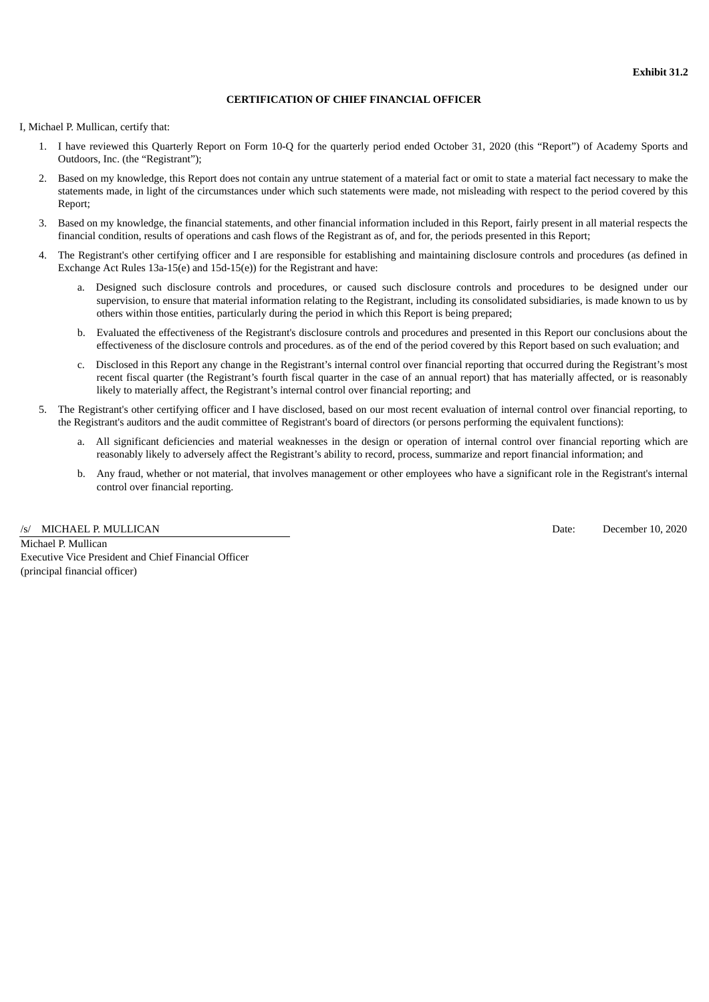# **CERTIFICATION OF CHIEF FINANCIAL OFFICER**

I, Michael P. Mullican, certify that:

- 1. I have reviewed this Quarterly Report on Form 10-Q for the quarterly period ended October 31, 2020 (this "Report") of Academy Sports and Outdoors, Inc. (the "Registrant");
- 2. Based on my knowledge, this Report does not contain any untrue statement of a material fact or omit to state a material fact necessary to make the statements made, in light of the circumstances under which such statements were made, not misleading with respect to the period covered by this Report;
- 3. Based on my knowledge, the financial statements, and other financial information included in this Report, fairly present in all material respects the financial condition, results of operations and cash flows of the Registrant as of, and for, the periods presented in this Report;
- 4. The Registrant's other certifying officer and I are responsible for establishing and maintaining disclosure controls and procedures (as defined in Exchange Act Rules 13a-15(e) and 15d-15(e)) for the Registrant and have:
	- a. Designed such disclosure controls and procedures, or caused such disclosure controls and procedures to be designed under our supervision, to ensure that material information relating to the Registrant, including its consolidated subsidiaries, is made known to us by others within those entities, particularly during the period in which this Report is being prepared;
	- b. Evaluated the effectiveness of the Registrant's disclosure controls and procedures and presented in this Report our conclusions about the effectiveness of the disclosure controls and procedures. as of the end of the period covered by this Report based on such evaluation; and
	- c. Disclosed in this Report any change in the Registrant's internal control over financial reporting that occurred during the Registrant's most recent fiscal quarter (the Registrant's fourth fiscal quarter in the case of an annual report) that has materially affected, or is reasonably likely to materially affect, the Registrant's internal control over financial reporting; and
- 5. The Registrant's other certifying officer and I have disclosed, based on our most recent evaluation of internal control over financial reporting, to the Registrant's auditors and the audit committee of Registrant's board of directors (or persons performing the equivalent functions):
	- a. All significant deficiencies and material weaknesses in the design or operation of internal control over financial reporting which are reasonably likely to adversely affect the Registrant's ability to record, process, summarize and report financial information; and
	- b. Any fraud, whether or not material, that involves management or other employees who have a significant role in the Registrant's internal control over financial reporting.

/s/ MICHAEL P. MULLICAN Date: December 10, 2020

Michael P. Mullican Executive Vice President and Chief Financial Officer (principal financial officer)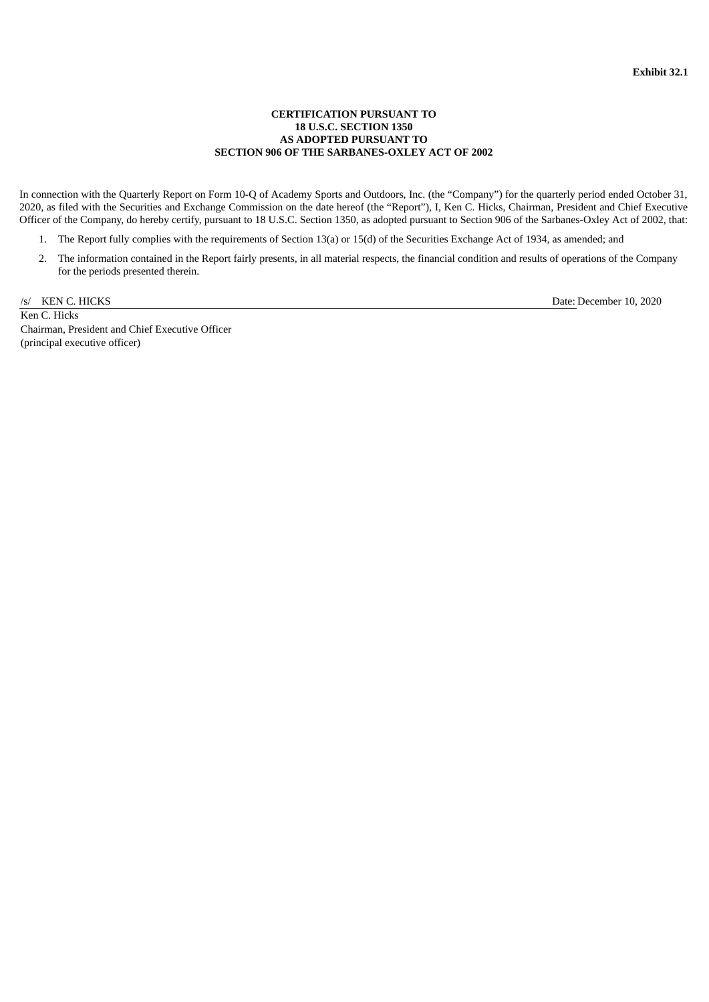### **CERTIFICATION PURSUANT TO 18 U.S.C. SECTION 1350 AS ADOPTED PURSUANT TO SECTION 906 OF THE SARBANES-OXLEY ACT OF 2002**

In connection with the Quarterly Report on Form 10-Q of Academy Sports and Outdoors, Inc. (the "Company") for the quarterly period ended October 31, 2020, as filed with the Securities and Exchange Commission on the date hereof (the "Report"), I, Ken C. Hicks, Chairman, President and Chief Executive Officer of the Company, do hereby certify, pursuant to 18 U.S.C. Section 1350, as adopted pursuant to Section 906 of the Sarbanes-Oxley Act of 2002, that:

- 1. The Report fully complies with the requirements of Section 13(a) or 15(d) of the Securities Exchange Act of 1934, as amended; and
- 2. The information contained in the Report fairly presents, in all material respects, the financial condition and results of operations of the Company for the periods presented therein.

/s/ KEN C. HICKS Date: December 10, 2020

Ken C. Hicks Chairman, President and Chief Executive Officer (principal executive officer)